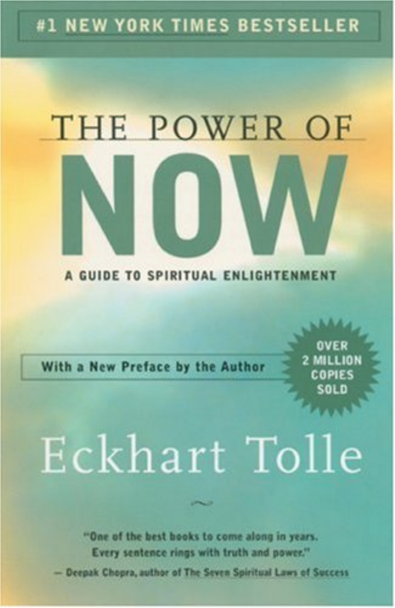#1 NEW YORK TIMES BESTSELLER

# THE POWER OF A GUIDE TO SPIRITUAL ENLIGHTENMENT

With a New Preface by the Author

MILLION

## Eckhart Tolle

"One of the best books to come along in years. Every sentence rings with truth and power." - Deepak Chopra, author of The Seven Spiritual Laws of Success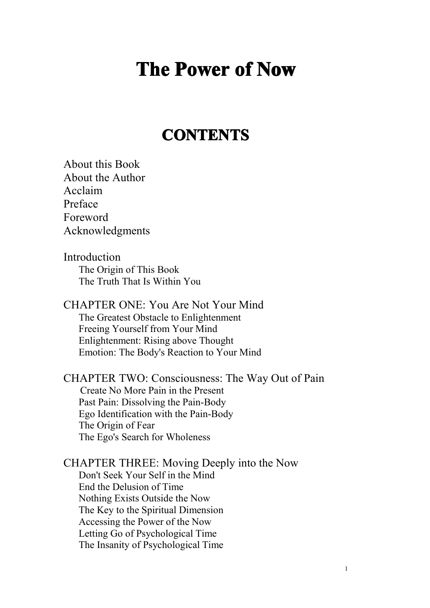### **The Power of Now**

### **CONTENTS CONTENTS CONTENTS CONTENTS**

| About this Book      |
|----------------------|
| About the Author     |
| Acclaim              |
| Preface              |
| Foreword             |
| Acknowledgments      |
| Introduction         |
| The Origin of This F |

The Origin of This Book The Truth That Is Within You

#### CHAPTER ONE: You Are Not Your Mind

The Greatest Obstacle to Enlightenment Freeing Yourself from Your Mind Enlightenment: Rising above Thought Emotion: The Body's Reaction to Your Mind

#### CHAPTER TWO: Consciousness: The Way Out of Pain

Create No More Pain in the Present Past Pain: Dissolving the Pain-Body Ego Identification with the Pain-Body The Origin of Fear The Ego's Search for Wholeness

CHAPTER THREE: Moving Deeply into the Now Don't Seek Your Self in the Mind End the Delusion of Time Nothing Exists Outside the Now The Key to the Spiritual Dimension Accessing the Power of the Now Letting Go of Psychological Time The Insanity of Psychological Time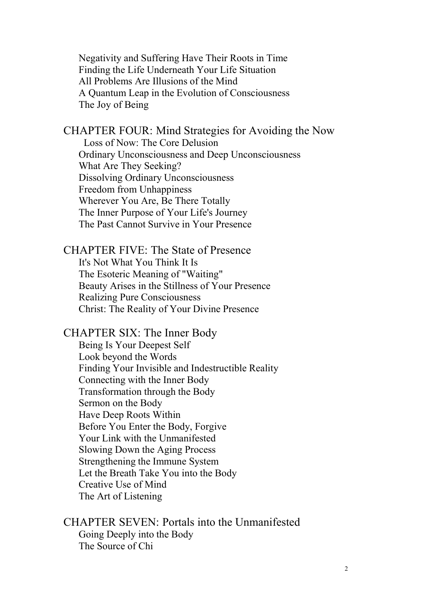Negativity and Suffering Have Their Roots inTime Finding the Life Underneath Your Life Situation All Problems Are Illusions of the Mind A Quantum Leap in the Evolution of Consciousness The Joy of Being

#### CHAPTER FOUR: Mind Strategies for Avoiding the Now

Loss of Now: The Core Delusion Ordinary Unconsciousness and Deep Unconsciousness What Are They Seeking? Dissolving Ordinary Unconsciousness Freedom from Unhappiness Wherever You Are, Be There Totally The Inner Purpose of Your Life's Journey The Past Cannot Survive in Your Presence

#### CHAPTER FIVE: The State of Presence

It's Not What You Think It Is The Esoteric Meaning of "Waiting" Beauty Arises in the Stillness of Your Presence Realizing Pure Consciousness Christ: The Reality of Your Divine Presence

#### CHAPTER SIX: The Inner Body

Being Is Your Deepest Self Look beyond the Words Finding Your Invisible and Indestructible Reality Connecting with the Inner Body Transformation through the Body Sermon on the Body Have Deep Roots Within Before You Enter the Body, Forgive Your Link with the Unmanifested Slowing Down the Aging Process Strengthening the Immune System Let the Breath Take You into the Body Creative Use of Mind The Art of Listening

### CHAPTER SEVEN: Portals into the Unmanifested Going Deeply into the Body The Source of Chi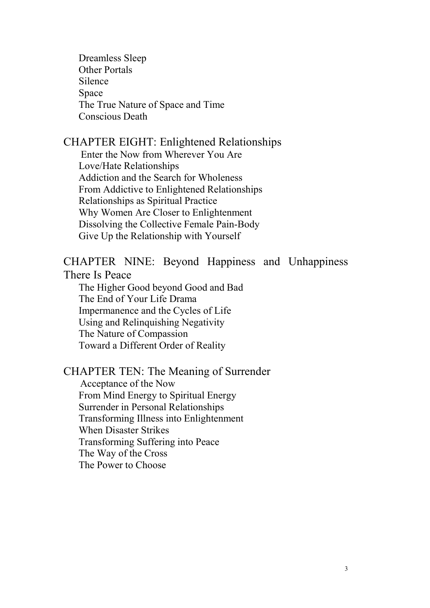Dreamless Sleep Other Portals Silence Space The True Nature of Space and Time Conscious Death

#### CHAPTER EIGHT: Enlightened Relationships

Enter the Now from Wherever You Are Love/Hate Relationships Addiction and the Search for Wholeness From Addictive to Enlightened Relationships Relationships as Spiritual Practice Why Women Are Closer to Enlightenment Dissolving the Collective Female Pain-Body Give Up the Relationship with Yourself

### CHAPTER NINE: Beyond Happiness and Unhappiness

There Is Peace

The Higher Good beyond Good and Bad The End of Your Life Drama Impermanence and the Cycles of Life Using and Relinquishing Negativity The Nature of Compassion Toward <sup>a</sup> Different Order of Reality

#### CHAPTER TEN: The Meaning of Surrender

Acceptance of the Now From Mind Energy to Spiritual Energy Surrender in Personal Relationships Transforming Illness into Enlightenment When Disaster Strikes Transforming Suffering into Peace The Way of the Cross The Power to Choose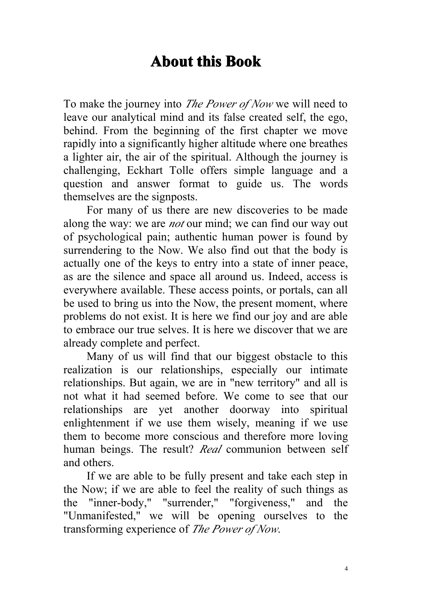### **About this Book**

To make the journey into *The Power of Now* we will need to leave our analytical mind and its false created self, the ego, behind. From the beginning of the first chapter we move rapidly into <sup>a</sup> significantly higher altitude where one breathes <sup>a</sup> lighter air, the air of the spiritual. Although the journey is challenging, Eckhart Tolle offers simple language and <sup>a</sup> question and answer format to guide us. The words themselves are the signposts.

For many of us there are new discoveries to be made along the way: we are *not* our mind; we can find our way out of psychological pain; authentic human power is found by surrendering to the Now. We also find out that the body is actually one of the keys to entry into <sup>a</sup> state of inner peace, as are the silence and space all around us. Indeed, access is everywhere available. These access points, or portals, can all be used to bring us into the Now, the presen<sup>t</sup> moment, where problems do not exist. It is here we find our joyand are able to embrace our true selves. It is here we discover that we are already complete and perfect.

Many of us will find that our biggest obstacle to this realization is our relationships, especially our intimate relationships. But again, we are in "new territory" and all is not what it had seemed before. We come to see that our relationships are ye<sup>t</sup> another doorway into spiritual enlightenment if we use them wisely, meaning if we use them to become more conscious and therefore more loving human beings. The result? *Real* communion between self and others.

If we are able to be fully presen<sup>t</sup> and take each step in the Now; if we are able to feel the reality of such things as the "inner-body," "surrender," "forgiveness," and the "Unmanifested," we will be opening ourselves to the transforming experience of *The Power of Now*.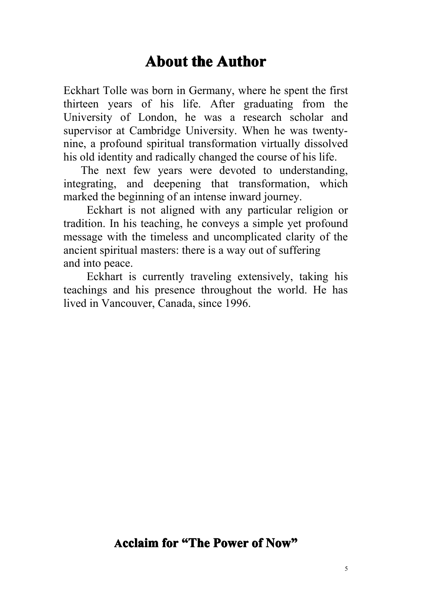### **About the Author**

Eckhart Tolle was born in Germany, where he spen<sup>t</sup> the first thirteen years of his life. After graduating from the University of London, he was <sup>a</sup> research scholar and supervisor at Cambridge University. When he was twentynine, <sup>a</sup> profound spiritual transformation virtually dissolved his old identity and radically changed the course of his life.

The next few years were devoted to understanding, integrating, and deepening that transformation, which marked the beginning of an intense inward journey.

Eckhart is not aligned with any particular religion or tradition. In his teaching, he conveys <sup>a</sup> simple ye<sup>t</sup> profound message with the timeless and uncomplicated clarity of the ancient spiritual masters: there is <sup>a</sup> way out of suffering and into peace.

Eckhart is currently traveling extensively, taking his teachings and his presence throughout the world. He has lived in Vancouver, Canada, since 1996.

### **Acclaim for "The Power of Now"**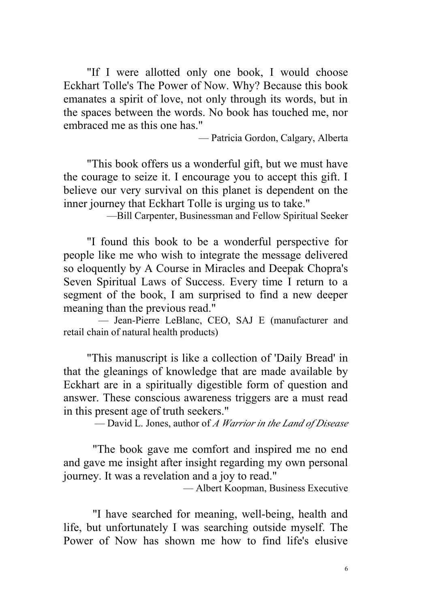"If I were allotted only one book, I would choose Eckhart Tolle's The Power of Now. Why? Because this book emanates <sup>a</sup> spirit of love, not only through its words, but in the spaces between the words. No book has touched me, nor embraced me as this one has."

— Patricia Gordon, Calgary, Alberta

"This book offers us <sup>a</sup> wonderful gift, but we must have the courage to seize it. I encourage you to accep<sup>t</sup> this gift. I believe our very survival on this planet is dependent on the inner journey that Eckhart Tolle is urging us to take."

—Bill Carpenter, Businessman and Fellow Spiritual Seeker

"I found this book to be <sup>a</sup> wonderful perspective for people like me who wish to integrate the message delivered so eloquently by A Course in Miracles and Deepak Chopra's Seven Spiritual Laws of Success. Every time I return to <sup>a</sup> segmen<sup>t</sup> of the book, I am surprised to find <sup>a</sup> new deeper meaning than the previous read."

— Jean-Pierre LeBlanc, CEO, SAJ E (manufacturer and retail chain of natural health products)

> "This manuscript is like <sup>a</sup> collection of 'Daily Bread' in that the gleanings of knowledge that are made available by Eckhart are in <sup>a</sup> spiritually digestible form of question and answer. These conscious awareness triggers are <sup>a</sup> must read in this presen<sup>t</sup> age of truth seekers."

— David L. Jones, author of *A Warrior in the Land of Disease*

"The book gave me comfort and inspired me no end and gave me insight after insight regarding my own personal journey. It was <sup>a</sup> revelation and <sup>a</sup> joy to read."

— Albert Koopman, Business Executive

"I have searched for meaning, well-being, health and life, but unfortunately I was searching outside myself. The Power of Now has shown me how to find life's elusive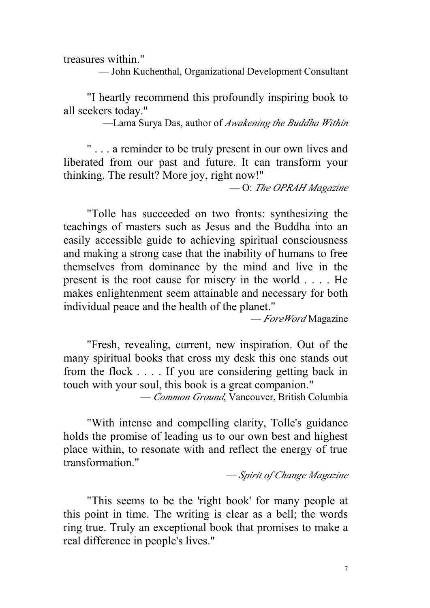treasures within."

— John Kuchenthal, Organizational Development Consultant

"I heartly recommend this profoundly inspiring book to all seekers today."

—Lama Surya Das, author of *Awakening the Buddha Within*

" . . . <sup>a</sup> reminder to be truly presen<sup>t</sup> in our own lives and liberated from our pas<sup>t</sup> and future. It can transform your thinking. The result? More joy, right now!"

— O: *The OPRAH Magazine*

"Tolle has succeeded on two fronts: synthesizing the teachings of masters such as Jesus and the Buddha into an easily accessible guide to achieving spiritual consciousness and making a strong case that the inability of humans to free themselves from dominance by the mind and live in the present is the root cause for misery in the world . . . . He makes enlightenment seem attainable and necessary for both individual peace and the health of the planet."

— *ForeWord* Magazine

"Fresh, revealing, current, new inspiration. Out of the many spiritual books that cross my desk this one stands out from the flock . . . . If you are considering getting back in touch with your soul, this book is <sup>a</sup> grea<sup>t</sup> companion."

— *Common Ground*, Vancouver, British Columbia

"With intense and compelling clarity, Tolle's guidance holds the promise of leading us to our own best and highest place within, to resonate with and reflect the energy of true transformation."

— *Spirit of Change Magazine*

"This seems to be the 'right book' for many people at this point in time. The writing is clear as <sup>a</sup> bell; the words ring true. Truly an exceptional book that promises to make <sup>a</sup> real difference in people's lives."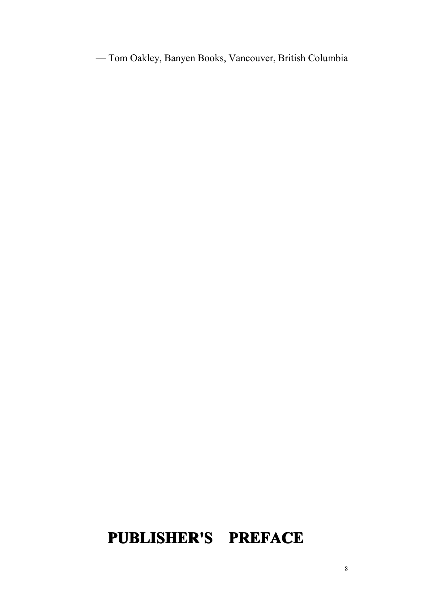— Tom Oakley, Banyen Books, Vancouver, British Columbia

### **PUBLISHER'S PUBLISHER'S PUBLISHER'SPREFACE PREFACE PREFACEPREFACE**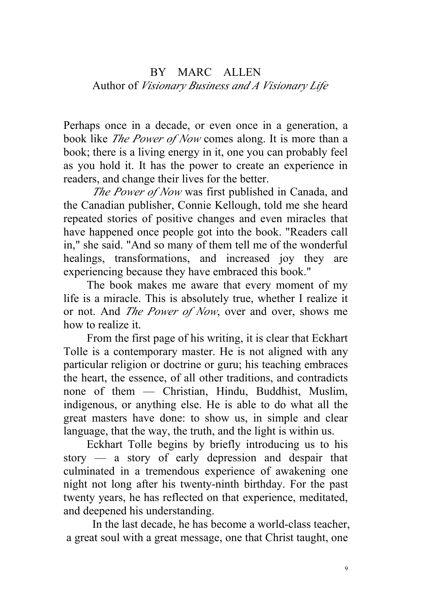BY MARC ALLEN Author of *Visionary Business and A Visionary Life*

Perhaps once in <sup>a</sup> decade, or even once in <sup>a</sup> generation, <sup>a</sup> book like *The Power of Now* comes along. It is more than <sup>a</sup> book; there is <sup>a</sup> living energy in it, one you can probably feel as you hold it. It has the power to create an experience in readers, and change their lives for the better.

*The Power of Now* was first published in Canada, and the Canadian publisher, Connie Kellough, told me she heard repeated stories of positive changes and even miracles that have happened once people go<sup>t</sup> into the book. "Readers call in," she said. "And so many of them tell me of the wonderful healings, transformations, and increased joy they are experiencing because they have embraced this book."

The book makes me aware that every moment of my life is <sup>a</sup> miracle. This is absolutely true, whether I realize it or not. And *The Power of Now*, over and over, shows me how to realize it.

From the first page of his writing, it is clear that Eckhart Tolle is <sup>a</sup> contemporary master. He is not aligned with any particular religion or doctrine or guru; his teaching embraces the heart, the essence, of all other traditions, and contradicts none of them — Christian, Hindu, Buddhist, Muslim, indigenous, or anything else. He is able to do what all the grea<sup>t</sup> masters have done: to show us, in simple and clear language, that the way, the truth, and the light is within us.

Eckhart Tolle begins by briefly introducing us to his story — <sup>a</sup> story of early depression and despair that culminated in <sup>a</sup> tremendous experience of awakening one night not long after his twenty-ninth birthday. For the pas<sup>t</sup> twenty years, he has reflected on that experience, meditated, and deepened his understanding.

In the last decade, he has become <sup>a</sup> world-class teacher, <sup>a</sup> grea<sup>t</sup> soul with <sup>a</sup> grea<sup>t</sup> message, one that Christ taught, one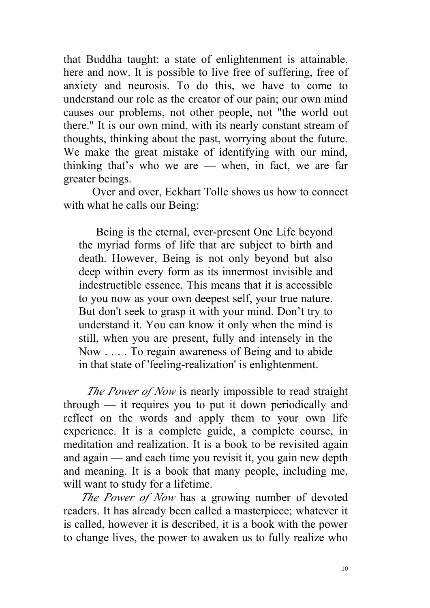that Buddha taught: <sup>a</sup> state of enlightenment is attainable, here and now. It is possible to live free of suffering, free of anxiety and neurosis. To do this, we have to come to understand our role as the creator of our pain; our own mind causes our problems, not other people, not "the world out there." It is our own mind, with its nearly constant stream of thoughts, thinking about the past, worrying about the future. We make the grea<sup>t</sup> mistake of identifying with our mind, thinking that's who we are — when, in fact, we are far greater beings.

Over and over, Eckhart Tolle shows us how to connect with what he calls our Being:

Being is the eternal, ever-presen<sup>t</sup> One Life beyond the myriad forms of life that aresubject to birth and death. However, Being is not only beyond but also deep within every form as its innermost invisible and indestructible essence. This means that it is accessible to you now as your own deepest self, your true nature. But don't seek to grasp it with your mind. Don't try to understand it. You can know it onlywhen the mind is still, when you are present, fully and intensely in the Now . . . . To regain awareness of Being and to abide in that state of 'feeling-realization' is enlightenment.

*The Power of Now* is nearly impossible to read straight through — it requires you to pu<sup>t</sup> it down periodically and reflect on the words and apply them to your own life experience. It is <sup>a</sup> complete guide, <sup>a</sup> complete course, in meditation and realization. It is <sup>a</sup> book to be revisited again and again — and each time you revisit it, you gain new depth and meaning. It is a book that many people, including me, will want to study for a lifetime.

*The Power of Now* has <sup>a</sup> growing number of devoted readers. It has already been called <sup>a</sup> masterpiece; whatever it is called, however it is described, it is <sup>a</sup> book with the power to change lives, the power to awaken us to fully realize who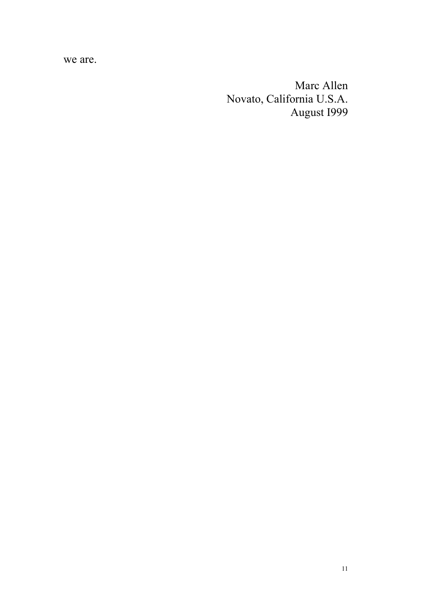we are.

Marc Allen Novato, California U.S.A. August I999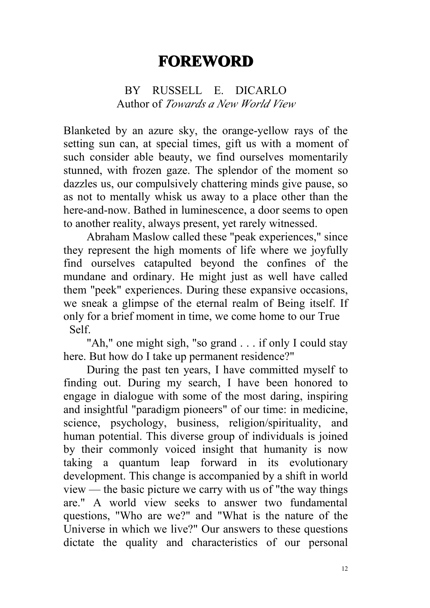### $$

### BY RUSSELL E. DICARLO Author of *Towards <sup>a</sup> New World View*

Blanketed by an azure sky, the orange-yellow rays of the setting sun can, at special times, gift us with <sup>a</sup> moment of such consider able beauty, we find ourselves momentarily stunned, with frozen gaze. The splendor of the moment so dazzles us, our compulsively chattering minds give pause, so as not to mentally whisk us away to <sup>a</sup> place other than the here-and-now. Bathed in luminescence, a door seems to open to another reality, always present, ye<sup>t</sup> rarely witnessed.

Abraham Maslow called these "peak experiences," since they represen<sup>t</sup> the high moments of life where we joyfully find ourselves catapulted beyond the confines of the mundane and ordinary. He might just as well have called them "peek" experiences. During these expansive occasions, we sneak <sup>a</sup> glimpse of the eternal realm of Being itself. If only for <sup>a</sup> brief moment in time, we come home to our True Self.

"Ah," one might sigh, "so grand . . . if only I could stay here. But how do I take up permanen<sup>t</sup> residence?"

During the pas<sup>t</sup> ten years, I have committed myself to finding out. During my search, I have been honored to engage in dialogue with some of the most daring, inspiring and insightful "paradigm pioneers" of our time: in medicine, science, psychology, business, religion/spirituality, and human potential. This diverse group of individuals is joined by their commonly voiced insight that humanity is now taking <sup>a</sup> quantum leap forward in its evolutionary development. This change is accompanied by <sup>a</sup> shift in world view — the basic picture we carry with us of "the way things are." A world view seeks to answer two fundamental questions, "Who are we?" and "What is the nature of the Universe in which we live?" Our answers to these questions dictate the quality and characteristics of our personal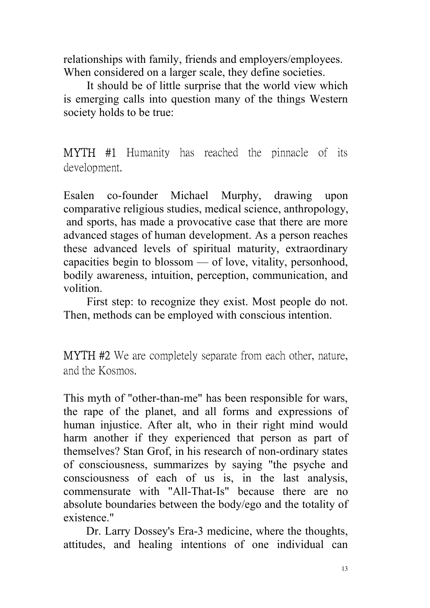relationships with family, friends and employers/employees. When considered on <sup>a</sup> larger scale, they define societies.

It should be of little surprise that the world view which is emerging calls into question many of the things Western society holds to be true:

MYTH #1 Humanity has reached the pinnacle of its development.

Esalen co-founder Michael Murphy, drawing upon comparative religious studies, medical science, anthropology, and sports, has made <sup>a</sup> provocative case that there are more advanced stages of human development. As <sup>a</sup> person reaches these advanced levels of spiritual maturity, extraordinary capacities begin to blossom — of love, vitality, personhood, bodily awareness, intuition, perception, communication, and volition.

First step: to recognize they exist. Most people do not. Then, methods can be employed with conscious intention.

MYTH #2 We are completely separate from each other, nature, and the Kosmos.

This myth of "other-than-me" has been responsible for wars, the rape of the planet, and all forms and expressions of human injustice. After alt, who in their right mind would harm another if they experienced that person as par<sup>t</sup> of themselves? Stan Grof, in his research of non-ordinary states of consciousness, summarizes by saying "the psyche and consciousness of each of us is, in the last analysis, commensurate with "All-That-Is" because there are no absolute boundaries between the body/ego and the totality of existence."

Dr. Larry Dossey's Era-3 medicine, where the thoughts, attitudes, and healing intentions of one individual can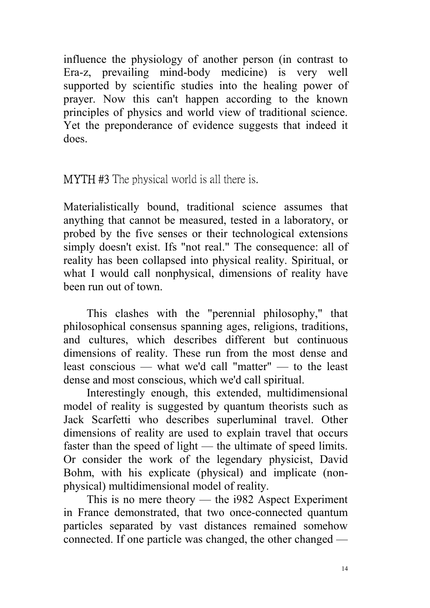influence the physiology of another person (in contrast to Era-z, prevailing mind-body medicine) is very well supported by scientific studies into the healing power of prayer. Now this can't happen according to the known principles of physics and world view of traditional science. Yet the preponderance of evidence suggests that indeed it does.

MYTH #3 The physical world is all there is.

Materialistically bound, traditional science assumes that anything that cannot be measured, tested in <sup>a</sup> laboratory, or probed by the five senses or their technological extensions simply doesn't exist. Ifs "not real." The consequence: all of reality has been collapsed into physical reality. Spiritual, or what I would call nonphysical, dimensions of reality have been run out of town.

This clashes with the "perennial philosophy," that philosophical consensus spanning ages, religions, traditions, and cultures, which describes different but continuous dimensions of reality. These run from the most dense and least conscious — what we'd call "matter" — to the least dense and most conscious, which we'd call spiritual.

Interestingly enough, this extended, multidimensional model of reality is suggested by quantum theorists such as Jack Scarfetti who describes superluminal travel. Other dimensions of reality are used to explain travel that occurs faster than the speed of light — the ultimate of speed limits. Or consider the work of the legendary physicist, David Bohm, with his explicate (physical) and implicate (nonphysical) multidimensional model of reality.

This is no mere theory — the i982 Aspect Experiment in France demonstrated, that two once-connected quantum particles separated by vast distances remained somehow connected. If one particle was changed, the other changed —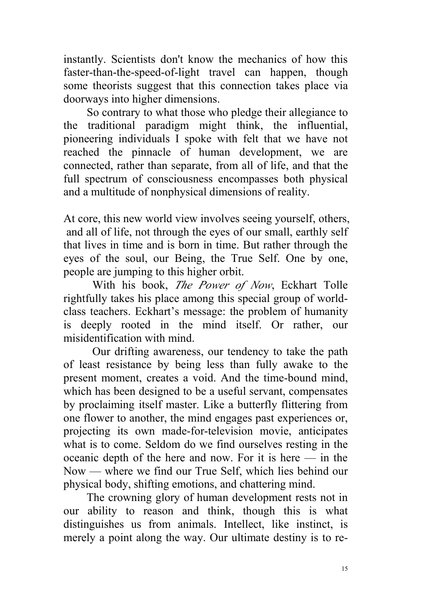instantly. Scientists don't know the mechanics of how this faster-than-the-speed-of-light travel can happen, though some theorists sugges<sup>t</sup> that this connection takes place via doorways into higher dimensions.

So contrary to what those who pledge their allegiance to the traditional paradigm might think, the influential, pioneering individuals I spoke with felt that we have not reached the pinnacle of human development, we are connected, rather than separate, from all of life, and that the full spectrum of consciousness encompasses both physical and <sup>a</sup> multitude of nonphysical dimensions of reality.

At core, this new world view involves seeing yourself, others, and all of life, not through the eyes of our small, earthly self that lives in time and is born in time. But rather through the eyes of the soul, our Being, the True Self. One by one, people are jumping to this higher orbit.

With his book, *The Power of Now*, Eckhart Tolle rightfully takes his place among this special group of worldclass teachers. Eckhart's message: the problem of humanity is deeply rooted in the mind itself. Or rather, our misidentification with mind.

Our drifting awareness, our tendency to take the path of least resistance by being less than fully awake to the presen<sup>t</sup> moment, creates <sup>a</sup> void. And the time-bound mind, which has been designed to be <sup>a</sup> useful servant, compensates by proclaiming itself master. Like <sup>a</sup> butterfly flittering from one flower to another, the mind engages pas<sup>t</sup> experiences or, projecting its own made-for-television movie, anticipates what is to come. Seldom do we find ourselves resting in the oceanic depth of the here and now. For it is here  $-$  in the Now — where we find our True Self, which lies behind our physical body, shifting emotions, and chattering mind.

The crowning glory of human development rests not in our ability to reason and think, though this is what distinguishes us from animals. Intellect, like instinct, is merely <sup>a</sup> point along the way. Our ultimate destiny is to re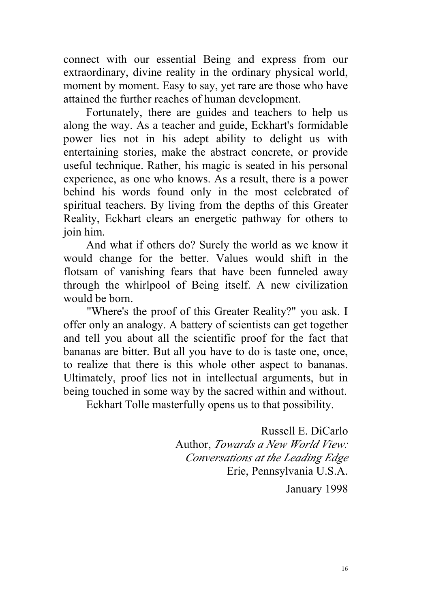connect with our essential Being and express from our extraordinary, divine reality in the ordinary physical world, moment by moment. Easy to say, ye<sup>t</sup> rare are those who have attained the further reaches of human development.

Fortunately, there are guides and teachers to help us along the way. As <sup>a</sup> teacher and guide, Eckhart's formidable power lies not in his adept ability to delight us with entertaining stories, make the abstract concrete, or provide useful technique. Rather, his magic is seated in his personal experience, as one who knows. As <sup>a</sup> result, there is <sup>a</sup> power behind his words found only in the most celebrated of spiritual teachers. By living from the depths of this Greater Reality, Eckhart clears an energetic pathway for others to join him.

And what if others do? Surely the world as we know it would change for the better. Values would shift in the flotsam of vanishing fears that have been funneled away through the whirlpool of Being itself. A new civilization would be born.

"Where's the proof of this Greater Reality?" you ask. I offer only an analogy. A battery of scientists can ge<sup>t</sup> together and tell you about all the scientific proof for the fact that bananas are bitter. But all you have to do is taste one, once, to realize that there is this whole other aspec<sup>t</sup> to bananas. Ultimately, proof lies not in intellectual arguments, but in being touched in some way by the sacred within and without.

Eckhart Tolle masterfully opens us to that possibility.

Russell E. DiCarlo Author, *Towards <sup>a</sup> New World View: Conversations at the Leading Edge* Erie, Pennsylvania U.S.A.

January 1998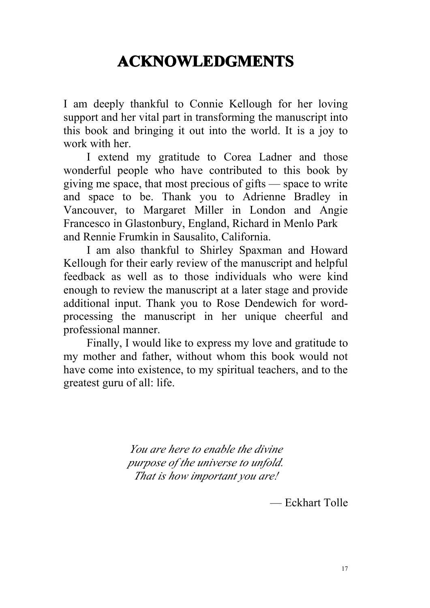### **ACKNOWLEDGMENTS ACKNOWLEDGMENTS ACKNOWLEDGMENTS**

I am deeply thankful to Connie Kellough for her loving suppor<sup>t</sup> and her vital par<sup>t</sup> in transforming the manuscript into this book and bringing it out into the world. It is <sup>a</sup> joy to work with her

I extend my gratitude to Corea Ladner and those wonderful people who have contributed to this book by giving me space, that most precious of gifts — space to write and space to be. Thank you to Adrienne Bradley in Vancouver, to Margaret Miller in London and Angie Francesco in Glastonbury, England, Richard in Menlo Park and Rennie Frumkin in Sausalito, California.

I am also thankful to Shirley Spaxman and Howard Kellough for their early review of the manuscript and helpful feedback as well as to those individuals who were kind enough to review the manuscript at <sup>a</sup> later stage and provide additional input. Thank you to Rose Dendewich for wordprocessing the manuscript in her unique cheerful and professional manner.

Finally, I would like to express my love and gratitude to my mother and father, without whom this book would not have come into existence, to my spiritual teachers, and to the greatest guru of all: life.

> *You are here to enable the divine purpose of the universe to unfold. That is how important you are!*

> > — Eckhart Tolle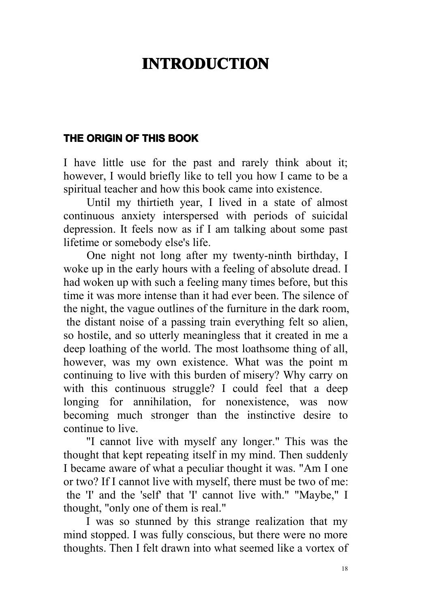### **INTRODUCTION INTRODUCTION INTRODUCTIONINTRODUCTION**

### **THE ORIGIN OF THIS BOOK**

I have little use for the pas<sup>t</sup> and rarely think about it; however, I would briefly like to tell you how I came to be a spiritual teacher and how this book came into existence.

Until my thirtieth year, I lived in <sup>a</sup> state of almost continuous anxiety interspersed with periods of suicidal depression. It feels now as if I am talking about some pas<sup>t</sup> lifetime or somebody else's life.

One night not long after my twenty-ninth birthday, I woke up in the early hours with <sup>a</sup> feeling of absolute dread. I had woken up with such <sup>a</sup> feeling many times before, but this time it was more intense than it had ever been. The silence of the night, the vague outlines of the furniture in the dark room, the distant noise of <sup>a</sup> passing train everything felt so alien, so hostile, and so utterly meaningless that it created in me <sup>a</sup> deep loathing of the world. The most loathsome thing of all, however, was my own existence. What was the point <sup>m</sup> continuing to live with this burden of misery? Why carry on with this continuous struggle? I could feel that a deep longing for annihilation, for nonexistence, was now becoming much stronger than the instinctive desire to continue to live.

"I cannot live with myself any longer." This was the thought that kept repeating itself in my mind. Then suddenly I became aware of what <sup>a</sup> peculiar thought it was. "Am I one or two? If I cannot live with myself, there must be two of me: the 'I' and the 'self' that 'I' cannot live with." "Maybe," I thought, "only one of them is real."

I was so stunned by this strange realization that my mind stopped. I was fully conscious, but there were no more thoughts. Then I felt drawn into what seemed like a vortex of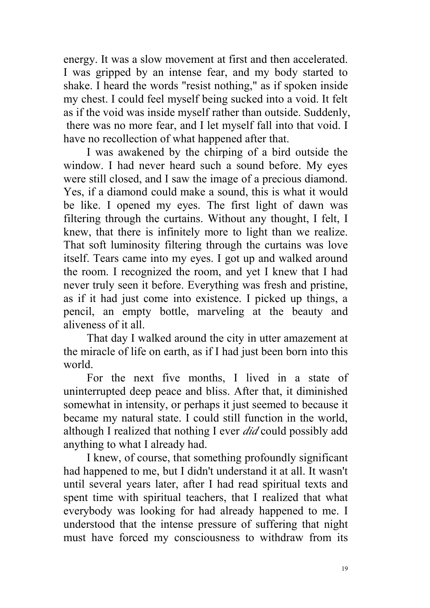energy. It was <sup>a</sup> slow movement at first and then accelerated. I was gripped by an intense fear, and my body started to shake. I heard the words "resist nothing," as if spoken inside my chest. I could feel myself being sucked into <sup>a</sup> void. It felt as if the void was inside myself rather than outside. Suddenly, there was no more fear, and I let myself fall into that void. I have no recollection of what happened after that.

I was awakened by the chirping of <sup>a</sup> bird outside the window. I had never heard such a sound before. My eyes were still closed, and I saw the image of <sup>a</sup> precious diamond. Yes, if <sup>a</sup> diamond could make <sup>a</sup> sound, this is what it would be like. I opened my eyes. The first light of dawn was filtering through the curtains. Without any thought, I felt, I knew, that there is infinitely more to light than we realize. That soft luminosity filtering through the curtains was love itself. Tears came into my eyes. I go<sup>t</sup> up and walked around the room. I recognized the room, and ye<sup>t</sup> I knew that I had never truly seen it before. Everything was fresh and pristine, as if it had just come into existence. I picked up things, a pencil, an empty bottle, marveling at the beauty and aliveness of it all.

That day I walked around the city in utter amazement at the miracle of life on earth, as if I had just been born into this world.

For the next five months, I lived in <sup>a</sup> state of uninterrupted deep peace and bliss. After that, it diminished somewhat in intensity, or perhaps it just seemed to because it became my natural state. I could still function in the world, although I realized that nothing I ever *did* could possibly add anything to what I already had.

I knew, of course, that something profoundly significant had happened to me, but I didn't understand it at all. It wasn't until several years later, after I had read spiritual texts and spen<sup>t</sup> time with spiritual teachers, that I realized that what everybody was looking for had already happened to me. I understood that the intense pressure of suffering that night must have forced my consciousness to withdraw from its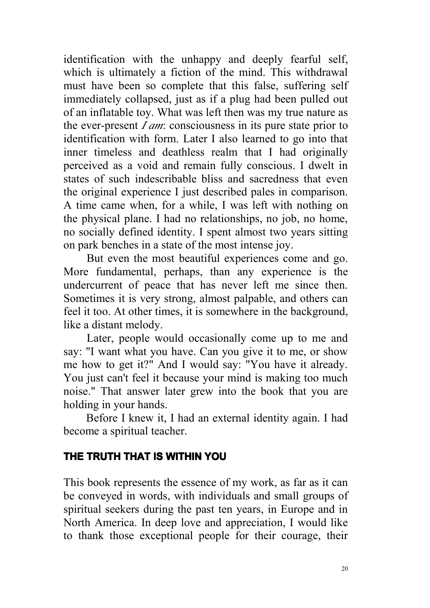identification with the unhappy and deeply fearful self, which is ultimately <sup>a</sup> fiction of the mind. This withdrawal must have been so complete that this false, suffering self immediately collapsed, just as if <sup>a</sup> plug had been pulled out of an inflatable toy. What was left then was my true nature as the ever-presen<sup>t</sup> *I am*: consciousness in its pure state prior to identification with form. Later I also learned to go into that inner timeless and deathless realm that I had originally perceived as <sup>a</sup> void and remain fully conscious. I dwelt in states of such indescribable bliss and sacredness that even the original experience I just described pales in comparison. A time came when, for <sup>a</sup> while, I was left with nothing on the physical plane. I had no relationships, no job, no home, no socially defined identity. I spen<sup>t</sup> almost two years sitting on park benches in a state of the most intense joy.

But even the most beautiful experiences come and go. More fundamental, perhaps, than any experience is the undercurrent of peace that has never left me since then. Sometimes it is very strong, almost palpable, and others can feel it too. At other times, it is somewhere in the background, like <sup>a</sup> distant melody.

Later, people would occasionally come up to me and say: "I want what you have. Can you give it to me, or show me how to ge<sup>t</sup> it?" And I would say: "You have it already. You just can't feel it because your mind is making too much noise." That answer later grew into the book that you are holding in your hands.

Before I knew it, I had an external identity again. I had become <sup>a</sup> spiritual teacher.

### **THE TRUTH THAT IS WITHIN YOU**

This book represents the essence of mywork, as far as it can be conveyed in words, with individuals and small groups of spiritual seekers during the pas<sup>t</sup> ten years, in Europe and in North America. In deep love and appreciation, I would like to thank those exceptional people for their courage, their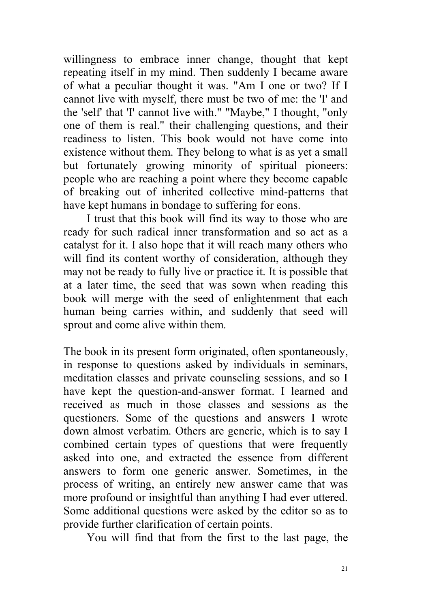willingness to embrace inner change, thought that kept repeating itself in my mind. Then suddenly I became aware of what <sup>a</sup> peculiar thought it was. "Am I one or two? If I cannot live with myself, there must be two of me: the'I' and the 'self' that 'I' cannot live with." "Maybe," I thought, "only one of them is real." their challenging questions, and their readiness to listen. This book would not have come into existence without them. They belong to what is as yet a small but fortunately growing minority of spiritual pioneers: people who are reaching <sup>a</sup> point where they become capable of breaking out of inherited collective mind-patterns that have kept humans in bondage to suffering for eons.

I trust that this book will find its way to those who are ready for such radical inner transformation and so act as <sup>a</sup> catalyst for it. I also hope that it will reach many others who will find its content worthy of consideration, although they may not be ready to fully live or practice it. It is possible that at <sup>a</sup> later time, the seed that was sown when reading this book will merge with the seed of enlightenment that each human being carries within, and suddenly that seed will sprou<sup>t</sup> and come alive within them.

The book in its present form originated, often spontaneously, in response to questions asked by individuals in seminars, meditation classes and private counseling sessions, and so I have kept the question-and-answer format. I learned and received as much in those classes and sessions as the questioners. Some of the questions and answers I wrote down almost verbatim. Others are generic, which is to say I combined certain types of questions that were frequently asked into one, and extracted the essence from different answers to form one generic answer. Sometimes, in the process of writing, an entirely new answer came that was more profound or insightful than anything I had ever uttered. Some additional questions were asked by the editor so as to provide further clarification of certain points.

You will find that from the first to the last page, the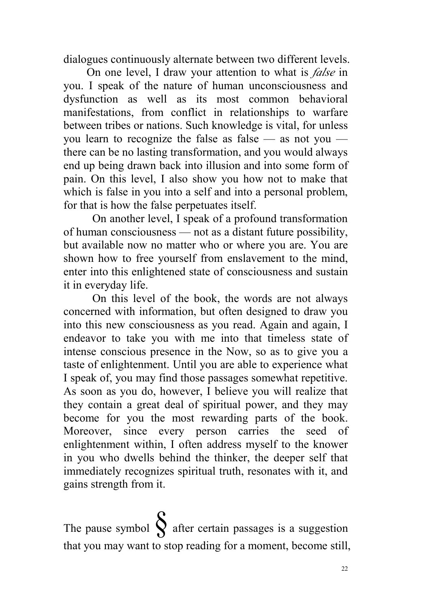dialogues continuously alternate between two different levels.

On one level, I draw your attention to what is*false* in you. I speak of the nature of human unconsciousness and dysfunction as well as its most common behavioral manifestations, from conflict in relationships to warfare between tribes or nations. Such knowledge is vital, for unless you learn to recognize the false as false — as not you there can be no lasting transformation, and you would always end up being drawn back into illusion and into some form of pain. On this level, I also show you how not to make that which is false in you into <sup>a</sup> self and into <sup>a</sup> personal problem, for that is how the false perpetuates itself.

On another level, I speak of <sup>a</sup> profound transformation of human consciousness — not as <sup>a</sup> distant future possibility, but available now no matter who or where you are. You are shown how to free yourself from enslavement to the mind, enter into this enlightened state of consciousness and sustain it in everyday life.

On this level of the book, the words are not always concerned with information, but often designed to draw you into this new consciousness as you read. Again and again, I endeavor to take you with me into that timeless state of intense conscious presence in the Now, so as to give you <sup>a</sup> taste of enlightenment. Until you are able to experience what I speak of, you may find those passages somewhat repetitive. As soon as you do, however, I believe you will realize that they contain <sup>a</sup> grea<sup>t</sup> deal of spiritual power, and they may become for you the most rewarding parts of the book. Moreover, since every person carries the seed of enlightenment within, I often address myself to the knower in you who dwells behind the thinker, the deeper self that immediately recognizes spiritual truth, resonates with it, and gains strength from it.

The pause symbol  $\int$  after certain passages is a suggestion that you may want to stop reading for <sup>a</sup> moment, become still,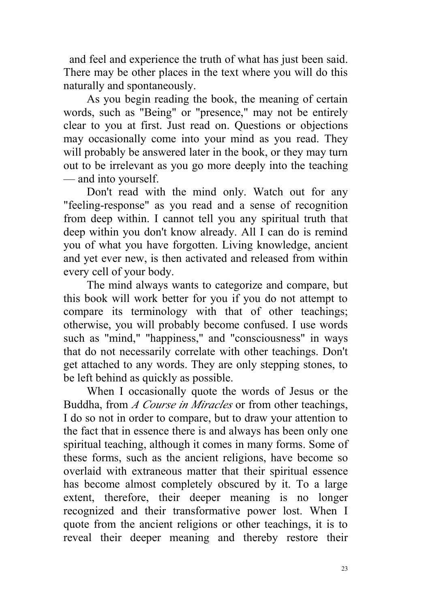and feel and experience the truth of what has just been said. There may be other places in the text where you will do this naturally and spontaneously.

As you begin reading the book, the meaning of certain words, such as "Being" or "presence," may not be entirely clear to you at first. Just read on. Questions or objections may occasionally come into your mind as you read. They will probably be answered later in the book, or they may turn out to be irrelevant as you go more deeply into the teaching — and into yourself.

> Don't read with the mind only. Watch out for any "feeling-response" as you read and <sup>a</sup> sense of recognition from deep within. Icannot tell you any spiritual truth that deep within you don't know already. All I can do is remind you of what you have forgotten. Living knowledge, ancient and ye<sup>t</sup> ever new, is then activated and released from within every cell of your body.

> The mind always wants to categorize and compare, but this book will work better for you if you do not attempt to compare its terminology with that of other teachings; otherwise, you will probably become confused. I use words such as "mind," "happiness," and "consciousness" in ways that do not necessarily correlate with other teachings. Don't ge<sup>t</sup> attached to any words. They are only stepping stones, to be left behind as quickly as possible.

> When I occasionally quote the words of Jesus or the Buddha, from *A Course in Miracles* or from other teachings, I do so not in order to compare, but to draw your attention to the fact that in essence there is and always has been only one spiritual teaching, although it comes in many forms. Some of these forms, such as the ancient religions, have become so overlaid with extraneous matter that their spiritual essence has become almost completely obscured by it. To <sup>a</sup> large extent, therefore, their deeper meaning is no longer recognized and their transformative power lost. When I quote from the ancient religions or other teachings, it is to reveal their deeper meaning and thereby restore their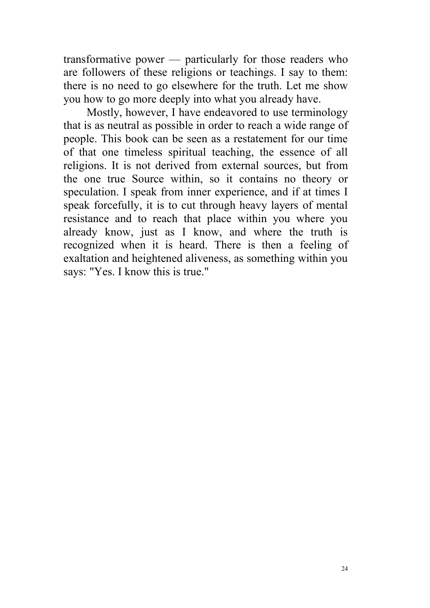transformative power — particularly for those readers who are followers of these religions or teachings. I say to them: there is no need to go elsewhere for the truth. Let me show you how to go more deeply into what you already have.

Mostly, however, I have endeavored to use terminology that is as neutral as possible in order to reach <sup>a</sup> wide range of people. This book can be seen as <sup>a</sup> restatement for our time of that one timeless spiritual teaching, the essence of all religions. It is not derived from external sources, but from the one true Source within, so it contains no theory or speculation. I speak from inner experience, and if at times I speak forcefully, it is to cut through heavy layers of mental resistance and to reach that place within you where you already know, just as I know, and where the truth is recognized when it is heard. There is then <sup>a</sup> feeling of exaltation and heightened aliveness, as something within you says: "Yes. I know this is true."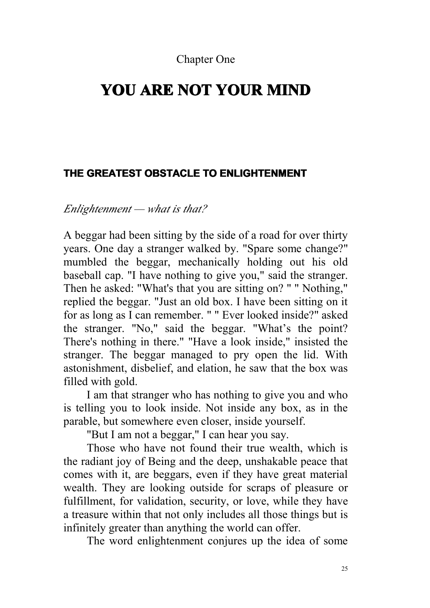### Chapter One

### **YOU ARE NOT YOUR MIND**

### **THE GREATEST OBSTACLE TO ENLIGHTENMENT**

### *Enlightenment — what is that?*

A beggar had been sitting by the side of <sup>a</sup> road for over thirty years. One day <sup>a</sup> stranger walked by. "Spare some change?" mumbled the beggar, mechanically holding out his old baseball cap. "I have nothing to give you," said the stranger. Then he asked: "What's that you are sitting on? " " Nothing," replied the beggar. "Just an old box. I have been sitting on it for as long as I can remember. " " Ever looked inside?" asked the stranger. "No," said the beggar. "What's the point? There's nothing in there." "Have <sup>a</sup> look inside," insisted the stranger. The beggar managed to pry open the lid. With astonishment, disbelief, and elation, he saw that the box was filled with gold.

I am that stranger who has nothing to give you and who is telling you to look inside. Not inside any box, as in the parable, but somewhere even closer, inside yourself.

"But I am not <sup>a</sup> beggar," I can hear you say.

Those who have not found their true wealth, which is the radiant joy of Being and the deep, unshakable peace that comes with it, are beggars, even if they have grea<sup>t</sup> material wealth. They are looking outside for scraps of pleasure or fulfillment, for validation, security, or love, while they have a treasure within that not only includes all those things but is infinitely greater than anything the world can offer.

The word enlightenment conjures up the idea of some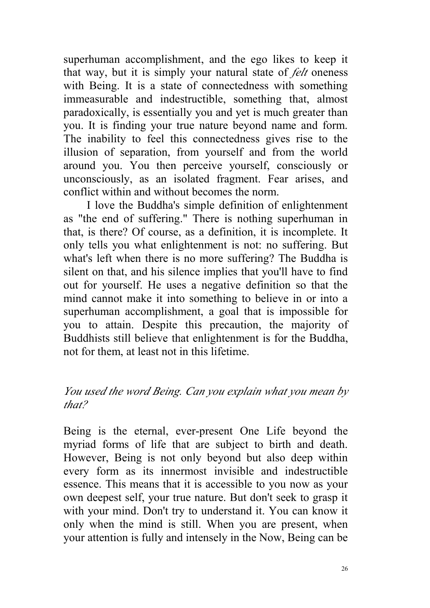superhuman accomplishment, and the ego likes to keep it that way, but it is simply your natural state of *felt* oneness with Being. It is <sup>a</sup> state of connectedness with something immeasurable and indestructible, something that, almost paradoxically, is essentially you and ye<sup>t</sup> is much greater than you. It is finding your true nature beyond name and form. The inability to feel this connectedness gives rise to the illusion of separation, from yourself and from the world around you. You then perceive yourself, consciously or unconsciously, as an isolated fragment. Fear arises, and conflict within and without becomes the norm.

I love the Buddha's simple definition of enlightenment as "the end of suffering." There is nothing superhuman in that, is there? Of course, as <sup>a</sup> definition, it is incomplete. It only tells you what enlightenment is not: no suffering. But what's left when there is no more suffering? The Buddha is silent on that, and his silence implies that you'll have to find out for yourself. He uses <sup>a</sup> negative definition so that the mind cannot make it into something to believe in or into <sup>a</sup> superhuman accomplishment, <sup>a</sup> goal that is impossible for you to attain. Despite this precaution, the majority of Buddhists still believe that enlightenment is for the Buddha, not for them, at least not in this lifetime.

### *You used the word Being. Can you explain what you mean by that?*

Being is the eternal, ever-presen<sup>t</sup> One Life beyond the myriad forms of life that are subject to birth and death. However, Being is not only beyond but also deep within every formas its innermost invisible and indestructible essence. This means that it is accessible to you now as your own deepest self, your true nature. But don't seekto grasp it with your mind. Don't try to understand it. You can know it only when the mind is still. When you are present, when your attention is fully and intensely in the Now, Being can be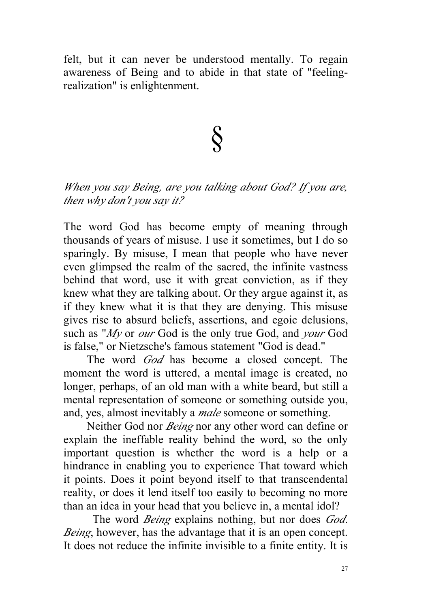felt, but it can never be understood mentally. To regain awareness of Being and to abide in that state of "feelingrealization" is enlightenment.

## §

*When you say Being, are you talking about God? If you are, then why don't you say it?*

The word God has become empty of meaning through thousands of years of misuse. I use it sometimes, but I do so sparingly. By misuse, I mean that people who have never even glimpsed the realm of the sacred, the infinite vastness behind that word, use it with great conviction, as if they knew what they are talking about. Or they argue against it, as if they knew what it is that they are denying. This misuse gives rise to absurd beliefs, assertions, and egoic delusions, such as "*My* or *our* God is the only true God, and *your* God is false," or Nietzsche's famous statement "God is dead."

The word *God* has become <sup>a</sup> closed concept. The moment the word is uttered, <sup>a</sup> mental image is created, no longer, perhaps, of an old man with <sup>a</sup> white beard, but still <sup>a</sup> mental representation of someone or something outside you, and, yes, almost inevitably <sup>a</sup> *male* someone or something.

Neither God nor *Being* nor any other word can define or explain the ineffable reality behind the word, so the only important question is whether the word is <sup>a</sup> help or <sup>a</sup> hindrance in enabling you to experience That toward which it points. Does it point beyond itself to that transcendental reality, or does it lend itself too easily to becoming no more than an idea in your head that you believe in, <sup>a</sup> mental idol?

The word *Being* explains nothing, but nor does *God*. *Being*, however, has the advantage that it is an open concept. It does not reduce the infinite invisible to <sup>a</sup> finite entity. It is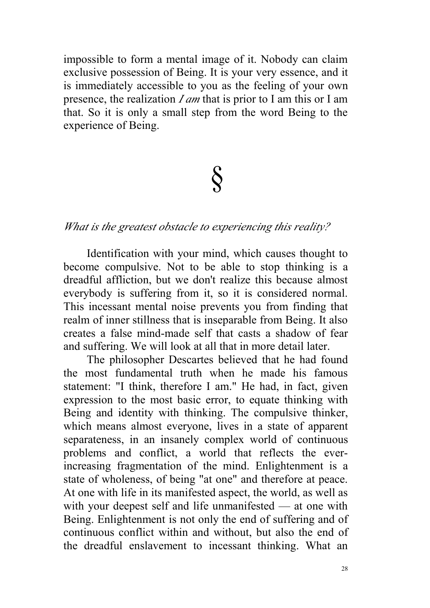impossible to form <sup>a</sup> mental image of it. Nobody can claim exclusive possession of Being. It is your very essence, and it is immediately accessible to you as the feeling of your own presence, the realization *I am*that is prior to I am this or I am that. So it is only a small step from the word Being to the experience of Being.

§

#### *What is the greatest obstacle to experiencing this reality?*

Identification with your mind, which causes thought to become compulsive. Not to be able to stop thinking is <sup>a</sup> dreadful affliction, but we don't realize this because almost everybody is suffering from it, so it is considered normal. This incessant mental noise prevents you from finding that realm of inner stillness that is inseparable from Being. It also creates <sup>a</sup> false mind-made self that casts <sup>a</sup> shadow of fear and suffering. We will lookat all that in more detail later.

The philosopher Descartes believed that he had found the most fundamental truth when he made his famous statement: "I think, therefore I am." He had, in fact, given expression to the most basic error, to equate thinking with Being and identity with thinking. The compulsive thinker, which means almost everyone, lives in <sup>a</sup> state of apparen<sup>t</sup> separateness, in an insanely complex world of continuous problems and conflict, <sup>a</sup> world that reflects the everincreasing fragmentation of the mind. Enlightenment is <sup>a</sup> state of wholeness, of being "at one" and therefore at peace. At one with life in its manifested aspect, the world, as well as with your deepest self and life unmanifested — at one with Being. Enlightenment is not only the end of suffering and of continuous conflict within and without, but also the end of the dreadful enslavement to incessant thinking. What an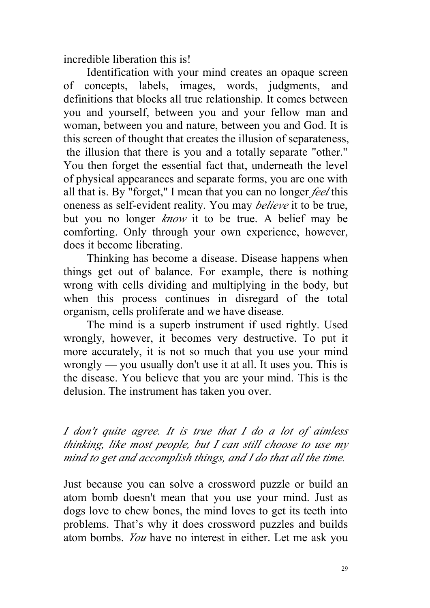incredible liberation this is!

Identification with your mind creates an opaque screen of concepts, labels, images, words, judgments, and definitions that blocks all true relationship. It comes between you and yourself, between you and your fellow man and woman, between you and nature, between you and God. It is this screen of thought that creates the illusion of separateness, the illusion that there is you and <sup>a</sup> totally separate "other." You then forget the essential fact that, underneath the level of physical appearances and separate forms, you are one with all that is. By "forget," I mean that you can no longer *feel* this oneness as self-evident reality. You may *believe* it to be true, but you no longer *know* it to be true. A belief may be comforting. Only through your own experience, however, does it become liberating.

Thinking has become <sup>a</sup> disease. Disease happens when things ge<sup>t</sup> out of balance. For example, there is nothing wrong with cells dividing and multiplying in the body, but when this process continues in disregard of the total organism, cells proliferate and we have disease.

The mind is <sup>a</sup> superb instrument if used rightly. Used wrongly, however, it becomes very destructive. To pu<sup>t</sup> it more accurately, it is not so much that you use your mind wrongly — you usually don't use it at all. It uses you. This is the disease. You believe that you are your mind. This is the delusion. The instrument has taken you over.

*I don't quite agree. It is true that I do <sup>a</sup> lot of aimless thinking, like most people, but I can still choose to use my mind to get and accomplish things, and I do that all the time.*

Just because you can solve <sup>a</sup> crossword puzzle or build an atom bomb doesn't mean that you use your mind. Just as dogs love to chew bones, the mind loves to ge<sup>t</sup> its teeth into problems. That's why it does crossword puzzles and builds atom bombs. *You* have no interest in either. Let me ask you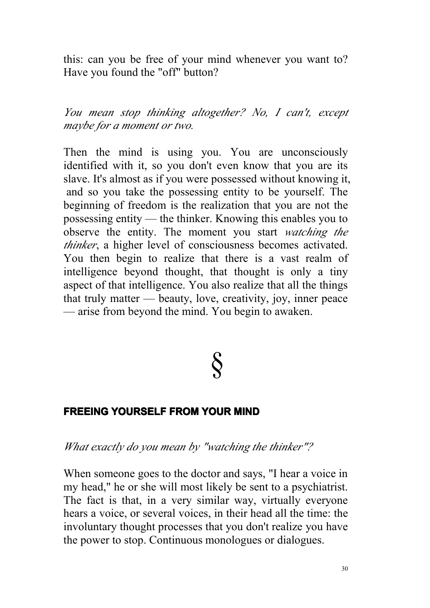this: can you be free of your mind whenever you want to? Have you found the "off" button?

*You mean stop thinking altogether? No, I can't, except maybe for <sup>a</sup> moment or two.*

Then the mind is using you. You are unconsciously identified with it, so you don't even know that you are its slave. It's almost as if you were possessed without knowing it, and so you take the possessing entity to be yourself. The beginning of freedom is the realization that you are not the possessing entity — the thinker. Knowing this enables you to observe the entity. The moment youstart *watching the thinker*, <sup>a</sup> higher level of consciousness becomes activated. You then begin to realize that there is <sup>a</sup> vast realm of intelligence beyond thought, that thought is only <sup>a</sup> tiny aspec<sup>t</sup> of that intelligence. You also realize that all the things that truly matter — beauty, love, creativity, joy, inner peace — arise from beyond the mind. You begin to awaken.

## §

### **FREEING FREEINGFREEING FREEINGYOURSELF YOURSELF YOURSELFFROM YOUR MIND**

### *What exactly do you mean by "watching the thinker"?*

When someone goes to the doctor and says, "I hear a voice in my head," he or she will most likely be sent to <sup>a</sup> psychiatrist. The fact is that, in <sup>a</sup> very similar way, virtually everyone hears <sup>a</sup> voice, or several voices, in their head all the time: the involuntary thought processes that you don't realize you have the power to stop. Continuous monologues or dialogues.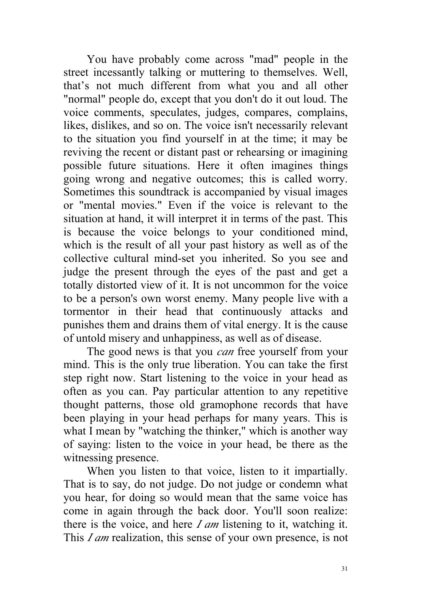You have probably come across "mad" people in the street incessantly talking or muttering to themselves. Well, that's not much different from what you and all other "normal" people do, excep<sup>t</sup> that you don't do it out loud. The voice comments, speculates, judges, compares, complains, likes, dislikes, and so on. The voice isn't necessarily relevant to the situation you find yourself in at the time; it may be reviving the recent or distant pas<sup>t</sup> or rehearsing or imagining possible future situations. Here it often imagines things going wrong and negative outcomes; this is called worry. Sometimes this soundtrack is accompanied by visual images or "mental movies." Even if the voice is relevant to the situation at hand, it will interpret it in terms of the past. This is because the voice belongs to your conditioned mind, which is the result of all your pas<sup>t</sup> history as well as of the collective cultural mind-set you inherited. So you see and judge the presen<sup>t</sup> through the eyes of the pas<sup>t</sup> and ge<sup>t</sup> <sup>a</sup> totally distorted view of it. It is not uncommon for the voice to be <sup>a</sup> person's own worst enemy. Many people live with <sup>a</sup> tormentor in their head that continuously attacks and punishes them and drains them of vital energy. It is the cause of untold misery and unhappiness, as well as of disease.

The good news is that you *can* free yourself from your mind. This is the only true liberation. You can take the first step right now. Start listening to the voice in your head as often as you can. Pay particular attention to any repetitive thought patterns, those old gramophone records that have been playing in your head perhaps for many years. This is what I mean by "watching the thinker," which is another way of saying: listen to the voice in your head, be there as the witnessing presence.

When you listen to that voice, listen to it impartially. That is to say, do not judge. Do not judge or condemn what you hear, for doing so would mean that the same voice has come in again through the back door. You'll soon realize: there is the voice, and here *I am* listening to it, watching it. This *I am* realization, this sense of your own presence, is not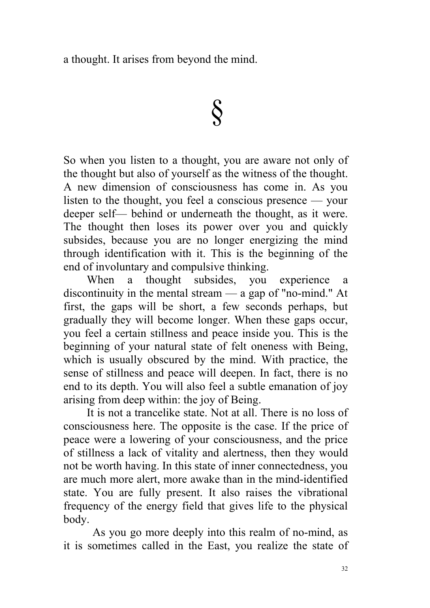<sup>a</sup> thought. It arises from beyond the mind.

## §

So when you listen to <sup>a</sup> thought, you are aware not only of the thought but also of yourself as the witness of the thought. A new dimension of consciousness has come in. As you listen to the thought, you feel <sup>a</sup> conscious presence — your deeper self— behind or underneath the thought, as it were. The thought then loses its power over you and quickly subsides, because you are no longer energizing the mind through identification with it. This is the beginning of the end of involuntary and compulsive thinking.

When <sup>a</sup> thought subsides, you experience <sup>a</sup> discontinuity in the mental stream — <sup>a</sup> gap of "no-mind." At first, the gaps will be short, <sup>a</sup> few seconds perhaps, but gradually they will become longer. When these gaps occur, you feel <sup>a</sup> certain stillness and peace inside you. This is the beginning of your natural state of felt oneness with Being, which is usually obscured by the mind. With practice, the sense of stillness and peace will deepen. In fact, there is no end to its depth. You will also feel <sup>a</sup> subtle emanation of joy arising from deep within: the joy of Being.

It is not <sup>a</sup> trancelike state. Not at all. There is no loss of consciousness here. The opposite is the case. If the price of peace were <sup>a</sup> lowering of your consciousness, and the price of stillness <sup>a</sup> lack of vitality and alertness, then they would not be worth having. In this state of inner connectedness, you are much more alert, more awake than in the mind-identified state. You are fully present. It also raises the vibrational frequency of the energy field that gives life to the physical body.

As you go more deeply into this realm of no-mind, as it is sometimes called in the East, you realize the state of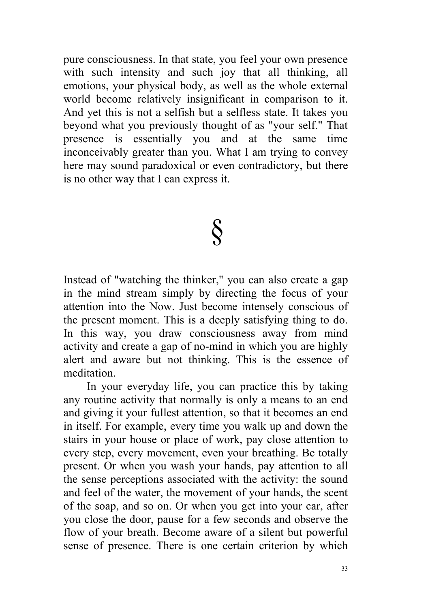pure consciousness. In that state, you feel your own presence with such intensity and such joy that all thinking, all emotions, your physical body, as well as the whole external world become relatively insignificant in comparison to it. And ye<sup>t</sup> this is not <sup>a</sup> selfish but <sup>a</sup> selfless state. It takes you beyond what you previously thought of as "your self." That presence is essentially you and at the same time inconceivably greater than you. What I am trying to convey here may sound paradoxical or even contradictory, but there is no other way that I can express it.

## §

Instead of "watching the thinker," you can also create <sup>a</sup> gap in the mind stream simply by directing the focus of your attention into the Now. Just become intensely conscious of the presen<sup>t</sup> moment. This is <sup>a</sup> deeply satisfying thing to do. In this way, you draw consciousness away from mind activity and create <sup>a</sup> gap of no-mind in which you are highly alert and aware but not thinking. This is the essence of meditation.

In your everyday life, you can practice this by taking any routine activity that normally is only <sup>a</sup> means to an end and giving it your fullest attention, so that it becomes an end in itself. For example, every time you walk up and down the stairs in your house or place of work, pay close attention to every step, every movement, even your breathing. Be totally present. Or when you wash your hands, pay attention to all the sense perceptions associated with the activity: the sound and feel of the water, the movement of your hands, the scent of the soap, and so on. Or when you ge<sup>t</sup> into your car, after you close the door, pause for <sup>a</sup> few seconds and observe the flow of your breath. Become aware of <sup>a</sup> silent but powerful sense of presence. There is one certain criterion by which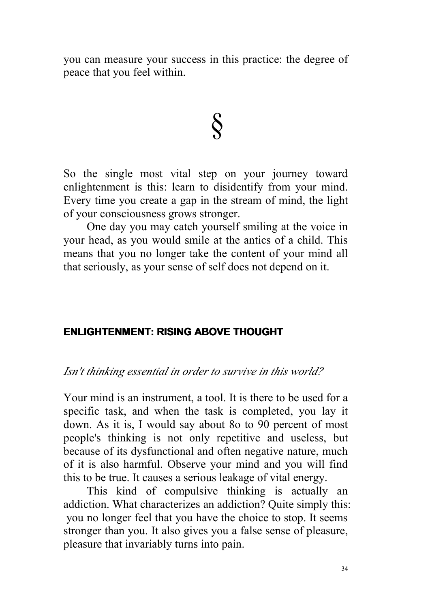you can measure your success in this practice: thedegree of peace that you feel within.

## §

So the single most vital step on your journey toward enlightenment is this: learn to disidentify from your mind. Every time you create <sup>a</sup> gap in the stream of mind, the light of your consciousness grows stronger.

One day you may catch yourself smiling at thevoice in your head, as you would smile at the antics of a child. This means that you no longer take the content of your mind all that seriously, as your sense of self does not depend on it.

### **ENLIGHTENMENT: ENLIGHTENMENT: RISING ABOVE THOUGHT THOUGHT THOUGHT**

### *Isn't thinking essential in order tosurvive in this world?*

Your mind is an instrument, <sup>a</sup> tool. It is there to be used for <sup>a</sup> specific task, and when the task is completed, you lay it down. As it is, I would say about 8o to 90 percen<sup>t</sup> of most people's thinking is not only repetitive and useless, but because of its dysfunctional and often negative nature, much of it is also harmful. Observe your mind and you will find this tobe true. It causes <sup>a</sup> serious leakage of vital energy.

This kind of compulsive thinking is actually an addiction. What characterizes an addiction? Quite simply this: you no longer feel that you have the choice to stop. It seems stronger than you. It also gives you <sup>a</sup> false sense of pleasure, pleasure that invariably turns into pain.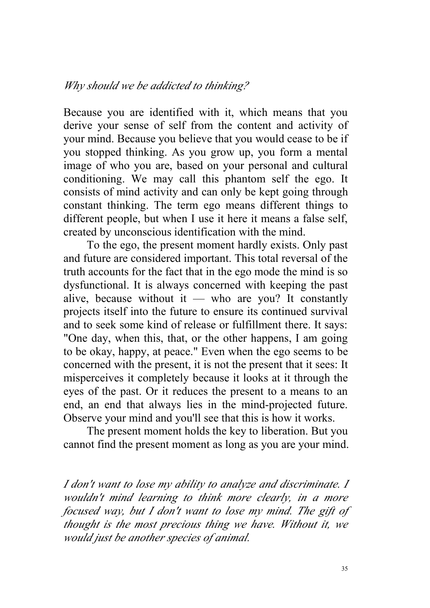Because you are identified with it, which means that you derive your sense of self from the content and activity of your mind. Because you believe that you would cease to be if you stopped thinking. As you grow up, you form <sup>a</sup> mental image of who you are, based on your personal and cultural conditioning. We may call this phantom self the ego. It consists of mind activity and can only be kept going through constant thinking. The term ego means different things to different people, but when I use it here it means <sup>a</sup> false self, created by unconscious identification with the mind.

To the ego, the presen<sup>t</sup> moment hardly exists. Only pas<sup>t</sup> and future are considered important. This total reversal of the truth accounts for the fact that in the ego mode the mind is so dysfunctional. It is always concerned with keeping the past alive, because without it — who are you? It constantly projects itself into the future to ensure its continued survival and to seek some kind of release or fulfillment there. It says: "One day, when this, that, or the other happens, I am going to be okay, happy, at peace." Even when the ego seems to be concerned with the present, it is not the presen<sup>t</sup> that it sees: It misperceives it completely because it looks at it through the eyes of the past. Or it reduces the presen<sup>t</sup> to <sup>a</sup> means to an end, an end that always lies in the mind-projected future. Observe your mind and you'll seethat this is how it works.

The presen<sup>t</sup> moment holds the key to liberation. But you cannot find the presen<sup>t</sup> moment as long as you are your mind.

*I don't want to lose my ability to analyze and discriminate. I wouldn't mind learning to think more clearly, in <sup>a</sup> more focused way, but I don't want to lose my mind. The gift of thought isthe most precious thing we have. Without it, we would just be another species of animal.*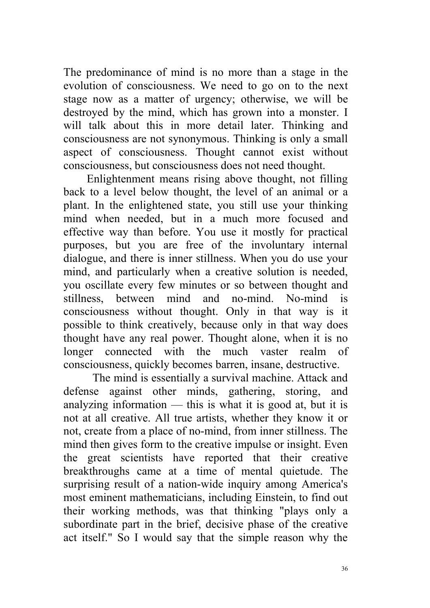The predominance of mind is no more than <sup>a</sup> stage in the evolution of consciousness. Weneed to go on to the next stage now as <sup>a</sup> matter of urgency; otherwise, we will be destroyed by the mind, which has grown into <sup>a</sup> monster. I will talk about this in more detail later. Thinking and consciousness are not synonymous. Thinking is only <sup>a</sup> small aspec<sup>t</sup> of consciousness. Thought cannot exist without consciousness, but consciousness does not need thought.

Enlightenment means rising above thought, not filling back to <sup>a</sup> level below thought, the level of an animal or <sup>a</sup> plant. In the enlightened state, you still use your thinking mind when needed, but in <sup>a</sup> much more focused and effective way than before. You use it mostly for practical purposes, but you are free of the involuntary internal dialogue, and there is inner stillness. When you do use your mind, and particularly when <sup>a</sup> creative solution is needed, you oscillate every few minutes or so between thought and stillness, between mind and no-mind. No-mind is consciousness without thought. Only in that way is it possible to think creatively, because only in that way does thought have any real power. Thought alone, when it is no longer connected with the much vaster realm of consciousness, quickly becomes barren, insane, destructive.

The mind is essentially <sup>a</sup> survival machine. Attack and defense against other minds, gathering, storing, and analyzing information  $-$  this is what it is good at, but it is not at all creative. All true artists, whether they know it or not, create from <sup>a</sup> place of no-mind, from inner stillness. The mind then gives form to the creative impulse or insight. Even the grea<sup>t</sup> scientists have reported that their creative breakthroughs came at <sup>a</sup> time of mental quietude. The surprising result of <sup>a</sup> nation-wide inquiry among America's most eminent mathematicians, including Einstein, to find out their working methods, was that thinking "plays only <sup>a</sup> subordinate par<sup>t</sup> in the brief, decisive phase of the creative act itself." So I would say that the simple reason why the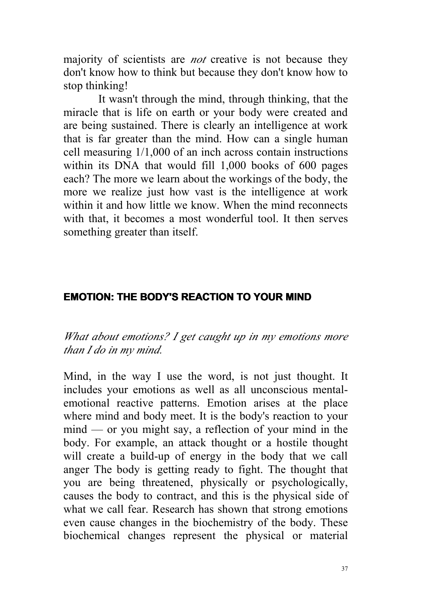majority of scientists are *not* creative is not because they don't know how to think but because they don't know how to stop thinking!

It wasn't through the mind, through thinking, that the miracle that is life on earth or your body were created and are being sustained. There is clearly an intelligence at work that is far greater than the mind. How can a single human cell measuring 1/1,000 of an inch across contain instructions within its DNA that would fill 1,000 books of 600 pages each? The more we learn about the workings of the body, the more we realize just how vast is the intelligence at work within it and how little we know. When the mind reconnects with that, it becomes <sup>a</sup> most wonderful tool. It then serves something greater than itself.

#### **EMOTION: EMOTION: THE BODY'S REACTION REACTION TO YOUR MIND**

*What about emotions? I get caught up in my emotions more than I do in my mind.*

Mind, in the way I use the word, is not just thought. It includes your emotions as well as all unconscious mentalemotional reactive patterns. Emotion arises at the place where mind and body meet. It is the body's reaction to your mind — or you might say, <sup>a</sup> reflection of your mind in the body. For example, an attack thought or <sup>a</sup> hostile thought will create <sup>a</sup> build-up of energy in the body that we call anger The body is getting ready to fight. The thought that you are being threatened, physically or psychologically, causes the body to contract, and this is the physical side of what we call fear. Research has shown that strong emotions even cause changes in the biochemistry of the body. These biochemical changes represen<sup>t</sup> the physical or material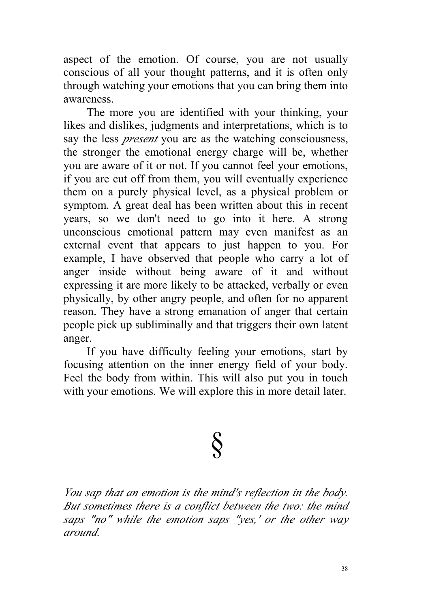aspec<sup>t</sup> of the emotion. Of course, you are not usually conscious of all your thought patterns, and it is often only through watching your emotions that you can bring them into awareness.

The more you are identified with your thinking, your likes and dislikes, judgments and interpretations, which is to say the less *present* you are as the watching consciousness, the stronger the emotional energy charge will be, whether you are aware of it or not. If you cannot feel your emotions, if you are cut off from them, you will eventually experience them on <sup>a</sup> purely physical level, as <sup>a</sup> physical problem or symptom. A grea<sup>t</sup> deal has been written about this in recent years, so we don't need to go into it here. A strong unconscious emotional pattern may even manifest as an external event that appears to just happen to you. For example, I have observed that people who carry <sup>a</sup> lot of anger inside without being aware of it and without expressing it are more likely to be attacked, verbally or even physically, by other angry people, and often for no apparen<sup>t</sup> reason. They have <sup>a</sup> strong emanation of anger that certain people pick up subliminally and that triggers their own latent anger.

If you have difficulty feeling your emotions, start by focusing attention on the inner energy field of your body. Feel the body from within. This will also pu<sup>t</sup> you in touch with your emotions. We will explore this in more detail later.

# §

*You sap that an emotion is the mind's reflection in the body. But sometimes there is <sup>a</sup> conflict between the two: the mind saps "no" while the emotion saps "yes,' or the other way around.*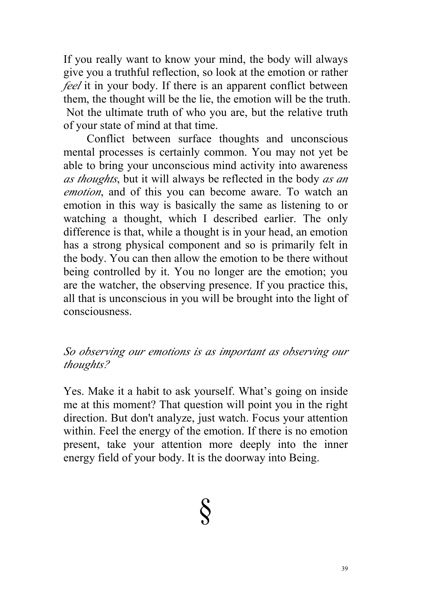If you really want to know your mind, the body will always give you <sup>a</sup> truthful reflection, so look at the emotion or rather *feel* it in your body. If there is an apparent conflict between them, the thought will be the lie, the emotion will be the truth. Not the ultimate truth of who you are, but the relative truth of your state of mind at that time.

Conflict between surface thoughts and unconscious mental processes is certainly common. You may not ye<sup>t</sup> be able to bring your unconscious mind activity into awareness *as thoughts*, but it will always be reflected in the body *as an emotion*, and of this you can become aware. To watch an emotion in this way is basically the same as listening to or watching <sup>a</sup> thought, which I described earlier. The only difference is that, while <sup>a</sup> thought is inyour head, an emotion has <sup>a</sup> strong physical componen<sup>t</sup> and so is primarily felt in the body. You can then allow the emotion to be there without being controlled by it. You no longer are the emotion; you are the watcher, the observing presence. If you practice this, all that is unconscious inyou will be brought into the light of consciousness.

#### *So observing our emotions is as important as observing our thoughts?*

Yes. Make it <sup>a</sup> habit to ask yourself. What's going on inside me at this moment? That question will point you in the right direction. But don't analyze, just watch. Focus your attention within. Feel the energy of the emotion. If there is no emotion present, take your attention more deeply into the inner energy field of your body. It is the doorway into Being.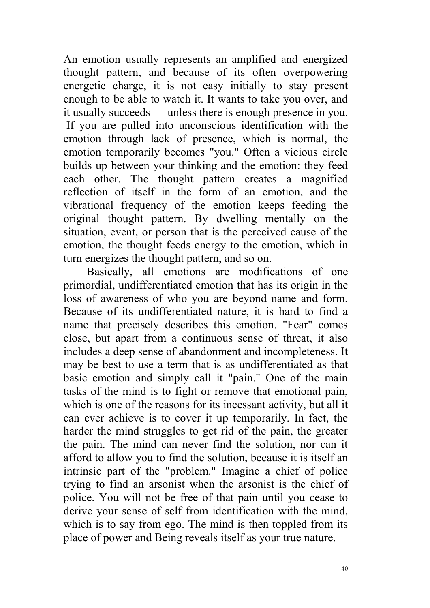An emotion usually represents an amplified and energized thought pattern, and because of its often overpowering energetic charge, it is not easy initially to stay presen<sup>t</sup> enough to be able to watch it. It wants to take you over, and it usually succeeds — unless there is enough presence in you. If you are pulled into unconscious identification with the emotion through lack of presence, which is normal, the emotion temporarily becomes "you." Often <sup>a</sup> vicious circle builds up between your thinking and the emotion: they feed each other. The thought pattern creates <sup>a</sup> magnified reflection of itself in the form of an emotion, and the vibrational frequency of the emotion keeps feeding the original thought pattern. By dwelling mentally on the situation, event, or person that is the perceived cause of the emotion, the thought feeds energy to the emotion, which in turn energizes the thought pattern, and so on.

Basically, all emotions are modifications of one primordial, undifferentiated emotion that has its origin in the loss of awareness of who you are beyond name and form. Because of its undifferentiated nature, it is hard to find <sup>a</sup> name that precisely describes this emotion. "Fear" comes close, but apar<sup>t</sup> from <sup>a</sup> continuous sense of threat, it also includes <sup>a</sup> deep sense of abandonment and incompleteness. It may be best to use a term that is as undifferentiated as that basic emotion and simply call it "pain." One of the main tasks of the mind is to fight or remove that emotional pain, which is one of the reasons for its incessant activity, but all it can ever achieve is to cover it up temporarily. In fact, the harder the mind struggles to ge<sup>t</sup> rid of the pain, the greater the pain. The mind can never find the solution, nor can it afford to allow you to find the solution, because it is itself an intrinsic par<sup>t</sup> of the "problem." Imagine <sup>a</sup> chief of police trying to find an arsonist when the arsonist is the chief of police. You will not be free of that pain until you cease to derive your sense of self from identification with the mind, which is to say from ego. The mind is then toppled from its place of power and Being reveals itself as your true nature.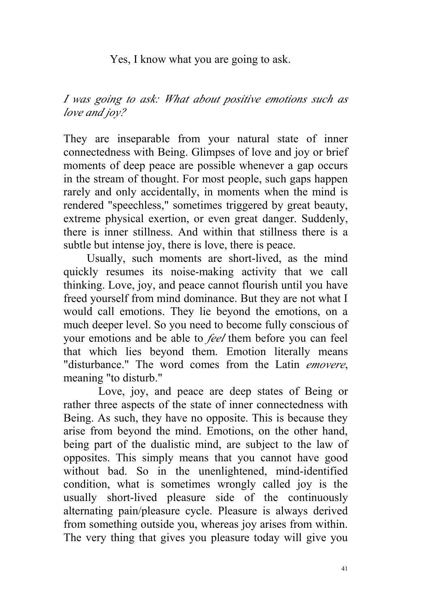Yes, I know what you are going to ask.

*I was going to ask: What about positive emotions such as love and joy?*

They are inseparable from your natural state of inner connectedness with Being. Glimpses of love and joy or brief moments of deep peace are possible whenever <sup>a</sup> gap occurs in the stream of thought. For most people, such gaps happen rarely and only accidentally, in moments when the mind is rendered "speechless," sometimes triggered by grea<sup>t</sup> beauty, extreme physical exertion, or even grea<sup>t</sup> danger. Suddenly, there is inner stillness. And within that stillness there is <sup>a</sup> subtle but intense joy, there is love, there is peace.

Usually, such moments are short-lived, as the mind quickly resumes its noise-making activity that we call thinking. Love, joy, and peace cannot flourish until you have freed yourself from mind dominance. But they are not what I would call emotions. They lie beyond the emotions, on <sup>a</sup> much deeper level. So you need to become fully conscious of your emotions and be able to *feel* them before you can feel that which lies beyond them. Emotion literally means "disturbance." The word comes from the Latin *emovere*, meaning "to disturb."

Love, joy, and peace are deep states of Being or rather three aspects of the state of inner connectedness with Being. As such, they have no opposite. This is because they arise from beyond the mind. Emotions, on the other hand, being par<sup>t</sup> of the dualistic mind, are subject to the law of opposites. This simply means that you cannot have good without bad. So in the unenlightened, mind-identified condition, what is sometimes wrongly called joy is the usually short-lived pleasure side of the continuously alternating pain/pleasure cycle. Pleasure is always derived from something outside you, whereas joy arises from within. The very thing that gives you pleasure today will give you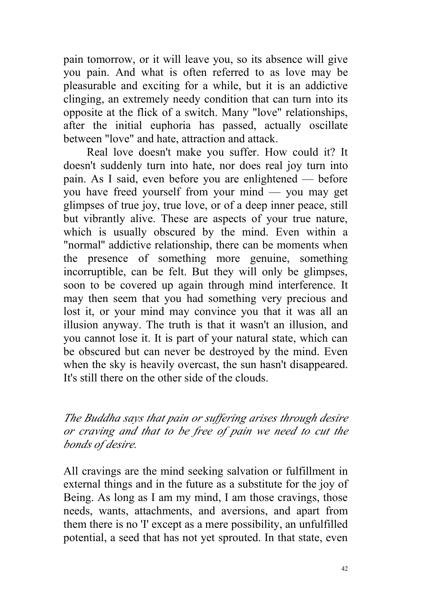pain tomorrow, or it will leave you, so its absence will give you pain. And what is often referred to as love may be pleasurable and exciting for a while, but it is an addictive clinging, an extremely needy condition that can turn into its opposite at the flick of a switch. Many "love" relationships, after the initial euphoria has passed, actually oscillate between "love" and hate, attraction and attack.

Real love doesn't make you suffer. How could it? It doesn't suddenly turn into hate, nor does real joy turn into pain. As I said, even before you are enlightened — before you have freed yourself from your mind — you may ge<sup>t</sup> glimpses of true joy, true love, or of <sup>a</sup> deep inner peace, still but vibrantly alive. These are aspects of your true nature, which is usually obscured by the mind. Even within <sup>a</sup> "normal'' addictive relationship, there can be moments when the presence of something more genuine, something incorruptible, can be felt. But they will only be glimpses, soon to be covered up again through mind interference. It may then seem that you had something very precious and lost it, or your mind may convince you that it was all an illusion anyway. The truth is that it wasn't an illusion, and you cannot lose it. It is par<sup>t</sup> of your natural state, which can be obscured but can never be destroyed by the mind. Even when the sky is heavily overcast, the sun hasn't disappeared. It's still there on the other side of the clouds.

*The Buddha says that painor suffering arises through desire or craving and that to be free of pain we need to cut the bonds of desire.*

All cravings are the mind seeking salvation or fulfillment in external things and in the future as <sup>a</sup> substitute for the joy of Being. As long as I am my mind, I am those cravings, those needs, wants, attachments, and aversions, and apar<sup>t</sup> from them there is no 'I' excep<sup>t</sup> as <sup>a</sup> mere possibility, an unfulfilled potential, <sup>a</sup> seed that has not ye<sup>t</sup> sprouted. In that state, even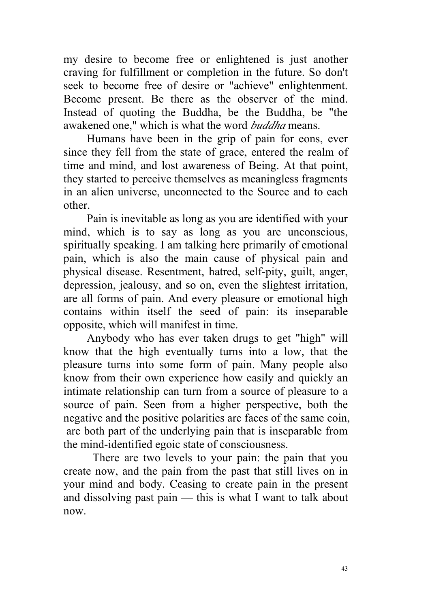my desire to become free or enlightened is just another craving for fulfillment or completion in the future. So don't seek to become free of desire or "achieve" enlightenment. Become present. Be there as the observer of the mind. Instead of quoting the Buddha, be the Buddha, be "the awakened one," which is what the word *buddha* means.

Humans have been in the grip of pain for eons, ever since they fell from the state of grace, entered the realm of time and mind, and lost awareness of Being. At that point, they started to perceive themselves as meaningless fragments in an alien universe, unconnected to the Source and to each other.

Pain is inevitable as long as you are identified with your mind, which is to say as long as you are unconscious, spiritually speaking. I am talking here primarily of emotional pain, which is also the main cause of physical pain and physical disease. Resentment, hatred, self-pity, guilt, anger, depression, jealousy, and so on, even the slightest irritation, are all forms of pain. And every pleasure or emotional high contains within itself the seed of pain: its inseparable opposite, which will manifest in time.

Anybody who has ever taken drugs to ge<sup>t</sup> "high" will know that the high eventually turns into <sup>a</sup> low, that the pleasure turns into some form of pain. Many people also know from their own experience how easily and quickly an intimate relationship can turn from <sup>a</sup> source of pleasure to <sup>a</sup> source of pain. Seen from a higher perspective, both the negative and the positive polarities are faces of the same coin, are both par<sup>t</sup> of the underlying pain that is inseparable from the mind-identified egoic state of consciousness.

There are two levels to your pain: the pain that you create now, and the pain from the pas<sup>t</sup> that still lives on in your mind and body. Ceasing to create pain in the presen<sup>t</sup> and dissolving pas<sup>t</sup> pain — this is what I want to talk about now.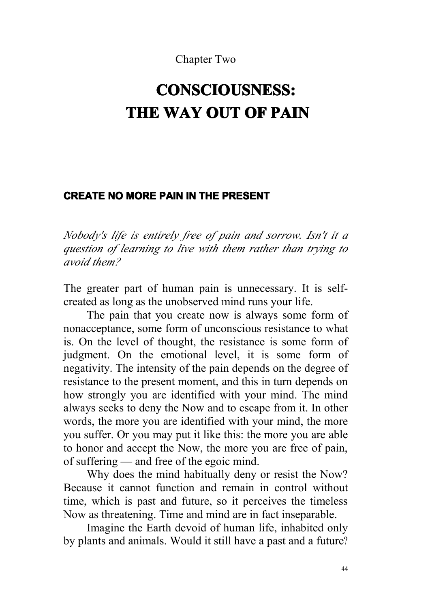#### Chapter Two

### $CONSCIOUSNESS:$ **THE WAY OUT OF PAIN**

#### **CREATE NO MORE PAIN IN THE PRESENT**

*Nobody's life is entirely free of pain and sorrow. Isn't it <sup>a</sup> question of learning to live with them rather than trying to avoid them?*

The greater par<sup>t</sup> of human pain is unnecessary. It is selfcreated as long as the unobserved mind runs your life.

The pain that you create now is always some form of nonacceptance, some form of unconscious resistance to what is. On the level of thought, the resistance is some form of judgment. On the emotional level, it is some form of negativity. The intensity of the pain depends on the degree of resistance to the present moment, and this in turn depends on how strongly you are identified with your mind. The mind always seeks to deny the Now and to escape from it. In other words, the more you are identified with your mind, the more you suffer. Or you may pu<sup>t</sup> it like this: the more you are able to honor and accept the Now, the more you are free of pain, of suffering — and free of the egoic mind.

Why does the mind habitually deny or resist the Now? Because it cannot function and remain in control without time, which is pas<sup>t</sup> and future, so it perceives the timeless Now as threatening. Time and mind are in fact inseparable.

Imagine the Earth devoid of human life, inhabited only by plants and animals. Would it still have <sup>a</sup> pas<sup>t</sup> and <sup>a</sup> future?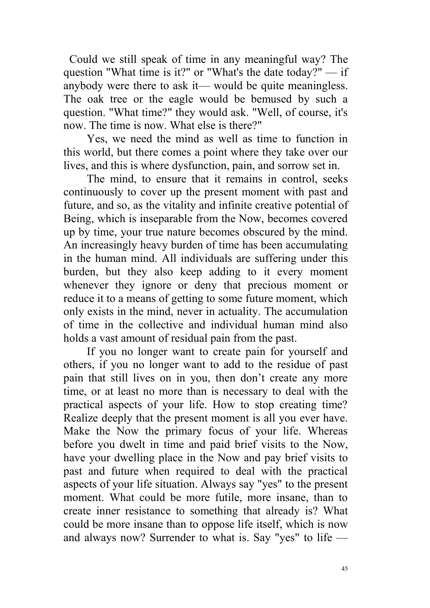Could we still speak of time in any meaningful way? The question "What time is it?" or "What's the date today?" — if anybody were there to ask it— would be quite meaningless. The oak tree or the eagle would be bemused by such <sup>a</sup> question. "What time?" they would ask. "Well, of course, it's now. The time is now. What else is there?"

Yes, we need the mind as well as time to function in this world, but there comes <sup>a</sup> point where they take over our lives, and this is where dysfunction, pain, and sorrow set in.

The mind, to ensure that it remains in control, seeks continuously to cover up the presen<sup>t</sup> moment with pas<sup>t</sup> and future, and so, as the vitality and infinite creative potential of Being, which is inseparable from the Now, becomes covered up by time, your true nature becomes obscured by the mind. An increasingly heavy burden of time has been accumulating in the human mind. All individuals are suffering under this burden, but they also keep adding to it every moment whenever they ignore or deny that precious moment or reduce it to <sup>a</sup> means of getting to some future moment, which only exists inthe mind, never in actuality. The accumulation of time in the collective and individual human mind also holds <sup>a</sup> vast amount of residual pain from the past.

If you no longer want to create pain for yourself and others, if you no longer want to add to the residue of pas<sup>t</sup> pain that still lives on in you, then don't create any more time, or at least no more than is necessary to deal with the practical aspects of your life. How to stop creating time? Realize deeply that the present moment is all you ever have. Make the Now the primary focus of your life. Whereas before you dwelt in time and paid brief visits to the Now, have your dwelling place in the Now and pay brief visits to pas<sup>t</sup> and future when required to deal with the practical aspects of your life situation. Always say "yes" to the presen<sup>t</sup> moment. What could be more futile, more insane, than to create inner resistance to something that already is? What could be more insane than to oppose life itself, which is now and always now? Surrender to what is. Say "yes" to life —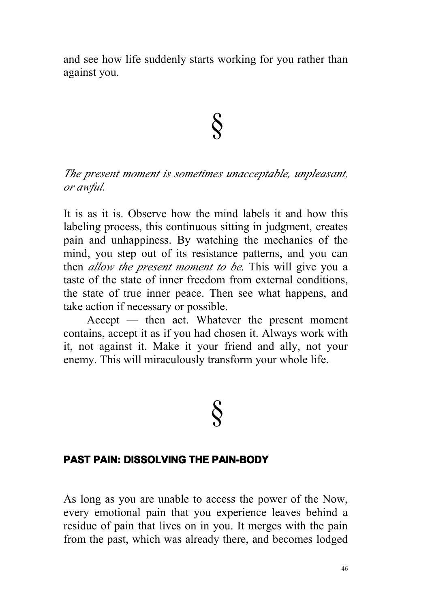and see how life suddenly starts working for you rather than against you.

### §

*The present moment is sometimes unacceptable, unpleasant, or awful.*

It is as it is. Observe how the mind labels it and how this labeling process, this continuous sitting in judgment, creates pain and unhappiness. By watching the mechanics of the mind, you step out of its resistance patterns, and you can then *allow the present moment to be*. This will give you <sup>a</sup> taste of the state of inner freedom from external conditions, the state of true inner peace. Then see what happens, and take action if necessary or possible.

Accept — then act. Whatever the presen<sup>t</sup> moment contains, accep<sup>t</sup> it as if you had chosen it. Always work with it, not against it. Make it your friend and ally, not your enemy. This will miraculously transform your whole life.

### §

#### **PAST PAIN: DISSOLVING DISSOLVINGTHE PAIN-BODY PAIN-BODY**

As long as you are unable to access the power of the Now, every emotional pain that you experience leaves behind <sup>a</sup> residue of pain that lives on in you. It merges with the pain from the past, which was already there, and becomes lodged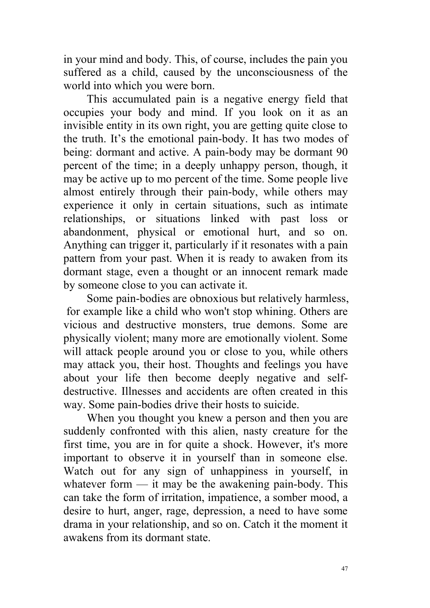in your mind and body. This, of course, includes the pain you suffered as <sup>a</sup> child, caused by the unconsciousness of the world into which you were born.

This accumulated pain is <sup>a</sup> negative energy field that occupies your body and mind. If you look on it as an invisible entity in its own right, you are getting quite close to the truth. It's the emotional pain-body. It has two modes of being: dormant and active. A pain-body may be dormant 90 percen<sup>t</sup> of the time; in <sup>a</sup> deeply unhappy person, though, it may be active up to mo percen<sup>t</sup> of the time. Some people live almost entirely through their pain-body, while others may experience it only in certain situations, such as intimate relationships, or situations linked with pas<sup>t</sup> loss or abandonment, physical or emotional hurt, and so on. Anything can trigger it, particularly if it resonates with <sup>a</sup> pain pattern from your past. When it is ready to awaken from its dormant stage, even <sup>a</sup> thought or an innocent remark made by someone close to you can activate it.

Some pain-bodies are obnoxious but relatively harmless, for example like <sup>a</sup> child who won't stop whining. Others are vicious and destructive monsters, true demons. Some are physically violent; many more are emotionally violent. Some will attack people around you or close to you, while others may attack you, their host. Thoughts and feelings you have about your life then become deeply negative and selfdestructive. Illnesses and accidents are often created in this way. Some pain-bodies drive their hosts to suicide.

When you thought you knew <sup>a</sup> person and then you are suddenly confronted with this alien, nasty creature for the first time, you are in for quite <sup>a</sup> shock. However, it's more important to observe it in yourself than in someone else. Watch out for any sign of unhappiness in yourself, in whatever form  $-$  it may be the awakening pain-body. This can take the form of irritation, impatience, <sup>a</sup> somber mood, <sup>a</sup> desire to hurt, anger, rage, depression, <sup>a</sup> need to have some drama in your relationship, and so on. Catch it the moment it awakens from its dormant state.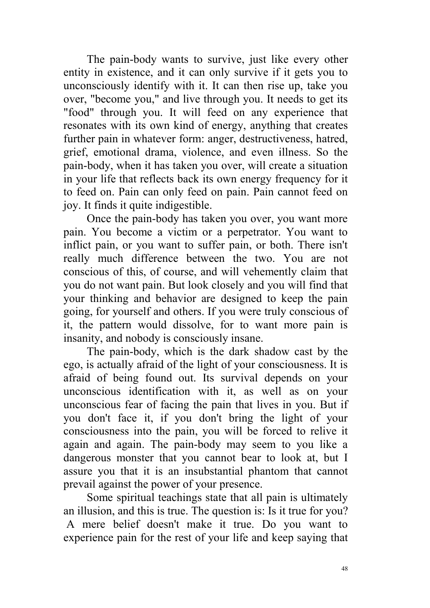The pain-body wants to survive, just like every other entity in existence, and it can only survive if it gets you to unconsciously identify with it. It can then rise up, take you over, "become you," and live through you. It needs to ge<sup>t</sup> its "food" through you. It will feed on any experience that resonates with its own kind of energy, anything that creates further pain in whatever form: anger, destructiveness, hatred, grief, emotional drama, violence, and even illness. So the pain-body, when it has taken you over, will create <sup>a</sup> situation in your life that reflects back its own energy frequency for it to feed on. Pain can only feed on pain. Pain cannot feed on joy. It finds it quite indigestible.

Once the pain-body has taken you over, you want more pain. You become <sup>a</sup> victim or <sup>a</sup> perpetrator. You want to inflict pain, or you want to suffer pain, or both. There isn't really much difference between the two. You are not conscious of this, of course, and will vehemently claim that you do not want pain. But look closely and you will find that your thinking and behavior are designed to keep the pain going, for yourself and others. If you were truly conscious of it, the pattern would dissolve, for to want more pain is insanity, and nobody is consciously insane.

The pain-body, which is the dark shadow cast by the ego, is actually afraid of the light of your consciousness. It is afraid of being found out. Its survival depends on your unconscious identification with it, as well as on your unconscious fear of facing the pain that lives in you. But if you don't face it, if you don't bring the light of your consciousness into the pain, you will be forced to relive it again and again. The pain-body may seem to you like <sup>a</sup> dangerous monster that you cannot bear to look at, but I assure you that it is an insubstantial phantom that cannot prevail against the power of your presence.

Some spiritual teachings state that all pain is ultimately an illusion, and this is true. The question is: Is it true for you? A mere belief doesn't make it true. Do you want to experience pain for the rest of your life and keep saying that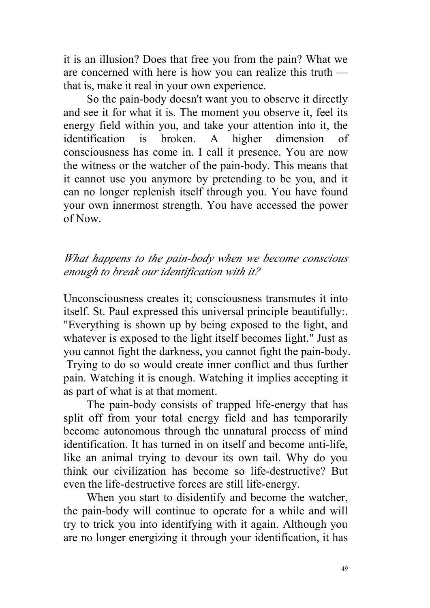it is an illusion? Does that free you from the pain? What we are concerned with here is how you can realize this truth that is, make it real in your own experience.

So the pain-body doesn't want you to observe it directly and see it for what it is. The moment you observe it, feel its energy field within you, and take your attention into it, the identification is broken. A higher dimension of consciousness has come in. I call it presence. You are now the witness or the watcher of the pain-body. This means that it cannot use you anymore by pretending to be you, and it can no longer replenish itself through you. You have found your own innermost strength. You have accessed the power of Now.

#### *What happens to the pain-body when we become conscious enough to break our identification with it?*

Unconsciousness creates it; consciousness transmutes it into itself. St. Paul expressed this universal principle beautifully:. "Everything is shown up by being exposed to the light, and whatever is exposed to the light itself becomes light." Just as you cannot fight the darkness, you cannot fight the pain-body. Trying to do so would create inner conflict and thus further pain. Watching it is enough. Watching it implies accepting it as par<sup>t</sup> of what is at that moment.

The pain-body consists of trapped life-energy that has split off from your total energy field and has temporarily become autonomous through the unnatural process of mind identification. It has turned in on itself and become anti-life, like an animal trying to devour its own tail. Why do you think our civilization has become so life-destructive? But even the life-destructive forces are still life-energy.

When you start to disidentify and become the watcher, the pain-body will continue to operate for <sup>a</sup> while and will try to trick you into identifying with it again. Although you are no longer energizing it through your identification, it has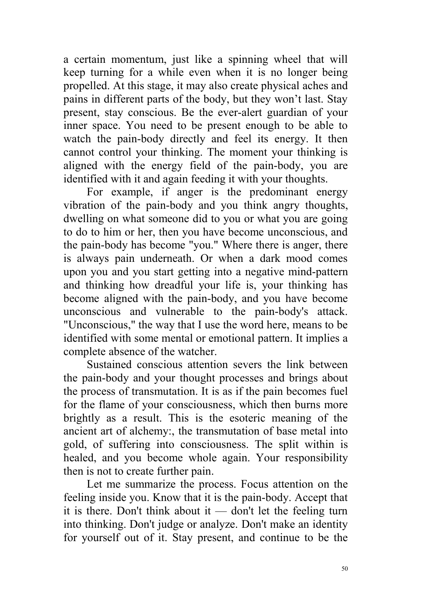<sup>a</sup> certain momentum, just like <sup>a</sup> spinning wheel that will keep turning for <sup>a</sup> while even when it is no longer being propelled. At this stage, it may also create physical aches and pains in different parts of the body, but they won't last. Stay present, stay conscious. Be the ever-alert guardian of your inner space. You need to be presen<sup>t</sup> enough to be able to watch the pain-body directly and feel its energy. It then cannot control your thinking. The moment your thinking is aligned with the energy field of the pain-body, you are identified with it and again feeding it with your thoughts.

For example, if anger is the predominant energy vibration of the pain-body and you think angry thoughts, dwelling on what someone did to you or what you are going to do to him or her, then you have become unconscious, and the pain-body has become "you." Where there is anger, there is always pain underneath. Or when <sup>a</sup> dark mood comes upon you and you start getting into <sup>a</sup> negative mind-pattern and thinking how dreadful your life is, your thinking has become aligned with the pain-body, and you have become unconscious and vulnerable to the pain-body's attack. "Unconscious," the way that I use the word here, means tobe identified with some mental or emotional pattern. It implies <sup>a</sup> complete absence of the watcher.

Sustained conscious attention severs the link between the pain-body and your thought processes and brings about the process of transmutation. It is as if the pain becomes fuel for the flame of your consciousness, which then burns more brightly as <sup>a</sup> result. This is the esoteric meaning of the ancient art of alchemy:, the transmutation of base metal into gold, of suffering into consciousness. The split within is healed, and you become whole again. Your responsibility then is not to create further pain.

Let me summarize the process. Focus attention on the feeling inside you. Know that it is the pain-body. Accept that it is there. Don't think about it — don't let the feeling turn into thinking. Don't judge or analyze. Don't make an identity for yourself out of it. Stay present, and continue to be the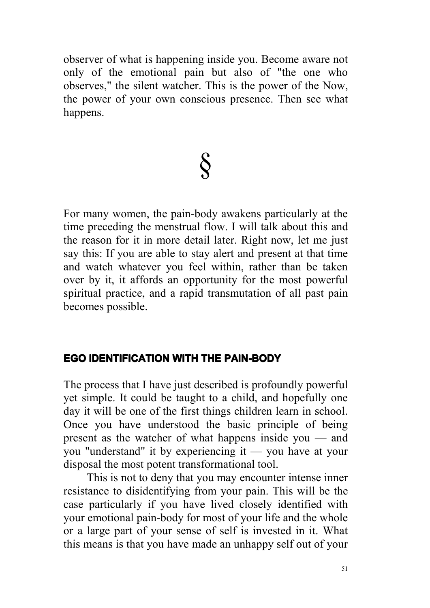observer of what is happening inside you. Become aware not only of the emotional pain but also of "the one who observes," the silent watcher. This is the power of the Now, the power of your own conscious presence. Then see what happens.

### §

For many women, the pain-body awakens particularly at the time preceding the menstrual flow. I will talk about this and the reason for it in more detail later. Right now, let me just say this: If you are able to stay alert and presen<sup>t</sup> at that time and watch whatever you feel within, rather than be taken over by it, it affords an opportunity for the most powerful spiritual practice, and <sup>a</sup> rapid transmutation of all pas<sup>t</sup> pain becomes possible.

#### **EGO IDENTIFICATION WITH THE PAIN-BODY**

The process that I have just described is profoundly powerful ye<sup>t</sup> simple. It could be taught to <sup>a</sup> child, and hopefully one day it will be one of the first things children learn in school. Once you have understood the basic principle of being presen<sup>t</sup> as the watcher of what happens inside you — and you "understand" it by experiencing it — you have at your disposal the most potent transformational tool.

This is not to deny that you may encounter intense inner resistance to disidentifying from your pain. This will be the case particularly if you have lived closely identified with your emotional pain-body for most of your life and the whole or <sup>a</sup> large par<sup>t</sup> of your sense of self is invested in it. What this means is that you have made an unhappy self out of your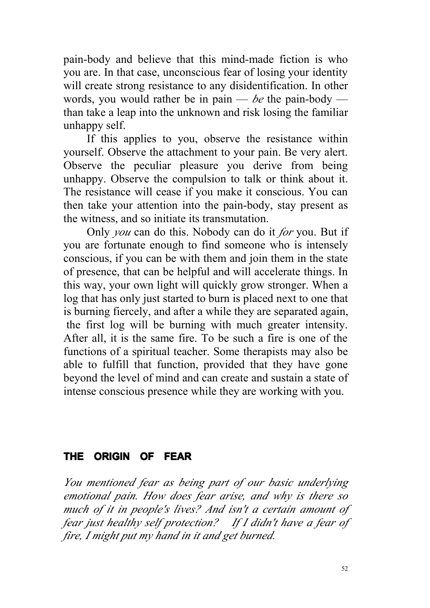pain-body and believe that this mind-made fiction is who you are. In that case, unconscious fear of losing your identity will create strong resistance to any disidentification. In other words, you would rather be in pain — *be* the pain-body than take <sup>a</sup> leap into the unknown and risk losing the familiar unhappy self.

If this applies to you, observe the resistance within yourself. Observe the attachment to your pain. Be very alert. Observe the peculiar pleasure you derive from being unhappy. Observe the compulsion to talk or think about it. The resistance will cease if you make it conscious. You can then take your attention into the pain-body, stay presen<sup>t</sup> as the witness, and so initiate its transmutation.

Only *you* can do this. Nobody can do it *for* you. But if you are fortunate enough to find someone who is intensely conscious, if you can be with them and join them in the state of presence, that can be helpful and will accelerate things. In this way, your own light will quickly grow stronger. When <sup>a</sup> log that has only just started to burn is placed next to one that is burning fiercely, and after <sup>a</sup> while they are separated again, the first log will be burning with much greater intensity. After all, it is the same fire. To be such a fire is one of the functions of <sup>a</sup> spiritual teacher. Some therapists may also be able to fulfill that function, provided that they have gone beyond the level of mind and can create and sustain <sup>a</sup> state of intense conscious presence while they are working with you.

#### **THE ORIGIN OF FEAR**

*You mentioned fear as being part of our basic underlying emotional pain. How does fear arise, and why is there so much of it in people's lives? And isn't <sup>a</sup> certain amount of fear just healthy self protection? If I didn't have <sup>a</sup> fear of fire, I might put my hand in it and get burned.*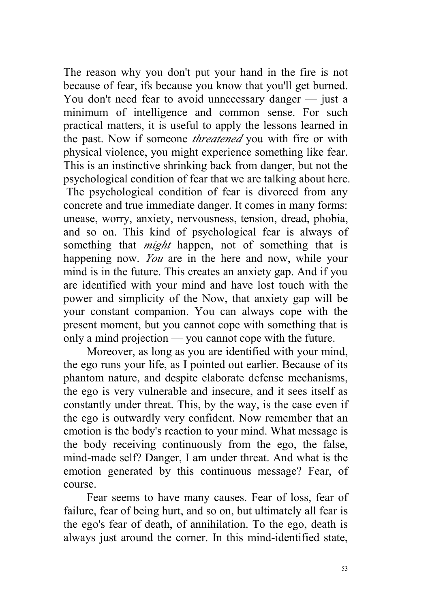The reason why you don't pu<sup>t</sup> your hand in the fire is not because of fear, ifs because you know that you'll get burned. You don't need fear to avoid unnecessary danger — just <sup>a</sup> minimum of intelligence and common sense. For such practical matters, it is useful to apply the lessons learned in the past. Now if someone *threatened* you with fire or with physical violence, you might experience something like fear. This is an instinctive shrinking back from danger, but not the psychological condition of fear that we are talking about here. The psychological condition of fear is divorced from any concrete and true immediate danger. It comes in many forms: unease, worry, anxiety, nervousness, tension, dread, phobia, and so on. This kind of psychological fear is always of something that *might* happen, not of something that is happening now. *You* are in the here and now, while your mind is in the future. This creates an anxiety gap. And if you are identified with your mind and have lost touch with the power and simplicity of the Now, that anxiety gap will be your constant companion. You can always cope with the presen<sup>t</sup> moment, but you cannot cope with something that is only <sup>a</sup> mind projection — you cannot cope with the future.

Moreover, as long as you are identified with your mind, the ego runs your life, as I pointed out earlier. Because of its phantom nature, and despite elaborate defense mechanisms, the ego is very vulnerable and insecure, and it sees itself as constantly under threat. This, by the way, is the case even if the ego is outwardly very confident. Now remember that an emotion is the body's reaction to your mind. What message is the body receiving continuously from the ego, the false, mind-made self? Danger, I am under threat. And what is the emotion generated by this continuous message? Fear, of course.

Fear seems to have many causes. Fear of loss, fear of failure, fear of being hurt, and so on, but ultimately all fear is the ego's fear of death, of annihilation. To the ego, death is always just around the corner. In this mind-identified state,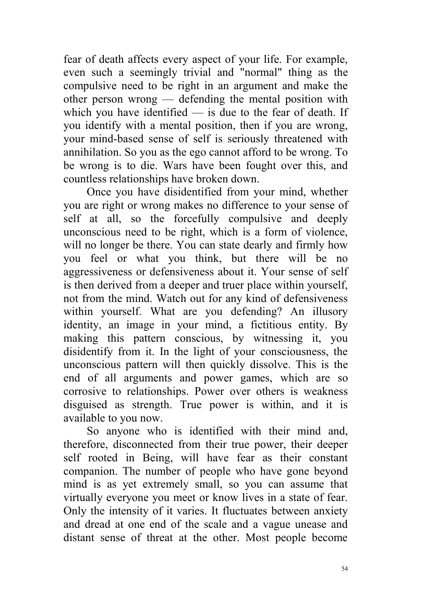fear of death affects every aspec<sup>t</sup> of your life. For example, even such <sup>a</sup> seemingly trivial and "normal" thing as the compulsive need to be right in an argumen<sup>t</sup> and make the other person wrong — defending the mental position with which you have identified — is due to the fear of death. If you identify with <sup>a</sup> mental position, then if you are wrong, your mind-based sense of self is seriously threatened with annihilation. So you as the ego cannot afford to be wrong. To be wrong is to die. Wars have been fought over this, and countless relationships have broken down.

Once you have disidentified from your mind, whether you are right or wrong makes no difference to your sense of self at all, so the forcefully compulsive and deeply unconscious need to be right, which is <sup>a</sup> form of violence, will no longer be there. You can state dearly and firmly how you feel or what you think, but there will be no aggressiveness or defensiveness about it. Your sense of self is then derived from <sup>a</sup> deeper and truer place within yourself, not from the mind. Watch out for any kind of defensiveness within yourself. What are you defending? An illusory identity, an image in your mind, <sup>a</sup> fictitious entity. By making this pattern conscious, by witnessing it, you disidentify from it. In the light of your consciousness, the unconscious pattern will then quickly dissolve. This is the end of all arguments and power games, which are so corrosive to relationships. Power over others is weakness disguised as strength. True power is within, and it is available to you now.

So anyone who is identified with their mind and, therefore, disconnected from their true power, their deeper self rooted in Being, will have fear as their constant companion. The number of people who have gone beyond mind is as ye<sup>t</sup> extremely small, so you can assume that virtually everyone you meet or know lives in <sup>a</sup> state of fear. Only the intensity of it varies. It fluctuates between anxiety and dread at one end of the scale and <sup>a</sup> vague unease and distant sense of threat at the other. Most people become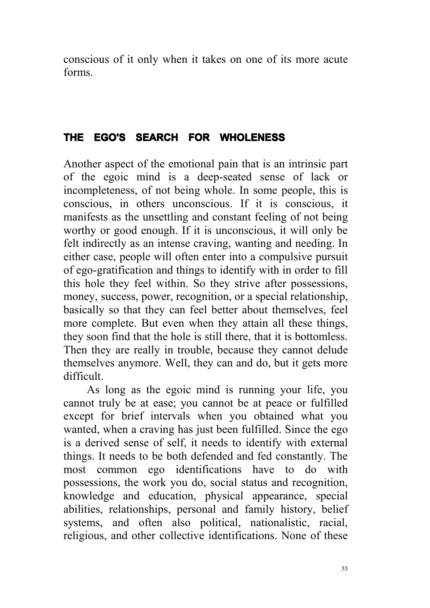conscious of it only when it takes on one of its more acute forms.

#### **THE EGO'S SEARCH FOR WHOLENESS WHOLENESS WHOLENESS**

Another aspect of the emotional pain that is an intrinsic part of the egoic mind is <sup>a</sup> deep-seated sense of lack or incompleteness, of not being whole. In some people, this is conscious, in others unconscious. If it is conscious, it manifests as the unsettling and constant feeling of not being worthy or good enough. If it is unconscious, it will only be felt indirectly as an intense craving, wanting and needing. In either case, people will often enter into <sup>a</sup> compulsive pursuit of ego-gratification and things to identify with in order to fill this hole they feel within. So they strive after possessions, money, success, power, recognition, or <sup>a</sup> special relationship, basically so that theycan feel better about themselves, feel more complete. But even when they attain all these things, they soon find that the hole is still there, that it is bottomless. Then they are really in trouble, because they cannot delude themselves anymore. Well, they can and do, but it gets more difficult.

As long as the egoic mind is running your life, you cannot truly be at ease; you cannot be at peace or fulfilled excep<sup>t</sup> for brief intervals when you obtained what you wanted, when <sup>a</sup> craving has just been fulfilled. Since the ego is <sup>a</sup> derived sense of self, it needs to identify with external things. It needs to be both defended and fed constantly. The most common ego identifications have to do with possessions, the work you do, social status and recognition, knowledge and education, physical appearance, special abilities, relationships, personal and family history, belief systems, and often also political, nationalistic, racial, religious, and other collective identifications. None of these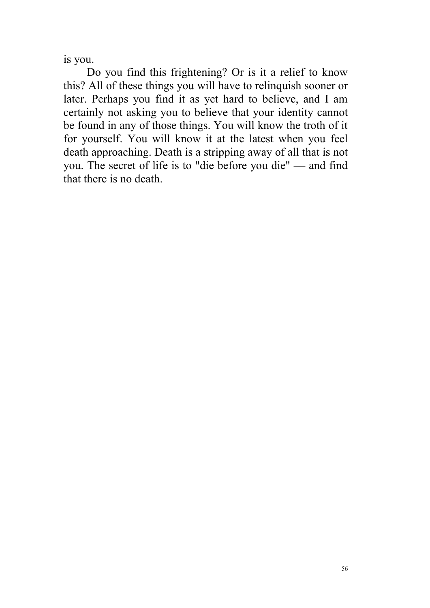is you.

Do you find this frightening? Or is it <sup>a</sup> relief to know this? All of these things you will have to relinquish sooner or later. Perhaps you find it as ye<sup>t</sup> hard to believe, and I am certainly not asking you to believe that your identity cannot be found in any of those things. You will know the troth of it for yourself. You will know it at the latest when you feel death approaching. Death is <sup>a</sup> stripping away of all that is not you. The secret of life is to "die before you die" — and find that there is no death.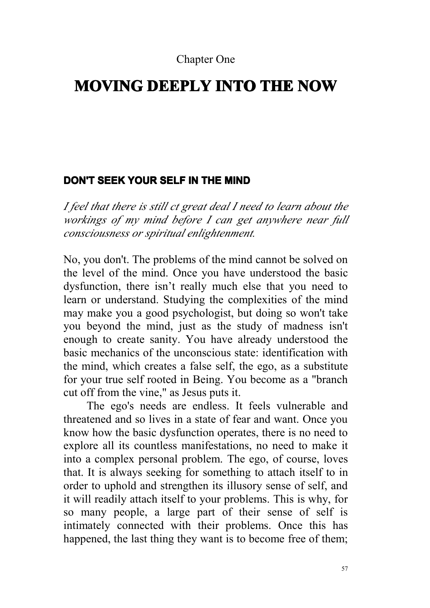#### Chapter One

### **MOVING DEEPLY INTO THE NOW**

#### **DON'T SEEK YOUR SELF IN THE MIND**

*I feel that there is still ct great deal I need to learn about the workings of my mind before I can get anywhere near full consciousness or spiritual enlightenment.*

No, you don't. The problems of the mind cannot be solved on the level of the mind. Once you have understood the basic dysfunction, there isn't really much else that you need to learn or understand. Studying the complexities of the mind may make you <sup>a</sup> good psychologist, but doing so won't take you beyond the mind, just as the study of madness isn't enough to create sanity. You have already understood the basic mechanics of the unconscious state: identification with the mind, which creates <sup>a</sup> false self, the ego, as <sup>a</sup> substitute for your true self rooted in Being. You become as <sup>a</sup> "branch cut off from the vine," as Jesus puts it.

The ego's needs are endless. It feels vulnerable and threatened and so lives in <sup>a</sup> state of fear and want. Once you know how the basic dysfunction operates, there is no need to explore all its countless manifestations, no need to make it into <sup>a</sup> complex personal problem. The ego, of course, loves that. It is always seeking for something to attach itself to in order to uphold and strengthen its illusory sense of self, and it will readily attach itself to your problems. This is why, for so many people, <sup>a</sup> large par<sup>t</sup> of their sense of self is intimately connected with their problems. Once this has happened, the last thing they want is to become free of them;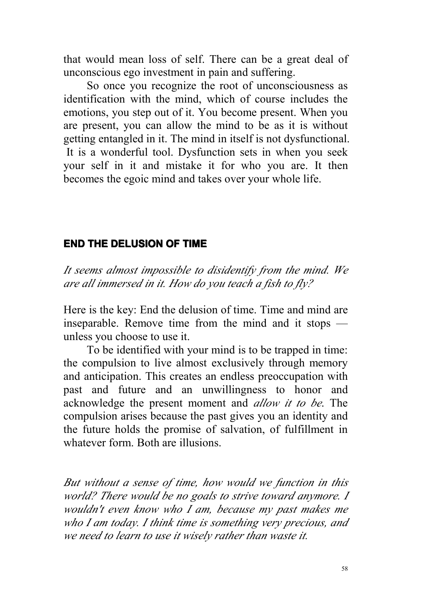that would mean loss of self. There can be <sup>a</sup> grea<sup>t</sup> deal of unconscious ego investment in pain and suffering.

So once you recognize the root of unconsciousness as identification with the mind, which of course includes the emotions, you step out of it. You become present. When you are present, you can allow the mind to be as it is without getting entangled in it. Themind in itself is not dysfunctional. It is <sup>a</sup> wonderful tool. Dysfunction sets in when you seek your self in it and mistake it for who you are. It then becomes the egoic mind and takes over your whole life.

#### **END THE DELUSION DELUSION OF TIME**

*It seems almost impossible to disidentify from the mind. We are all immersed in it. How do you teach <sup>a</sup> fish to fly?*

Here is the key: End the delusion of time. Time and mind are inseparable. Remove time from the mind and it stops unless you choose to use it.

To be identified with your mind is tobe trapped in time: the compulsion to live almost exclusively through memory and anticipation. This creates an endless preoccupation with pas<sup>t</sup> and future and an unwillingness to honor and acknowledge the presen<sup>t</sup> moment and *allow it to be*. The compulsion arises because the pas<sup>t</sup> gives you an identity and the future holds the promise of salvation, of fulfillment in whatever form. Both are illusions.

*But without <sup>a</sup> sense of time, how would we function in this world? There would be no goals to strive toward anymore. I wouldn't even know who I am, because my past makes me who I am today. I think time is something very precious, and we need to learn to use it wisely rather than waste it.*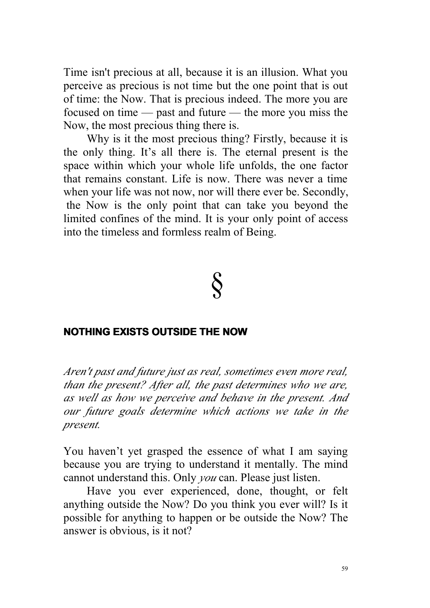Time isn't precious at all, because it is an illusion. What you perceive as precious is not time but the one point that is out of time: the Now. That is precious indeed. The more you are focused on time — past and future — the more you miss the Now, the most precious thing there is.

Why is it the most precious thing? Firstly, because it is the only thing. It's all there is. The eternal presen<sup>t</sup> is the space within which your whole life unfolds, the one factor that remains constant. Life is now. There was never <sup>a</sup> time when your life was not now, nor will there ever be. Secondly, the Now is the only point that can take you beyond the limited confines of the mind. It is your only point of access into the timeless and formless realm of Being.

## §

#### **NOTHING NOTHING EXISTS OUTSIDE OUTSIDE THE NOW**

*Aren't past and future just as real, sometimes even more real, than the present? After all, the past determines who we are, as well as how we perceive and behave in the present. And our future goals determine which actions we take in the present.*

You haven't ye<sup>t</sup> grasped the essence of what I am saying because you are trying to understand it mentally. The mind cannot understand this. Only *you* can. Please just listen.

Have you ever experienced, done, thought, or felt anything outside the Now? Do you think you ever will? Is it possible for anything to happen or be outside the Now? The answer is obvious, is it not?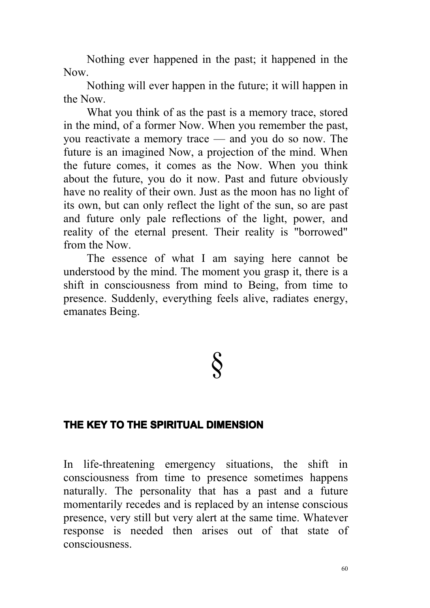Nothing ever happened in the past; it happened in the Now.

Nothing will ever happen in the future; it will happen in the Now.

What you think of as the pas<sup>t</sup> is <sup>a</sup> memory trace, stored in the mind, of a former Now. When you remember the past, you reactivate <sup>a</sup> memory trace — and you do so now. The future is an imagined Now, <sup>a</sup> projection of the mind. When the future comes, it comes as the Now. When you think about the future, you do it now. Past and future obviously have no reality of their own. Just as the moon has no light of its own, but can only reflect the light of the sun, so are past and future only pale reflections of the light, power, and reality of the eternal present. Their reality is "borrowed" from the Now.

The essence of what I am saying here cannot be understood by the mind. The moment you grasp it, there is <sup>a</sup> shift in consciousness from mind to Being, from time to presence. Suddenly, everything feels alive, radiates energy, emanates Being.

## §

#### **THE KEY TO THE SPIRITUAL SPIRITUAL SPIRITUALSPIRITUALDIMENSION DIMENSION**

In life-threatening emergency situations, the shift in consciousness from time to presence sometimes happens naturally. The personality that has a past and a future momentarily recedes and is replaced by an intense conscious presence, very still but veryalert at the same time. Whatever response is needed then arises out of that state of consciousness.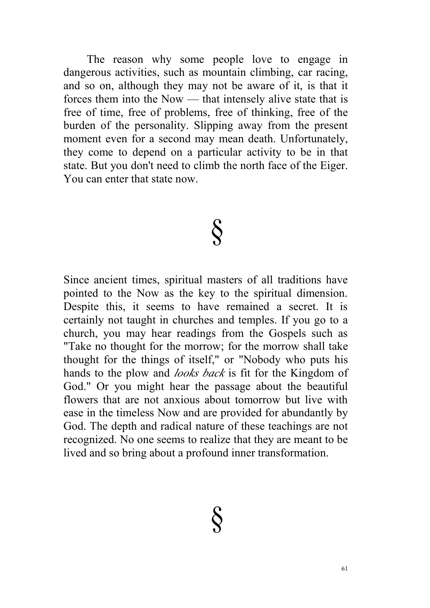The reason why some people love to engage in dangerous activities, such as mountain climbing, car racing, and so on, although they may not be aware of it, is that it forces them into the Now — that intensely alive state that is free of time, free of problems, free of thinking, free of the burden of the personality. Slipping away from the presen<sup>t</sup> moment even for <sup>a</sup> second may mean death. Unfortunately, they come to depend on <sup>a</sup> particular activity to be in that state. But you don't need to climb the north face of the Eiger. You can enter that state now.

## §

Since ancient times, spiritual masters of all traditions have pointed to the Now as the key to the spiritual dimension. Despite this, it seems to have remained <sup>a</sup> secret. It is certainly not taught in churches and temples. If you go to <sup>a</sup> church, you may hear readings from the Gospels such as "Take no thought for the morrow; for the morrow shall take thought for the things of itself," or "Nobody who puts his hands to the plow and *looks back* is fit for the Kingdom of God." Or you might hear the passage about the beautiful flowers that are not anxious about tomorrow but live with ease in the timeless Now and are provided for abundantly by God. The depth and radical nature of these teachings are not recognized. No one seems to realize that they are meant to be lived and so bring about <sup>a</sup> profound inner transformation.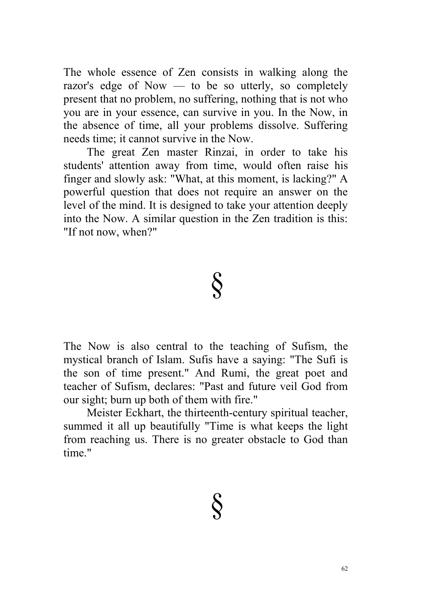The whole essence of Zen consists in walking along the razor's edge of Now — to be so utterly, so completely presen<sup>t</sup> that no problem, no suffering, nothing that is not who you are in your essence, can survive in you. In the Now, in the absence of time, all your problems dissolve. Suffering needs time; it cannot survive in the Now.

The grea<sup>t</sup> Zen master Rinzai, in order to take his students' attention away from time, would often raise his finger and slowly ask: "What, at this moment, is lacking?" A powerful question that does not require an answer on the level of the mind. It is designed to take your attention deeply into the Now. A similar question in the Zen tradition is this: "If not now, when?"

§

The Now is also central to the teaching of Sufism, the mystical branch of Islam. Sufis have <sup>a</sup> saying: "The Sufi is the son of time present." And Rumi, the great poet and teacher of Sufism, declares: "Past and future veil God from our sight; burn up both of them with fire."

Meister Eckhart, the thirteenth-century spiritual teacher, summed it all up beautifully "Time is what keeps the light from reaching us. There is no greater obstacle to God than time."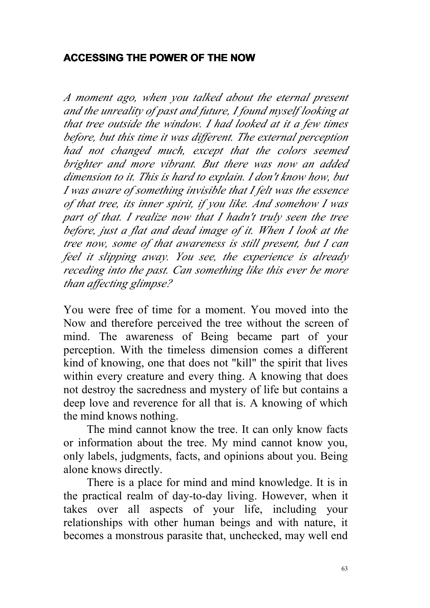#### **ACCESSING ACCESSING THE POWER OF THE NOW**

*A moment ago, when you talked about the eternal present and the unreality of past and future, I found myself looking at that tree outside the window. I had looked at it <sup>a</sup> few times before, but this time it was different. The external perception had not changed much, except that the colors seemed brighter and more vibrant. But there was now an added dimension to it. This is hard to explain. I don't know how, but I was aware of something invisible that I felt was the essence of that tree, itsinner spirit, if you like. And somehow I was part of that. I realize nowthat I hadn't truly seen the tree before, just <sup>a</sup> flat and dead image of it. When I look at the tree now, some of that awareness is still present, but I can feel it slipping away. You see, the experience is already receding into the past. Can something like this ever be more than affecting glimpse?*

You were free of time for <sup>a</sup> moment. You moved into the Now and therefore perceived the tree without the screen of mind. The awareness of Being became par<sup>t</sup> of your perception. With the timeless dimension comes <sup>a</sup> different kind of knowing, one that does not "kill" the spirit that lives within every creature and every thing. A knowing that does not destroy the sacredness and mystery of life but contains <sup>a</sup> deep love and reverence for all that is. A knowing of which the mind knows nothing.

The mind cannot know the tree. It can only know facts or information about the tree. My mind cannot know you, only labels, judgments, facts, and opinions about you. Being alone knows directly.

There is a place for mind and mind knowledge. It is in the practical realm of day-to-day living. However, when it takes over all aspects of your life, including your relationships with other human beings and with nature, it becomes <sup>a</sup> monstrous parasite that, unchecked, may well end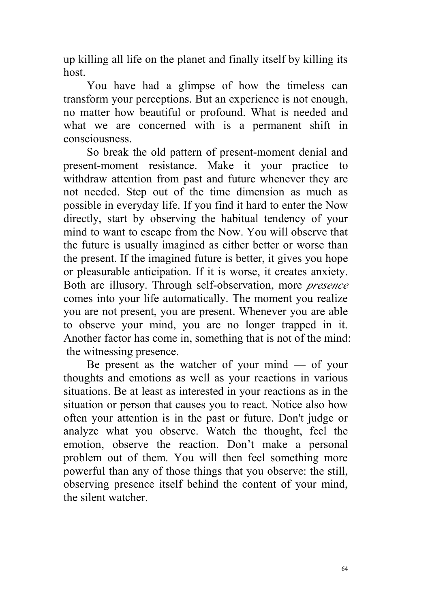up killing all life on the planet and finally itself by killing its host.

You have had <sup>a</sup> glimpse of how the timeless can transform your perceptions. But an experience is not enough, no matter how beautiful or profound. What is needed and what we are concerned with is <sup>a</sup> permanen<sup>t</sup> shift in consciousness.

So break the old pattern of present-moment denial and present-moment resistance. Make it your practice to withdraw attention from pas<sup>t</sup> and future whenever they are not needed. Step out of the time dimension as much as possible in everyday life. If you find it hard to enter the Now directly, start by observing the habitual tendency of your mind to want to escape from the Now. You will observe that the future is usually imagined as either better or worse than the present. If the imagined future is better, it gives you hope or pleasurable anticipation. If it isworse, it creates anxiety. Both are illusory. Through self-observation, more *presence* comes into your life automatically. The moment you realize you are not present, you are present. Whenever you are able to observe your mind, you are no longer trapped in it. Another factor has come in, something that is not of the mind: the witnessing presence.

Be presen<sup>t</sup> as the watcher of your mind — of your thoughts and emotions as well as your reactions in various situations. Be at least as interested in your reactions as in the situation or person that causes you to react. Notice also how often your attention is in the pas<sup>t</sup> or future. Don't judge or analyze what you observe. Watch the thought, feel the emotion, observe the reaction. Don't make <sup>a</sup> personal problem out of them. You will then feel something more powerful than any of those things that you observe: the still, observing presence itself behind the content of your mind, the silent watcher.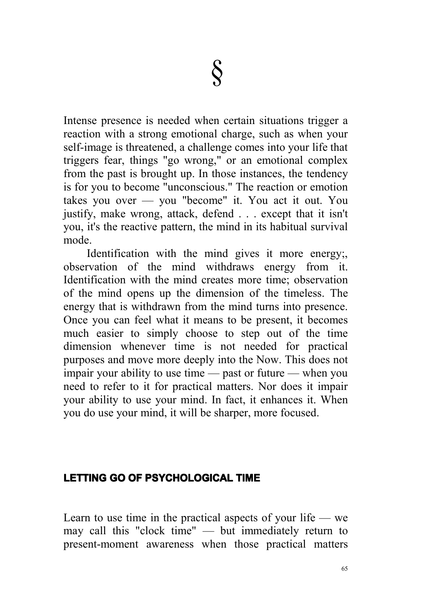Intense presence is needed when certain situations trigger <sup>a</sup> reaction with <sup>a</sup> strong emotional charge, such as when your self-image is threatened, <sup>a</sup> challenge comes into your life that triggers fear, things "go wrong," or an emotional complex from the pas<sup>t</sup> is brought up. In those instances, the tendency is for you to become "unconscious." The reaction or emotion takes you over — you "become" it. You act it out. You justify, make wrong, attack, defend . . . excep<sup>t</sup> that it isn't you, it's the reactive pattern, the mind in its habitual survival mode.

Identification with the mind gives it more energy;, observation of the mind withdraws energy from it. Identification with the mind creates more time; observation of the mind opens up the dimension of the timeless. The energy that is withdrawn from the mind turns into presence. Once you can feel what it means to be present, it becomes much easier to simply choose to step out of the time dimension whenever time is not needed for practical purposes and move more deeply into the Now. This does not impair your ability to use time — pas<sup>t</sup> or future — when you need to refer to it for practical matters. Nor does it impair your ability to use your mind. In fact, it enhances it. When you do use your mind, it will be sharper, more focused.

#### **LETTING GO OF PSYCHOLOGICAL TIME**

Learn to use time in the practical aspects of your life — we may call this "clock time" — but immediately return to present-moment awareness when those practical matters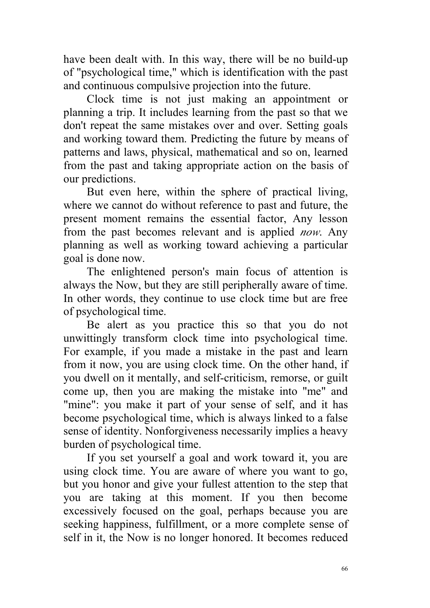have been dealt with. In this way, there will be no build-up of "psychological time," which is identification with the pas<sup>t</sup> and continuous compulsive projection into the future.

Clock time is not just making an appointment or planning <sup>a</sup> trip. It includes learning from the pas<sup>t</sup> so that we don't repeat the same mistakes over and over. Setting goals and working toward them. Predicting the future by means of patterns and laws, physical, mathematical and so on, learned from the pas<sup>t</sup> and taking appropriate action on the basis of our predictions.

But even here, within the sphere of practical living, where we cannot do without reference to pas<sup>t</sup> and future, the presen<sup>t</sup> moment remains the essential factor, Any lesson from the pas<sup>t</sup> becomes relevant and is applied *now*. Any planning as well as working toward achieving <sup>a</sup> particular goal is done now.

The enlightened person's main focus of attention is always the Now, but they are still peripherally aware of time. In other words, they continue to use clock time but are free of psychological time.

Be alert as you practice this so that you do not unwittingly transform clock time into psychological time. For example, if you made <sup>a</sup> mistake in the pas<sup>t</sup> and learn from it now, you are using clock time. On the other hand, if you dwell on it mentally, and self-criticism, remorse, or guilt come up, then you are making the mistake into "me" and "mine": you make it part of your sense of self, and it has become psychological time, which is always linked to <sup>a</sup> false sense of identity. Nonforgiveness necessarily implies <sup>a</sup> heavy burden of psychological time.

If you set yourself <sup>a</sup> goal and work toward it, you are using clock time. You are aware of where you want to go, but you honor and give your fullest attention to the step that you are taking at this moment. If you then become excessively focused on the goal, perhaps because you are seeking happiness, fulfillment, or <sup>a</sup> more complete sense of self in it, the Now is no longer honored. It becomes reduced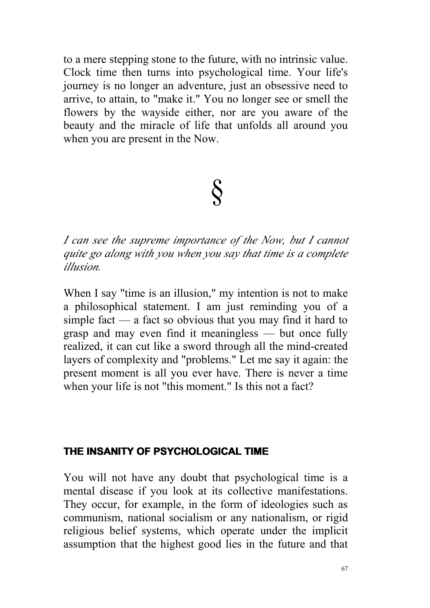to <sup>a</sup> mere stepping stone to the future, with no intrinsic value. Clock time then turns into psychological time. Your life's journey is no longer an adventure, just an obsessive need to arrive, to attain, to "make it." You no longer see or smell the flowers by the wayside either, nor are you aware of the beauty and the miracle of life that unfolds all around you when you are presen<sup>t</sup> in the Now.

# §

*I can see the supreme importance of the Now, but I cannot quite go along with you when you say that time is <sup>a</sup> complete illusion.*

When I say "time is an illusion," my intention is not to make <sup>a</sup> philosophical statement. I am just reminding you of <sup>a</sup> simple fact — a fact so obvious that you may find it hard to grasp and may even find it meaningless — but once fully realized, it can cut like <sup>a</sup> sword through all the mind-created layers of complexity and "problems." Let me say it again: the present moment is all you ever have. There is never a time when your life is not "this moment." Is this not <sup>a</sup> fact?

#### **ITHE INSANITY OF PSYCHOLOGICAL TIME**

You will not have any doubt that psychological time is <sup>a</sup> mental disease if you look at its collective manifestations. They occur, for example, in the form of ideologies such as communism, national socialism or any nationalism, or rigid religious belief systems, which operate under the implicit assumption that the highest good lies in the future and that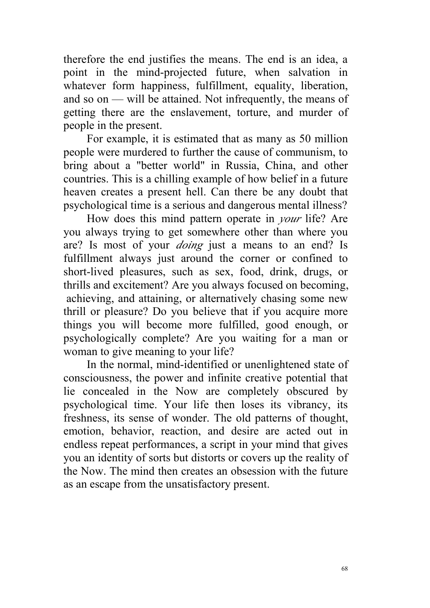therefore the end justifies the means. The end is an idea, <sup>a</sup> point in the mind-projected future, when salvation in whatever form happiness, fulfillment, equality, liberation, and so on — will be attained. Not infrequently, the means of getting there are the enslavement, torture, and murder of people in the present.

For example, it is estimated that as many as 50 million people were murdered to further the cause of communism, to bring about <sup>a</sup> "better world" in Russia, China, and other countries. This is <sup>a</sup> chilling example of how belief in <sup>a</sup> future heaven creates <sup>a</sup> presen<sup>t</sup> hell. Can there be any doubt that psychological time is <sup>a</sup> serious and dangerous mental illness?

How does this mind pattern operate in *your* life? Are you always trying to ge<sup>t</sup> somewhere other than where you are? Is most of your *doing* just <sup>a</sup> means to an end? Is fulfillment always just around the corner or confined to short-lived pleasures, such as sex, food, drink, drugs, or thrills and excitement? Are you always focused on becoming, achieving, and attaining, or alternatively chasing some new thrill or pleasure? Do you believe that if you acquire more things you will become more fulfilled, good enough, or psychologically complete? Are you waiting for <sup>a</sup> man or woman to give meaning to your life?

In the normal, mind-identified or unenlightened state of consciousness, the power and infinite creative potential that lie concealed in the Now are completely obscured by psychological time. Your life then loses its vibrancy, its freshness, its sense of wonder. The old patterns of thought, emotion, behavior, reaction, and desire are acted out in endless repea<sup>t</sup> performances, <sup>a</sup> script in your mind that gives you an identity of sorts but distorts or covers up the reality of the Now. The mind then creates an obsession with the future as an escape from the unsatisfactory present.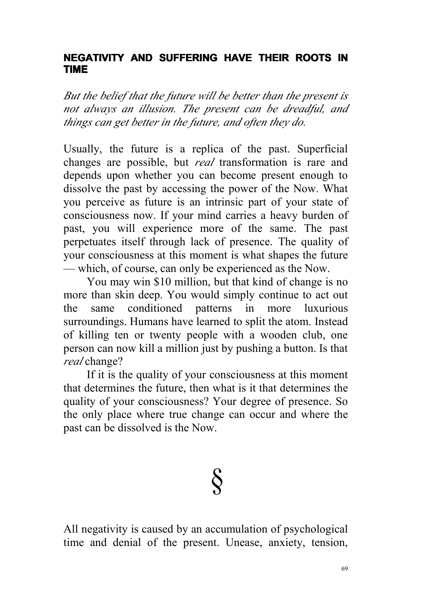#### **NEGATIVITY AND SUFFERING SUFFERING HAVE THEIR ROOTS IN TIME**

*But the belief that the future will be better than the present is not always an illusion. The present can be dreadful, and things can get better inthe future, and often they do.*

Usually, the future is <sup>a</sup> replica of the past. Superficial changes are possible, but *real* transformation is rare and depends upon whether you can become presen<sup>t</sup> enough to dissolve the pas<sup>t</sup> by accessing the power of the Now. What you perceive as future is an intrinsic par<sup>t</sup> of your state of consciousness now. If your mind carries <sup>a</sup> heavy burden of past, you will experience more of the same. The pas<sup>t</sup> perpetuates itself through lack of presence. The quality of your consciousness at this moment iswhat shapes the future — which, of course, can only be experienced as the Now.

You may win \$10 million, but that kind of change is no more than skin deep. You would simply continue to act out the same conditioned patterns in more luxurious surroundings. Humans have learned to split the atom. Instead of killing ten or twenty people with <sup>a</sup> wooden club, one person can now kill <sup>a</sup> million just by pushing <sup>a</sup> button. Is that *real* change?

If it is the quality of your consciousness at this moment that determines the future, then what is it that determines the quality of your consciousness? Your degree of presence. So the only place where true change can occur and where the pas<sup>t</sup> can be dissolved is the Now.

§

All negativity is caused by an accumulation of psychological time and denial of the present. Unease, anxiety, tension,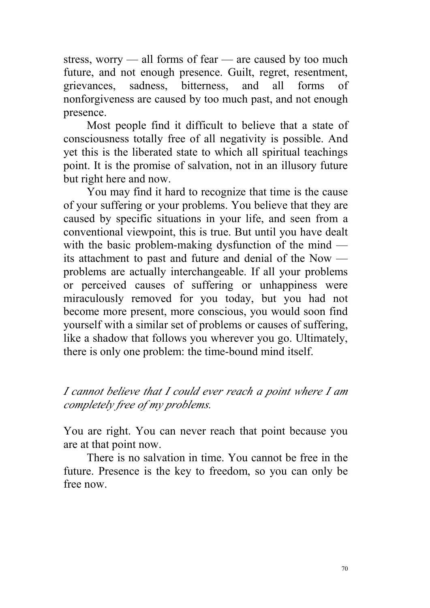stress, worry — all forms of fear — are caused by too much future, and not enough presence. Guilt, regret, resentment, grievances, sadness, bitterness, and all forms of nonforgiveness are caused by too much past, and not enough presence.

Most people find it difficult to believe that <sup>a</sup> state of consciousness totally free of all negativity is possible. And ye<sup>t</sup> this is the liberated state to which all spiritual teachings point. It is the promise of salvation, not in an illusory future but right here and now.

You may find it hard to recognize that time is the cause of your suffering or your problems. You believe that they are caused by specific situations in your life, and seen from <sup>a</sup> conventional viewpoint, this is true. But until you have dealt with the basic problem-making dysfunction of the mind its attachment to pas<sup>t</sup> and future and denial of the Now problems are actually interchangeable. If all your problems or perceived causes of suffering or unhappiness were miraculously removed for you today, but you had not become more present, more conscious, you would soon find yourself with <sup>a</sup> similar set of problems or causes of suffering, like <sup>a</sup> shadow that follows you wherever you go. Ultimately, there is only one problem: the time-bound mind itself.

#### *I cannot believe that I could ever reach <sup>a</sup> point where I am completely free of my problems.*

You are right. You can never reach that point because you are at that point now.

There is no salvation in time. You cannot be free in the future. Presence is the key to freedom, so you can only be free now.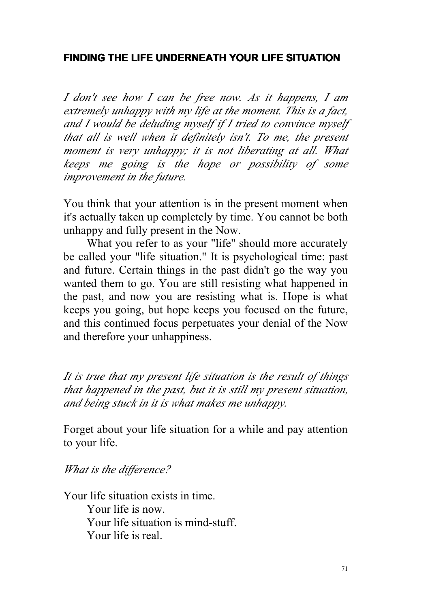#### **FINDING THE LIFE UNDERNEATH UNDERNEATHYOUR LIFE SITUATION**

*I don't see how I can be free now. As it happens, I am extremely unhappy with my life at the moment. This is <sup>a</sup> fact, and I would be deluding myself if I tried to convince myself that all is well when it definitely isn't. To me, the present moment is very unhappy; it is not liberating at all. What keeps me going is the hope or possibility of some improvement in the future.*

You think that your attention is in the presen<sup>t</sup> moment when it's actually taken up completely by time. You cannot be both unhappy and fully presen<sup>t</sup> in the Now.

What you refer to as your "life" should more accurately be called your "life situation." It is psychological time: past and future. Certain things in the pas<sup>t</sup> didn't go the way you wanted them to go. You are still resisting what happened in the past, and now you are resisting what is. Hope is what keeps you going, but hope keeps you focused on the future, and this continued focus perpetuates your denial of the Now and therefore your unhappiness.

*It istrue that my present lifesituation is the result of things that happened in the past, but it is still my present situation, and being stuck in it is what makes me unhappy.*

Forget about your life situation for <sup>a</sup> while and pay attention to your life.

*What is the difference?*

Your life situation exists in time. Your life is now. Your life situation is mind-stuff. Your life is real.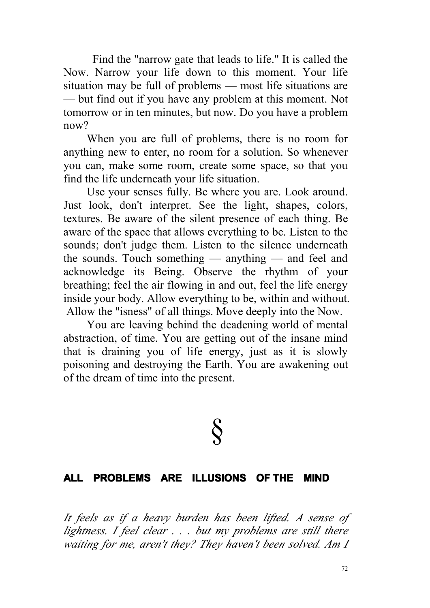Find the "narrow gate that leads to life." It is called the Now. Narrow your life down to this moment. Your life situation may be full of problems — most life situations are — but find out if you have any problem at this moment. Not tomorrow or in ten minutes, but now. Do you have <sup>a</sup> problem now?

When you are full of problems, there is no room for anything new to enter, no room for <sup>a</sup> solution. So whenever you can, make some room, create some space, so that you find the life underneath your life situation.

Use your senses fully. Be where you are. Look around. Just look, don't interpret. See the light, shapes, colors, textures. Be aware of the silent presence of each thing. Be aware of the space that allows everything to be. Listen to the sounds; don't judge them. Listen to the silence underneath the sounds. Touch something — anything — and feel and acknowledge its Being. Observe the rhythm of your breathing; feel the air flowing in and out, feel the life energy inside your body. Allow everything to be, within and without. Allow the "isness" of all things. Move deeply into the Now.

You are leaving behind the deadening world of mental abstraction, of time. You are getting out of the insane mind that is draining you of life energy, just as it is slowly poisoning and destroying the Earth. You are awakening out of the dream of time into the present.

§

#### **ALL PROBLEMS PROBLEMS PROBLEMSARE ILLUSIONS ILLUSIONS ILLUSIONSOF THE MIND**

*It feels as if <sup>a</sup> heavy burden has been lifted. A sense of lightness. I feel clear . . . but myproblems are still there waiting for me, aren't they? They haven't been solved. Am I*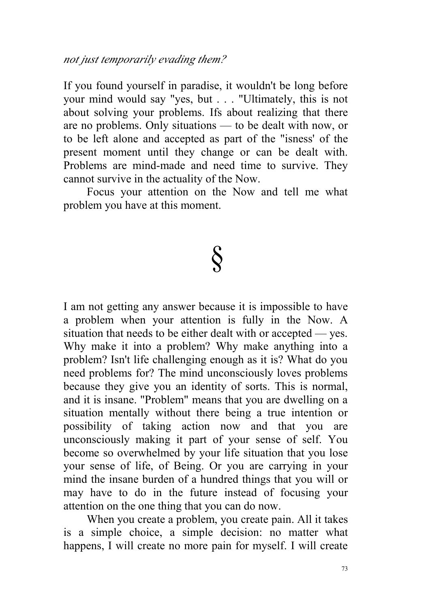*not just temporarily evading them?*

If you found yourself in paradise, it wouldn't be long before your mind would say "yes, but . . . "Ultimately, this is not about solving your problems. Ifs about realizing that there are no problems. Onlysituations — to be dealt with now, or to be left alone and accepted as par<sup>t</sup> of the "isness' of the presen<sup>t</sup> moment until they change or can be dealt with. Problems are mind-made and need time to survive. They cannot survive in the actuality of the Now.

Focus your attention on the Now and tell me what problem you have at this moment.

# §

I am not getting any answer because it is impossible to have <sup>a</sup> problem when your attention is fully in the Now. A situation that needs to be either dealt with or accepted — yes. Why make it into <sup>a</sup> problem? Why make anything into <sup>a</sup> problem? Isn't life challenging enough as it is? What do you need problems for? The mind unconsciously loves problems because they give you an identity of sorts. This is normal, and it is insane. "Problem" means that you are dwelling on <sup>a</sup> situation mentally without there being <sup>a</sup> true intention or possibility of taking action now and that you are unconsciously making it par<sup>t</sup> of your sense of self. You become so overwhelmed by your life situation that you lose your sense of life, of Being. Or you are carrying in your mind the insane burden of <sup>a</sup> hundred things that you will or may have to do in the future instead of focusing your attention on the one thing that you can do now.

When you create <sup>a</sup> problem, you create pain. All it takes is <sup>a</sup> simple choice, <sup>a</sup> simple decision: no matter what happens, I will create no more pain for myself. I will create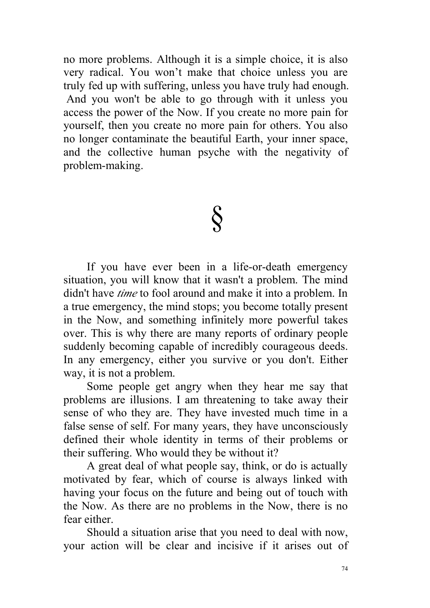no more problems. Although it is a simple choice, it is also very radical. You won't make that choice unless you are truly fed up with suffering, unless you have truly had enough. And you won't be able to go through with it unless you access the power of the Now. If you create no more pain for yourself, then you create no more pain for others. You also no longer contaminate the beautiful Earth, your inner space, and the collective human psyche with the negativity of problem-making.

## §

If you have ever been in <sup>a</sup> life-or-death emergency situation, you will know that it wasn't <sup>a</sup> problem. The mind didn't have *time* to fool around and make it into <sup>a</sup> problem. In <sup>a</sup> true emergency, the mind stops; you become totally presen<sup>t</sup> in the Now, and something infinitely more powerful takes over. This is why there are many reports of ordinary people suddenly becoming capable of incredibly courageous deeds. In any emergency, either you survive or you don't. Either way, it is not <sup>a</sup> problem.

Some people ge<sup>t</sup> angry when they hear me say that problems are illusions. I am threatening to take away their sense of who they are. They have invested much time in <sup>a</sup> false sense of self. For many years, they have unconsciously defined their whole identity in terms of their problems or their suffering. Who would they be without it?

A grea<sup>t</sup> deal of what people say, think, or do is actually motivated by fear, which of course is always linked with having your focus on the future and being out of touch with the Now. As there are no problems in the Now, there is no fear either.

Should a situation arise that you need to deal with now, your action will be clear and incisive if it arises out of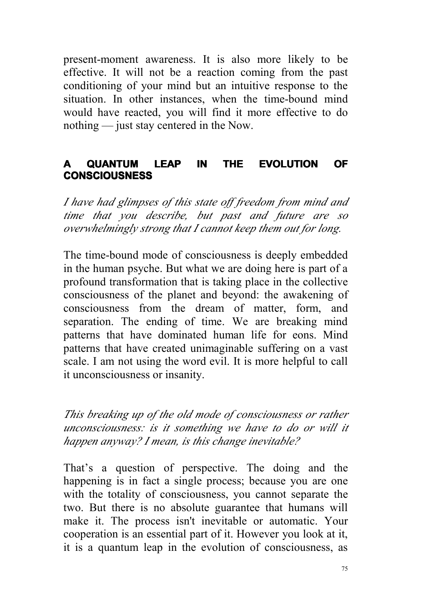present-moment awareness. It is also more likely to be effective. It will not be <sup>a</sup> reaction coming from the pas<sup>t</sup> conditioning of your mind but an intuitive response to the situation. In other instances, when the time-bound mind would have reacted, you will find it more effective to do nothing — just stay centered in the Now.

#### **A QUANTUM LEAP IN THE EVOLUTION OF CONSCIOUSNESS CONSCIOUSNESSCONSCIOUSNESSCONSCIOUSNESS**

*I have had glimpses of this state off freedom from mind and time that you describe, but past and future are so overwhelmingly strong that I cannot keepthem out for long.*

The time-bound mode of consciousness is deeply embedded in the human psyche. But what we are doing here is par<sup>t</sup> of <sup>a</sup> profound transformation that is taking place in the collective consciousness of the planet and beyond: the awakening of consciousness from the dream of matter, form, and separation. The ending of time. We are breaking mind patterns that have dominated human life for eons. Mind patterns that have created unimaginable suffering on <sup>a</sup> vast scale. I am not using the word evil. It is more helpful to call it unconsciousness or insanity.

*This breaking up of theold mode of consciousness or rather unconsciousness: is it something we have to do or will it happen anyway? I mean, is this change inevitable?*

That's <sup>a</sup> question of perspective. The doing and the happening is in fact <sup>a</sup> single process; because you are one with the totality of consciousness, you cannot separate the two. But there is no absolute guarantee that humans will make it. The process isn't inevitable or automatic. Your cooperation is an essential par<sup>t</sup> of it. However you look at it, it is <sup>a</sup> quantum leap in the evolution of consciousness, as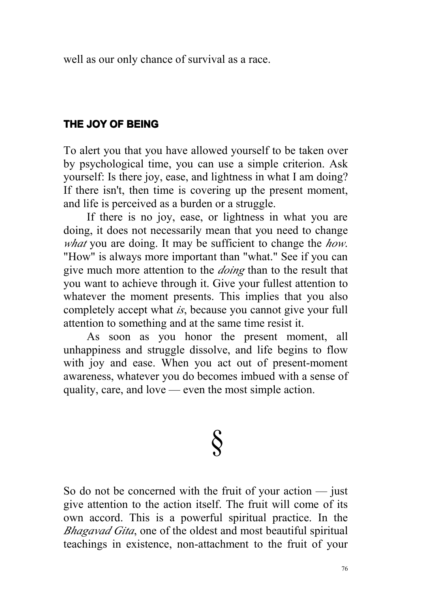well as our only chance of survival as a race.

#### **THE JOY OF BEING**

To alert you that you have allowed yourself to be taken over by psychological time, you can use <sup>a</sup> simple criterion. Ask yourself: Is there joy, ease, and lightness in what I am doing? If there isn't, then time is covering up the presen<sup>t</sup> moment, and life is perceived as <sup>a</sup> burden or <sup>a</sup> struggle.

If there is no joy, ease, or lightness in what you are doing, it does not necessarily mean that you need to change *what* you are doing. It maybe sufficient to change the *how*. "How" is always more important than "what." See if you can give much more attention to the *doing* than to the result that you want to achieve through it. Give your fullest attention to whatever the moment presents. This implies that you also completely accep<sup>t</sup> what *is*, because you cannot give your full attention to something and at the same time resist it.

As soon as you honor the presen<sup>t</sup> moment, all unhappiness and struggle dissolve, and life begins to flow with joy and ease. When you act out of present-moment awareness, whatever you do becomes imbued with <sup>a</sup> sense of quality, care, and love — even the most simple action.

# §

So do not be concerned with the fruit of your action  $-$  just give attention to the action itself. The fruit will come of its own accord. This is <sup>a</sup> powerful spiritual practice. In the *Bhagavad Gita*, one of the oldest and most beautiful spiritual teachings in existence, non-attachment to the fruit of your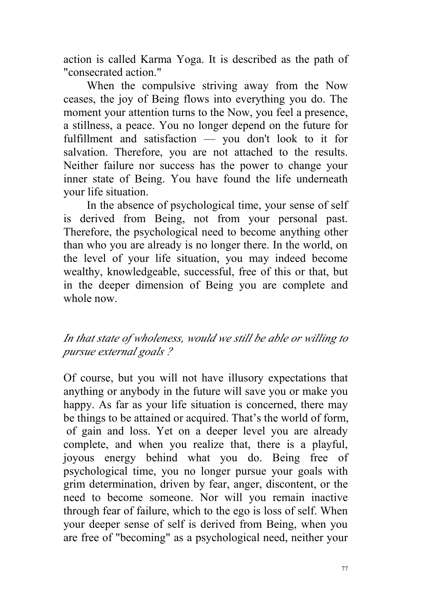action is called Karma Yoga. It is described as the path of "consecrated action."

When the compulsive striving away from the Now ceases, the joy of Being flows into everything you do. The moment your attention turns to the Now, you feel <sup>a</sup> presence, <sup>a</sup> stillness, <sup>a</sup> peace. You no longer depend on the future for fulfillment and satisfaction — you don't look to it for salvation. Therefore, you are not attached to the results. Neither failure nor success has the power to change your inner state of Being. You have found the life underneath your life situation.

In the absence of psychological time, your sense of self is derived from Being, not from your personal past. Therefore, the psychological need to become anything other than who you are already is no longer there. In the world, on the level of your life situation, you may indeed become wealthy, knowledgeable, successful, free of this or that, but in the deeper dimension of Being you are complete and whole now.

#### *In that state of wholeness, would we still be able or willing to pursue external goals ?*

Of course, but you will not have illusory expectations that anything or anybody in the future will save you or make you happy. As far as your life situation is concerned, there may be things to be attained or acquired. That's the world of form, of gain and loss. Yet on <sup>a</sup> deeper level you are already complete, and when you realize that, there is <sup>a</sup> playful, joyous energy behind what you do. Being free of psychological time, you no longer pursue your goals with grim determination, driven by fear, anger, discontent, or the need to become someone. Nor will youremain inactive through fear of failure, which to the ego is loss of self. When your deeper sense of self is derived from Being, when you are free of "becoming" as <sup>a</sup> psychological need, neither your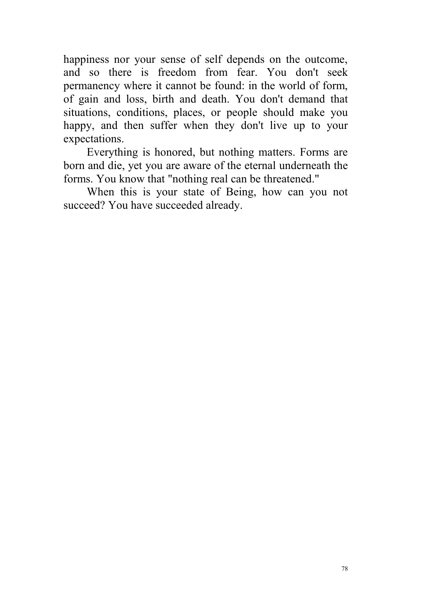happiness nor your sense of self depends on the outcome, and so there is freedom from fear. You don't seek permanency where it cannot be found: in the world of form, of gain and loss, birth and death. You don't demand that situations, conditions, places, or people should make you happy, and then suffer when they don't live up to your expectations.

Everything is honored, but nothing matters. Forms are born and die, ye<sup>t</sup> you are aware of the eternal underneath the forms. You know that "nothing real can be threatened."

When this is your state of Being, how can you not succeed? You have succeeded already.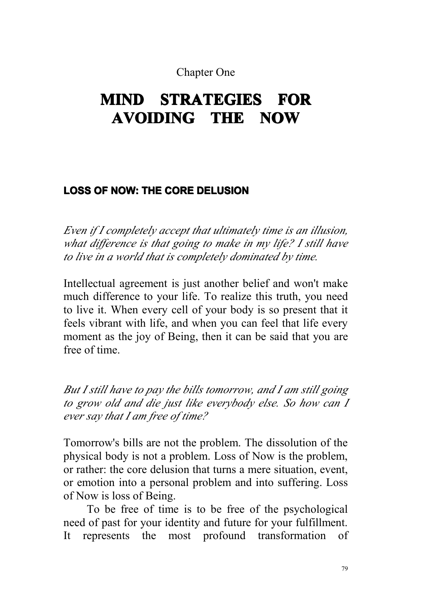#### Chapter One

### **MIND STRATEGIES STRATEGIES STRATEGIES STRATEGIES FOR AVOIDING VOIDING VOIDING VOIDING THE NOW**

#### **LOSS OF NOW: THE CORE DELUSION**

*Even if I completely accept that ultimately time is an illusion, what difference is that going to make in my life? I still have to live in <sup>a</sup> world that is completely dominated by time.*

Intellectual agreement is just another belief and won't make much difference to your life. To realize this truth, you need to live it. When every cell of your body is so presen<sup>t</sup> that it feels vibrant with life, and when you can feel that life every moment as the joy of Being, then it can be said that you are free of time.

*But I still have to pay the bills tomorrow, and I am still going to grow old and die just like everybody else. So how can I ever say that I am free of time?*

Tomorrow's bills are not the problem. The dissolution of the physical body is not <sup>a</sup> problem. Loss of Now is the problem, or rather: the core delusion that turns <sup>a</sup> mere situation, event, or emotion into <sup>a</sup> personal problem and into suffering. Loss of Now is loss of Being.

To be free of time is to be free of the psychological need of pas<sup>t</sup> for your identity and future for your fulfillment. It represents the most profound transformation of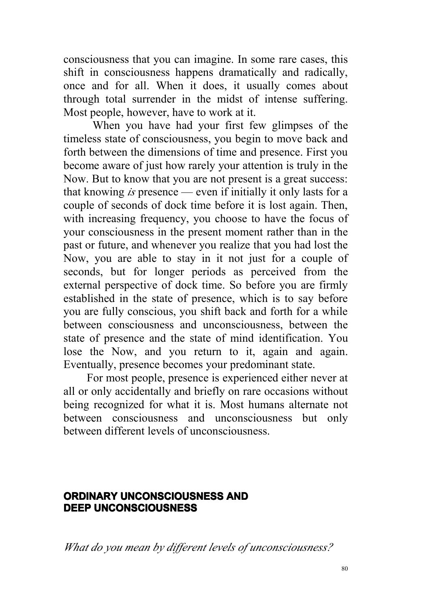consciousness that you can imagine. In some rare cases, this shift in consciousness happens dramatically and radically, once and for all. When it does, it usually comes about through total surrender in the midst of intense suffering. Most people, however, have to work at it.

When you have had your first few glimpses of the timeless state of consciousness, you begin to move back and forth between the dimensions of time and presence. First you become aware of just how rarely your attention is truly in the Now. But to know that you are not presen<sup>t</sup> is <sup>a</sup> grea<sup>t</sup> success: that knowing *is* presence — even if initially it onlylasts for <sup>a</sup> couple of seconds of dock time before it is lost again. Then, with increasing frequency, you choose to have the focus of your consciousness in the presen<sup>t</sup> moment rather than in the pas<sup>t</sup> or future, and whenever you realize that you had lost the Now, you are able to stay in it not just for <sup>a</sup> couple of seconds, but for longer periods as perceived from the external perspective of dock time. So before you are firmly established in the state of presence, which is to say before you are fully conscious, you shift back and forth for <sup>a</sup> while between consciousness and unconsciousness, between the state of presence and the state of mind identification. You lose the Now, and you return to it, again and again. Eventually, presence becomes your predominant state.

For most people, presence is experienced either never at all or only accidentally and briefly on rare occasions without being recognized for what it is. Most humans alternate not between consciousness and unconsciousness but only between different levels of unconsciousness.

#### **ORDINARY UNCONSCIOUSNESS AND DEEP UNCONSCIOUSNESS**

*What do you mean by different levels of unconsciousness?*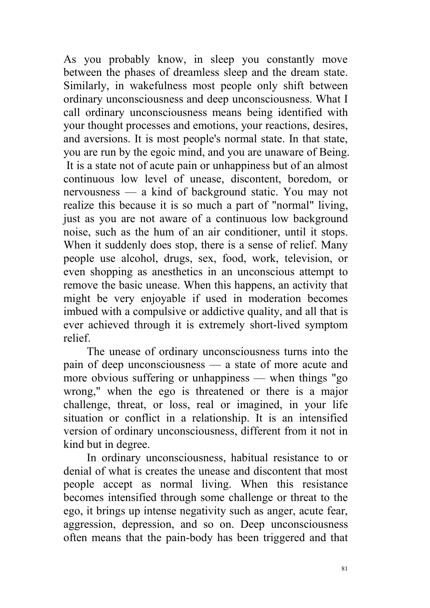As you probably know, in sleep you constantly move between the phases of dreamless sleep and the dream state. Similarly, in wakefulness most people only shift between ordinary unconsciousness and deep unconsciousness. What I call ordinary unconsciousness means being identified with your thought processes and emotions, your reactions, desires, and aversions. It is most people's normal state. In that state, you are run by the egoic mind, and you are unaware of Being. It is <sup>a</sup> state not of acute pain or unhappiness but of an almost continuous low level of unease, discontent, boredom, or nervousness — <sup>a</sup> kind of background static. You may not realize this because it is so much a part of "normal" living, just as you are not aware of <sup>a</sup> continuous low background noise, such as the hum of an air conditioner, until it stops. When it suddenly does stop, there is <sup>a</sup> sense of relief. Many people use alcohol, drugs, sex, food, work, television, or even shopping as anesthetics in an unconscious attempt to remove the basic unease. When this happens, an activity that might be very enjoyable if used in moderation becomes imbued with <sup>a</sup> compulsive or addictive quality, and all that is ever achieved through it is extremely short-lived symptom relief.

The unease of ordinary unconsciousness turns into the pain of deep unconsciousness — <sup>a</sup> state of more acute and more obvious suffering or unhappiness — when things "go wrong," when the ego is threatened or there is <sup>a</sup> major challenge, threat, or loss, real or imagined, in your life situation or conflict in <sup>a</sup> relationship. It is an intensified version of ordinary unconsciousness, different from it not in kind but in degree.

In ordinary unconsciousness, habitual resistance to or denial of what is creates the unease and discontent that most people accep<sup>t</sup> as normal living. When this resistance becomes intensified through some challenge or threat to the ego, it brings up intense negativity such as anger, acute fear, aggression, depression, and so on. Deep unconsciousness often means that the pain-body has been triggered and that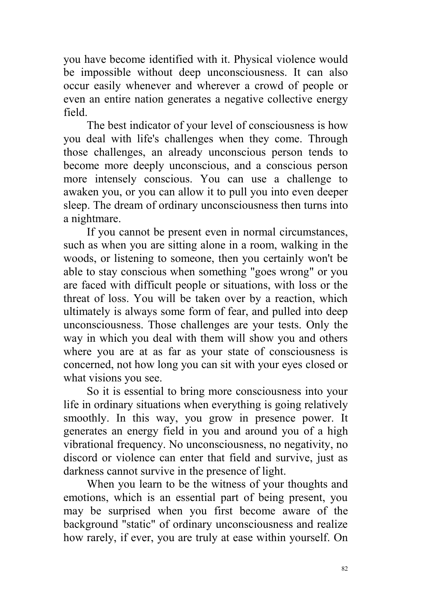you have become identified with it. Physical violence would be impossible without deep unconsciousness. It can also occur easily whenever and wherever <sup>a</sup> crowd of people or even an entire nation generates <sup>a</sup> negative collective energy field.

The best indicator of your level of consciousness is how you deal with life's challenges when they come. Through those challenges, an already unconscious person tends to become more deeply unconscious, and <sup>a</sup> conscious person more intensely conscious. You can use a challenge to awaken you, or you can allow it to pull you into even deeper sleep. The dream of ordinary unconsciousness then turns into <sup>a</sup> nightmare.

If you cannot be presen<sup>t</sup> even in normal circumstances, such as when you are sitting alone in <sup>a</sup> room, walking in the woods, or listening to someone, then you certainly won't be able to stay conscious when something "goes wrong" or you are faced with difficult people or situations, with loss or the threat of loss. You will be taken over by <sup>a</sup> reaction, which ultimately is always some form of fear, and pulled into deep unconsciousness. Those challenges are your tests. Only the way in which you deal with them will show you and others where you are at as far as your state of consciousness is concerned, not how long you can sit with your eyes closed or what visions you see.

So it is essential to bring more consciousness into your life in ordinary situations when everything is going relatively smoothly. In this way, you grow in presence power. It generates an energy field in you and around you of <sup>a</sup> high vibrational frequency. No unconsciousness, no negativity, no discord or violence can enter that field and survive, just as darkness cannot survive in the presence of light.

When you learn to be the witness of your thoughts and emotions, which is an essential par<sup>t</sup> of being present, you may be surprised when you first become aware of the background "static" of ordinary unconsciousness and realize how rarely, if ever, you are truly at ease within yourself. On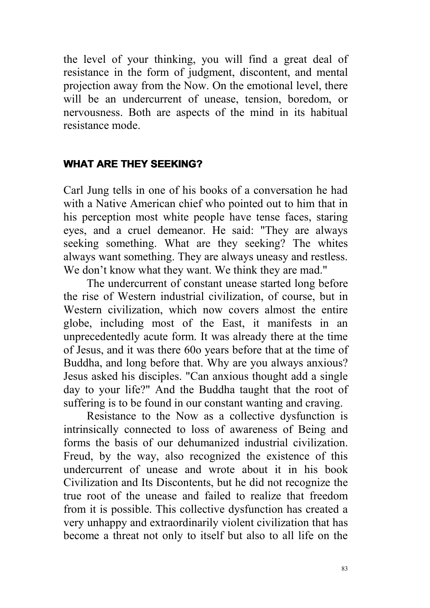the level of your thinking, you will find <sup>a</sup> grea<sup>t</sup> deal of resistance in the form of judgment, discontent, and mental projection away from the Now. On the emotional level, there will be an undercurrent of unease, tension, boredom, or nervousness. Both are aspects of the mind in its habitual resistance mode.

#### **WHAT ARE THEY SEEKING? SEEKING?**

Carl Jung tells in one of his books of <sup>a</sup> conversation he had with <sup>a</sup> Native American chief who pointed out to him that in his perception most white people have tense faces, staring eyes, and <sup>a</sup> cruel demeanor. He said: "They are always seeking something. What are they seeking? The whites always want something. They are always uneasy and restless. We don't know what they want. We think they are mad."

The undercurrent of constant unease started long before the rise of Western industrial civilization, of course, but in Western civilization, which now covers almost the entire globe, including most of the East, it manifests in an unprecedentedly acute form. It was already there at the time of Jesus, and it was there 60o years before that at the time of Buddha, and long before that. Why are you always anxious? Jesus asked his disciples. "Can anxious thought add a single day to your life?" And the Buddha taught that the root of suffering is to be found in our constant wanting and craving.

Resistance to the Now as <sup>a</sup> collective dysfunction is intrinsically connected to loss of awareness of Being and forms the basis of our dehumanized industrial civilization. Freud, by the way, also recognized the existence of this undercurrent of unease and wrote about it in his book Civilization and Its Discontents, but he did not recognize the true root of the unease and failed to realize that freedom from it is possible. This collective dysfunction has created <sup>a</sup> very unhappy and extraordinarily violent civilization that has become <sup>a</sup> threat not only to itself but also to all life on the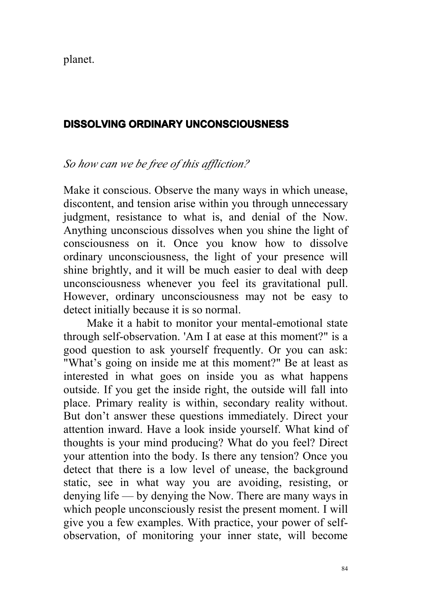planet.

#### **DISSOLVING ORDINARY UNCONSCIOUSNESS**

#### *So how can we be free of this affliction?*

Make it conscious. Observe the many ways in which unease, discontent, and tension arise within you through unnecessary judgment, resistance to what is, and denial of the Now. Anything unconscious dissolves when you shine the light of consciousness on it. Once you know how to dissolve ordinary unconsciousness, the light of your presence will shine brightly, and it will be much easier to deal with deep unconsciousness whenever you feel its gravitational pull. However, ordinary unconsciousness may not be easy to detect initially because it is so normal.

Make it <sup>a</sup> habit to monitor your mental-emotional state through self-observation. 'Am I at ease at this moment?" is <sup>a</sup> good question to ask yourself frequently. Or you can ask: "What's going on inside me at this moment?" Be at least as interested in what goes on inside you as what happens outside. If you get the inside right, the outside will fall into place. Primary reality is within, secondary reality without. But don't answer these questions immediately. Direct your attention inward. Have <sup>a</sup> look inside yourself. What kind of thoughts is your mind producing? What do you feel? Direct your attention into the body. Is there any tension? Once you detect that there is <sup>a</sup> low level of unease, the background static, see in what way you are avoiding, resisting, or denying life — by denying the Now. There are many ways in which people unconsciously resist the presen<sup>t</sup> moment. I will give you a few examples. With practice, your power of selfobservation, of monitoring your inner state, will become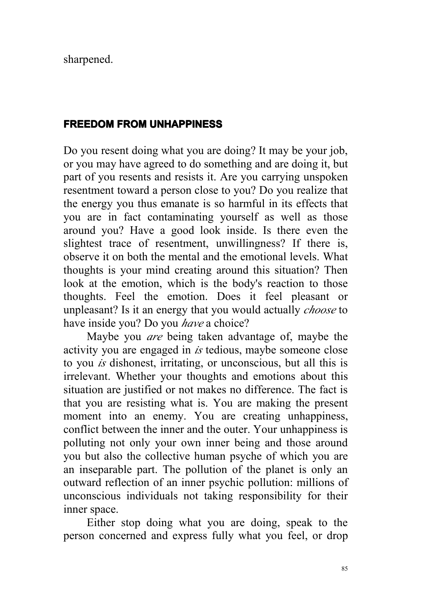sharpened.

#### **FREEDOM FROM UNHAPPINESS**

Do you resent doing what you are doing? It may be your job, or you may have agreed to do something and are doing it, but part of you resents and resists it. Are you carrying unspoken resentment toward <sup>a</sup> person close to you? Do you realize that the energy you thus emanate is so harmful in its effects that you are in fact contaminating yourself as well as those around you? Have <sup>a</sup> good look inside. Is there even the slightest trace of resentment, unwillingness? If there is, observe it on both the mental and the emotional levels. What thoughts is your mind creating around this situation? Then look at the emotion, which is the body's reaction to those thoughts. Feel the emotion. Does it feel pleasant or unpleasant? Is it an energy that you would actually *choose* to have inside you? Do you *have* <sup>a</sup> choice?

Maybe you *are* being taken advantage of, maybe the activity you are engaged in *is* tedious, maybe someone close to you *is* dishonest, irritating, or unconscious, but all this is irrelevant. Whether your thoughts and emotions about this situation are justified or not makes no difference. The fact is that you are resisting what is. You are making the presen<sup>t</sup> moment into an enemy. You are creating unhappiness, conflict between the inner and the outer. Your unhappiness is polluting not only your own inner being and those around you but also the collective human psyche of which you are an inseparable part. The pollution of the planet is only an outward reflection of an inner psychic pollution: millions of unconscious individuals not taking responsibility for their inner space.

Either stop doing what you are doing, speak to the person concerned and express fully what you feel, or drop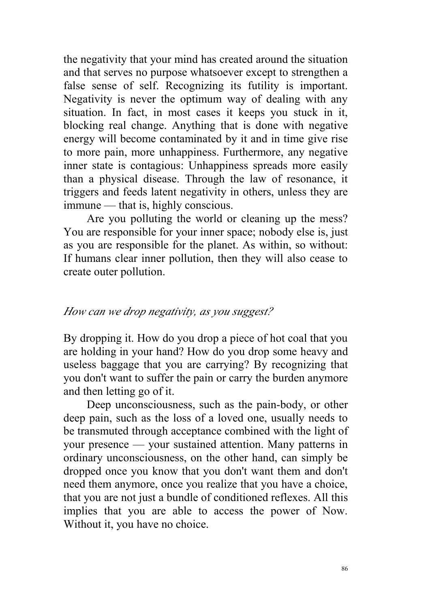the negativity that your mind has created around the situation and that serves no purpose whatsoever excep<sup>t</sup> to strengthen <sup>a</sup> false sense of self. Recognizing its futility is important. Negativity is never the optimum way of dealing with any situation. In fact, in most cases it keeps you stuck in it, blocking real change. Anything that is done with negative energy will become contaminated by it and in time give rise to more pain, more unhappiness. Furthermore, any negative inner state is contagious: Unhappiness spreads more easily than <sup>a</sup> physical disease. Through the law of resonance, it triggers and feeds latent negativity in others, unless they are immune — that is, highly conscious.

Are you polluting the world or cleaning up the mess? You are responsible for your inner space; nobody else is, just as you are responsible for the planet. As within, so without: If humans clear inner pollution, then they will also cease to create outer pollution.

#### *How can we drop negativity, as you suggest?*

By dropping it. How do you drop <sup>a</sup> piece of hot coal that you are holding in your hand? How do you drop some heavy and useless baggage that you are carrying? By recognizing that you don't want to suffer the pain or carry the burden anymore and then letting go of it.

Deep unconsciousness, such as the pain-body, or other deep pain, such as the loss of <sup>a</sup> loved one, usually needs to be transmuted through acceptance combined with the light of your presence — your sustained attention. Many patterns in ordinary unconsciousness, on the other hand, can simply be dropped once you know that you don't want them and don't need them anymore, once you realize that you have <sup>a</sup> choice, that you are not just <sup>a</sup> bundle of conditioned reflexes. All this implies that you are able to access the power of Now. Without it, you have no choice.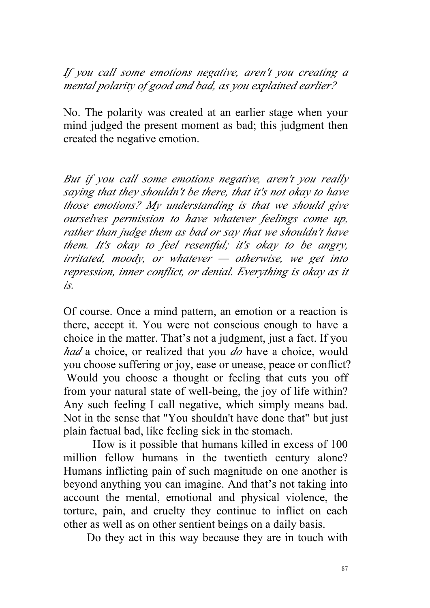*If you call some emotions negative, aren't you creating <sup>a</sup> mental polarity of good and bad, as you explained earlier?*

No. The polarity was created at an earlier stage when your mind judged the presen<sup>t</sup> moment as bad; this judgment then created the negative emotion.

*But if you call some emotions negative, aren't you really saying that they shouldn't be there, that it's not okay to have those emotions? My understanding is that we should give ourselves permission to have whatever feelings come up, rather than judge them as bad or say that we shouldn't have them. It's okay to feel resentful; it's okay to be angry, irritated, moody, or whatever — otherwise, we get into repression, inner conflict, or denial. Everything is okay as it is.*

Of course. Once <sup>a</sup> mind pattern, an emotion or <sup>a</sup> reaction is there, accep<sup>t</sup> it. You were not conscious enough to have <sup>a</sup> choice in the matter. That's not <sup>a</sup> judgment, just <sup>a</sup> fact. If you *had* <sup>a</sup> choice, or realized that you *do* have <sup>a</sup> choice, would you choose suffering or joy, ease or unease, peace or conflict? Would you choose <sup>a</sup> thought or feeling that cuts you off from your natural state of well-being, the joy of life within? Any such feeling I call negative, which simply means bad. Not in the sense that "You shouldn't have done that" but just plain factual bad, like feeling sick in the stomach.

How is it possible that humans killed in excess of 100 million fellow humans in the twentieth century alone? Humans inflicting pain of such magnitude on one another is beyond anything you can imagine. And that's not taking into account the mental, emotional and physical violence, the torture, pain, and cruelty they continue to inflict on each other as well as on other sentient beings on <sup>a</sup> daily basis.

Do they act in this way because they are in touch with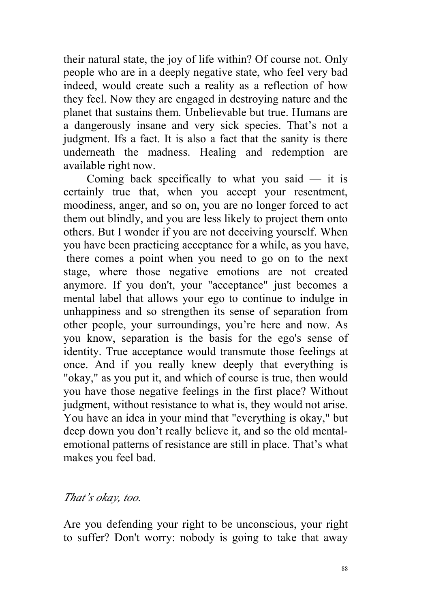their natural state, the joy of life within? Of course not. Only people who are in <sup>a</sup> deeply negative state, who feel verybad indeed, would create such <sup>a</sup> reality as <sup>a</sup> reflection of how they feel. Now they are engaged in destroying nature and the planet that sustains them. Unbelievable but true. Humans are <sup>a</sup> dangerously insane and very sick species. That's not <sup>a</sup> judgment. Ifs a fact. It is also a fact that the sanity is there underneath the madness. Healing and redemption are available right now.

Coming back specifically to what you said  $-$  it is certainly true that, when you accep<sup>t</sup> your resentment, moodiness, anger, and so on, you are no longer forced to act them out blindly, and you are less likely to project them onto others. But I wonder if you are not deceiving yourself. When you have been practicing acceptance for <sup>a</sup> while, as you have, there comes <sup>a</sup> point when you need to go on to the next stage, where those negative emotions are not created anymore. If you don't, your "acceptance" just becomes <sup>a</sup> mental label that allows your ego to continue to indulge in unhappiness and so strengthen its sense of separation from other people, your surroundings, you're here and now. As you know, separation is the basis for the ego's sense of identity. True acceptance would transmute those feelings at once. And if you really knew deeply that everything is "okay," as you pu<sup>t</sup> it, and which of course is true, then would you have those negative feelings in the first place? Without judgment, without resistance to what is, they would not arise. You have an idea in your mind that "everything is okay," but deep down you don't really believe it, and so the old mentalemotional patterns of resistance are still in place. That's what makes you feel bad.

#### *That's okay, too.*

Are you defending your right to be unconscious, your right to suffer? Don't worry: nobody is going to take that away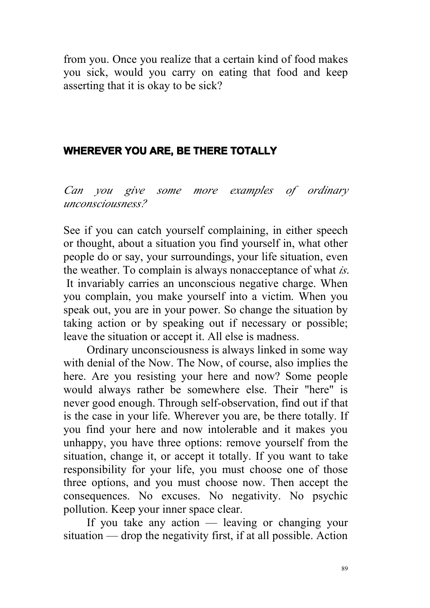from you. Once you realize that <sup>a</sup> certain kind of food makes you sick, would you carry on eating that food and keep asserting that it is okay to be sick?

#### **WHEREVER YOU ARE, BE THERE TOTALLY**

*Can you give some more examples of ordinary unconsciousness?*

See if you can catch yourself complaining, in either speech or thought, about <sup>a</sup> situation you find yourself in, what other people do or say, your surroundings, your life situation, even the weather. To complain is always nonacceptance of what *is*. It invariably carries an unconscious negative charge. When you complain, you make yourself into <sup>a</sup> victim. When you speak out, you are in your power. So change the situation by taking action or by speaking out if necessary or possible; leave the situation or accep<sup>t</sup> it. All else is madness.

Ordinary unconsciousness is always linked in some way with denial of the Now. The Now, of course, also implies the here. Are you resisting your here and now? Some people would always rather be somewhere else. Their "here" is never good enough. Through self-observation, find out if that is the case in your life. Wherever you are, be there totally. If you find your here and now intolerable and it makes you unhappy, you have three options: remove yourself from the situation, change it, or accep<sup>t</sup> it totally. If you want to take responsibility for your life, you must choose one of those three options, and you must choose now. Then accep<sup>t</sup> the consequences. No excuses. No negativity. No psychic pollution. Keepyour inner space clear.

If you take any action — leaving or changing your situation — drop the negativity first, if at all possible. Action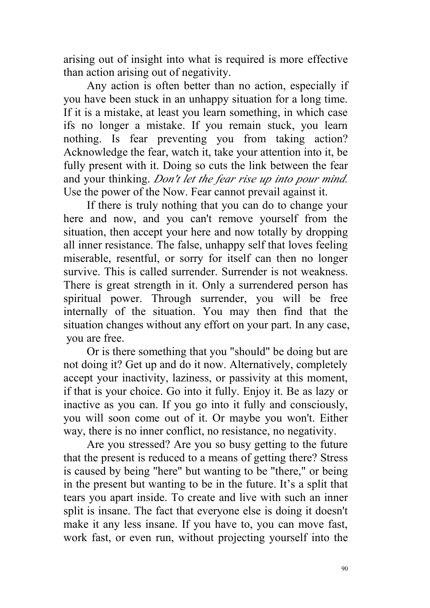arising out of insight into what is required is more effective than action arising out of negativity.

Any action is often better than no action, especially if you have been stuck in an unhappy situation for <sup>a</sup> long time. If it is <sup>a</sup> mistake, at least you learn something, in which case ifs no longer <sup>a</sup> mistake. If you remain stuck, you learn nothing. Is fear preventing you from taking action? Acknowledge the fear, watch it, take your attention into it, be fully present with it. Doing so cuts the link between the fear and your thinking. *Don't let thefear rise up into pour mind.* Use the power of the Now. Fear cannot prevail against it.

If there is truly nothing that you can do to change your here and now, and you can't remove yourself from the situation, then accep<sup>t</sup> your here and now totally by dropping all inner resistance. The false, unhappy self that loves feeling miserable, resentful, or sorry for itself can then no longer survive. This is called surrender. Surrender is not weakness. There is great strength in it. Only a surrendered person has spiritual power. Through surrender, you will be free internally of the situation. Youmay then find that the situation changes without any effort on your part. In any case, you are free.

Or is there something that you "should" be doing but are not doing it? Get up and do it now. Alternatively, completely accep<sup>t</sup> your inactivity, laziness, or passivity at this moment, if that is your choice. Go into it fully. Enjoy it. Be as lazy or inactive as you can. If you go into it fully and consciously, you will soon come out of it. Or maybe you won't. Either way, there is no inner conflict, no resistance, no negativity.

Are you stressed? Are you so busy getting to the future that the presen<sup>t</sup> is reduced to <sup>a</sup> means of getting there? Stress is caused by being "here" but wanting to be "there," or being in the presen<sup>t</sup> but wanting to be in the future. It's <sup>a</sup> split that tears you apar<sup>t</sup> inside. To create and live with such an inner split is insane. The fact that everyone else is doing it doesn't make it any less insane. If you have to, you can move fast, work fast, or even run, without projecting yourself into the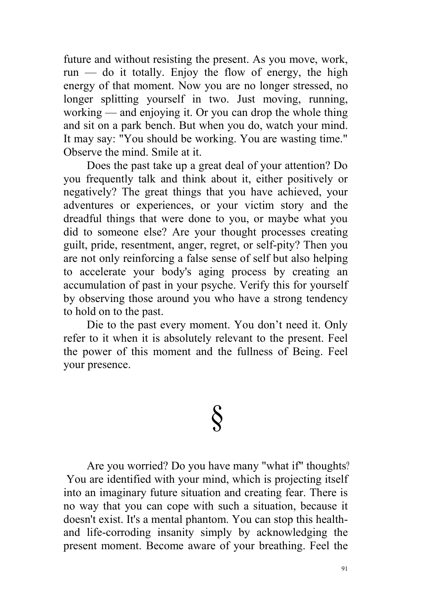future and without resisting the present. As you move, work, run — do it totally. Enjoy the flow of energy, the high energy of that moment. Now you are no longer stressed, no longer splitting yourself in two. Just moving, running, working — and enjoying it. Or you can drop the whole thing and sit on <sup>a</sup> park bench. But when you do, watch your mind. It maysay: "You should be working. You are wasting time." Observe the mind. Smile at it.

Does the pas<sup>t</sup> take up <sup>a</sup> grea<sup>t</sup> deal of your attention? Do you frequently talk and think about it, either positively or negatively? The grea<sup>t</sup> things that you have achieved, your adventures or experiences, or your victim story and the dreadful things that were done to you, or maybe what you did to someone else? Are your thought processes creating guilt, pride, resentment, anger, regret, or self-pity? Then you are not only reinforcing a false sense of self but also helping to accelerate your body's aging process by creating an accumulation of pas<sup>t</sup> in your psyche. Verify this for yourself by observing those around you who have <sup>a</sup> strong tendency to hold on to the past.

Die to the pas<sup>t</sup> every moment. You don't need it. Only refer to it when it is absolutely relevant to the present. Feel the power of this moment and the fullness of Being. Feel your presence.

### §

Are you worried? Do you have many "what if" thoughts? You are identified with your mind, which is projecting itself into an imaginary future situation and creating fear. There is no way that you can cope with such <sup>a</sup> situation, because it doesn't exist. It's <sup>a</sup> mental phantom. You can stop this healthand life-corroding insanity simply by acknowledging the presen<sup>t</sup> moment. Become aware of your breathing. Feel the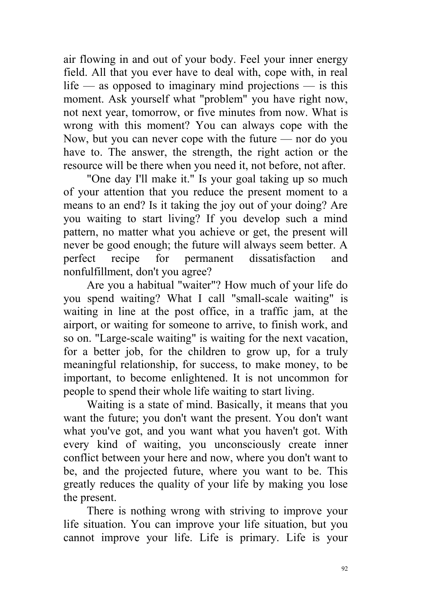air flowing in and out of your body. Feel your inner energy field. All that you ever have to deal with, cope with, in real life — as opposed to imaginary mind projections — is this moment. Ask yourself what "problem" you have right now, not next year, tomorrow, or five minutes from now. What is wrong with this moment? You can always cope with the Now, but you can never cope with the future — nor do you have to. The answer, the strength, the right action or the resource will be there when you need it, not before, not after.

"One day I'll make it." Is your goal taking up so much of your attention that you reduce the presen<sup>t</sup> moment to <sup>a</sup> means to an end? Is it taking the joy out of your doing? Are you waiting to start living? If you develop such <sup>a</sup> mind pattern, no matter what you achieve or get, the presen<sup>t</sup> will never be good enough; the future will always seem better. A perfect recipe for permanen<sup>t</sup> dissatisfaction and nonfulfillment, don't you agree?

Are you <sup>a</sup> habitual "waiter"? How much of your life do you spend waiting? What I call "small-scale waiting" is waiting in line at the pos<sup>t</sup> office, in <sup>a</sup> traffic jam, at the airport, or waiting for someone to arrive, to finish work, and so on. "Large-scale waiting" is waiting for the next vacation, for <sup>a</sup> better job, for the children to grow up, for <sup>a</sup> truly meaningful relationship, for success, to make money, to be important, to become enlightened. It is not uncommon for people to spend their whole life waiting to start living.

Waiting is <sup>a</sup> state of mind. Basically, it means that you want the future; you don't want the present. You don't want what you've got, and you want what you haven't got. With every kind of waiting, you unconsciously create inner conflict between your here and now, where you don't want to be, and the projected future, where you want to be. This greatly reduces the quality of your life by making you lose the present.

There is nothing wrong with striving to improve your life situation. You can improve your life situation, but you cannot improve your life. Life is primary. Life is your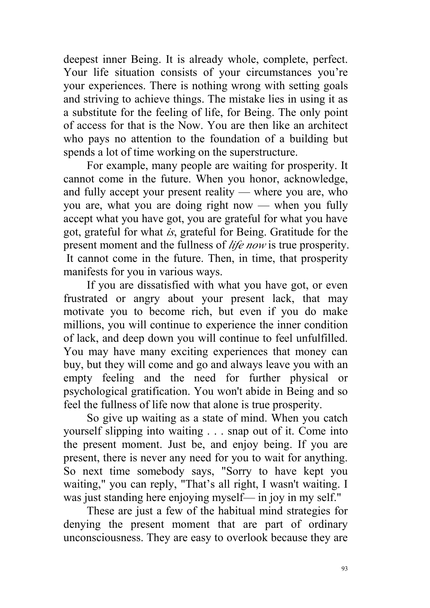deepest inner Being. It is already whole, complete, perfect. Your life situation consists of your circumstances you're your experiences. There is nothing wrong with setting goals and striving to achieve things. The mistake lies in using it as <sup>a</sup> substitute for the feeling of life, for Being. The only point of access for that is the Now. You are then like an architect who pays no attention to the foundation of <sup>a</sup> building but spends <sup>a</sup> lot of time working on the superstructure.

For example, many people are waiting for prosperity. It cannot come in the future. When you honor, acknowledge, and fully accep<sup>t</sup> your presen<sup>t</sup> reality — where you are, who you are, what you are doing right now — when you fully accep<sup>t</sup> what you have got, you are grateful for what you have got, grateful for what *is*, grateful for Being. Gratitude for the presen<sup>t</sup> moment and the fullness of *life now* is true prosperity. It cannot come in the future. Then, in time, that prosperity manifests for you in various ways.

If you are dissatisfied with what you have got, or even frustrated or angry about your presen<sup>t</sup> lack, that may motivate you to become rich, but even if you do make millions, you will continue to experience the inner condition of lack, and deep down you will continue to feel unfulfilled. You may have many exciting experiences that money can buy, but they will come and go and always leave you with an empty feeling and the need for further physical or psychological gratification. You won't abide in Being and so feel the fullness of life now that alone is true prosperity.

So give up waiting as <sup>a</sup> state of mind. When you catch yourself slipping into waiting . . . snap out of it. Come into the presen<sup>t</sup> moment. Just be, and enjoy being. If you are present, there is never any need for you to wait for anything. So next time somebody says, "Sorry to have kept you waiting," you can reply, "That's all right, I wasn't waiting. I was just standing here enjoying myself— in joy in my self."

These are just <sup>a</sup> few of the habitual mind strategies for denying the presen<sup>t</sup> moment that are par<sup>t</sup> of ordinary unconsciousness. They are easy to overlook because they are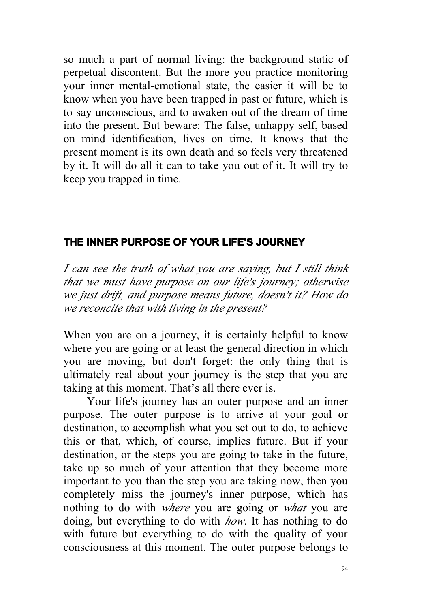so much <sup>a</sup> par<sup>t</sup> of normal living: the background static of perpetual discontent. But the more you practice monitoring your inner mental-emotional state, the easier it will be to know when you have been trapped in pas<sup>t</sup> or future, which is to say unconscious, and to awaken out of the dream of time into the present. But beware: The false, unhappy self, based on mind identification, lives on time. It knows that the presen<sup>t</sup> moment is its own death and so feels very threatened by it. It will do all it can to take you out of it. It will try to keep you trapped in time.

#### **THE INNER PURPOSE PURPOSE PURPOSE PURPOSE OF YOUR LIFE'S JOURNEY JOURNEY**

*I can see the truth of what you are saying, but I still think that we must have purpose on our life's journey; otherwise we just drift, and purpose means future, doesn't it? Howdo we reconcile that with living in the present?*

When you are on a journey, it is certainly helpful to know where you are going or at least the general direction in which you are moving, but don't forget: the only thing that is ultimately real about your journey is the step that you are taking at this moment. That's all there ever is.

Your life's journey has an outer purpose and an inner purpose. The outer purpose is to arrive at your goal or destination, to accomplish what you set out to do, to achieve this or that, which, of course, implies future. But if your destination, or the steps you are going to take in the future, take up so much of your attention that they become more important to you than the step you are taking now, then you completely miss the journey's inner purpose, which has nothing to do with *where* you are going or *what* you are doing, but everything to do with *how*. It has nothing to do with future but everything to do with the quality of your consciousness at this moment. The outer purpose belongs to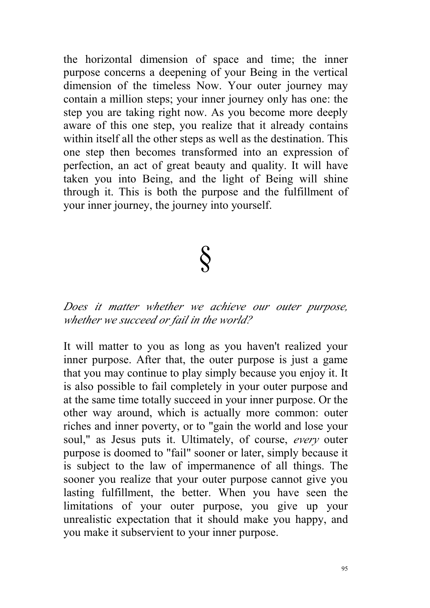the horizontal dimension of space and time; the inner purpose concerns <sup>a</sup> deepening of your Being in the vertical dimension of the timeless Now. Your outer journey may contain <sup>a</sup> million steps; your inner journey only has one: the step you are taking right now. As you become more deeply aware of this one step, you realize that it already contains within itself all the other steps as well as the destination. This one step then becomes transformed into an expression of perfection, an act of grea<sup>t</sup> beauty and quality. It will have taken you into Being, and the light of Being will shine through it. This is both the purpose and the fulfillment of your inner journey, the journey into yourself.

# §

#### *Does it matter whether we achieve our outer purpose, whether we succeed or fail in the world?*

It will matter to you as long as you haven't realized your inner purpose. After that, the outer purpose is just <sup>a</sup> game that you may continue to play simply because you enjoy it. It is also possible to fail completely in your outer purpose and at the same time totally succeed in your inner purpose. Or the other way around, which is actually more common: outer riches and inner poverty, or to "gain the world and lose your soul," as Jesus puts it. Ultimately, of course, *every* outer purpose is doomed to "fail" sooner or later, simply because it is subject to the law of impermanence of all things. The sooner you realize that your outer purpose cannot give you lasting fulfillment, the better. When you have seen the limitations of your outer purpose, you give up your unrealistic expectation that it should make you happy, and you make it subservient to your inner purpose.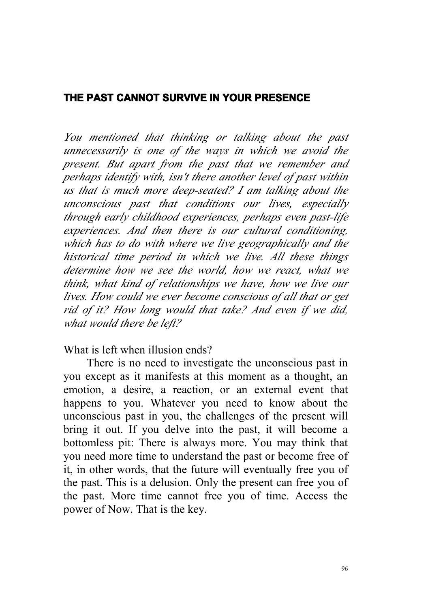#### **THE PAST CANNOT SURVIVE IN YOUR PRESENCE**

*You mentioned that thinking or talking about the past unnecessarily is one of the ways in which we avoid the present. But apart from the past that we remember and perhaps identify with, isn't there another level of past within us that is much more deep-seated? I am talking about the unconscious past that conditions our lives, especially through early childhood experiences, perhaps even past-life experiences. And then there is our cultural conditioning, which has to do with where we live geographically and the historical time period in which we live. All these things determine how we see the world, how we react, what we think, what kindof relationships we have, how we live our lives. How could we ever become conscious of all that or get rid of it? How long would that take? And even if wedid, what would there be left?*

What is left when illusion ends?

There is no need to investigate the unconscious pas<sup>t</sup> in you excep<sup>t</sup> as it manifests at this moment as <sup>a</sup> thought, an emotion, a desire, a reaction, or an external event that happens to you. Whatever you need to know about the unconscious pas<sup>t</sup> in you, the challenges of the presen<sup>t</sup> will bring it out. If you delve into the past, it will become <sup>a</sup> bottomless pit: There is always more. You may think that you need more time to understand the pas<sup>t</sup> or become free of it, in other words, that the future will eventually free you of the past. This is <sup>a</sup> delusion. Only the presen<sup>t</sup> can free you of the past. More time cannot free you of time. Access the power of Now. That is the key.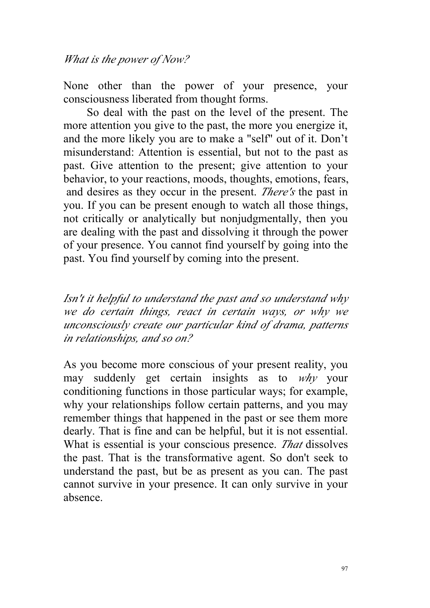*What is the power of Now?*

None other than the power of your presence, your consciousness liberated from thought forms.

So deal with the pas<sup>t</sup> on the level of the present. The more attention you give to the past, the more you energize it, and the more likely you are to make <sup>a</sup> "self" out of it. Don't misunderstand: Attention is essential, but not to the pas<sup>t</sup> as past. Give attention to the present; give attention to your behavior, to your reactions, moods, thoughts, emotions, fears, and desires as they occur in the present. *There's* the pas<sup>t</sup> in you. If you can be presen<sup>t</sup> enough to watch all those things, not critically or analytically but nonjudgmentally, then you are dealing with the pas<sup>t</sup> and dissolving it through the power of your presence. You cannot find yourself by going into the past. You find yourself by coming into the present.

*Isn't it helpful to understand the past and so understand why we do certain things, react in certain ways, or why we unconsciously create our particular kind of drama, patterns in relationships, and so on?*

As you become more conscious of your presen<sup>t</sup> reality, you may suddenly ge<sup>t</sup> certain insights as to *why* your conditioning functions inthose particular ways; for example, why your relationships follow certain patterns, and you may remember things that happened in the pas<sup>t</sup> or see them more dearly. That is fine and can be helpful, but it is not essential. What is essential is your conscious presence. *That* dissolves the past. That is the transformative agent. So don't seek to understand the past, but be as presen<sup>t</sup> as you can. The pas<sup>t</sup> cannot survive in your presence. It can only survive in your absence.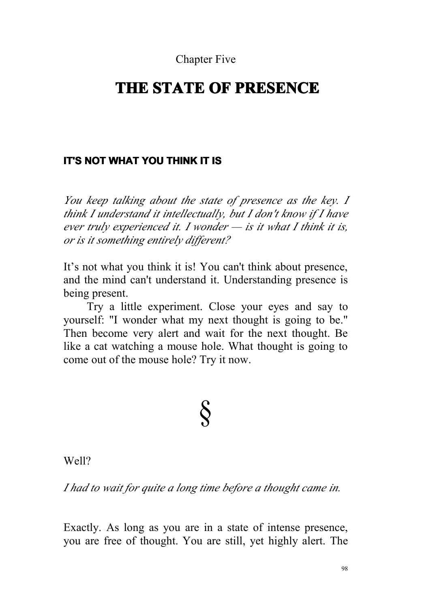#### Chapter Five

### **THE STATE OF PRESENCE**

#### **IT'S NOT WHAT YOU THINK IT IS**

*You keep talking about the state of presence as the key. I think I understand it intellectually, but I don't know if I have ever truly experienced it. I wonder — is it what I think it is, or is it something entirely different?*

It's not what you think it is! You can't think about presence, and the mind can't understand it. Understanding presence is being present.

Try <sup>a</sup> little experiment. Close your eyes and say to yourself: "I wonder what my next thought is going to be." Then become very alert and wait for the next thought. Be like <sup>a</sup> cat watching <sup>a</sup> mouse hole. What thought is going to come out of the mouse hole? Try it now.

## §

Well?

*I had to wait for quite <sup>a</sup> long time before <sup>a</sup> thought came in.*

Exactly. As long as you are in <sup>a</sup> state of intense presence, you are free of thought. You are still, ye<sup>t</sup> highly alert. The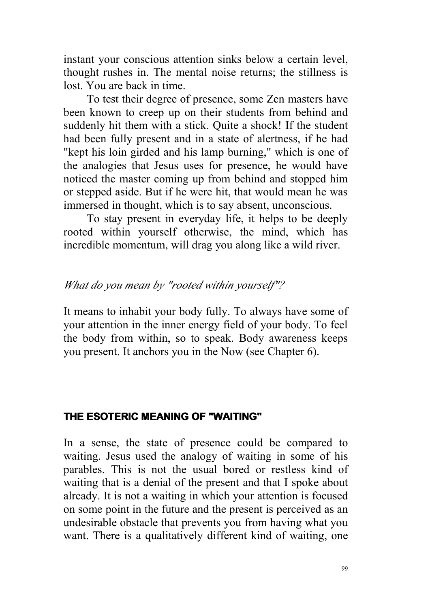instant your conscious attention sinks below <sup>a</sup> certain level, thought rushes in. The mental noise returns; the stillness is lost. You are back in time.

To test their degree of presence, some Zen masters have been known to creep up on their students from behind and suddenly hit them with <sup>a</sup> stick. Quite <sup>a</sup> shock! If the student had been fully presen<sup>t</sup> and in <sup>a</sup> state of alertness, if he had "kept his loin girded and his lamp burning," which is one of the analogies that Jesus uses for presence, he would have noticed the master coming up from behind and stopped him or stepped aside. But if he were hit, that would mean he was immersed in thought, which is to say absent, unconscious.

To stay presen<sup>t</sup> in everyday life, it helps to be deeply rooted within yourself otherwise, the mind, which has incredible momentum, will dragyou along like <sup>a</sup> wild river.

#### *What do you mean by "rooted within yourself"?*

It means to inhabit your body fully. To always have some of your attention in the inner energy field of your body. To feel the body from within, so to speak. Body awareness keeps you present. It anchors you in the Now (see Chapter 6).

#### **THE ESOTERIC MEANING OF "WAITING"**

In a sense, the state of presence could be compared to waiting. Jesus used the analogy of waiting in some of his parables. This is not the usual bored or restless kind of waiting that is <sup>a</sup> denial of the presen<sup>t</sup> and that I spoke about already. It is not <sup>a</sup> waiting in which your attention is focused on some point in the future and the presen<sup>t</sup> is perceived as an undesirable obstacle that prevents you from having what you want. There is <sup>a</sup> qualitatively different kind of waiting, one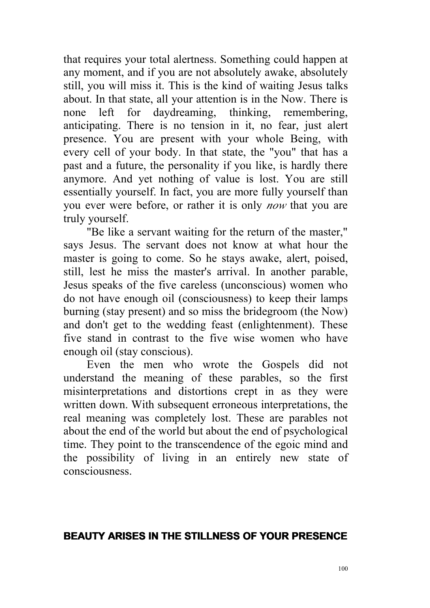that requires your total alertness. Something could happen at any moment, and if you are not absolutely awake, absolutely still, you will miss it. This is the kind of waiting Jesus talks about. In that state, all your attention is in the Now. There is none left for daydreaming, thinking, remembering, anticipating. There is no tension in it, no fear, just alert presence. You are presen<sup>t</sup> with your whole Being, with every cell of your body. In that state, the "you" that has <sup>a</sup> pas<sup>t</sup> and <sup>a</sup> future, the personality if you like, is hardly there anymore. And ye<sup>t</sup> nothing of value is lost. You are still essentially yourself. In fact, you are more fully yourself than you ever were before, or rather it is only *now* that you are truly yourself.

"Be like <sup>a</sup> servant waiting for the return of the master," says Jesus. The servant does not know at what hour the master is going to come. So he stays awake, alert, poised, still, lest he miss the master's arrival. In another parable, Jesus speaks of the five careless (unconscious) women who do not have enough oil (consciousness) to keep their lamps burning (stay present) and so miss the bridegroom (the Now) and don't ge<sup>t</sup> to the wedding feast (enlightenment). These five stand in contrast to the five wise women who have enough oil (stay conscious).

Even the men who wrote the Gospels did not understand the meaning of these parables, so the first misinterpretations and distortions crep<sup>t</sup> in as they were written down. With subsequent erroneous interpretations, the real meaning was completely lost. These are parables not about the end of the world but about the end of psychological time. They point to the transcendence of the egoic mind and the possibility of living in an entirely new state of consciousness.

#### **BEAUTY ARISES IN THE STILLNESS STILLNESS STILLNESSOF YOUR PRESENCE PRESENCE PRESENCE**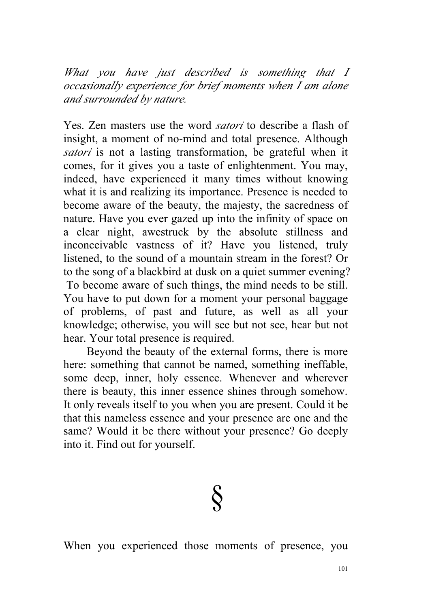*What you have just described is something that I occasionally experience for brief moments when I am alone and surrounded by nature.*

Yes. Zen masters use the word *satori* to describe <sup>a</sup> flash of insight, <sup>a</sup> moment of no-mind and total presence. Although *satori* is not <sup>a</sup> lasting transformation, be grateful when it comes, for it gives you <sup>a</sup> taste of enlightenment. You may, indeed, have experienced it many times without knowing what it is and realizing its importance. Presence is needed to become aware of the beauty, the majesty, the sacredness of nature. Have you ever gazed up into the infinity of space on <sup>a</sup> clear night, awestruck by the absolute stillness and inconceivable vastness of it? Have you listened, truly listened, to the sound of <sup>a</sup> mountain stream in the forest? Or to the song of <sup>a</sup> blackbird at dusk on <sup>a</sup> quiet summer evening? To become aware of such things, the mind needs tobe still. You have to pu<sup>t</sup> down for <sup>a</sup> moment your personal baggage of problems, of pas<sup>t</sup> and future, as well as all your knowledge; otherwise, you will see but not see, hear but not hear. Your total presence is required.

Beyond the beauty of the external forms, there is more here: something that cannot be named, something ineffable, some deep, inner, holy essence. Whenever and wherever there is beauty, this inner essence shines through somehow. It only reveals itself to you when you are present. Could it be that this nameless essence and your presence are one and the same? Would it be there without your presence? Go deeply into it. Find out for yourself.

When you experienced those moments of presence, you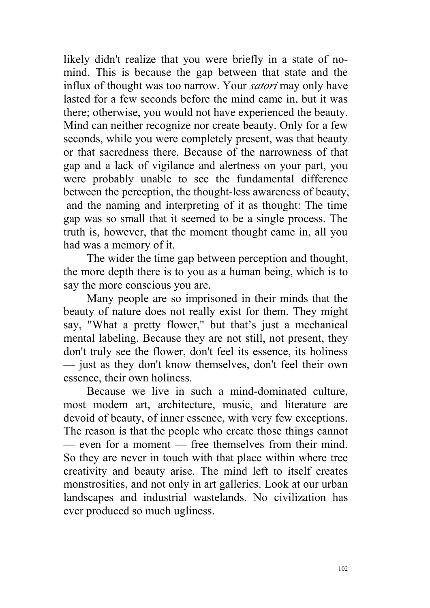likely didn't realize that you were briefly in <sup>a</sup> state of nomind. This is because the gap between that state and the influx of thought was too narrow. Your *satori* may only have lasted for <sup>a</sup> few seconds before the mind came in, but it was there; otherwise, you would not have experienced the beauty. Mind can neither recognize nor create beauty. Only for <sup>a</sup> few seconds, while you were completely present, was that beauty or that sacredness there. Because of the narrowness of that gap and <sup>a</sup> lack of vigilance and alertness on your part, you were probably unable to see the fundamental difference between the perception, the thought-less awareness of beauty, and the naming and interpreting of it as thought: The time gap was so small that it seemed to be <sup>a</sup> single process. The truth is, however, that themoment thought came in, all you had was <sup>a</sup> memory of it.

The wider the time gap between perception and thought, the more depth there is to you as <sup>a</sup> human being, which is to say the more conscious you are.

Many people are so imprisoned in their minds that the beauty of nature does not really exist for them. They might say, "What <sup>a</sup> pretty flower," but that's just <sup>a</sup> mechanical mental labeling. Because they are not still, not present, they don't truly see the flower, don't feel its essence, its holiness — just as they don't know themselves, don't feel their own essence, their own holiness.

Because we live in such <sup>a</sup> mind-dominated culture, most modem art, architecture, music, and literature are devoid of beauty, of inner essence, with very few exceptions. The reason is that the people who create those things cannot — even for <sup>a</sup> moment — free themselves from their mind. So they are never in touch with that place within where tree creativity and beauty arise. The mind left to itself creates monstrosities, and not only in art galleries. Look at our urban landscapes and industrial wastelands. No civilization has ever produced so much ugliness.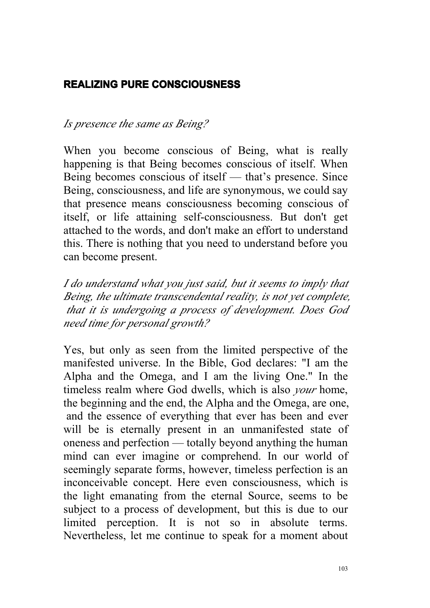#### **REALIZING PURE CONSCIOUSNESS**

#### *Is presence the same as Being?*

When you become conscious of Being, what is really happening is that Being becomes conscious of itself. When Being becomes conscious of itself — that's presence. Since Being, consciousness, and life are synonymous, we could say that presence means consciousness becoming conscious of itself, or life attaining self-consciousness. But don't ge<sup>t</sup> attached to the words, and don't make an effort to understand this. There is nothing that you need to understand before you can become present.

*I do understand what you just said, but it seems toimply that Being, the ultimate transcendental reality, is not yet complete, that it isundergoing <sup>a</sup> process of development. Does God need time for personal growth?*

Yes, but only as seen from the limited perspective of the manifested universe. In the Bible, God declares: "I am the Alpha and the Omega, and I am the living One." In the timeless realm where God dwells, which is also *your* home, the beginning and the end, the Alpha and the Omega, are one, and the essence of everything that ever has been and ever will be is eternally present in an unmanifested state of oneness and perfection — totally beyond anything the human mind can ever imagine or comprehend. In our world of seemingly separate forms, however, timeless perfection is an inconceivable concept. Here even consciousness, which is the light emanating from the eternal Source, seems to be subject to <sup>a</sup> process of development, but this is due to our limited perception. It is not so in absolute terms. Nevertheless, let me continue to speak for <sup>a</sup> moment about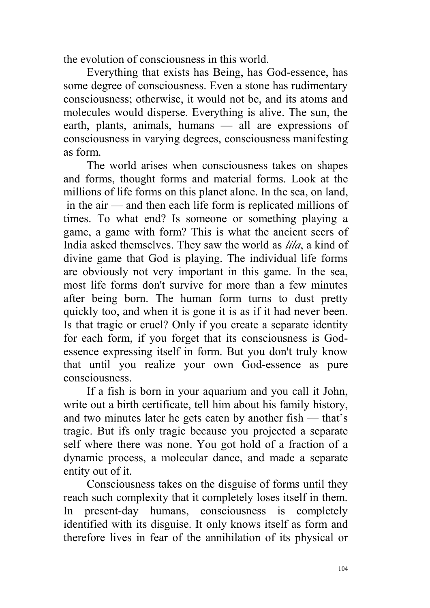the evolution of consciousness in this world.

Everything that exists has Being, has God-essence, has some degree of consciousness. Even a stone has rudimentary consciousness; otherwise, it would not be, and its atoms and molecules would disperse. Everything is alive. The sun, the earth, plants, animals, humans — all are expressions of consciousness invarying degrees, consciousness manifesting as form.

The world arises when consciousness takes on shapes and forms, thought forms and material forms. Look at the millions of life forms on this planet alone. In the sea, on land, in the air — and then each life form is replicated millions of times. To what end? Is someone or something playing <sup>a</sup> game, a game with form? This is what the ancient seers of India asked themselves. They saw the world as *lila*, a kind of divine game that God is playing. The individual life forms are obviously not very important in this game. In the sea, most life forms don't survive for more than <sup>a</sup> few minutes after being born. The human form turns to dust pretty quickly too, and when it is gone it is as if it had never been. Is that tragic or cruel? Only if you create <sup>a</sup> separate identity for each form, if you forget that its consciousness is Godessence expressing itself in form. But you don't truly know that until you realize your own God-essence as pure consciousness.

If a fish is born in your aquarium and you call it John, write out <sup>a</sup> birth certificate, tell him about his family history, and two minutes later he gets eaten by another fish — that's tragic. But ifs only tragic because you projected <sup>a</sup> separate self where there was none. You go<sup>t</sup> hold of <sup>a</sup> fraction of <sup>a</sup> dynamic process, <sup>a</sup> molecular dance, and made <sup>a</sup> separate entity out of it.

Consciousness takes on the disguise of forms until they reach such complexity that it completely loses itself in them. In present-day humans, consciousness is completely identified with its disguise. It only knows itself as form and therefore lives in fear of the annihilation of its physical or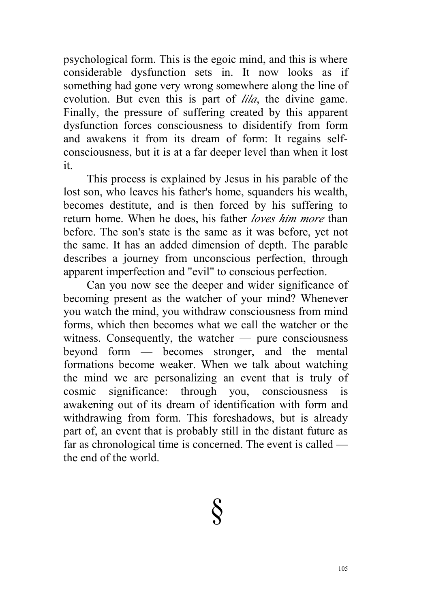psychological form. This is the egoic mind, and this is where considerable dysfunction sets in. It now looks as if something had gone very wrong somewhere along the line of evolution. But even this is par<sup>t</sup> of *lila*, the divine game. Finally, the pressure of suffering created by this apparen<sup>t</sup> dysfunction forces consciousness to disidentify from form and awakens it from its dream of form: It regains selfconsciousness, but it is at <sup>a</sup> far deeper level than when it lost it.

This process is explained by Jesus in his parable of the lost son, who leaves his father's home, squanders his wealth, becomes destitute, and is then forced by his suffering to return home. When he does, his father *loves him more* than before. The son's state is the same as it was before, ye<sup>t</sup> not the same. It has an added dimension of depth. The parable describes <sup>a</sup> journey from unconscious perfection, through apparen<sup>t</sup> imperfection and "evil" to conscious perfection.

Can you now see the deeper and wider significance of becoming presen<sup>t</sup> as the watcher of your mind? Whenever you watch the mind, you withdraw consciousness from mind forms, which then becomes what we call the watcher or the witness. Consequently, the watcher — pure consciousness beyond form  $\sim$  becomes stronger, and the mental formations become weaker. When we talk about watching the mind we are personalizing an event that is truly of cosmic significance: through you, consciousness is awakening out of its dreamof identification with form and withdrawing from form. This foreshadows, but is already par<sup>t</sup> of, an event that is probably still in the distant future as far as chronological time is concerned. The event is called the end of the world.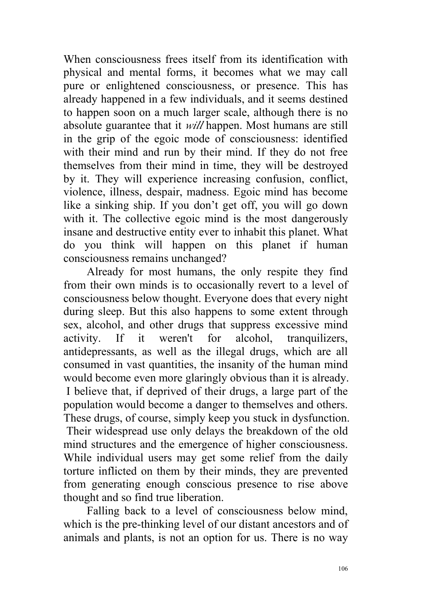When consciousness frees itself from its identification with physical and mental forms, it becomes what we may call pure or enlightened consciousness, or presence. This has already happened in <sup>a</sup> few individuals, and it seems destined to happen soon on <sup>a</sup> much larger scale, although there is no absolute guarantee that it *will* happen. Most humans are still in the grip of the egoic mode of consciousness: identified with their mind and run by their mind. If they do not free themselves from their mind in time, they will be destroyed by it. They will experience increasing confusion, conflict, violence, illness, despair, madness. Egoic mind has become like <sup>a</sup> sinking ship. If you don't ge<sup>t</sup> off, you will go down with it. The collective egoic mind is the most dangerously insane and destructive entity ever to inhabit this planet. What do you think will happen on this planet if human consciousness remains unchanged?

Already for most humans, the only respite they find from their own minds is to occasionally revert to <sup>a</sup> level of consciousness below thought. Everyone does that every night during sleep. But this also happens to some extent through sex, alcohol, and other drugs that suppress excessive mind activity. If it weren't for alcohol, tranquilizers, antidepressants, as well as the illegal drugs, which are all consumed in vast quantities, the insanity of the human mind would become even more glaringly obvious than it is already. I believe that, if deprived of their drugs, <sup>a</sup> large par<sup>t</sup> of the population would become <sup>a</sup> danger to themselves and others. These drugs, of course, simply keep you stuck in dysfunction. Their widespread use only delays the breakdown of the old mind structures and the emergence of higher consciousness. While individual users may ge<sup>t</sup> some relief from the daily torture inflicted on them by their minds, they are prevented from generating enough conscious presence to rise above thought and so find true liberation.

Falling back to <sup>a</sup> level of consciousness below mind, which is the pre-thinking level of our distant ancestors and of animals and plants, is not an option for us. There is no way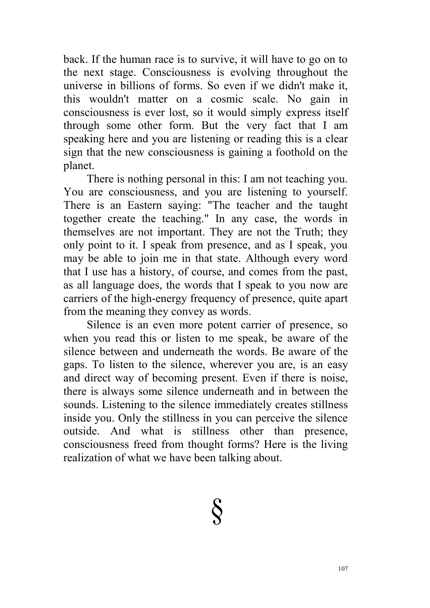back. If the human race is to survive, it will have to go on to the next stage. Consciousness is evolving throughout the universe in billions of forms. So even if we didn't make it, this wouldn't matter on <sup>a</sup> cosmic scale. No gain in consciousness is ever lost, so it would simply express itself through some other form. But the very fact that I am speaking here and you are listening or reading this is <sup>a</sup> clear sign that the new consciousness is gaining a foothold on the planet.

There is nothing personal in this: I am not teaching you. You are consciousness, and you are listening to yourself. There is an Eastern saying: "The teacher and the taught together create the teaching." In any case, the words in themselves are not important. They are not the Truth; they only point to it. I speak from presence, and as I speak, you may be able to join me in that state. Although every word that I use has <sup>a</sup> history, of course, and comes from the past, as all language does, the words that I speak to you noware carriers of the high-energy frequency of presence, quite apar<sup>t</sup> from the meaning they convey as words.

Silence is an even more potent carrier of presence, so when you read this or listen to me speak, be aware of the silence between and underneath the words. Be aware of the gaps. To listen to the silence, wherever you are, is an easy and direct way of becoming present. Even if there is noise, there is always some silence underneath and in between the sounds. Listening to the silence immediately creates stillness inside you. Only the stillness in you can perceive the silence outside. And what is stillness other than presence, consciousness freed from thought forms? Here is the living realization of what we have been talking about.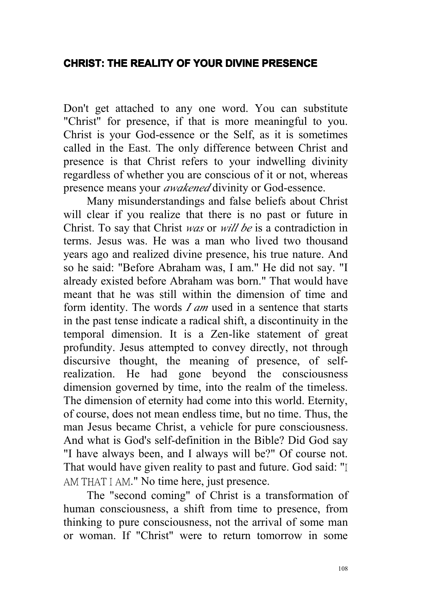## **CHRIST: THE REALITY OF YOUR DIVINE PRESENCE**

Don't ge<sup>t</sup> attached to any one word. You can substitute "Christ" for presence, if that is more meaningful to you. Christ is your God-essence or the Self, as it is sometimes called in the East. The only difference between Christ and presence is that Christ refers to your indwelling divinity regardless of whether you are conscious of it or not, whereas presence means your *awakened* divinity or God-essence.

Many misunderstandings and false beliefs about Christ will clear if you realize that there is no pas<sup>t</sup> or future in Christ. To say that Christ *was* or *will be* is <sup>a</sup> contradiction in terms. Jesus was. He was <sup>a</sup> man who lived two thousand years ago and realized divine presence, his true nature. And so he said: "Before Abraham was, I am." He did not say. "I already existed before Abraham was born." That would have meant that he was still within the dimension of time and form identity. The words *I am* used in <sup>a</sup> sentence that starts in the pas<sup>t</sup> tense indicate <sup>a</sup> radical shift, <sup>a</sup> discontinuity in the temporal dimension. It is <sup>a</sup> Zen-like statement of grea<sup>t</sup> profundity. Jesus attempted to convey directly, not through discursive thought, the meaning of presence, of selfrealization. He had gone beyond the consciousness dimension governed by time, into the realm of the timeless. The dimension of eternity had come into this world. Eternity, of course, does not mean endless time, but no time. Thus, the man Jesus became Christ, <sup>a</sup> vehicle for pure consciousness. And what is God's self-definition in the Bible? Did God say "I have always been, and I always will be?" Of course not. That would have given reality to pas<sup>t</sup> and future. God said: "I AM THAT I AM." No time here, just presence.

The "second coming" of Christ is <sup>a</sup> transformation of human consciousness, <sup>a</sup> shift from time to presence, from thinking to pure consciousness, not the arrival of some man or woman. If "Christ" were to return tomorrow in some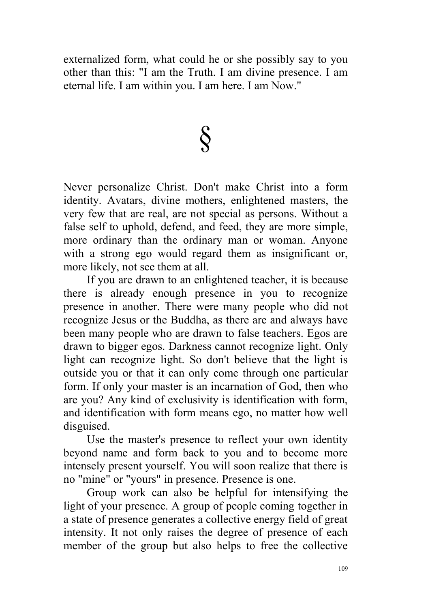externalized form, what could he or she possibly say to you other than this: "I am the Truth. I am divine presence. I am eternal life. I am within you. I am here. I am Now."

§

Never personalize Christ. Don't make Christ into <sup>a</sup> form identity. Avatars, divine mothers, enlightened masters, the very few that are real, are not special as persons. Without a false self to uphold, defend, and feed, they are more simple, more ordinary than the ordinary man or woman. Anyone with a strong ego would regard them as insignificant or, more likely, not see them at all.

If you are drawn to an enlightened teacher, it is because there is already enough presence in you to recognize presence in another. There were many people who did not recognize Jesus or the Buddha, as there are and always have been many people who are drawn to false teachers. Egos are drawn to bigger egos. Darkness cannot recognize light. Only light can recognize light. So don't believe that the light is outside you or that it can only come through one particular form. If only your master is an incarnation of God, then who are you? Any kind of exclusivity is identification with form, and identification with form means ego, no matter how well disguised.

Use the master's presence to reflect your own identity beyond name and form back to you and to become more intensely presen<sup>t</sup> yourself. You will soon realize that there is no "mine" or "yours" in presence. Presence is one.

Group work can also be helpful for intensifying the light of your presence. A group of people coming together in <sup>a</sup> state of presence generates <sup>a</sup> collective energy field of grea<sup>t</sup> intensity. It not only raises the degree of presence of each member of the group but also helps to free the collective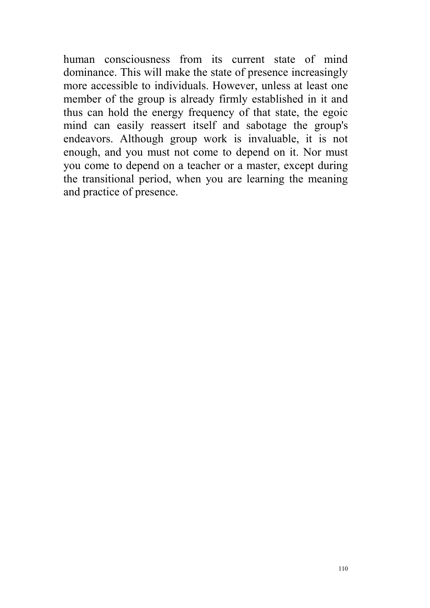human consciousness from its current state of mind dominance. This will make the state of presence increasingly more accessible to individuals. However, unless at least one member of the group is already firmly established in it and thus can hold the energy frequency of that state, the egoic mind can easily reassert itself and sabotage the group's endeavors. Although group work is invaluable, it is not enough, and you must not come to depend on it. Nor must you come to depend on <sup>a</sup> teacher or <sup>a</sup> master, excep<sup>t</sup> during the transitional period, when you are learning the meaning and practice of presence.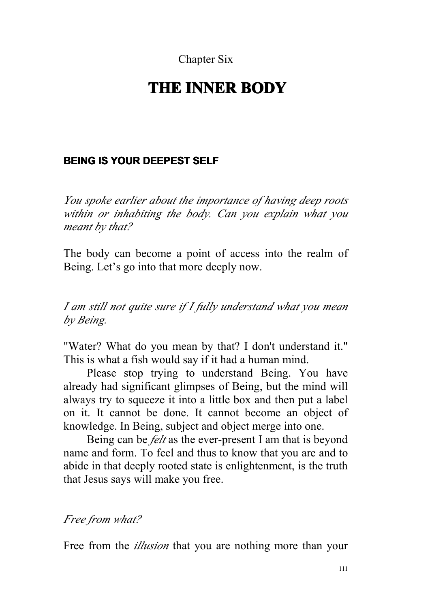# Chapter Six

# **THE INNER BODY**

# **BEING IS YOUR DEEPEST SELF**

*You spoke earlier about the importance of having deep roots within or inhabiting the body. Can you explain what you meant by that?*

The body can become <sup>a</sup> point of access into the realm of Being. Let's go into that more deeply now.

*I am still not quite sure if I fully understand what you mean by Being.*

"Water? What do you mean by that? I don't understand it." This is what <sup>a</sup> fish would say if it had <sup>a</sup> human mind.

Please stop trying to understand Being. You have already had significant glimpses of Being, but themind will always try to squeeze it into <sup>a</sup> little box and then pu<sup>t</sup> <sup>a</sup> label on it. It cannot be done. It cannot become an object of knowledge. In Being, subject and object merge into one.

Being can be *felt* as the ever-presen<sup>t</sup> I am that is beyond name and form. To feel and thus to know that you are and to abide in that deeply rooted state is enlightenment, is the truth that Jesus says will make you free.

#### *Free from what?*

Free from the *illusion* that you are nothing more than your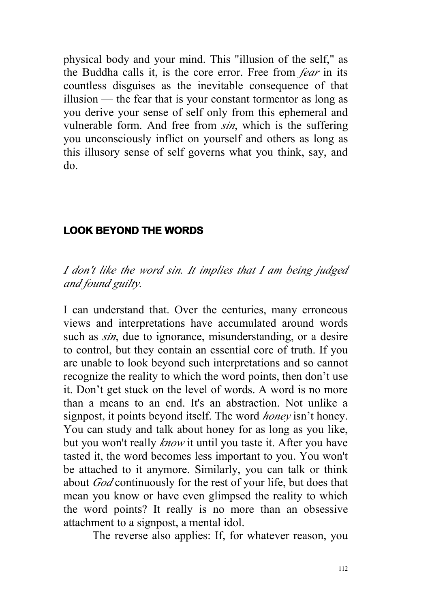physical body and your mind. This "illusion of the self," as the Buddha calls it, is the core error. Free from *fear* in its countless disguises as the inevitable consequence of that illusion — the fear that is your constant tormentor as long as you derive your sense of self only from this ephemeral and vulnerable form. And free from *sin*, which is the suffering you unconsciously inflict on yourself and others as long as this illusory sense of self governs what you think, say, and do.

# **LOOK BEYOND THE WORDS**

*I don't like the word sin. It implies that I am being judged and found guilty.*

I can understand that. Over the centuries, many erroneous views and interpretations have accumulated around words such as *sin*, due to ignorance, misunderstanding, or a desire to control, but they contain an essential core of truth. If you are unable to look beyond such interpretations and so cannot recognize the reality to which the word points, then don't use it. Don't ge<sup>t</sup> stuck on the level of words. A word is no more than <sup>a</sup> means to an end. It's an abstraction. Not unlike <sup>a</sup> signpost, it points beyond itself. The word *honey* isn't honey. You can study and talk about honey for as long as you like, but you won't really *know* it until you taste it. After you have tasted it, the word becomes less important to you. You won't be attached to it anymore. Similarly, you can talk or think about *God* continuously for the rest of your life, but does that mean you know or have even glimpsed the reality to which the word points? It really is no more than an obsessive attachment to <sup>a</sup> signpost, <sup>a</sup> mental idol.

The reverse also applies: If, for whatever reason, you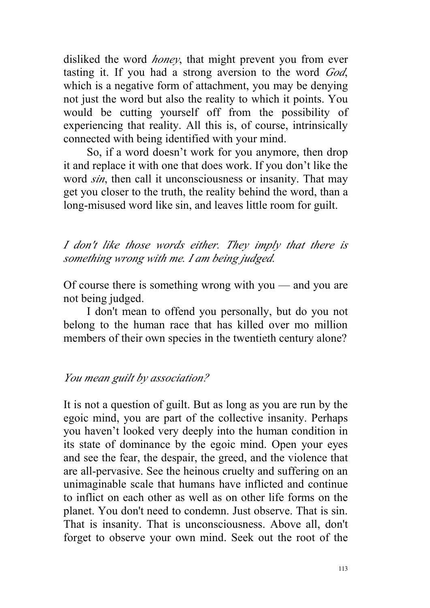disliked the word *honey*, that might preven<sup>t</sup> you from ever tasting it. If you had <sup>a</sup> strong aversion to the word *God*, which is <sup>a</sup> negative form of attachment, you may be denying not just theword but also the reality to which it points. You would be cutting yourself off from the possibility of experiencing that reality. All this is, of course, intrinsically connected with being identified with your mind.

So, if <sup>a</sup> word doesn't work for you anymore, then drop it and replace it with one that does work. If you don't like the word *sin*, then call it unconsciousness or insanity. That may ge<sup>t</sup> you closer to the truth, the reality behind the word, than <sup>a</sup> long-misused word like sin, and leaves little room for guilt.

*I don't like those words either. They imply that there is something wrong with me. I am being judged.*

Of course there is something wrong with you — and you are not being judged.

I don't mean to offend you personally, but do you not belong to the human race that has killed over mo million members of their own species in the twentieth century alone?

#### *You mean guilt by association?*

It is not <sup>a</sup> question of guilt. But as long as you are run by the egoic mind, you are par<sup>t</sup> of the collective insanity. Perhaps you haven't looked very deeply into the human condition in its state of dominance by the egoic mind. Open your eyes and see the fear, the despair, the greed, and the violence that are all-pervasive. See the heinous cruelty and suffering on an unimaginable scale that humans have inflicted and continue to inflict on each other as well as on other life forms on the planet. You don't need to condemn. Just observe. That is sin. That is insanity. That is unconsciousness. Above all, don't forget to observe your own mind. Seek out the root of the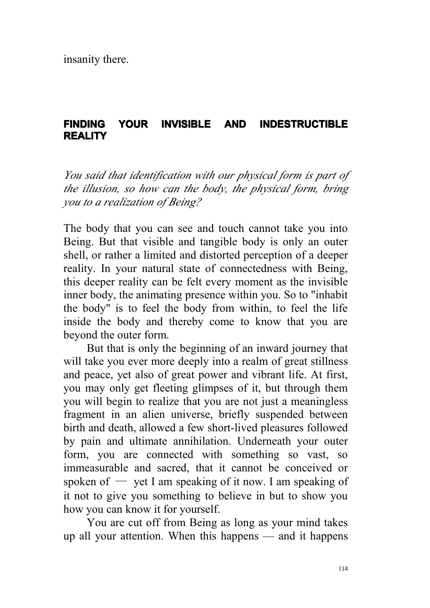insanity there.

### **FINDING YOUR INVISIBLE AND INDESTRUCTIBLE REALITY**

*You said that identification with our physical form is part of the illusion, so how can the body, the physical form, bring you to <sup>a</sup> realization of Being?*

The body that you can see and touch cannot take you into Being. But that visible and tangible body is only an outer shell, or rather <sup>a</sup> limited and distorted perception of <sup>a</sup> deeper reality. In your natural state of connectedness with Being, this deeper reality can be felt every moment as the invisible inner body, the animating presence within you. So to "inhabit" the body" is to feel the body from within, to feel the life inside the body and thereby come to know that you are beyond the outer form.

But that is only the beginning of an inward journey that will take you ever more deeply into a realm of great stillness and peace, ye<sup>t</sup> also of grea<sup>t</sup> power and vibrant life. At first, you may only ge<sup>t</sup> fleeting glimpses of it, but through them you will begin to realize that you are not just <sup>a</sup> meaningless fragment in an alien universe, briefly suspended between birth and death, allowed <sup>a</sup> few short-lived pleasures followed by pain and ultimate annihilation. Underneath your outer form, you are connected with something so vast, so immeasurable and sacred, that it cannot be conceived or spoken of  $-$  yet I am speaking of it now. I am speaking of it not to give you something to believe in but to show you how you can know it for yourself.

You are cut off from Being as long as your mind takes up all your attention. When this happens — and it happens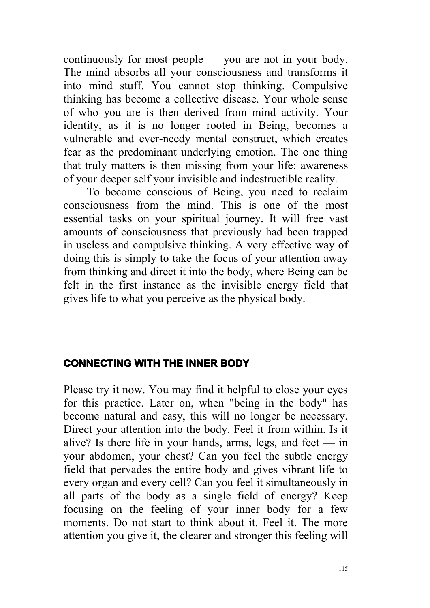continuously for most people — you are not in your body. The mind absorbs all your consciousness and transforms it into mind stuff. You cannot stop thinking. Compulsive thinking has become <sup>a</sup> collective disease. Your whole sense of who you are is then derived from mind activity. Your identity, as it is no longer rooted in Being, becomes <sup>a</sup> vulnerable and ever-needy mental construct, which creates fear as the predominant underlying emotion. The one thing that truly matters is then missing from your life: awareness of your deeper self your invisible and indestructible reality.

To become conscious of Being, you need to reclaim consciousness from the mind. This is one of the most essential tasks on your spiritual journey. It will free vast amounts of consciousness that previously had been trapped in useless and compulsive thinking. A very effective way of doing this is simply to take the focus of your attention away from thinking and direct it into the body, where Being can be felt in the first instance as the invisible energy field that gives life to what you perceive as the physical body.

# **CONNECTING CONNECTINGCONNECTING WITH THE INNER BODY**

Please try it now. You may find it helpful to close your eyes for this practice. Later on, when "being in the body" has become natural and easy, this will no longer be necessary. Direct your attention into the body. Feel it from within. Is it alive? Is there life in your hands, arms, legs, and feet — in your abdomen, your chest? Can you feel the subtle energy field that pervades the entire body and gives vibrant life to every organ and every cell? Can you feel it simultaneously in all parts of the body as <sup>a</sup> single field of energy? Keep focusing on the feeling of your inner body for <sup>a</sup> few moments. Do not start to think about it. Feel it. The more attention you give it, the clearer and stronger this feeling will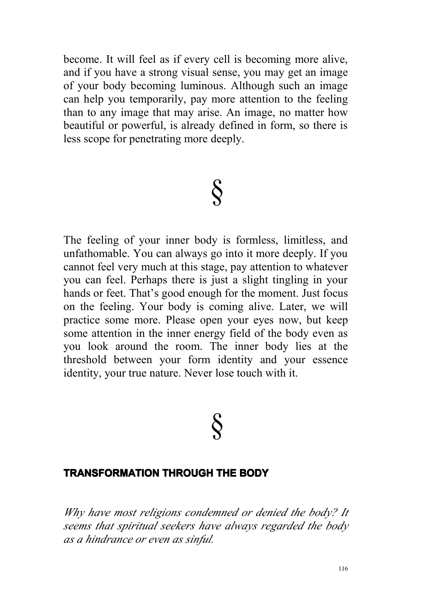become. It will feel as if every cell is becoming more alive, and if you have <sup>a</sup> strong visual sense, you may ge<sup>t</sup> an image of your body becoming luminous. Although such an image can help you temporarily, pay more attention to the feeling than to any image that mayarise. An image, no matter how beautiful or powerful, is already defined in form, so there is less scope for penetrating more deeply.

# §

The feeling of your inner body is formless, limitless, and unfathomable. You can always go into it more deeply. If you cannot feel verymuch at this stage, pay attention to whatever you can feel. Perhaps there is just <sup>a</sup> slight tingling in your hands or feet. That's good enough for the moment. Just focus on the feeling. Your body is coming alive. Later, we will practice some more. Please open your eyes now, but keep some attention in the inner energy field of the body even as you look around the room. The inner body lies at the threshold between your form identity and your essence identity, your true nature. Never lose touch with it.

# §

#### **TRANSFORMATION TRANSFORMATIONTRANSFORMATION THROUGH THROUGHTHROUGHTHE BODY**

*Why have most religions condemned or denied the body? It seems that spiritual seekers have always regarded the body as <sup>a</sup> hindrance or even as sinful.*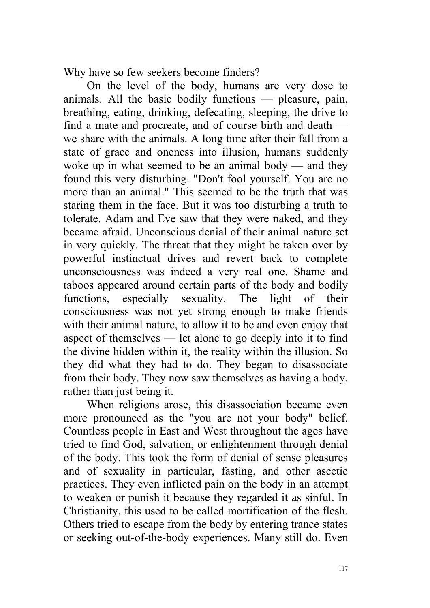Why have so few seekers become finders?

On the level of the body, humans are very dose to animals. All the basic bodily functions — pleasure, pain, breathing, eating, drinking, defecating, sleeping, the drive to find <sup>a</sup> mate and procreate, and of course birth and death we share with the animals. A long time after their fall from <sup>a</sup> state of grace and oneness into illusion, humans suddenly woke up in what seemed to be an animal body — and they found this very disturbing. "Don't fool yourself. You are no more than an animal." This seemed to be the truth that was staring them in the face. But it was too disturbing <sup>a</sup> truth to tolerate. Adam and Eve saw that they were naked, and they became afraid. Unconscious denial of their animal nature set in very quickly. The threat that they might be taken over by powerful instinctual drives and revert back to complete unconsciousness was indeed <sup>a</sup> very real one. Shame and taboos appeared around certain parts of the body and bodily functions, especially sexuality. The light of their consciousness was not ye<sup>t</sup> strong enough to make friends with their animal nature, to allow it to be and even enjoy that aspec<sup>t</sup> of themselves — let alone to go deeply into it to find the divine hidden within it, the reality within the illusion. So they did what they had to do. They began to disassociate from their body. They now saw themselves as having a body, rather than just being it.

When religions arose, this disassociation became even more pronounced as the "you are not your body" belief. Countless people in East and West throughout the ages have tried to find God, salvation, or enlightenment through denial of the body. This took the form of denial of sense pleasures and of sexuality in particular, fasting, and other ascetic practices. They even inflicted pain on the body in an attempt to weaken or punish it because they regarded it as sinful. In Christianity, this used to be called mortification of the flesh. Others tried to escape from the body by entering trance states or seeking out-of-the-body experiences. Many still do. Even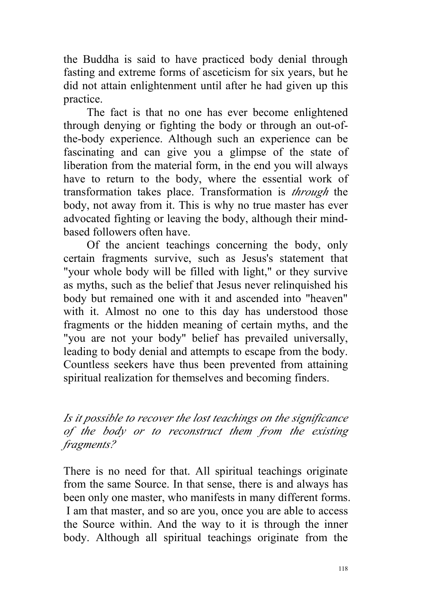the Buddha is said to have practiced body denial through fasting and extreme forms of asceticism for six years, but he did not attain enlightenment until after he had given up this practice.

The fact is that no one has ever become enlightened through denying or fighting the body or through an out-ofthe-body experience. Although such an experience can be fascinating and can give you <sup>a</sup> glimpse of the state of liberation from the material form, in the end you will always have to return to the body, where the essential work of transformation takes place. Transformation is *through* the body, not away from it. This is why no true master has ever advocated fighting or leaving the body, although their mindbased followers often have.

Of the ancient teachings concerning the body, only certain fragments survive, such as Jesus's statement that "your whole body will be filled with light," or they survive as myths, such as the belief that Jesus never relinquished his body but remained one with it and ascended into "heaven" with it. Almost no one to this day has understood those fragments or the hidden meaning of certain myths, and the "you are not your body" belief has prevailed universally, leading to body denial and attempts to escape from the body. Countless seekers have thus been prevented from attaining spiritual realization for themselves and becoming finders.

*Is it possible to recover the lost teachings on the significance of the body or to reconstruct them from the existing fragments?*

There is no need for that. All spiritual teachings originate from the same Source. In that sense, there is and always has been only one master, who manifests in many different forms. I am that master, and so are you, once you are able to access the Source within. And the way to it is through the inner body. Although all spiritual teachings originate from the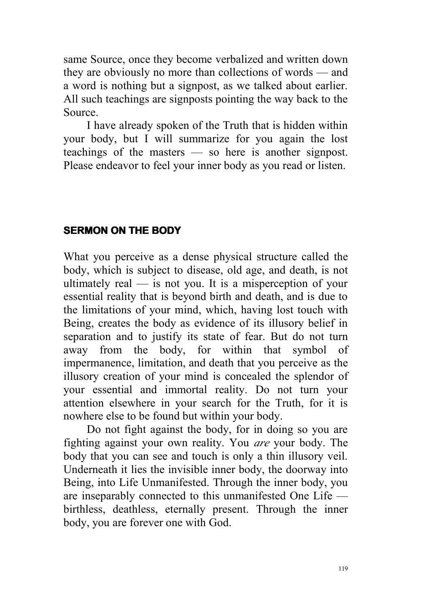same Source, once they become verbalized and written down they are obviously no more than collections of words — and <sup>a</sup> word is nothing but <sup>a</sup> signpost, as we talked about earlier. All such teachings are signposts pointing the way back to the Source.

I have already spoken of the Truth that is hidden within your body, but I will summarize for you again the lost teachings of the masters  $\frac{1}{x}$  so here is another signpost. Please endeavor to feel your inner body as you read or listen.

# **SERMON ON THE BODY**

What you perceive as <sup>a</sup> dense physical structure called the body, which is subject to disease, old age, and death, is not ultimately real  $-$  is not you. It is a misperception of your essential reality that is beyond birth and death, and is due to the limitations of your mind, which, having lost touch with Being, creates the body as evidence of its illusory belief in separation and to justify its state of fear. But do not turn away from the body, for within that symbol of impermanence, limitation, and death that you perceive as the illusory creation of your mind is concealed the splendor of your essential and immortal reality. Do not turn your attention elsewhere in your search for the Truth, for it is nowhere else to be found but within your body.

Do not fight against the body, for in doing so you are fighting against your own reality. You *are* your body. The body that you can see and touch is only <sup>a</sup> thin illusory veil. Underneath it lies the invisible inner body, the doorway into Being, into Life Unmanifested. Through the inner body, you are inseparably connected to this unmanifested One Life birthless, deathless, eternally present. Through the inner body, you are forever one with God.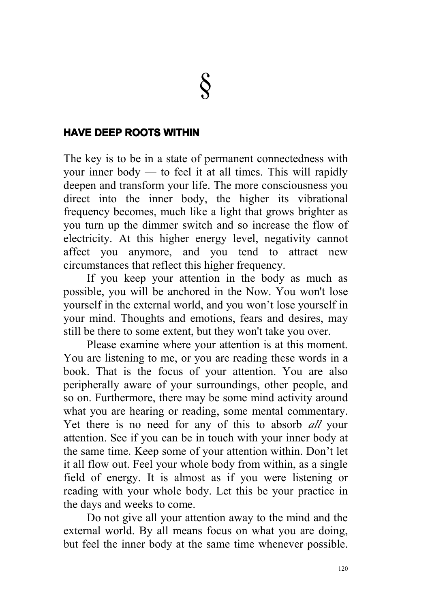### **HAVE DEEP ROOTS WITHIN**

The key is to be in <sup>a</sup> state of permanen<sup>t</sup> connectedness with your inner body — to feel it at all times. This will rapidly deepen and transform your life. The more consciousness you direct into the inner body, the higher its vibrational frequency becomes, much like <sup>a</sup> light that grows brighter as you turn up the dimmer switch and so increase the flow of electricity. At this higher energy level, negativity cannot affect you anymore, and you tend to attract new circumstances that reflect this higher frequency.

If you keep your attention in the body as much as possible, you will be anchored in the Now. You won't lose yourself in the external world, and you won't lose yourself in your mind. Thoughts and emotions, fears and desires, may still be there to some extent, but they won't take you over.

Please examine where your attention is at this moment. You are listening to me, or you are reading these words in a book. That is the focus of your attention. You are also peripherally aware of your surroundings, other people, and so on. Furthermore, there may be some mind activity around what you are hearing or reading, some mental commentary. Yet there is no need for any of this to absorb *all* your attention. See if you can be in touch with your inner body at the same time. Keep some of your attention within. Don't let it all flow out. Feel your whole body from within, as <sup>a</sup> single field of energy. It is almost as if you were listening or reading with your whole body. Let this be your practice in the days and weeks to come.

Do not give all your attention away to the mind and the external world. By all means focus on what you are doing, but feel the inner body at the same time whenever possible.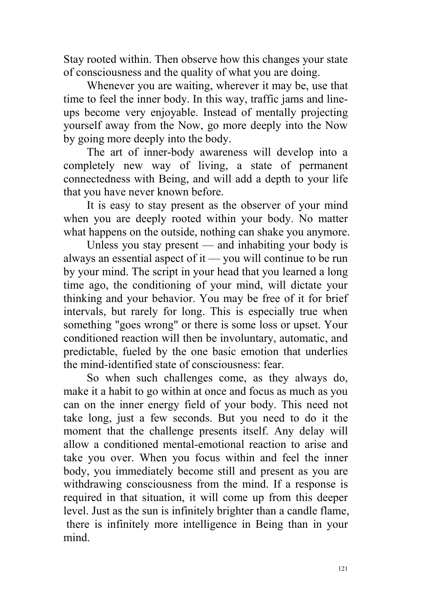Stay rooted within. Then observe how this changes your state of consciousness and the quality of what you are doing.

Whenever you are waiting, wherever it may be, use that time to feel the inner body. In this way, traffic jams and lineups become very enjoyable. Instead of mentally projecting yourself away from the Now, go more deeply into the Now by going more deeply into the body.

The art of inner-body awareness will develop into <sup>a</sup> completely new way of living, <sup>a</sup> state of permanen<sup>t</sup> connectedness with Being, and will add <sup>a</sup> depth to your life that you have never known before.

It is easy to stay present as the observer of your mind when you are deeply rooted within your body. No matter what happens on the outside, nothing can shake you anymore.

Unless you stay presen<sup>t</sup> — and inhabiting your body is always an essential aspec<sup>t</sup> of it — you will continue to be run by your mind. The script in your head that you learned a long time ago, the conditioning of your mind, will dictate your thinking and your behavior. You may be free of it for brief intervals, but rarely for long. This is especially true when something "goes wrong" or there is some loss or upset. Your conditioned reaction will then be involuntary, automatic, and predictable, fueled by the one basic emotion that underlies the mind-identified state of consciousness: fear.

So when such challenges come, as they always do, make it <sup>a</sup> habit to go within at once and focus as much as you can on the inner energy field of your body. This need not take long, just <sup>a</sup> few seconds. But you need to do it the moment that the challenge presents itself. Any delay will allow <sup>a</sup> conditioned mental-emotional reaction to arise and take you over. When you focus within and feel the inner body, you immediately become still and presen<sup>t</sup> as you are withdrawing consciousness from the mind. If <sup>a</sup> response is required in that situation, it will come up from this deeper level. Just as the sun is infinitely brighter than a candle flame, there is infinitely more intelligence in Being than in your mind.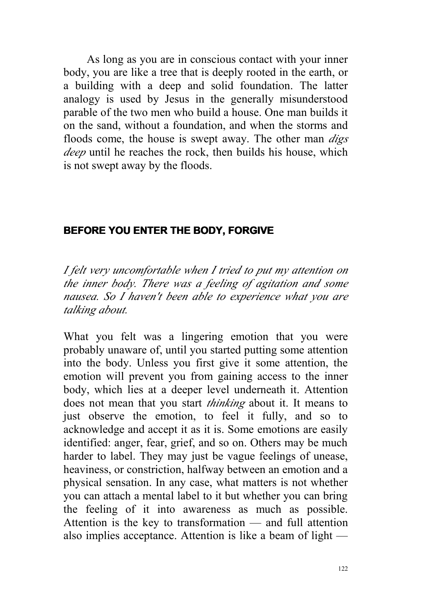As long as you are in conscious contact with your inner body, you are like <sup>a</sup> tree that is deeply rooted in the earth, or <sup>a</sup> building with <sup>a</sup> deep and solid foundation. The latter analogy is used by Jesus in the generally misunderstood parable of the two men who build <sup>a</sup> house. One man builds it on the sand, without <sup>a</sup> foundation, and when the storms and floods come, the house is swep<sup>t</sup> away. The other man *digs deep* until he reaches the rock, then builds his house, which is not swep<sup>t</sup> away by the floods.

#### **BEFORE YOU ENTER THE BODY, FORGIVE**

*I felt very uncomfortable when I tried to put my attention on the inner body. There was <sup>a</sup> feeling of agitation and some nausea. So I haven't been able to experience what you are talking about.*

What you felt was <sup>a</sup> lingering emotion that you were probably unaware of, until you started putting some attention into the body. Unless you first give it some attention, the emotion will preven<sup>t</sup> you from gaining access to the inner body, which lies at <sup>a</sup> deeper level underneath it. Attention does not mean that you start *thinking* about it. It means to just observe the emotion, to feel it fully, and so to acknowledge and accep<sup>t</sup> it as it is. Some emotions are easily identified: anger, fear, grief, and so on. Others may be much harder to label. They may just be vague feelings of unease, heaviness, or constriction, halfway between an emotion and <sup>a</sup> physical sensation. In any case, what matters is not whether you can attach <sup>a</sup> mental label to it but whether you can bring the feeling of it into awareness as much as possible. Attention is the key to transformation — and full attention also implies acceptance. Attention is like <sup>a</sup> beam of light —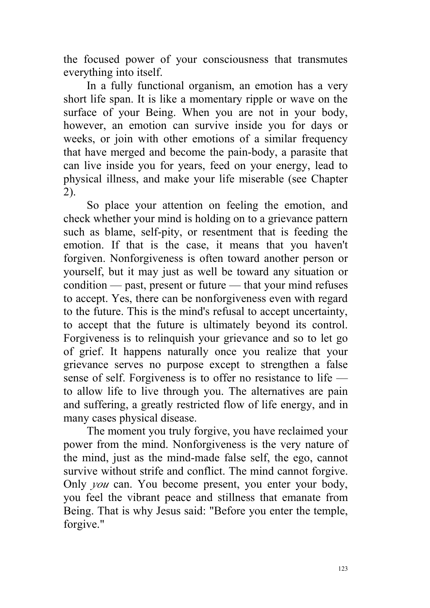the focused power of your consciousness that transmutes everything into itself.

In <sup>a</sup> fully functional organism, an emotion has <sup>a</sup> very short life span. It is like <sup>a</sup> momentary ripple or wave on the surface of your Being. When you are not in your body, however, an emotion can survive inside you for days or weeks, or join with other emotions of <sup>a</sup> similar frequency that have merged and become the pain-body, <sup>a</sup> parasite that can live inside you for years, feed on your energy, lead to physical illness, and make your life miserable (see Chapter 2).

So place your attention on feeling the emotion, and check whether your mind is holding on to <sup>a</sup> grievance pattern such as blame, self-pity, or resentment that is feeding the emotion. If that is the case, it means that you haven't forgiven. Nonforgiveness is often toward another person or yourself, but it may just as well be toward any situation or condition — past, presen<sup>t</sup> or future — that your mind refuses to accept. Yes, there can be nonforgiveness even with regard to the future. This is the mind's refusal to accep<sup>t</sup> uncertainty, to accep<sup>t</sup> that the future is ultimately beyond its control. Forgiveness is to relinquish your grievance and so to let go of grief. It happens naturally once you realize that your grievance serves no purpose excep<sup>t</sup> to strengthen <sup>a</sup> false sense of self. Forgiveness is to offer no resistance to life to allow life to live through you. The alternatives are pain and suffering, <sup>a</sup> greatly restricted flow of life energy, and in many cases physical disease.

The moment you truly forgive, you have reclaimed your power from the mind. Nonforgiveness is the very nature of the mind, just as the mind-made false self, the ego, cannot survive without strife and conflict. The mind cannot forgive. Only *you* can. You become present, you enter your body, you feel the vibrant peace and stillness that emanate from Being. That is why Jesus said: "Before you enter the temple, forgive."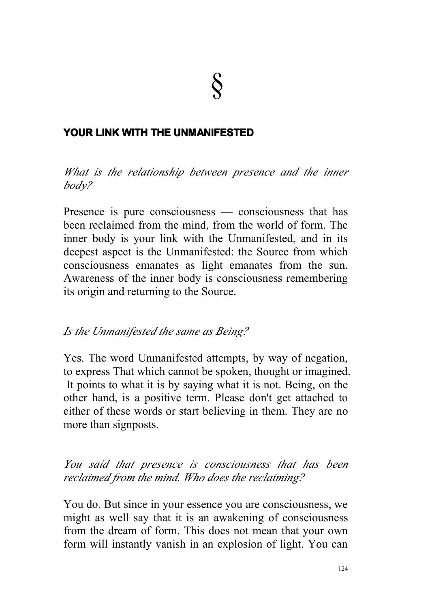#### **YOUR LINK WITH THE UNMANIFESTED UNMANIFESTED UNMANIFESTED**

*What is the relationship between presence and the inner body?*

Presence is pure consciousness — consciousness that has been reclaimed from the mind, from the world of form. The inner body is your link with the Unmanifested, and in its deepest aspect is the Unmanifested: the Source from which consciousness emanates as light emanates from the sun. Awareness of the inner body is consciousness remembering its origin and returning to the Source.

#### *Is the Unmanifested the same as Being?*

Yes. The word Unmanifested attempts, by way of negation, to express That which cannot be spoken, thought or imagined. It points to what it is by saying what it is not. Being, on the other hand, is <sup>a</sup> positive term. Please don't ge<sup>t</sup> attached to either of these words or start believing in them. They are no more than signposts.

*You said that presence is consciousness that has been reclaimed from the mind. Who does the reclaiming?*

You do. But since in your essence you are consciousness, we might as well say that it is an awakening of consciousness from the dream of form. This does not mean that your own form will instantly vanish in an explosion of light. You can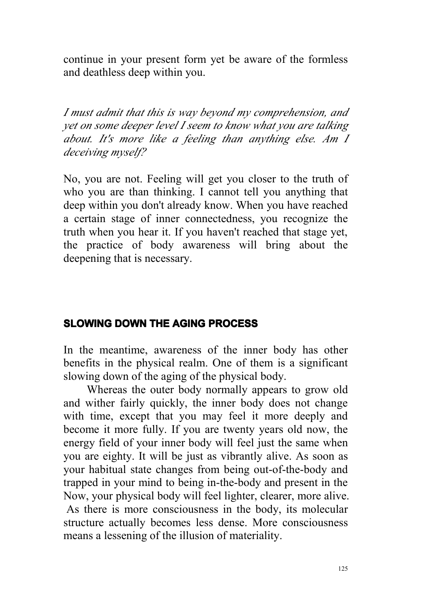continue in your presen<sup>t</sup> form ye<sup>t</sup> be aware of the formless and deathless deep within you.

*I must admit that this is way beyond my comprehension, and yet on some deeper level I seem to know what you are talking about. It's more like <sup>a</sup> feeling than anything else. Am I deceiving myself?*

No, you are not. Feeling will ge<sup>t</sup> you closer to the truth of who you are than thinking. I cannot tell you anything that deep within you don't already know. When you have reached <sup>a</sup> certain stage of inner connectedness, you recognize the truth when you hear it. If you haven't reached that stage yet, the practice of body awareness will bring about the deepening that is necessary.

#### **SLOWING DOWN THE AGING PROCESS**

In the meantime, awareness of the inner body has other benefits in the physical realm. One of them is <sup>a</sup> significant slowing down of the aging of the physical body.

Whereas the outer body normally appears to grow old and wither fairly quickly, the inner body does not change with time, except that you may feel it more deeply and become it more fully. If you are twenty years old now, the energy field of your inner body will feel just the same when you are eighty. It will be just as vibrantly alive. As soon as your habitual state changes from being out-of-the-body and trapped in your mind to being in-the-body and presen<sup>t</sup> in the Now, your physical body will feel lighter, clearer, more alive. As there is more consciousness in the body, its molecular structure actually becomes less dense. More consciousness means <sup>a</sup> lessening of the illusion of materiality.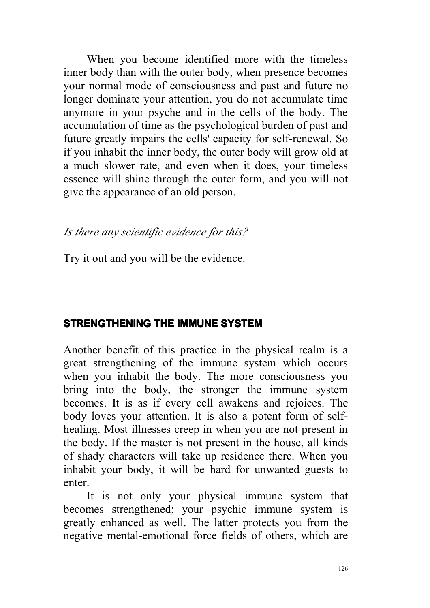When you become identified more with the timeless inner body than with the outer body, when presence becomes your normal mode of consciousness and pas<sup>t</sup> and future no longer dominate your attention, you do not accumulate time anymore in your psyche and in the cells of the body. The accumulation of time as the psychological burden of pas<sup>t</sup> and future greatly impairs the cells' capacity for self-renewal. So if you inhabit the inner body, the outer body will grow old at <sup>a</sup> much slower rate, and even when it does, your timeless essence will shine through the outer form, and you will not give the appearance of an old person.

#### *Is there any scientific evidence for this?*

Try it out and you will be the evidence.

# **STRENGTHENING STRENGTHENINGSTRENGTHENING THE IMMUNE SYSTEM**

Another benefit of this practice in the physical realm is <sup>a</sup> grea<sup>t</sup> strengthening of the immune system which occurs when you inhabit the body. The more consciousness you bring into the body, the stronger the immune system becomes. It is as if every cell awakens and rejoices. The body loves your attention. It is also <sup>a</sup> potent form of selfhealing. Most illnesses creep in when you are not presen<sup>t</sup> in the body. If the master is not presen<sup>t</sup> in the house, all kinds of shady characters will take up residence there. When you inhabit your body, it will be hard for unwanted guests to enter.

It is not only your physical immune system that becomes strengthened; your psychic immune system is greatly enhanced as well. The latter protects you from the negative mental-emotional force fields of others, which are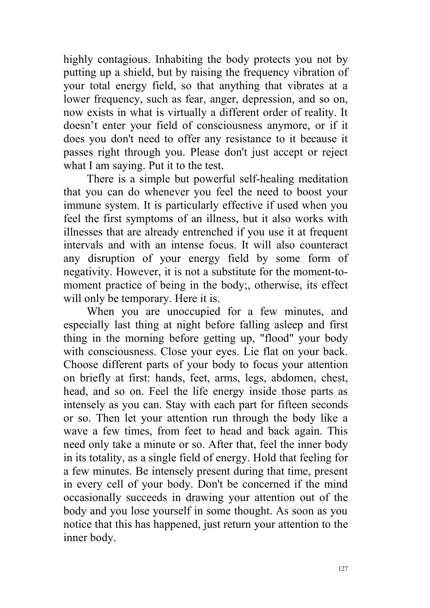highly contagious. Inhabiting the body protects you not by putting up <sup>a</sup> shield, but by raising the frequency vibration of your total energy field, so that anything that vibrates at <sup>a</sup> lower frequency, such as fear, anger, depression, and so on, now exists in what is virtually <sup>a</sup> different order of reality. It doesn't enter your field of consciousness anymore, or if it does you don't need to offer any resistance to it because it passes right through you. Please don't just accep<sup>t</sup> or reject what I am saying. Put it to the test.

There is <sup>a</sup> simple but powerful self-healing meditation that you can do whenever you feel the need to boost your immune system. It is particularly effective if used when you feel the first symptoms of an illness, but it also works with illnesses that are already entrenched if you use it at frequent intervals and with an intense focus. It will also counteract any disruption of your energy field by some form of negativity. However, it is not <sup>a</sup> substitute for the moment-tomoment practice of being in the body;, otherwise, its effect will only be temporary. Here it is.

When you are unoccupied for a few minutes, and especially last thing at night before falling asleep and first thing in the morning before getting up, "flood" your body with consciousness. Close your eyes. Lie flat on your back. Choose different parts of your body to focus your attention on briefly at first: hands, feet, arms, legs, abdomen, chest, head, and so on. Feel the life energy inside those parts as intensely as you can. Stay with each par<sup>t</sup> for fifteen seconds or so. Then let your attention run through the body like <sup>a</sup> wave <sup>a</sup> few times, from feet to head and back again. This need only take a minute or so. After that, feel the inner body in its totality, as asingle field of energy. Hold that feeling for <sup>a</sup> few minutes. Be intensely presen<sup>t</sup> during that time, presen<sup>t</sup> in every cell of your body. Don't be concerned if the mind occasionally succeeds in drawing your attention out of the body and you lose yourself in some thought. As soon as you notice that this has happened, just return your attention to the inner body.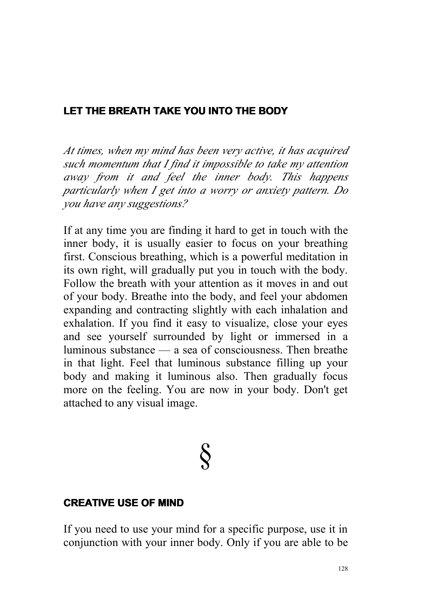# **LET THE BREATH TAKE YOU INTO THE BODY**

*At times, when my mind has been very active, it has acquired such momentum that I find it impossible to take my attention away fromit and feel the inner body. This happens particularly when I get into <sup>a</sup> worry or anxiety pattern. Do you have any suggestions?*

If at any time you are finding it hard to get in touch with the inner body, it is usually easier to focus on your breathing first. Conscious breathing, which is <sup>a</sup> powerful meditation in its own right, will gradually pu<sup>t</sup> you in touch with the body. Follow the breath with your attention as it moves in and out of your body. Breathe into the body, and feel your abdomen expanding and contracting slightly with each inhalation and exhalation. If you find it easy to visualize, close your eyes and see yourself surrounded by light or immersed in <sup>a</sup> luminous substance — <sup>a</sup> sea of consciousness. Then breathe in that light. Feel that luminous substance filling up your body and making it luminous also. Then gradually focus more on the feeling. You are now in your body. Don't ge<sup>t</sup> attached to any visual image.

§

# **CREATIVE CREATIVE USE OF MIND**

If you need to use your mind for <sup>a</sup> specific purpose, use it in conjunction with your inner body. Only if you are able to be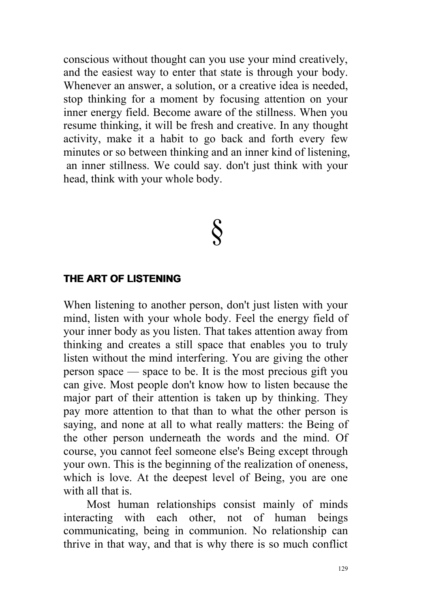conscious without thought can you use your mind creatively, and the easiest way to enter that state is through your body. Whenever an answer, a solution, or a creative idea is needed, stop thinking for <sup>a</sup> moment by focusing attention on your inner energy field. Become aware of the stillness. When you resume thinking, it will be fresh and creative. In any thought activity, make it <sup>a</sup> habit to go back and forth every few minutes or so between thinking and an inner kind of listening, an inner stillness. We could say. don't just think with your head, think with your whole body.

# §

#### **THE ART OF LISTENING LISTENING**

When listening to another person, don't just listen with your mind, listen with your whole body. Feel the energy field of your inner body as you listen. That takes attention away from thinking and creates <sup>a</sup> still space that enables you to truly listen without the mind interfering. You are giving the other person space — space to be. It is the most precious gift you can give. Most people don't know how to listen because the major par<sup>t</sup> of their attention is taken up by thinking. They pay more attention to that than to what the other person is saying, and none at all to what really matters: the Being of the other person underneath the words and the mind. Of course, you cannot feel someone else's Being excep<sup>t</sup> through your own. This is the beginning of the realization of oneness, which is love. At the deepest level of Being, you are one with all that is.

Most human relationships consist mainly of minds interacting with each other, not of human beings communicating, being in communion. No relationship can thrive in that way, and that is why there is so much conflict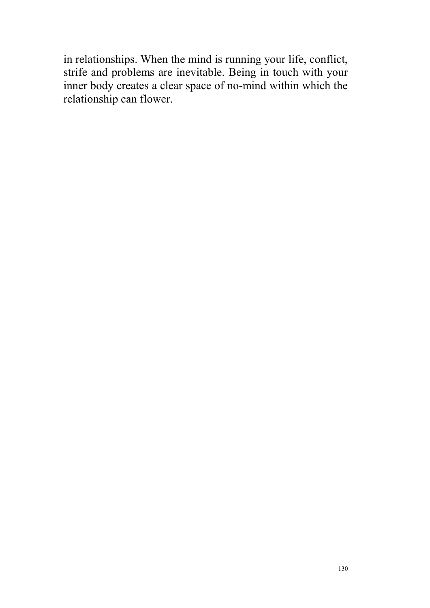in relationships. When the mind is running your life, conflict, strife and problems are inevitable. Being in touch with your inner body creates <sup>a</sup> clear space of no-mind within which the relationship can flower.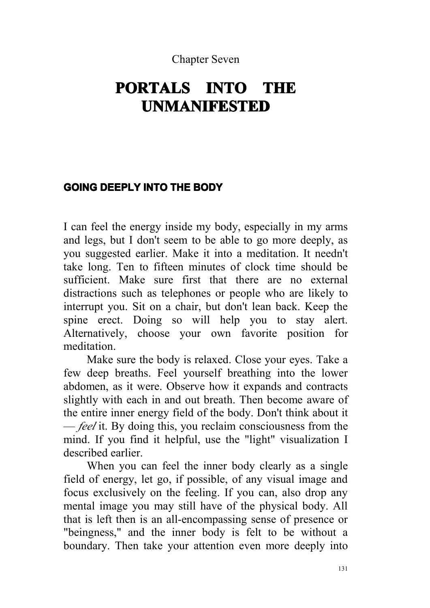### Chapter Seven

# **PORTALS PORTALSPORTALS PORTALSINTO THE UNMANIFESTED UNMANIFESTED UNMANIFESTEDUNMANIFESTED**

# **GOING DEEPLY INTO THE BODY**

I can feel the energy inside my body, especially in my arms and legs, but I don't seem to be able to go more deeply, as you suggested earlier. Make it into <sup>a</sup> meditation. It needn't take long. Ten to fifteen minutes of clock time should be sufficient. Make sure first that there are no external distractions such as telephones or people who are likely to interrupt you. Sit on a chair, but don't lean back. Keep the spine erect. Doing so will help you to stay alert. Alternatively, choose your own favorite position for meditation.

Make sure the body is relaxed. Close your eyes. Take <sup>a</sup> few deep breaths. Feel yourself breathing into the lower abdomen, as it were. Observe how it expands and contracts slightly with each in and out breath. Then become aware of the entire inner energy field of the body. Don't think about it — *feel* it. By doing this, you reclaim consciousness from the mind. If you find it helpful, use the "light" visualization I described earlier.

> When you can feel the inner body clearly as <sup>a</sup> single field of energy, let go, if possible, of any visual image and focus exclusively on the feeling. If you can, also drop any mental image you may still have of the physical body. All that is left then is an all-encompassing sense of presence or "beingness," and the inner body is felt to be without <sup>a</sup> boundary. Then take your attention even more deeply into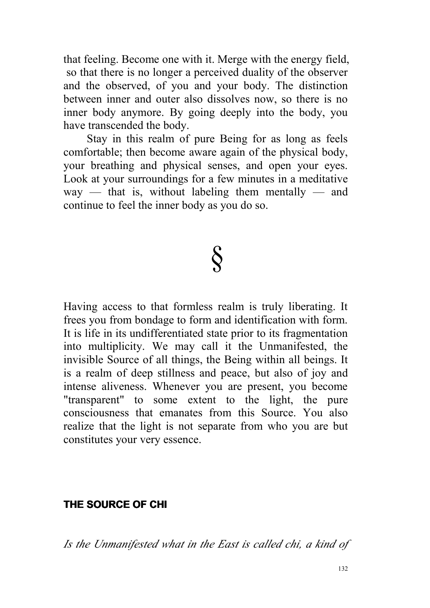that feeling. Become one with it. Merge with the energy field, so that there is no longer <sup>a</sup> perceived duality of the observer and the observed, of you and your body. The distinction between inner and outer also dissolves now, so there is no inner body anymore. By going deeply into the body, you have transcended the body.

Stay in this realm of pure Being for as long as feels comfortable; then become aware again of the physical body, your breathing and physical senses, and open your eyes. Look at your surroundings for <sup>a</sup> few minutes in <sup>a</sup> meditative way — that is, without labeling them mentally — and continue to feel the inner body as you do so.

# §

Having access to that formless realm is truly liberating. It frees you from bondage to form and identification with form. It is life in its undifferentiated state prior to its fragmentation into multiplicity. We may call it the Unmanifested, the invisible Source of all things, the Being within all beings. It is <sup>a</sup> realm of deep stillness and peace, but also of joy and intense aliveness. Whenever you are present, you become "transparent" to some extent to the light, the pure consciousness that emanates from this Source. You also realize that the light is not separate from who you are but constitutes your very essence.

#### **THE SOURCE OF CHI**

*Is the Unmanifested what in the East iscalled chi, <sup>a</sup> kind of*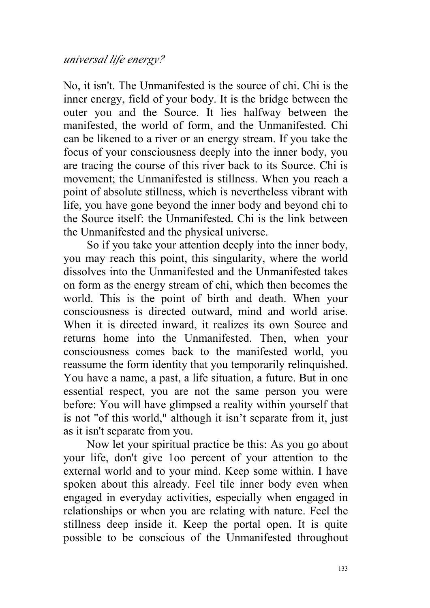No, it isn't. The Unmanifested is the source of chi. Chi is the inner energy, field of your body. It is the bridge between the outer you and the Source. It lies halfway between the manifested, the world of form, and the Unmanifested. Chi can be likened to <sup>a</sup> river or an energy stream. If you take the focus of your consciousness deeply into the inner body, you are tracing the course of this river back to its Source. Chi is movement; the Unmanifested is stillness. When you reach <sup>a</sup> point of absolute stillness, which is nevertheless vibrant with life, you have gone beyond the inner body and beyond chi to the Source itself: the Unmanifested. Chi is the link between the Unmanifested and the physical universe.

So if you take your attention deeply into the inner body, you may reach this point, this singularity, where the world dissolves into the Unmanifested and the Unmanifested takes on form as the energy stream of chi, which then becomes the world. This is the point of birth and death. When your consciousness is directed outward, mind and world arise. When it is directed inward, it realizes its own Source and returns home into the Unmanifested. Then, when your consciousness comes back to the manifested world, you reassume the form identity that you temporarily relinquished. You have <sup>a</sup> name, <sup>a</sup> past, <sup>a</sup> life situation, <sup>a</sup> future. But in one essential respect, you are not the same person you were before: You will have glimpsed <sup>a</sup> reality within yourself that is not "of this world," although it isn't separate from it, just as it isn't separate from you.

Now let your spiritual practice be this: As you go about your life, don't give 1oo percen<sup>t</sup> of your attention to the external world and to your mind. Keep some within. I have spoken about this already. Feel tile inner body even when engaged in everyday activities, especially when engaged in relationships or when you are relating with nature. Feel the stillness deep inside it. Keep the portal open. It is quite possible to be conscious of the Unmanifested throughout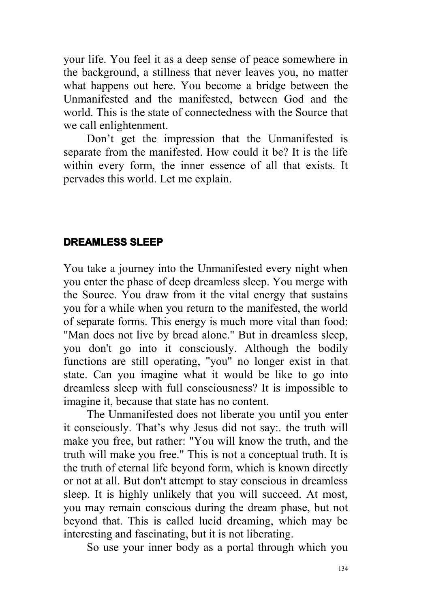your life. You feel it as <sup>a</sup> deep sense of peace somewhere in the background, <sup>a</sup> stillness that never leaves you, no matter what happens out here. You become <sup>a</sup> bridge between the Unmanifested and the manifested, between God and the world. This is the state of connectedness with the Source that we call enlightenment.

Don't ge<sup>t</sup> the impression that the Unmanifested is separate from the manifested. How could it be? It is the life within every form, the inner essence of all that exists. It pervades this world. Let me explain.

#### **DREAMLESS DREAMLESS DREAMLESS SLEEP**

You take <sup>a</sup> journey into the Unmanifested every night when you enter the phase of deep dreamless sleep. You merge with the Source. You draw from it the vital energy that sustains you for <sup>a</sup> while when you return to the manifested, the world of separate forms. This energy is much more vital than food: "Man does not live by bread alone." But in dreamless sleep, you don't go into it consciously. Although the bodily functions are still operating, "you" no longer exist in that state. Can you imagine what it would be like to go into dreamless sleep with full consciousness? It is impossible to imagine it, because that state has no content.

The Unmanifested does not liberate you until you enter it consciously. That's why Jesus did not say:. the truth will make you free, but rather: "You will know the truth, and the truth will make you free." This is not <sup>a</sup> conceptual truth. It is the truth of eternal life beyond form, which is known directly or not at all. But don't attempt to stay conscious in dreamless sleep. It is highly unlikely that you will succeed. At most, you may remain conscious during the dream phase, but not beyond that. This is called lucid dreaming, which may be interesting and fascinating, but it is not liberating.

So use your inner body as <sup>a</sup> portal through which you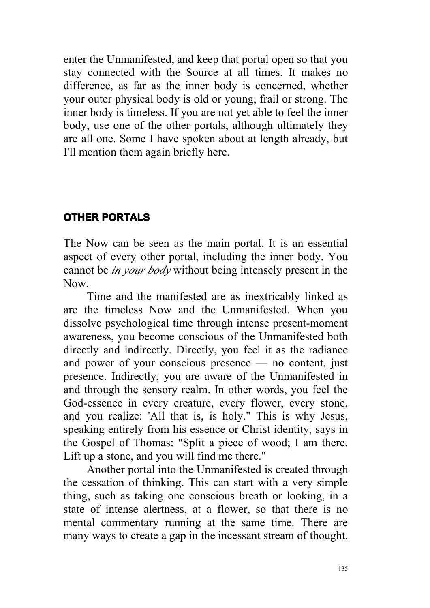enter the Unmanifested, and keep that portal open so that you stay connected with the Source at all times. It makes no difference, as far as the inner body is concerned, whether your outer physical body is old or young, frail or strong. The inner body is timeless. If you are not ye<sup>t</sup> able to feel the inner body, use one of the other portals, although ultimately they are all one. Some I have spoken about at length already, but I'll mention them again briefly here.

# **OTHER PORTALS PORTALS**

The Now can be seen as the main portal. It is an essential aspec<sup>t</sup> of every other portal, including the inner body. You cannot be *in your body* without being intensely presen<sup>t</sup> in the Now.

Time and the manifested are as inextricably linked as are the timeless Now and the Unmanifested. When you dissolve psychological time through intense present-moment awareness, you become conscious of the Unmanifested both directly and indirectly. Directly, you feel it as the radiance and power of your conscious presence — no content, just presence. Indirectly, you are aware of the Unmanifested in and through the sensory realm. In other words, you feel the God-essence in every creature, every flower, every stone, and you realize: 'All that is, is holy." This is why Jesus, speaking entirely from his essence or Christ identity, says in the Gospel of Thomas: "Split <sup>a</sup> piece of wood; I am there. Lift up <sup>a</sup> stone, and you will find me there."

Another portal into the Unmanifested is created through the cessation of thinking. This can start with <sup>a</sup> very simple thing, such as taking one conscious breath or looking, in <sup>a</sup> state of intense alertness, at <sup>a</sup> flower, so that there is no mental commentary running at the same time. There are many ways to create <sup>a</sup> gap in the incessant stream of thought.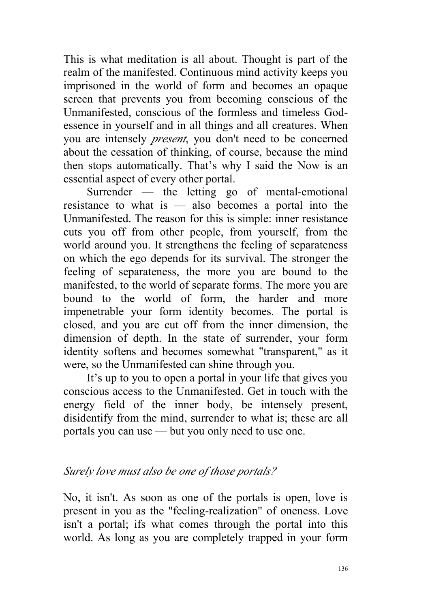This is what meditation is all about. Thought is part of the realm of the manifested. Continuous mind activity keeps you imprisoned in the world of form and becomes an opaque screen that prevents you from becoming conscious of the Unmanifested, conscious of the formless and timeless Godessence in yourself and in all things and all creatures. When you are intensely *present*, you don't need to be concerned about the cessation of thinking, of course, because the mind then stops automatically. That's why I said the Now is an essential aspec<sup>t</sup> of every other portal.

Surrender — the letting go of mental-emotional resistance to what is — also becomes <sup>a</sup> portal into the Unmanifested. The reason for this is simple: inner resistance cuts you off from other people, from yourself, from the world around you. It strengthens the feeling of separateness on which the ego depends for its survival. The stronger the feeling of separateness, themore you are bound to the manifested, to the world of separate forms. The more you are bound to the world of form, the harder and more impenetrable your form identity becomes. The portal is closed, and you are cut off from the inner dimension, the dimension of depth. In the state of surrender, your form identity softens and becomes somewhat "transparent," as it were, so the Unmanifested can shine through you.

It's up to you to open <sup>a</sup> portal in your life that gives you conscious access to the Unmanifested. Get in touch with the energy field of the inner body, be intensely present, disidentify from the mind, surrender to what is; these are all portals you can use — but you only need to use one.

#### *Surely love must also be one of those portals?*

No, it isn't. As soon as one of the portals is open, love is presen<sup>t</sup> in you as the "feeling-realization" of oneness. Love isn't a portal; ifs what comes through the portal into this world. As long as you are completely trapped in your form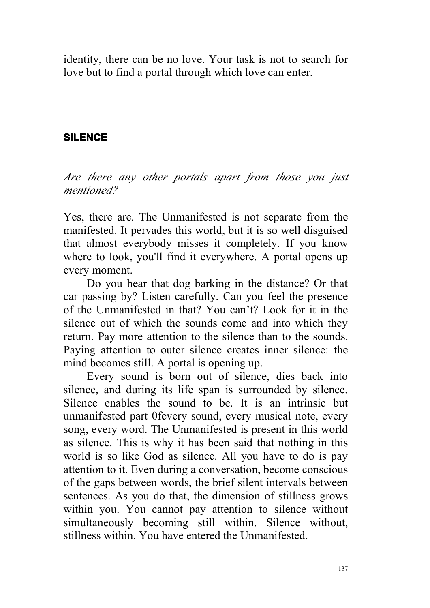identity, there can be no love. Your task is not to search for love but to find <sup>a</sup> portal through which love can enter.

### **SILENCE SILENCE SILENCE**

*Are there any other portals apart from those you just mentioned?*

Yes, there are. The Unmanifested is not separate from the manifested. It pervades this world, but it is so well disguised that almost everybody misses it completely. If you know where to look, you'll find it everywhere. A portal opens up every moment.

Do you hear that dog barking in the distance? Or that car passing by? Listen carefully. Can you feel the presence of the Unmanifested in that? You can't? Look for it in the silence out of which the sounds come and into which they return. Pay more attention to the silence than to the sounds. Paying attention to outer silence creates inner silence: the mind becomes still. A portal is opening up.

Every sound is born out of silence, dies back into silence, and during its life span is surrounded by silence. Silence enables the sound to be. It is an intrinsic but unmanifested par<sup>t</sup> 0fevery sound, every musical note, every song, every word. The Unmanifested is presen<sup>t</sup> in this world as silence. This is why it has been said that nothing in this world is so like God as silence. All you have to do is pay attention to it. Evenduring <sup>a</sup> conversation, become conscious of the gaps between words, the brief silent intervals between sentences. As you do that, the dimension of stillness grows within you. You cannot pay attention to silence without simultaneously becoming still within. Silence without, stillness within. You have entered the Unmanifested.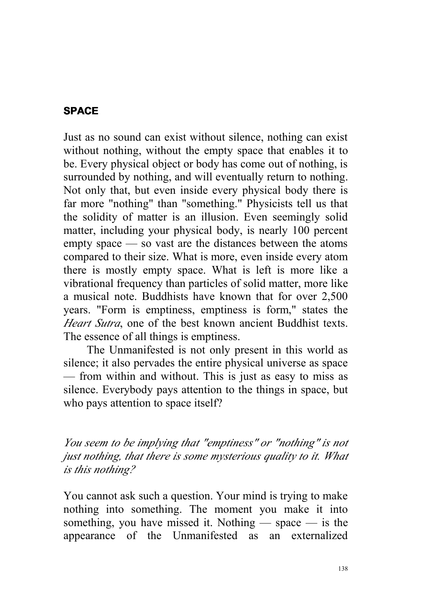## **SPACE**

Just as no sound can exist without silence, nothing can exist without nothing, without the empty space that enables it to be. Every physical object or body has come out of nothing, is surrounded by nothing, and will eventually return to nothing. Not only that, but even inside every physical body there is far more "nothing" than "something." Physicists tell us that the solidity of matter is an illusion. Even seemingly solid matter, including your physical body, is nearly 100 percen<sup>t</sup> empty space  $\sim$  so vast are the distances between the atoms compared to their size. What is more, even inside every atom there is mostly empty space. What is left is more like <sup>a</sup> vibrational frequency than particles of solid matter, more like <sup>a</sup> musical note. Buddhists have known that for over 2,500 years. "Form is emptiness, emptiness is form," states the *Heart Sutra*, one of the best known ancient Buddhist texts. The essence of all things is emptiness.

The Unmanifested is not only presen<sup>t</sup> in this world as silence; it also pervades the entire physical universe as space — from within and without. This is just as easy to miss as silence. Everybody pays attention to the things in space, but who pays attention to space itself?

> *You seem to be implying that "emptiness" or "nothing" is not just nothing, that there is some mysterious quality to it. What is this nothing?*

> You cannot ask such <sup>a</sup> question. Your mind is trying to make nothing into something. The moment you make it into something, you have missed it. Nothing — space — is the appearance of the Unmanifested as an externalized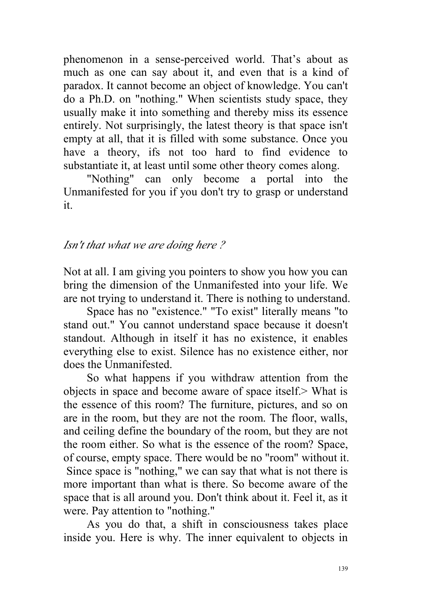phenomenon in <sup>a</sup> sense-perceived world. That's about as much as one can say about it, and even that is <sup>a</sup> kind of paradox. It cannot become an object of knowledge. You can't do <sup>a</sup> Ph.D. on "nothing." When scientists study space, they usually make it into something and thereby miss its essence entirely. Not surprisingly, the latest theory is that space isn't empty at all, that it is filled with some substance. Once you have <sup>a</sup> theory, ifs not too hard to find evidence to substantiate it, at least until some other theory comes along.

"Nothing" can only become <sup>a</sup> portal into the Unmanifested for you if you don't try to grasp or understand it.

#### *Isn't that what we are doing here ?*

Not at all. I am giving you pointers to show you how you can bring the dimension of the Unmanifested into your life. We are not trying to understand it. There is nothing to understand.

Space has no "existence." "To exist" literally means "to stand out." You cannot understand space because it doesn't standout. Although in itself it has no existence, it enables everything else to exist. Silence has no existence either, nor does the Unmanifested.

So what happens if you withdraw attention from the objects in space and become aware of space itself.> What is the essence of this room? The furniture, pictures, and so on are in the room, but they are not the room. The floor, walls, and ceiling define the boundary of the room, but they are not the room either. So what is the essence of the room? Space, of course, empty space. There would be no "room" without it. Since space is "nothing," we can say that what is not there is more important than what is there. So become aware of the space that is all around you. Don't think about it. Feel it, as it were. Pay attention to "nothing."

As you do that, <sup>a</sup> shift in consciousness takes place inside you. Here is why. The inner equivalent to objects in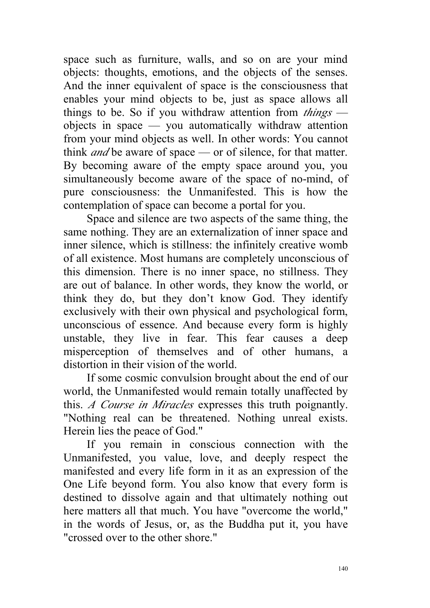space such as furniture, walls, and so on are your mind objects: thoughts, emotions, and the objects of the senses. And the inner equivalent of space is the consciousness that enables your mind objects to be, just as space allows all things to be. So if you withdraw attention from *things* objects in space — you automatically withdraw attention from your mind objects as well. In other words: You cannot think *and* be aware of space — or of silence, for that matter. By becoming aware of the empty space around you, you simultaneously become aware of the space of no-mind, of pure consciousness: the Unmanifested. This is how the contemplation of space can become <sup>a</sup> portal for you.

Space and silence are two aspects of the same thing, the same nothing. They are an externalization of inner space and inner silence, which is stillness: the infinitely creative womb of all existence. Most humans are completely unconscious of this dimension. There is no inner space, no stillness. They are out of balance. In other words, they know the world, or think they do, but they don't know God. They identify exclusively with their own physical and psychological form, unconscious of essence. And because every form is highly unstable, they live in fear. This fear causes <sup>a</sup> deep misperception of themselves and of other humans, <sup>a</sup> distortion in their vision of the world.

If some cosmic convulsion brought about the end of our world, the Unmanifested would remain totally unaffected by this. *A Course in Miracles* expresses this truth poignantly. "Nothing real canbe threatened. Nothing unreal exists. Herein lies the peace of God."

If you remain in conscious connection with the Unmanifested, you value, love, and deeply respec<sup>t</sup> the manifested and every life form in it as an expression of the One Life beyond form. You also know that every form is destined to dissolve again and that ultimately nothing out here matters all that much. You have "overcome the world," in the words of Jesus, or, as the Buddha put it, you have "crossed over to the other shore."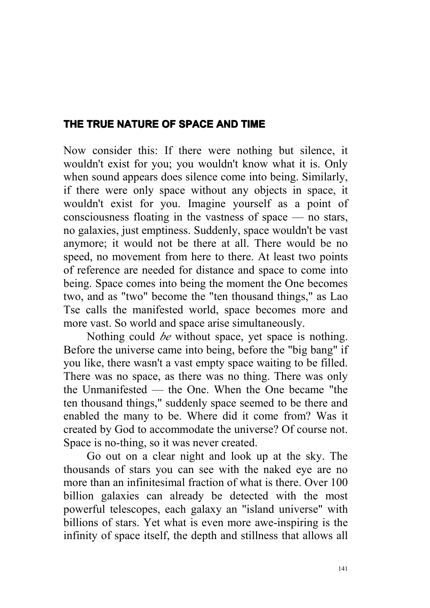# **THE TRUE NATURE OF SPACE AND TIME**

Now consider this: If there were nothing but silence, it wouldn't exist for you; you wouldn't know what it is. Only when sound appears does silence come into being. Similarly, if there were only space without any objects in space, it wouldn't exist for you. Imagine yourself as <sup>a</sup> point of consciousness floating in the vastness of space — no stars, no galaxies, just emptiness. Suddenly, space wouldn't be vast anymore; it would not be there at all. There would be no speed, no movement from here to there. At least two points of reference are needed for distance and space to come into being. Space comes into being the moment the One becomes two, and as "two" become the "ten thousand things," as Lao Tse calls the manifested world, space becomes more and more vast. So world and space arise simultaneously.

Nothing could *be* without space, ye<sup>t</sup> space is nothing. Before the universe came into being, before the "big bang" if you like, there wasn't <sup>a</sup> vast empty space waiting to be filled. There was no space, as there was no thing. There was only the Unmanifested — the One. When the One became "the ten thousand things," suddenly space seemed to be there and enabled the many to be. Where did it come from? Was it created by God to accommodate the universe? Of course not. Space is no-thing, so it was never created.

Go out on <sup>a</sup> clear night and look up at the sky. The thousands of stars you can see with the naked eye are no more than an infinitesimal fraction of what is there. Over 100 billion galaxies can already be detected with the most powerful telescopes, each galaxy an "island universe" with billions of stars. Yet what is even more awe-inspiring is the infinity of space itself, the depth and stillness that allows all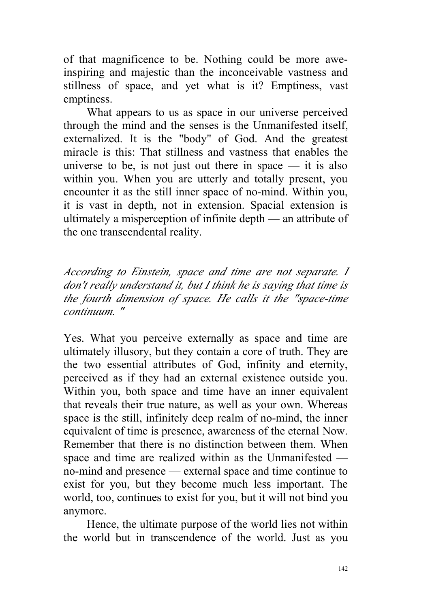of that magnificence to be. Nothing could be more aweinspiring and majestic than the inconceivable vastness and stillness of space, and ye<sup>t</sup> what is it? Emptiness, vast emptiness.

What appears to us as space in our universe perceived through the mind and the senses is the Unmanifested itself, externalized. It is the "body" of God. And the greatest miracle is this: That stillness and vastness that enables the universe to be, is not just out there in space  $-$  it is also within you. When you are utterly and totally present, you encounter it as the still inner space of no-mind. Within you, it is vast in depth, not in extension. Spacial extension is ultimately <sup>a</sup> misperception of infinite depth — an attribute of the one transcendental reality.

*According to Einstein, space and time are not separate. I don't really understand it, but I think he is saying that time is the fourth dimension of space. He calls it the "space-time continuum. "*

Yes. What you perceive externally as space and time are ultimately illusory, but they contain <sup>a</sup> core of truth. Theyare the two essential attributes of God, infinity and eternity, perceived as if they had an external existence outside you. Within you, both space and time have an inner equivalent that reveals their true nature, as well as your own. Whereas space is the still, infinitely deep realmof no-mind, the inner equivalent of time is presence, awareness of the eternal Now. Remember that there is no distinction between them. When space and time are realized within as the Unmanifested no-mind and presence — external space and time continue to exist for you, but they become much less important. The world, too, continues to exist for you, but it will not bind you anymore.

Hence, the ultimate purpose of the world lies not within the world but in transcendence of the world. Just as you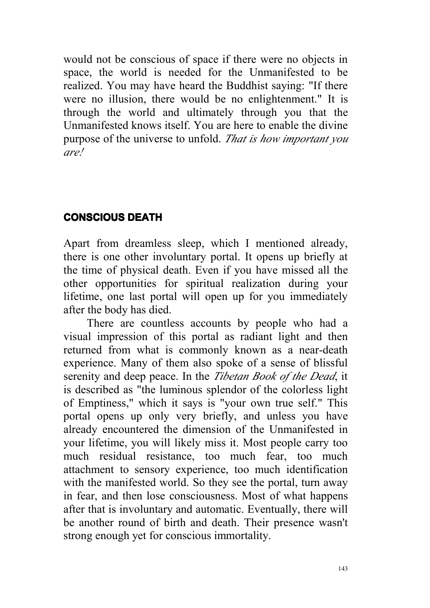would not be conscious of space if there were no objects in space, the world is needed for the Unmanifested to be realized. You may have heard the Buddhist saying: "If there were no illusion, there would be no enlightenment." It is through the world and ultimately through you that the Unmanifested knows itself. You are here to enable the divine purpose of the universe to unfold. *That is how important you are!*

#### **CONSCIOUS CONSCIOUS CONSCIOUSDEATH**

Apart from dreamless sleep, which I mentioned already, there is one other involuntary portal. It opens up briefly at the time of physical death. Even if you have missed all the other opportunities for spiritual realization during your lifetime, one last portal will open up for you immediately after the body has died.

There are countless accounts by people who had <sup>a</sup> visual impression of this portal as radiant light and then returned from what is commonly known as <sup>a</sup> near-death experience. Many of them also spoke of <sup>a</sup> sense of blissful serenity and deep peace. In the *Tibetan Book of theDead*, it is described as "the luminous splendor of the colorless light of Emptiness," which it says is "your own true self." This portal opens up only very briefly, and unless you have already encountered the dimension of the Unmanifested in your lifetime, you will likely miss it. Most people carry too much residual resistance, too much fear, too much attachment to sensory experience, too much identification with the manifested world. So they see the portal, turn away in fear, and then lose consciousness. Most of what happens after that is involuntary and automatic. Eventually, there will be another round of birth and death. Their presence wasn't strong enough ye<sup>t</sup> for conscious immortality.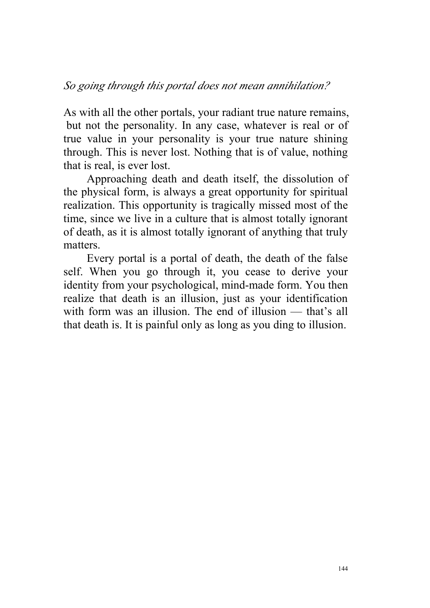### *So going through this portal does not mean annihilation?*

As with all the other portals, your radiant true nature remains, but not the personality. In any case, whatever is real or of true value in your personality is your true nature shining through. This is never lost. Nothing that is of value, nothing that is real, is ever lost.

Approaching death and death itself, the dissolution of the physical form, is always <sup>a</sup> grea<sup>t</sup> opportunity for spiritual realization. This opportunity is tragically missed most of the time, since we live in <sup>a</sup> culture that is almost totally ignorant of death, as it is almost totally ignorant of anything that truly matters.

Every portal is a portal of death, the death of the false self. When you go through it, you cease to derive your identity from your psychological, mind-made form. You then realize that death is an illusion, just as your identification with form was an illusion. The end of illusion — that's all that death is. It is painful only as long as you ding to illusion.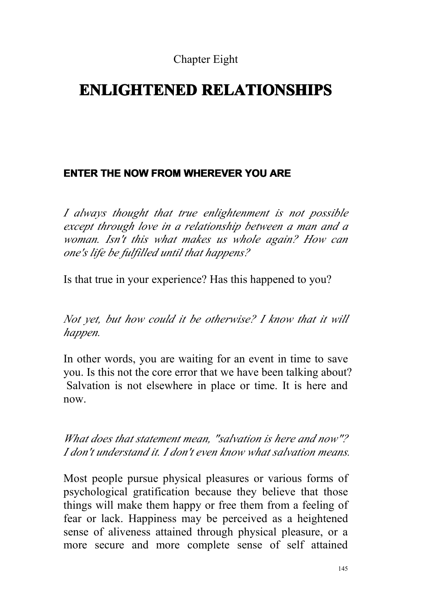# Chapter Eight

# **ENLIGHTENED RELATIONSHIPS**

# **ENTER THE NOW FROM WHEREVER WHEREVERYOU ARE**

*I always thought that true enlightenment is not possible except through love in <sup>a</sup> relationship between <sup>a</sup> man and <sup>a</sup> woman. Isn't this what makes us whole again? How can one's life be fulfilled until that happens?*

Is that true in your experience? Has this happened to you?

*Not yet, but how could it be otherwise? I know that it will happen.*

In other words, you are waiting for an event in time to save you. Is this not the core error that we have been talking about? Salvation is not elsewhere in place or time. It is here and now.

*What does that statement mean, "salvation is here and now"? I don't understand it. I don't evenknow what salvation means.*

Most people pursue physical pleasures or various forms of psychological gratification because they believe that those things will make them happy or free them from <sup>a</sup> feeling of fear or lack. Happiness may be perceived as <sup>a</sup> heightened sense of aliveness attained through physical pleasure, or <sup>a</sup> more secure and more complete sense of self attained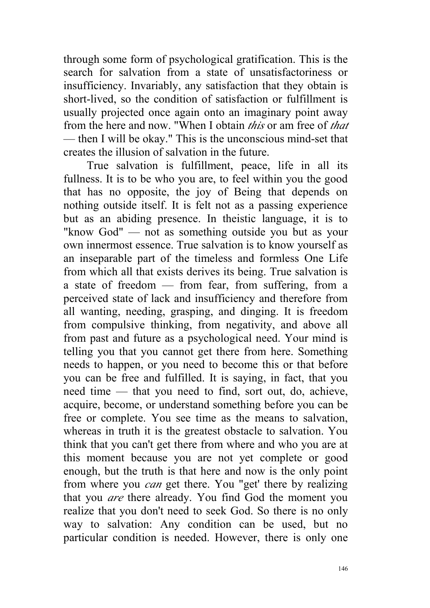through some form of psychological gratification. This is the search for salvation from <sup>a</sup> state of unsatisfactoriness or insufficiency. Invariably, any satisfaction that they obtain is short-lived, so the condition of satisfaction or fulfillment is usually projected once again onto an imaginary point away from the here and now. "When I obtain *this* or am free of *that* — then I will be okay." This is the unconscious mind-set that creates the illusion of salvation in the future.

> True salvation is fulfillment, peace, life in all its fullness. It is tobe who you are, to feel within you the good that has no opposite, the joy of Being that depends on nothing outside itself. It is felt not as <sup>a</sup> passing experience but as an abiding presence. In theistic language, it is to "know God" — not as something outside you but as your own innermost essence. True salvation is to know yourself as an inseparable par<sup>t</sup> of the timeless and formless One Life from which all that exists derives its being. True salvation is <sup>a</sup> state of freedom — from fear, from suffering, from <sup>a</sup> perceived state of lack and insufficiency and therefore from all wanting, needing, grasping, and dinging. It is freedom from compulsive thinking, from negativity, and above all from pas<sup>t</sup> and future as <sup>a</sup> psychological need. Your mind is telling you that you cannot ge<sup>t</sup> there from here. Something needs to happen, or you need to become this or that before you can be free and fulfilled. It is saying, in fact, that you need time — that you need to find, sort out, do, achieve, acquire, become, or understand something before you can be free or complete. You see time as the means to salvation, whereas in truth it is the greatest obstacle to salvation. You think that you can't ge<sup>t</sup> there from where and who you are at this moment because you are not ye<sup>t</sup> complete or good enough, but the truth is that here and now is the only point from where you *can* ge<sup>t</sup> there. You "get' there by realizing that you *are* there already. You find God the moment you realize that you don't need to seek God. So there is no only way to salvation: Any condition can be used, but no particular condition is needed. However, there is only one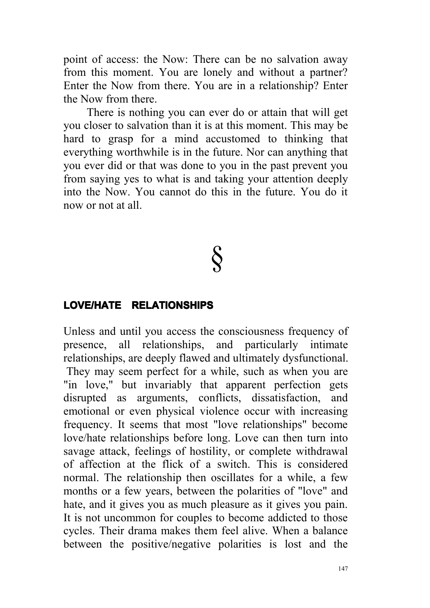point of access: the Now: There can be no salvation away from this moment. You are lonely and without <sup>a</sup> partner? Enter the Now from there. You are in <sup>a</sup> relationship? Enter the Now from there.

There is nothing you can ever do or attain that will ge<sup>t</sup> you closer to salvation than it is at this moment. This may be hard to grasp for <sup>a</sup> mind accustomed to thinking that everything worthwhile is in the future. Nor can anything that you ever didor that was done to you in the pas<sup>t</sup> preven<sup>t</sup> you from saying yes to what is and taking your attention deeply into the Now. You cannot do this in the future. You do it now or not at all.

# §

# **LOVE/HATE LOVE/HATE LOVE/HATELOVE/HATERELATIONSHIPS RELATIONSHIPS RELATIONSHIPS**

Unless and until you access the consciousness frequency of presence, all relationships, and particularly intimate relationships, are deeply flawed and ultimately dysfunctional. They may seem perfect for <sup>a</sup> while, such as when you are "in love," but invariably that apparent perfection gets disrupted as arguments, conflicts, dissatisfaction, and emotional or even physical violence occur with increasing frequency. It seems that most "love relationships" become love/hate relationships before long. Love can then turn into savage attack, feelings of hostility, or complete withdrawal of affection at the flick of <sup>a</sup> switch. This is considered normal. The relationship then oscillates for <sup>a</sup> while, <sup>a</sup> few months or <sup>a</sup> few years, between the polarities of "love" and hate, and it gives you as much pleasure as it gives you pain. It is not uncommon for couples to become addicted to those cycles. Their drama makes them feel alive. When <sup>a</sup> balance between the positive/negative polarities is lost and the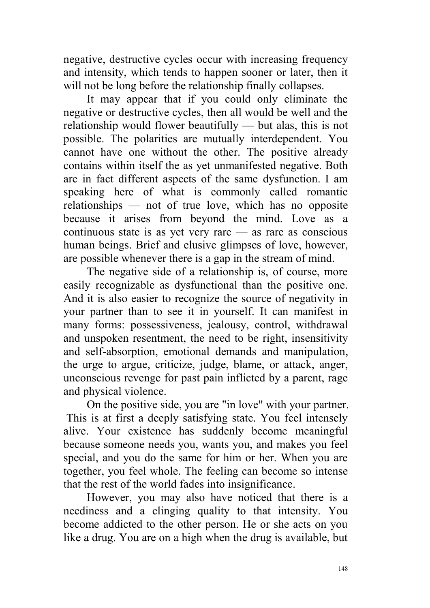negative, destructive cycles occur with increasing frequency and intensity, which tends to happen sooner or later, then it will not be long before the relationship finally collapses.

It may appear that if you could only eliminate the negative or destructive cycles, then all would be well and the relationship would flower beautifully — but alas, this is not possible. The polarities are mutually interdependent. You cannot have one without the other. The positive already contains within itself the as ye<sup>t</sup> unmanifested negative. Both are in fact different aspects of the same dysfunction. I am speaking here of what is commonly called romantic relationships — not of true love, which has no opposite because it arises from beyond the mind. Love as <sup>a</sup> continuous state is as ye<sup>t</sup> very rare — as rare as conscious human beings. Brief and elusive glimpses of love, however, are possible whenever there is <sup>a</sup> gap in the stream of mind.

The negative side of <sup>a</sup> relationship is, of course, more easily recognizable as dysfunctional than the positive one. And it is also easier to recognize the source of negativity in your partner than to see it in yourself. It can manifest in many forms: possessiveness, jealousy, control, withdrawal and unspoken resentment, the need to be right, insensitivity and self-absorption, emotional demands and manipulation, the urge to argue, criticize, judge, blame, or attack, anger, unconscious revenge for past pain inflicted by a parent, rage and physical violence.

On the positive side, you are "in love" with your partner. This is at first <sup>a</sup> deeply satisfying state. You feel intensely alive. Your existence has suddenly become meaningful because someone needs you, wants you, and makes you feel special, and you do the same for him or her. When you are together, you feel whole. The feeling can become so intense that the rest of the world fades into insignificance.

However, you may also have noticed that there is <sup>a</sup> neediness and <sup>a</sup> clinging quality to that intensity. You become addicted to the other person. He or she acts on you like <sup>a</sup> drug. You are on <sup>a</sup> high when the drug is available, but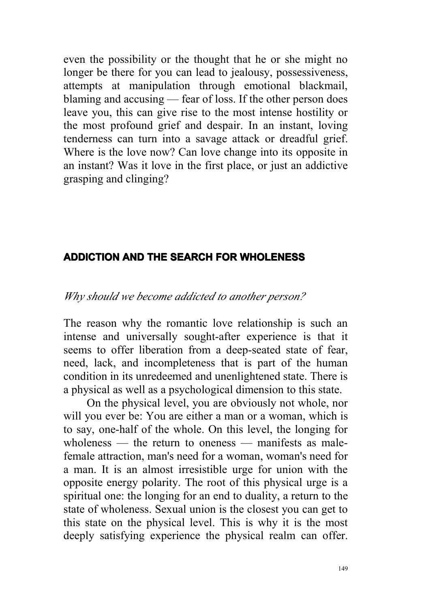even the possibility or the thought that he or she might no longer be there for you can lead to jealousy, possessiveness, attempts at manipulation through emotional blackmail, blaming and accusing — fear of loss. If the other person does leave you, this can give rise to the most intense hostility or the most profound grief and despair. In an instant, loving tenderness can turn into <sup>a</sup> savage attack or dreadful grief. Where is the love now? Can love change into its opposite in an instant? Was it love in the first place, or just an addictive grasping and clinging?

# **ADDICTION AND THE SEARCH FOR WHOLENESS WHOLENESS**

## *Why should we become addicted to another person?*

The reason why the romantic love relationship is such an intense and universally sought-after experience is that it seems to offer liberation from <sup>a</sup> deep-seated state of fear, need, lack, and incompleteness that is par<sup>t</sup> of the human condition in its unredeemed and unenlightened state. There is <sup>a</sup> physical as well as <sup>a</sup> psychological dimension to this state.

On the physical level, you are obviously not whole, nor will you ever be: You are either a man or a woman, which is to say, one-half of the whole. On this level, the longing for wholeness — the return to oneness — manifests as malefemale attraction, man's need for <sup>a</sup> woman, woman's need for <sup>a</sup> man. It is an almost irresistible urge for union with the opposite energy polarity. The root of this physical urge is <sup>a</sup> spiritual one: the longing for an end to duality, <sup>a</sup> return to the state of wholeness. Sexual union is the closest you can ge<sup>t</sup> to this state on the physical level. This is why it is the most deeply satisfying experience the physical realm can offer.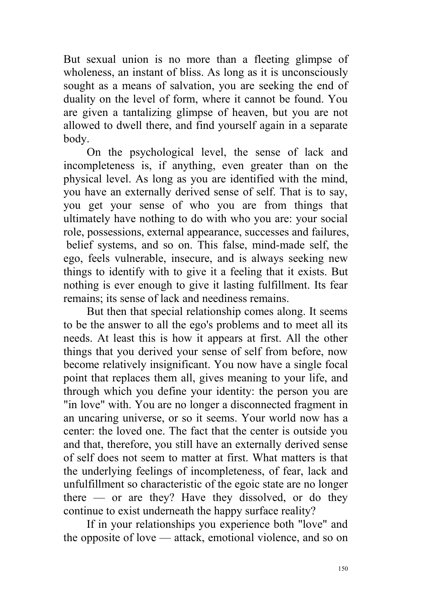But sexual union is no more than <sup>a</sup> fleeting glimpse of wholeness, an instant of bliss. As long as it is unconsciously sought as <sup>a</sup> means of salvation, you are seeking the end of duality on the level of form, where it cannot be found. You are given <sup>a</sup> tantalizing glimpse of heaven, but you are not allowed to dwell there, and find yourself again in <sup>a</sup> separate body.

On the psychological level, the sense of lack and incompleteness is, if anything, even greater than on the physical level. As long as you are identified with the mind, you have an externally derived sense of self. That is to say, you ge<sup>t</sup> your sense of who you are from things that ultimately have nothing to do with who you are: your social role, possessions, external appearance, successes and failures, belief systems, and so on. This false, mind-made self, the ego, feels vulnerable, insecure, and is always seeking new things to identify with to give it <sup>a</sup> feeling that it exists. But nothing is ever enough to give it lasting fulfillment. Its fear remains; its sense of lack and neediness remains.

But then that special relationship comes along. It seems to be the answer to all the ego's problems and to meet all its needs. At least this is how it appears at first. All the other things that you derived your sense of self from before, now become relatively insignificant. You now have <sup>a</sup> single focal point that replaces them all, gives meaning to your life, and through which you define your identity: the person you are "in love" with. You are no longer <sup>a</sup> disconnected fragment in an uncaring universe, or so it seems. Your world nowhas <sup>a</sup> center: the loved one. The fact that the center is outside you and that, therefore, you still have an externally derived sense of self does not seem to matter at first. What matters is that the underlying feelings of incompleteness, of fear, lack and unfulfillment so characteristic of the egoic state are no longer there — or are they? Have they dissolved, or do they continue to exist underneath the happy surface reality?

If in your relationships you experience both "love" and the opposite of love — attack, emotional violence, and so on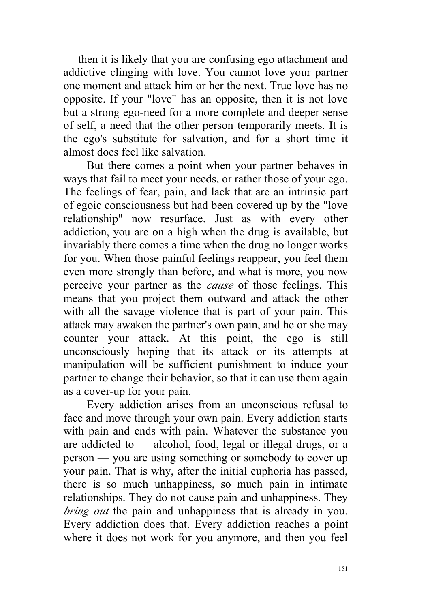— then it is likely that you are confusing ego attachment and addictive clinging with love. You cannot love your partner one moment and attack him or her the next. True love has no opposite. If your "love" has an opposite, then it is not love but <sup>a</sup> strong ego-need for <sup>a</sup> more complete and deeper sense of self, <sup>a</sup> need that the other person temporarily meets. It is the ego's substitute for salvation, and for <sup>a</sup> short time it almost does feel like salvation.

> But there comes <sup>a</sup> point when your partner behaves in ways that fail to meet your needs, or rather those of your ego. The feelings of fear, pain, and lack that are an intrinsic part of egoic consciousness but had been covered up by the "love relationship" now resurface. Just as with every other addiction, you are on <sup>a</sup> high when the drug is available, but invariably there comes <sup>a</sup> time when the drug no longer works for you. When those painful feelings reappear, you feel them even more strongly than before, and what is more, you now perceive your partner as the *cause* of those feelings. This means that you project them outward and attack the other with all the savage violence that is part of your pain. This attack may awaken the partner's own pain, and he or she may counter your attack. At this point, the ego is still unconsciously hoping that its attack or its attempts at manipulation will be sufficient punishment to induce your partner to change their behavior, so that it can use them again as <sup>a</sup> cover-up for your pain.

> Every addiction arises from an unconscious refusal to face and move through your own pain. Every addiction starts with pain and ends with pain. Whatever the substance you are addicted to — alcohol, food, legal or illegal drugs, or <sup>a</sup> person — you are using something or somebody to cover up your pain. That is why, after the initial euphoria has passed, there is so much unhappiness, so much pain in intimate relationships. They do not cause pain and unhappiness. They *bring out* the pain and unhappiness that is already in you. Every addiction does that. Every addiction reaches <sup>a</sup> point where it does not work for you anymore, and then you feel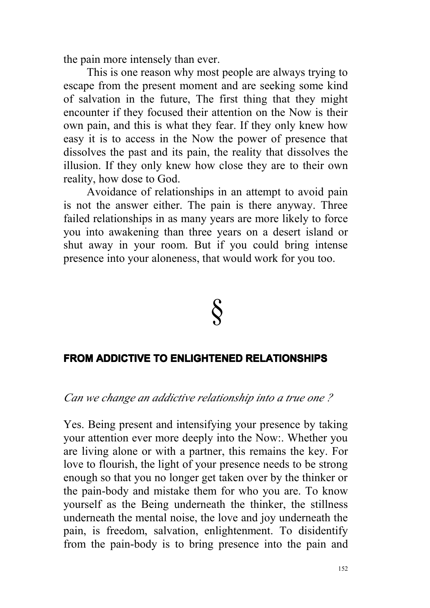the pain more intensely than ever.

This is one reason why most people are always trying to escape from the presen<sup>t</sup> moment and are seeking some kind of salvation in the future, The first thing that they might encounter if they focused their attention on the Now is their own pain, and this is what they fear. If they only knew how easy it is to access in the Now the power of presence that dissolves the pas<sup>t</sup> and its pain, the reality that dissolves the illusion. If they only knew how close they are to their own reality, how dose to God.

Avoidance of relationships in an attempt to avoid pain is not the answer either. The pain is there anyway. Three failed relationships in as many years are more likely to force you into awakening than three years on <sup>a</sup> desert island or shut away in your room. But if you could bring intense presence into your aloneness, that would work for you too.

# §

### **FROM ADDICTIVE TO ENLIGHTENED RELATIONSHIPS**

*Can we change an addictive relationship into <sup>a</sup> true one ?*

Yes. Being presen<sup>t</sup> and intensifying your presence by taking your attention ever more deeply into the Now:. Whether you are living alone or with <sup>a</sup> partner, this remains the key. For love to flourish, the light of your presence needs to be strong enough so that you no longer ge<sup>t</sup> taken over by the thinker or the pain-body and mistake them for who you are. To know yourself as the Being underneath the thinker, the stillness underneath the mental noise, the love and joy underneath the pain, is freedom, salvation, enlightenment. To disidentify from the pain-body is to bring presence into the pain and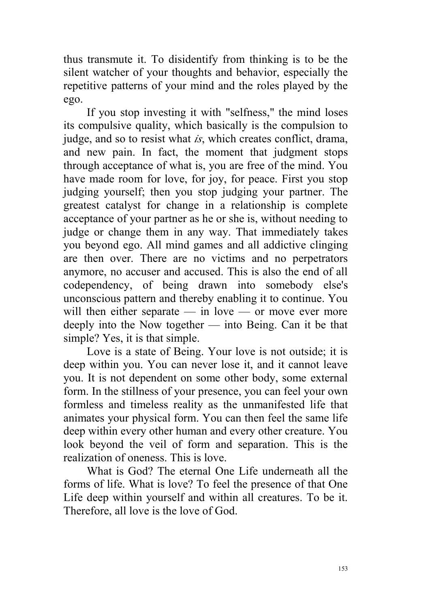thus transmute it. To disidentify from thinking is to be the silent watcher of your thoughts and behavior, especially the repetitive patterns of your mind and the roles played by the ego.

If you stop investing it with "selfness," the mind loses its compulsive quality, which basically is the compulsion to judge, and so to resist what *is*, which creates conflict, drama, and new pain. In fact, the moment that judgment stops through acceptance of what is, you are free of the mind. You have made room for love, for joy, for peace. First you stop judging yourself; then you stop judging your partner. The greatest catalyst for change in <sup>a</sup> relationship is complete acceptance of your partner as he or she is, without needing to judge or change them in any way. That immediately takes you beyond ego. All mind games and all addictive clinging are then over. There are no victims and no perpetrators anymore, no accuser and accused. This is also the end of all codependency, of being drawn into somebody else's unconscious pattern and thereby enabling it to continue. You will then either separate — in love — or move ever more deeply into the Now together — into Being. Can it be that simple? Yes, it is that simple.

Love is <sup>a</sup> state of Being. Your love is not outside; it is deep within you. You can never lose it, and it cannot leave you. It is not dependent on some other body, some external form. In the stillness of your presence, you can feel your own formless and timeless reality as the unmanifested life that animates your physical form. You can then feel the same life deep within every other human and every other creature. You look beyond the veil of form and separation. This is the realization of oneness. This is love.

What is God? The eternal One Life underneath all the forms of life. What is love? To feel the presence of that One Life deep within yourself and within all creatures. To be it. Therefore, all love is the love of God.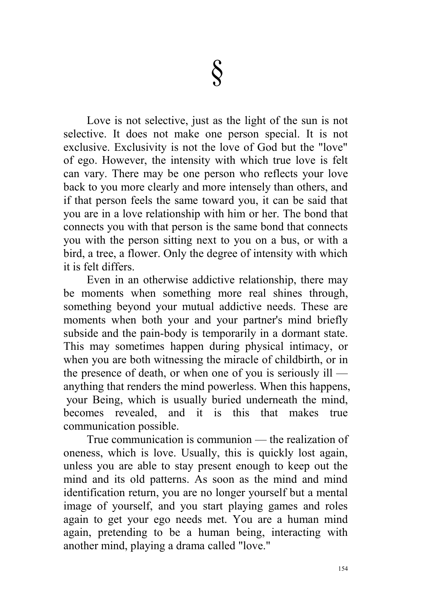Love is not selective, just as the light of the sun is not selective. It does not make one person special. It is not exclusive. Exclusivity is not the love of God but the "love" of ego. However, the intensity with which true love is felt can vary. There may be one person who reflects your love back to you more clearly and more intensely than others, and if that person feels the same toward you, it can be said that you are in <sup>a</sup> love relationship with him or her. The bond that connects you with that person is the same bond that connects you with the person sitting next to you on <sup>a</sup> bus, or with <sup>a</sup> bird, <sup>a</sup> tree, <sup>a</sup> flower. Only the degree of intensity with which it is felt differs.

Even in an otherwise addictive relationship, there may be moments when something more real shines through, something beyond your mutual addictive needs. These are moments when both your and your partner's mind briefly subside and the pain-body is temporarily in <sup>a</sup> dormant state. This may sometimes happen during physical intimacy, or when you are both witnessing the miracle of childbirth, or in the presence of death, or when one of you is seriously ill anything that renders the mind powerless. When this happens, your Being, which is usually buried underneath the mind, becomes revealed, and it is this that makes true communication possible.

True communication is communion — the realization of oneness, which is love. Usually, this is quickly lost again, unless you are able to stay presen<sup>t</sup> enough to keep out the mind and its old patterns. As soon as the mind and mind identification return, you are no longer yourself but <sup>a</sup> mental image of yourself, and you start playing games and roles again to ge<sup>t</sup> your ego needs met. You are <sup>a</sup> human mind again, pretending to be <sup>a</sup> human being, interacting with another mind, playing <sup>a</sup> drama called "love."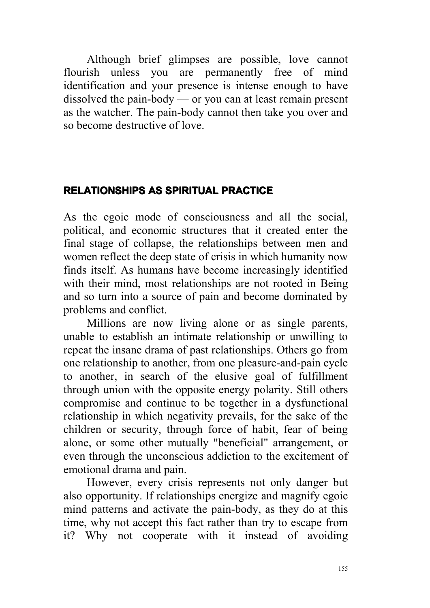Although brief glimpses are possible, love cannot flourish unless you are permanently free of mind identification and your presence is intense enough to have dissolved the pain-body — or you can at least remain presen<sup>t</sup> as the watcher. The pain-body cannot then take you over and so become destructive of love.

## **RELATIONSHIPS AS SPIRITUAL PRACTICE**

As the egoic mode of consciousness and all the social, political, and economic structures that it created enter the final stage of collapse, the relationships between men and women reflect the deep state of crisis in which humanity now finds itself. As humans have become increasingly identified with their mind, most relationships are not rooted in Being and so turn into <sup>a</sup> source of pain and become dominated by problems and conflict.

Millions are now living alone or as single parents, unable to establish an intimate relationship or unwilling to repea<sup>t</sup> the insane drama of pas<sup>t</sup> relationships. Others go from one relationship to another, from one pleasure-and-pain cycle to another, in search of the elusive goal of fulfillment through union with the opposite energy polarity. Still others compromise and continue to be together in <sup>a</sup> dysfunctional relationship in which negativity prevails, for the sake of the children or security, through force of habit, fear of being alone, or some other mutually "beneficial" arrangement, or even through the unconscious addiction to the excitement of emotional drama and pain.

However, every crisis represents not only danger but also opportunity. If relationships energize and magnify egoic mind patterns and activate the pain-body, as they do at this time, why not accep<sup>t</sup> this fact rather than try to escape from it? Why not cooperate with it instead of avoiding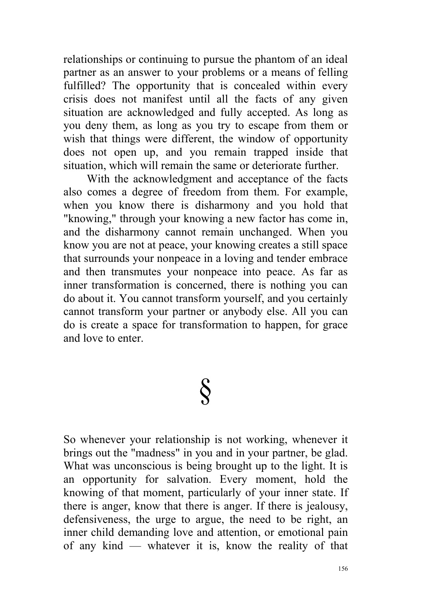relationships or continuing to pursue the phantom of an ideal partner as an answer to your problems or <sup>a</sup> means of felling fulfilled? The opportunity that is concealed within every crisis does not manifest until all the facts of any given situation are acknowledged and fully accepted. As long as you deny them, as long as you try to escape from them or wish that things were different, the window of opportunity does not open up, and you remain trapped inside that situation, which will remain the same or deteriorate further.

With the acknowledgment and acceptance of the facts also comes <sup>a</sup> degree of freedom from them. For example, when you know there is disharmony and you hold that "knowing," through your knowing <sup>a</sup> new factor has come in, and the disharmony cannot remain unchanged. When you know you are not at peace, your knowing creates <sup>a</sup> still space that surrounds your nonpeace in <sup>a</sup> loving and tender embrace and then transmutes your nonpeace into peace. As far as inner transformation is concerned, there is nothing you can do about it. You cannot transform yourself, and you certainly cannot transform your partner or anybody else. All you can do is create <sup>a</sup> space for transformation to happen, for grace and love to enter.

# §

So whenever your relationship is not working, whenever it brings out the"madness" in you and in your partner, be glad. What was unconscious is being brought up to the light. It is an opportunity for salvation. Every moment, hold the knowing of that moment, particularly of your inner state. If there is anger, know that there is anger. If there is jealousy, defensiveness, the urge to argue, the need to be right, an inner child demanding love and attention, or emotional pain of any kind — whatever it is, know the reality of that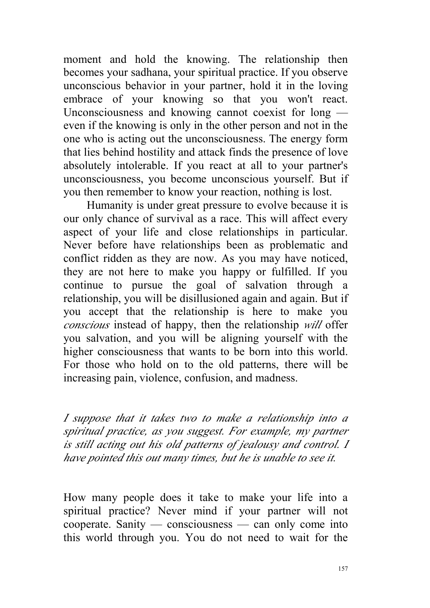moment and hold the knowing. The relationship then becomes your sadhana, your spiritual practice. If you observe unconscious behavior in your partner, hold it in the loving embrace of your knowing so that you won't react. Unconsciousness and knowing cannot coexist for long even if the knowing is only in the other person and not in the one who is acting out the unconsciousness. The energy form that lies behind hostility and attack finds the presence of love absolutely intolerable. If you react at all to your partner's unconsciousness, you become unconscious yourself. But if you then remember to know your reaction, nothing is lost.

Humanity is under grea<sup>t</sup> pressure to evolve because it is our only chance of survival as <sup>a</sup> race. This will affect every aspec<sup>t</sup> of your life and close relationships in particular. Never before have relationships been as problematic and conflict ridden as they are now. As you may have noticed, they are not here to make you happy or fulfilled. If you continue to pursue the goal of salvation through <sup>a</sup> relationship, you will be disillusioned again and again. But if you accep<sup>t</sup> that the relationship is here to make you *conscious* instead of happy, then the relationship *will* offer you salvation, and you will be aligning yourself with the higher consciousness that wants to be born into this world. For those who hold on to the old patterns, there will be increasing pain, violence, confusion, and madness.

*I suppose that it takes two to make <sup>a</sup> relationship into <sup>a</sup> spiritual practice, as you suggest. For example, my partner is still acting out his old patterns of jealousy and control. I have pointed this out many times, but he is unable to see it.*

How many people does it take to make your life into <sup>a</sup> spiritual practice? Never mind if your partner will not cooperate. Sanity — consciousness — can only come into this world through you. You do not need to wait for the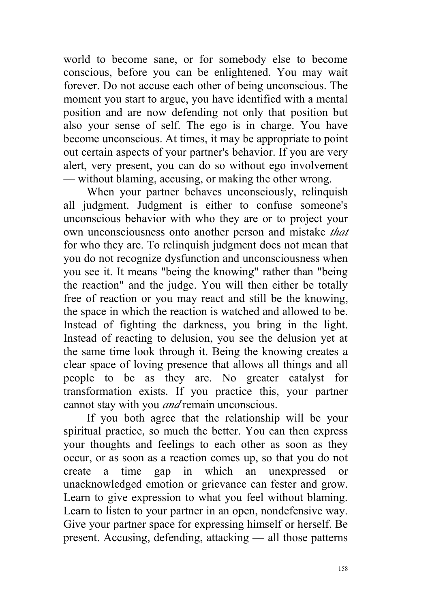world to become sane, or for somebody else to become conscious, before you can be enlightened. You may wait forever. Do not accuse each other of being unconscious. The moment you start to argue, you have identified with <sup>a</sup> mental position and are now defending not only that position but also your sense of self. The ego is in charge. You have become unconscious. At times, it may be appropriate to point out certain aspects of your partner's behavior. If you are very alert, very present, you can do so without ego involvement — without blaming, accusing, or making the other wrong.

When your partner behaves unconsciously, relinquish all judgment. Judgment is either to confuse someone's unconscious behavior with who they are or to project your own unconsciousness onto another person and mistake *that* for who they are. To relinquish judgment does not mean that you do not recognize dysfunction and unconsciousness when you see it. It means "being the knowing" rather than "being the reaction" and the judge. You will then either be totally free of reaction or you may react and still be the knowing, the space in which the reaction is watched and allowed to be. Instead of fighting the darkness, you bring in the light. Instead of reacting to delusion, you see the delusion ye<sup>t</sup> at the same time look through it. Being the knowing creates <sup>a</sup> clear space of loving presence that allows all things and all people to be as they are. No greater catalyst for transformation exists. If you practice this, your partner cannot stay with you *and* remain unconscious.

If you both agree that the relationship will be your spiritual practice, so much the better. You can then express your thoughts and feelings to each other as soon as they occur, or as soon as <sup>a</sup> reaction comes up, so that you do not create <sup>a</sup> time gap in which an unexpressed or unacknowledged emotion or grievance can fester and grow. Learn to give expression to what you feel without blaming. Learn to listen to your partner in an open, nondefensive way. Give your partner space for expressing himself or herself. Be present. Accusing, defending, attacking — all those patterns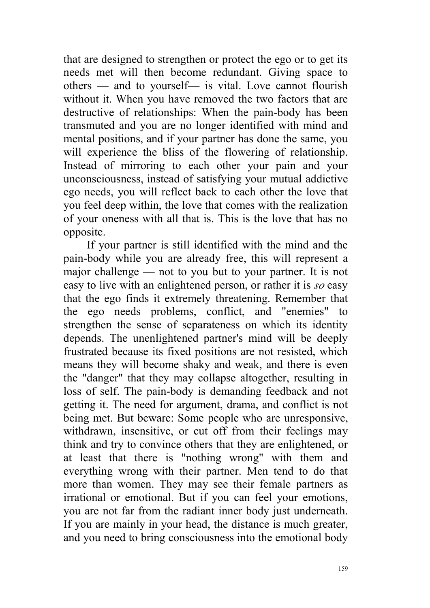that are designed to strengthen or protect the ego or to ge<sup>t</sup> its needs met will then become redundant. Giving space to others — and to yourself— is vital. Love cannot flourish without it. When you have removed the two factors that are destructive of relationships: When the pain-body has been transmuted and you are no longer identified with mind and mental positions, and if your partner has done the same, you will experience the bliss of the flowering of relationship. Instead of mirroring to each other your pain and your unconsciousness, instead of satisfying your mutual addictive ego needs, you will reflect back to each other the love that you feel deep within, the love that comes with the realization of your oneness with all that is. This is the love that has no opposite.

If your partner is still identified with the mind and the pain-body while you are already free, this will represen<sup>t</sup> <sup>a</sup> major challenge — not to you but to your partner. It is not easy to live with an enlightened person, or rather it is *so*easy that the ego finds it extremely threatening. Remember that the ego needs problems, conflict, and"enemies" to strengthen the sense of separateness on which its identity depends. The unenlightened partner's mind will be deeply frustrated because its fixed positions are not resisted, which means they will become shaky and weak, and there is even the "danger" that they may collapse altogether, resulting in loss of self. The pain-body is demanding feedback and not getting it. The need for argument, drama, and conflict is not being met. But beware: Some people who are unresponsive, withdrawn, insensitive, or cut off from their feelings may think and try to convince others that they are enlightened, or at least that there is "nothing wrong" with them and everything wrong with their partner. Men tend to do that more than women. They may see their female partners as irrational or emotional. But if you can feel your emotions, you are not far from the radiant inner body just underneath. If you are mainly in your head, the distance is much greater, and you need to bring consciousness into the emotional body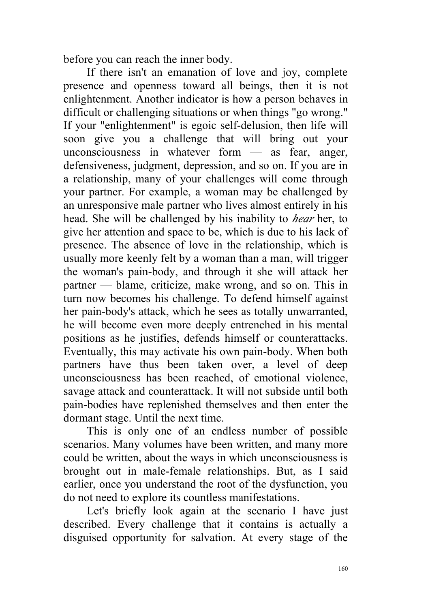before you can reach the inner body.

If there isn't an emanation of love and joy, complete presence and openness toward all beings, then it is not enlightenment. Another indicator is how <sup>a</sup> person behaves in difficult or challenging situations or when things "go wrong." If your "enlightenment" is egoic self-delusion, then life will soon give you <sup>a</sup> challenge that will bring out your unconsciousness in whatever form — as fear, anger, defensiveness, judgment, depression, and so on. If you are in <sup>a</sup> relationship, many of your challenges will come through your partner. For example, <sup>a</sup> woman may be challenged by an unresponsive male partner who lives almost entirely in his head. Shewill be challenged by his inability to *hear* her, to give her attention and space to be, which is due to his lack of presence. The absence of love in the relationship, which is usually more keenly felt by <sup>a</sup> woman than <sup>a</sup> man, will trigger the woman's pain-body, and through it she will attack her partner — blame, criticize, make wrong, and so on. This in turn now becomes his challenge. To defend himself against her pain-body's attack, which he sees as totally unwarranted, he will become even more deeply entrenched in his mental positions as he justifies, defends himself or counterattacks. Eventually, this may activate his own pain-body. When both partners have thus been taken over, <sup>a</sup> level of deep unconsciousness has been reached, of emotional violence, savage attack and counterattack. It will not subside until both pain-bodies have replenished themselves and then enter the dormant stage. Until the next time.

This is only one of an endless number of possible scenarios. Many volumes have been written, and many more could be written, about the ways inwhich unconsciousness is brought out in male-female relationships. But, as I said earlier, once you understand the root of the dysfunction, you do not need to explore its countless manifestations.

Let's briefly look again at the scenario I have just described. Every challenge that it contains is actually <sup>a</sup> disguised opportunity for salvation. At every stage of the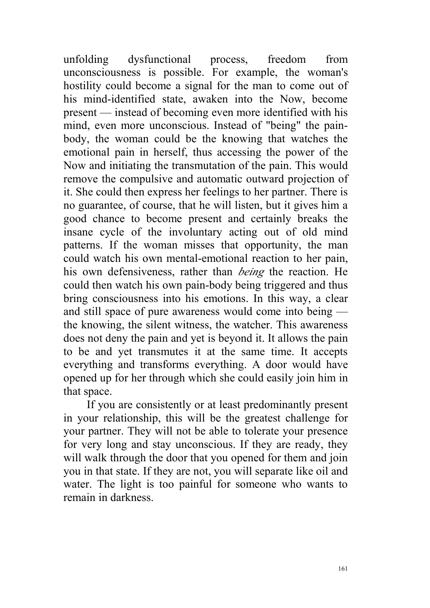unfolding dysfunctional process, freedom from unconsciousness is possible. For example, the woman's hostility could become <sup>a</sup> signal for the man to come out of his mind-identified state, awaken into the Now, become presen<sup>t</sup> — instead of becoming even more identified with his mind, even more unconscious. Instead of "being" the painbody, the woman could be the knowing that watches the emotional pain in herself, thus accessing the power of the Now and initiating the transmutation of the pain. This would remove the compulsive and automatic outward projection of it. She could then express her feelings toher partner. There is no guarantee, of course, that he will listen, but it gives him <sup>a</sup> good chance to become presen<sup>t</sup> and certainly breaks the insane cycle of the involuntary acting out of old mind patterns. If the woman misses that opportunity, the man could watch his own mental-emotional reaction to her pain, his own defensiveness, rather than *being* the reaction. He could then watch his own pain-body being triggered and thus bring consciousness into his emotions. In this way, <sup>a</sup> clear and still space of pure awareness would come into being the knowing, the silent witness, the watcher. This awareness does not deny the pain and ye<sup>t</sup> is beyond it. It allows the pain to be and ye<sup>t</sup> transmutes it at the same time. It accepts everything and transforms everything. A door would have opened up for her through which she could easily join him in that space.

If you are consistently or at least predominantly presen<sup>t</sup> in your relationship, this will be the greatest challenge for your partner. They will not be able to tolerate your presence for very long and stay unconscious. If they are ready, they will walk through the door that you opened for them and join you in that state. If they are not, you will separate like oil and water. The light is too painful for someone who wants to remain in darkness.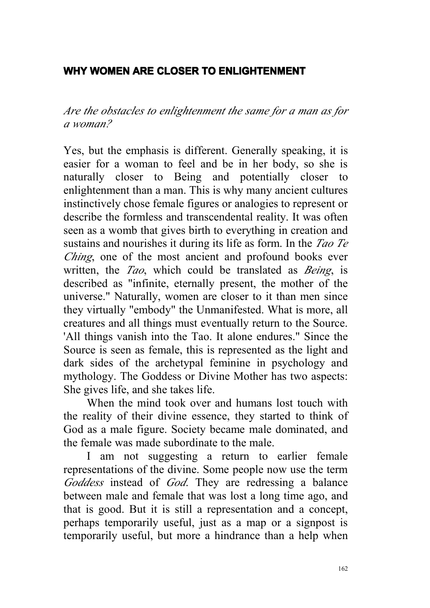### **WHY WOMEN ARE CLOSER TO ENLIGHTENMENT ENLIGHTENMENT**

*Are the obstacles toenlightenment the same for <sup>a</sup> man as for <sup>a</sup> woman?*

Yes, but the emphasis is different. Generally speaking, it is easier for <sup>a</sup> woman to feel and be in her body, so she is naturally closer to Being and potentially closer to enlightenment than <sup>a</sup> man. This is why many ancient cultures instinctively chose female figures or analogies to represent or describe the formless and transcendental reality. It was often seen as <sup>a</sup> womb that gives birth to everything in creation and sustains and nourishes it during its life as form. In the *Tao Te Ching*, one of the most ancient and profound books ever written, the *Tao*, which could be translated as *Being*, is described as "infinite, eternally present, the mother of the universe." Naturally, women are closer to it than men since they virtually "embody" the Unmanifested. What is more, all creatures and all things must eventually return to the Source. 'All things vanish into the Tao. It alone endures." Since the Source is seen as female, this is represented as the light and dark sides of the archetypal feminine in psychology and mythology. The Goddess or Divine Mother has two aspects: She gives life, and she takes life.

When the mind took over and humans lost touch with the reality of their divine essence, they started to think of God as <sup>a</sup> male figure. Society became male dominated, and the female was made subordinate to the male.

I am not suggesting <sup>a</sup> return to earlier female representations of the divine. Some people now use the term *Goddess* instead of *God*. They are redressing <sup>a</sup> balance between male and female that was lost <sup>a</sup> long time ago, and that is good. But it is still <sup>a</sup> representation and <sup>a</sup> concept, perhaps temporarily useful, just as <sup>a</sup> map or <sup>a</sup> signpost is temporarily useful, but more <sup>a</sup> hindrance than <sup>a</sup> help when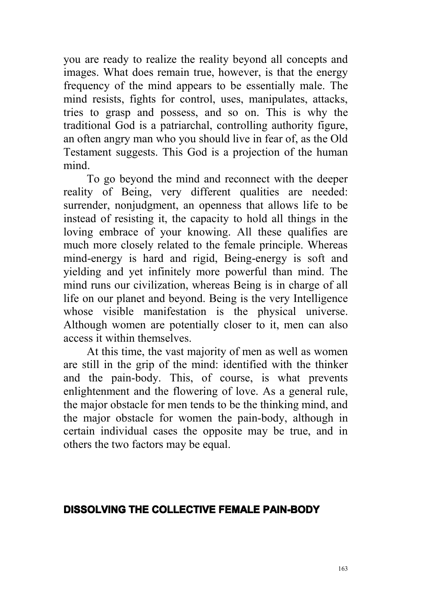you are ready to realize the reality beyond all concepts and images. What does remain true, however, is that the energy frequency of the mind appears to be essentially male. The mind resists, fights for control, uses, manipulates, attacks, tries to grasp and possess, and so on. This is why the traditional God is <sup>a</sup> patriarchal, controlling authority figure, an often angry man who you should live in fear of, as the Old Testament suggests. This God is <sup>a</sup> projection of the human mind.

To go beyond the mind and reconnect with the deeper reality of Being, very different qualities are needed: surrender, nonjudgment, an openness that allows life to be instead of resisting it, the capacity to hold all things in the loving embrace of your knowing. All these qualifies are much more closely related to the female principle. Whereas mind-energy is hard and rigid, Being-energy is soft and yielding and ye<sup>t</sup> infinitely more powerful than mind. The mind runs our civilization, whereas Being is in charge of all life on our planet and beyond. Being is the very Intelligence whose visible manifestation is the physical universe. Although women are potentially closer to it, men can also access it within themselves.

At this time, the vast majority of men as well as women are still in the grip of the mind: identified with the thinker and the pain-body. This, of course, is what prevents enlightenment and the flowering of love. As <sup>a</sup> general rule, the major obstacle for men tends tobe the thinking mind, and the major obstacle for women the pain-body, although in certain individual cases the opposite may be true, and in others the two factors may be equal.

#### **DISSOLVING THE COLLECTIVE FEMALE PAIN-BODY PAIN-BODY**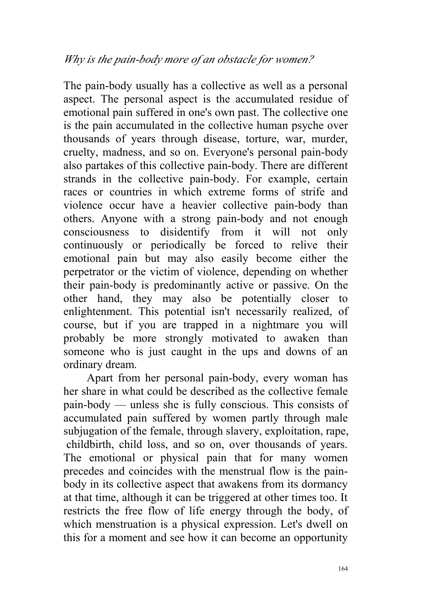The pain-body usually has <sup>a</sup> collective as well as <sup>a</sup> personal aspect. The personal aspec<sup>t</sup> is the accumulated residue of emotional pain suffered in one's own past. The collective one is the pain accumulated in the collective human psyche over thousands of years through disease, torture, war, murder, cruelty, madness, and so on. Everyone's personal pain-body also partakes of this collective pain-body. There are different strands in the collective pain-body. For example, certain races or countries in which extreme forms of strife and violence occur have <sup>a</sup> heavier collective pain-body than others. Anyone with <sup>a</sup> strong pain-body and not enough consciousness to disidentify from it will not only continuously or periodically be forced to relive their emotional pain but may also easily become either the perpetrator or the victim of violence, depending on whether their pain-body is predominantly active or passive. On the other hand, they may also be potentially closer to enlightenment. This potential isn't necessarily realized, of course, but if you are trapped in <sup>a</sup> nightmare you will probably be more strongly motivated to awaken than someone who is just caught in the ups and downs of an ordinary dream.

Apart from her personal pain-body, every woman has her share in what could be described as the collective female pain-body — unless she is fully conscious. This consists of accumulated pain suffered by women partly through male subjugation of the female, through slavery, exploitation, rape, childbirth, child loss, and so on, over thousands of years. The emotional or physical pain that for many women precedes and coincides with the menstrual flow is the painbody in its collective aspec<sup>t</sup> that awakens from its dormancy at that time, although it can be triggered at other times too. It restricts the free flow of life energy through the body, of which menstruation is <sup>a</sup> physical expression. Let's dwell on this for <sup>a</sup> moment and see how it can become an opportunity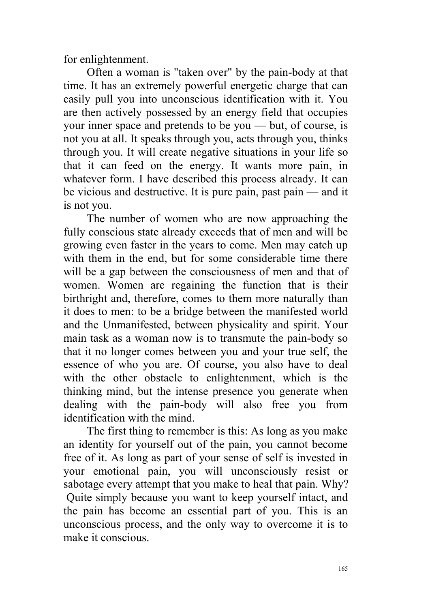for enlightenment.

Often <sup>a</sup> woman is "taken over" by the pain-body at that time. It has an extremely powerful energetic charge that can easily pull you into unconscious identification with it. You are then actively possessed by an energy field that occupies your inner space and pretends to be you — but, of course, is not you at all. It speaks through you, acts through you, thinks through you. It will create negative situations in your life so that it can feed on the energy. It wants more pain, in whatever form. I have described this process already. It can be vicious and destructive. It is pure pain, pas<sup>t</sup> pain — and it is not you.

The number of women who are now approaching the fully conscious state already exceeds that of men and will be growing even faster in the years to come. Men may catch up with them in the end, but for some considerable time there will be <sup>a</sup> gap between the consciousness of men and that of women. Women are regaining the function that is their birthright and, therefore, comes to them more naturally than it does to men: to be <sup>a</sup> bridge between the manifested world and the Unmanifested, between physicality and spirit. Your main task as a woman now is to transmute the pain-body so that it no longer comes between you and your true self, the essence of who you are. Of course, you also have to deal with the other obstacle to enlightenment, which is the thinking mind, but the intense presence you generate when dealing with the pain-body will also free you from identification with the mind.

The first thing to remember is this: As long as you make an identity for yourself out of the pain, you cannot become free of it. As long as par<sup>t</sup> of your sense of self is invested in your emotional pain, you will unconsciously resist or sabotage every attempt that you make to heal that pain. Why? Quite simply because you want to keep yourself intact, and the pain has become an essential par<sup>t</sup> of you. This is an unconscious process, and the only way to overcome it is to make it conscious.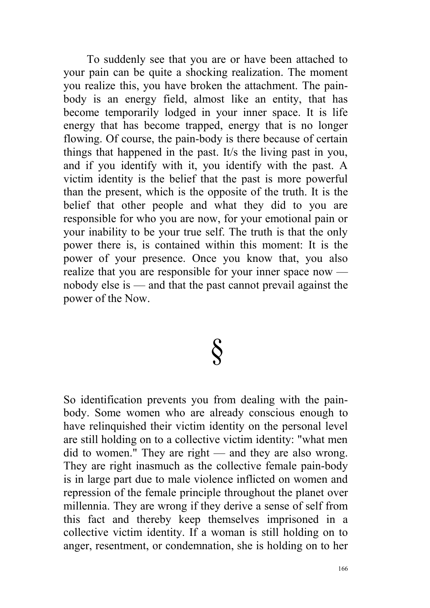To suddenly see that you are or have been attached to your pain can be quite <sup>a</sup> shocking realization. The moment you realize this, you have broken the attachment. The painbody is an energy field, almost like an entity, that has become temporarily lodged in your inner space. It is life energy that has become trapped, energy that is no longer flowing. Of course, the pain-body is there because of certain things that happened in the past. It/s the living pas<sup>t</sup> in you, and if you identify with it, you identify with the past. A victim identity is the belief that the pas<sup>t</sup> is more powerful than the present, which is the opposite of the truth. It is the belief that other people and what they did to you are responsible for who you are now, for your emotional pain or your inability to be your true self. The truth is that the only power there is, is contained within this moment: It is the power of your presence. Once you know that, you also realize that you are responsible for your inner space now nobody else is — and that the pas<sup>t</sup> cannot prevail against the power of the Now.

# §

So identification prevents you from dealing with the painbody. Some women who are already conscious enough to have relinquished their victim identity on the personal level are still holding on to <sup>a</sup> collective victim identity: "what men did to women." They are right — and they are also wrong. They are right inasmuch as the collective female pain-body is in large par<sup>t</sup> due to male violence inflicted on women and repression of the female principle throughout the planet over millennia. They are wrong if they derive a sense of self from this fact and thereby keep themselves imprisoned in a collective victim identity. If <sup>a</sup> woman is still holding on to anger, resentment, or condemnation, she is holding on to her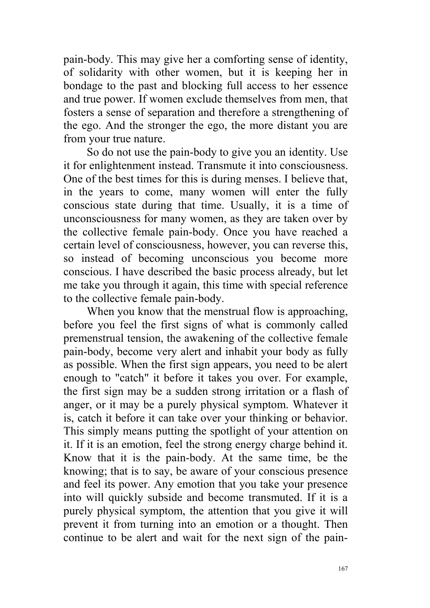pain-body. This may give her <sup>a</sup> comforting sense of identity, of solidarity with other women, but it is keeping her in bondage to the pas<sup>t</sup> and blocking full access to her essence and true power. If women exclude themselves from men, that fosters <sup>a</sup> sense of separation and therefore <sup>a</sup> strengthening of the ego. And the stronger the ego, the more distant you are from your true nature.

So do not use the pain-body to give you an identity. Use it for enlightenment instead. Transmute it into consciousness. One of the best times for this is during menses. I believe that, in the years to come, many women will enter the fully conscious state during that time. Usually, it is <sup>a</sup> time of unconsciousness for many women, as they are taken over by the collective female pain-body. Once you have reached <sup>a</sup> certain level of consciousness, however, you can reverse this, so instead of becoming unconscious you become more conscious. I have described the basic process already, but let me take you through it again, this time with special reference to the collective female pain-body.

When you know that the menstrual flow is approaching. before you feel the first signs of what is commonly called premenstrual tension, the awakening of the collective female pain-body, become very alert and inhabit your body as fully as possible. When the first sign appears, you need to be alert enough to "catch" it before it takes you over. For example, the first sign may be a sudden strong irritation or a flash of anger, or it maybe <sup>a</sup> purely physical symptom. Whatever it is, catch it before it can take over your thinking or behavior. This simply means putting the spotlight of your attention on it. If it is an emotion, feel the strong energy charge behind it. Know that it is the pain-body. At the same time, be the knowing; that is to say, be aware of your conscious presence and feel its power. Any emotion that you take your presence into will quickly subside and become transmuted. If it is a purely physical symptom, the attention that you give it will preven<sup>t</sup> it from turning into an emotion or <sup>a</sup> thought. Then continue to be alert and wait for the next sign of the pain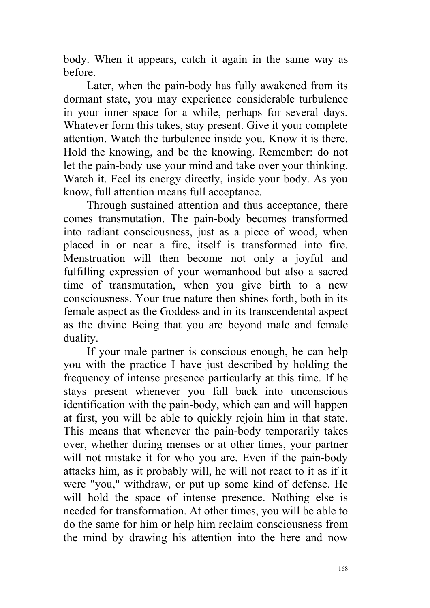body. When it appears, catch it again in the same way as before.

Later, when the pain-body has fully awakened from its dormant state, you may experience considerable turbulence in your inner space for <sup>a</sup> while, perhaps for several days. Whatever form this takes, stay present. Give it your complete attention. Watch the turbulence inside you. Know it is there. Hold the knowing, and be the knowing. Remember: do not let the pain-body use your mind and take over your thinking. Watch it. Feel its energy directly, inside your body. As you know, full attention means full acceptance.

Through sustained attention and thus acceptance, there comes transmutation. The pain-body becomes transformed into radiant consciousness, just as <sup>a</sup> piece of wood, when placed in or near a fire, itself is transformed into fire. Menstruation will then become not only <sup>a</sup> joyful and fulfilling expression of your womanhood but also <sup>a</sup> sacred time of transmutation, when you give birth to <sup>a</sup> new consciousness. Your true nature then shines forth, both in its female aspec<sup>t</sup> as the Goddess and in its transcendental aspec<sup>t</sup> as the divine Being that you are beyond male and female duality.

If your male partner is conscious enough, he can help you with the practice I have just described by holding the frequency of intense presence particularly at this time. If he stays presen<sup>t</sup> whenever you fall back into unconscious identification with the pain-body, which can and will happen at first, you will be able to quickly rejoin him in that state. This means that whenever the pain-body temporarily takes over, whether during menses or at other times, your partner will not mistake it for who you are. Even if the pain-body attacks him, as it probably will, he will not react to it as if it were "you," withdraw, or pu<sup>t</sup> up some kind of defense. He will hold the space of intense presence. Nothing else is needed for transformation. At other times, you will be able to do the same for him or help him reclaim consciousness from the mind by drawing his attention into the here and now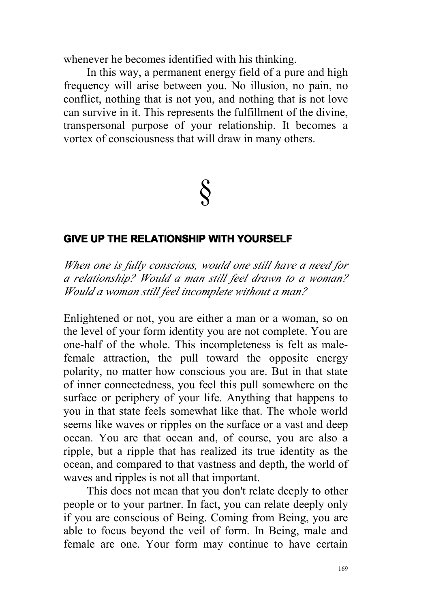whenever he becomes identified with his thinking.

In this way, <sup>a</sup> permanen<sup>t</sup> energy field of <sup>a</sup> pure and high frequency will arise between you. No illusion, no pain, no conflict, nothing that is not you, and nothing that is not love can survive in it. This represents the fulfillment of the divine, transpersonal purpose of your relationship. It becomes <sup>a</sup> vortex of consciousness that will draw in many others.

# §

#### **GIVE UP THE RELATIONSHIP RELATIONSHIP WITH YOURSELF YOURSELFYOURSELFYOURSELF**

*When one is fully conscious, would one still have <sup>a</sup> need for <sup>a</sup> relationship? Would <sup>a</sup> man still feel drawn to <sup>a</sup> woman? Would <sup>a</sup> woman still feel incomplete without <sup>a</sup> man?*

Enlightened or not, you are either <sup>a</sup> man or <sup>a</sup> woman, so on the level of your form identity you are not complete. You are one-half of the whole. This incompleteness is felt as malefemale attraction, the pull toward the opposite energy polarity, no matter how conscious you are. But in that state of inner connectedness, you feel this pull somewhere on the surface or periphery of your life. Anything that happens to you in that state feels somewhat like that. The whole world seems like waves or ripples on the surface or <sup>a</sup> vast and deep ocean. You are that ocean and, of course, you are also <sup>a</sup> ripple, but <sup>a</sup> ripple that has realized its true identity as the ocean, and compared to that vastness and depth, the world of waves and ripples is not all that important.

This does not mean that you don't relate deeply to other people or to your partner. In fact, you can relate deeply only if you are conscious of Being. Coming from Being, you are able to focus beyond the veil of form. In Being, male and female are one. Your form may continue to have certain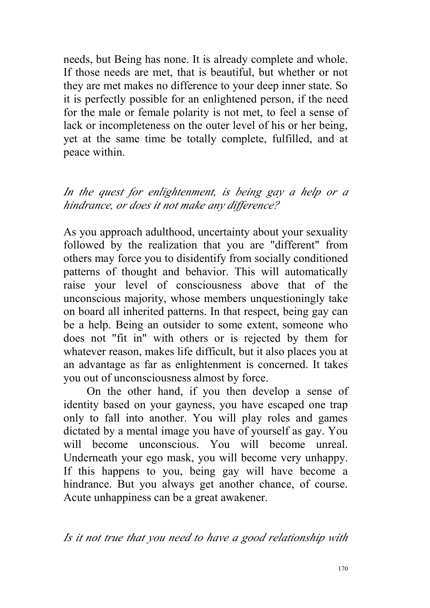needs, but Being has none. It is already complete and whole. If those needs are met, that is beautiful, but whether or not they are met makes no difference to your deep inner state. So it is perfectly possible for an enlightened person, if the need for the male or female polarity is not met, to feel <sup>a</sup> sense of lack or incompleteness on the outer level of his or her being, ye<sup>t</sup> at the same time be totally complete, fulfilled, and at peace within.

# *In the quest for enlightenment, is being gay <sup>a</sup> help or <sup>a</sup> hindrance, or does it not make any difference?*

As you approach adulthood, uncertainty about your sexuality followed by the realization that you are "different" from others may force you to disidentify from socially conditioned patterns of thought and behavior. This will automatically raise your level of consciousness above that of the unconscious majority, whose members unquestioningly take on board all inherited patterns. In that respect, being gay can be <sup>a</sup> help. Being an outsider to some extent, someone who does not "fit in" with others or is rejected by them for whatever reason, makes life difficult, but it also places you at an advantage as far as enlightenment is concerned. It takes you out of unconsciousness almost by force.

On the other hand, if you then develop <sup>a</sup> sense of identity based on your gayness, you have escaped one trap only to fall into another. You will play roles and games dictated by <sup>a</sup> mental image you have of yourself as gay. You will become unconscious. You will become unreal. Underneath your ego mask, you will become very unhappy. If this happens to you, being gay will have become <sup>a</sup> hindrance. But you always ge<sup>t</sup> another chance, of course. Acute unhappiness can be <sup>a</sup> grea<sup>t</sup> awakener.

*Is it not true that you need to have <sup>a</sup> good relationship with*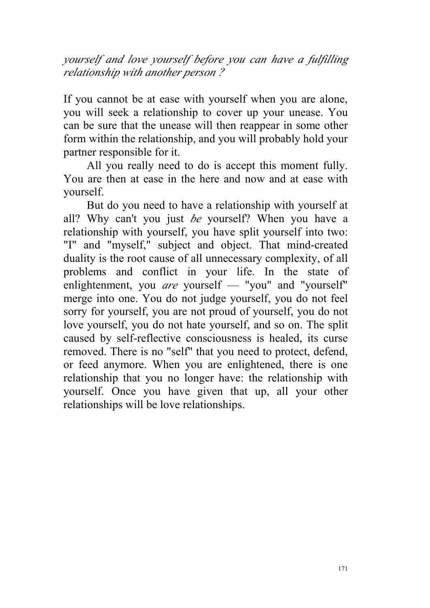# *yourself and love yourself before you can have <sup>a</sup> fulfilling relationship with another person ?*

If you cannot be at ease with yourself when you are alone, you will seek <sup>a</sup> relationship to cover up your unease. You can be sure that the unease will then reappear in some other form within the relationship, and you will probably hold your partner responsible for it.

All you really need to do is accep<sup>t</sup> this moment fully. You are then at ease in the here and nowand at ease with yourself.

But do you need to have <sup>a</sup> relationship with yourself at all? Why can't you just *be* yourself? When you have a relationship with yourself, you have split yourself into two: "I" and "myself," subject and object. That mind-created duality is the root cause of all unnecessary complexity, of all problems and conflict in your life. In the state of enlightenment, you *are* yourself — "you" and "yourself" merge into one. You do not judge yourself, you do not feel sorry for yourself, you are not proud of yourself, you do not love yourself, you do not hate yourself, and so on. The split caused by self-reflective consciousness is healed, its curse removed. There is no "self" that you need to protect, defend, or feed anymore. When you are enlightened, there is one relationship that you no longer have: the relationship with yourself. Once you have given that up, all your other relationships will be love relationships.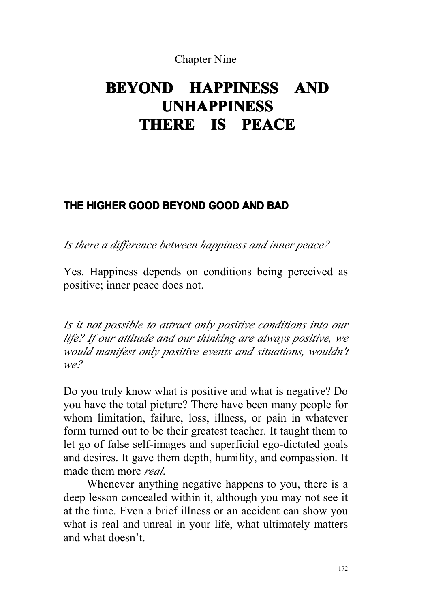# Chapter Nine

# **BEYOND HAPPINESS AND UNHAPPINESS UNHAPPINESS UNHAPPINESS UNHAPPINESS THERE IS PEACE**

# **THE HIGHER GOOD BEYOND GOOD AND BAD**

*Is there <sup>a</sup> difference between happiness and inner peace?*

Yes. Happiness depends on conditions being perceived as positive; inner peace does not.

*Is it not possible to attract only positive conditions into our life? If our attitude and our thinking are always positive, we would manifest only positive events and situations, wouldn't we?*

Do you truly know what is positive and what is negative? Do you have the total picture? There have been many people for whom limitation, failure, loss, illness, or pain in whatever form turned out to be their greatest teacher. It taught them to let go of false self-images and superficial ego-dictated goals and desires. It gave them depth, humility, and compassion. It made them more *real*.

Whenever anything negative happens to you, there is <sup>a</sup> deep lesson concealed within it, although you may not see it at the time. Even a brief illness or an accident can show you what is real and unreal in your life, what ultimately matters and what doesn't.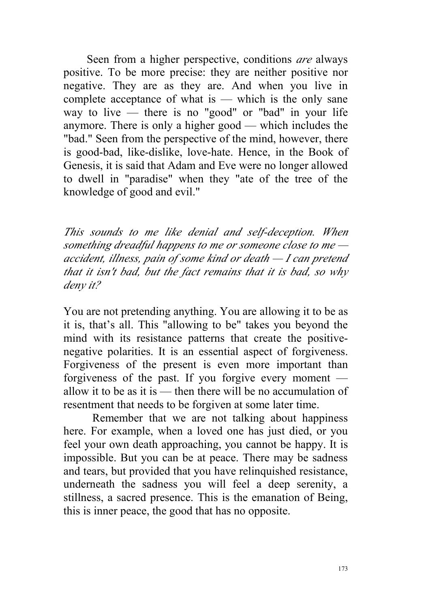Seen from <sup>a</sup> higher perspective, conditions *are* always positive. To be more precise: they are neither positive nor negative. They are as they are. Andwhen you live in complete acceptance of what is — which is the only sane way to live — there is no "good" or "bad" in your life anymore. There is only <sup>a</sup> higher good — which includes the "bad." Seen from the perspective of the mind, however, there is good-bad, like-dislike, love-hate. Hence, in the Book of Genesis, it is said that Adam and Eve were no longer allowed to dwell in "paradise" when they "ate of the tree of the knowledge of good and evil."

*This sounds to me like denial andself-deception. When something dreadful happens tome or someone close to me accident, illness, pain of some kind or death — I can pretend that it isn't bad, but the fact remains that it isbad, so why deny it?*

You are not pretending anything. You are allowing it to be as it is, that's all. This "allowing to be" takes you beyond the mind with its resistance patterns that create the positivenegative polarities. It is an essential aspec<sup>t</sup> of forgiveness. Forgiveness of the presen<sup>t</sup> is even more important than forgiveness of the past. If you forgive every moment allow it to be as it is — then there will be no accumulation of resentment that needs to be forgiven at some later time.

Remember that we are not talking about happiness here. For example, when <sup>a</sup> loved one has just died, or you feel your own death approaching, you cannot be happy. It is impossible. But you can be at peace. There may be sadness and tears, but provided that you have relinquished resistance, underneath the sadness you will feel <sup>a</sup> deep serenity, <sup>a</sup> stillness, <sup>a</sup> sacred presence. This is the emanation of Being, this is inner peace, the good that has no opposite.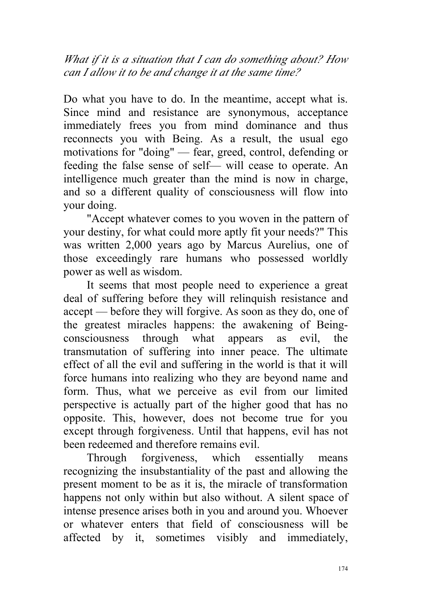*What if it is <sup>a</sup> situation that I can do something about? How can I allow it to be and change it at the same time?*

Do what you have to do. In the meantime, accep<sup>t</sup> what is. Since mind and resistance are synonymous, acceptance immediately frees you from mind dominance and thus reconnects you with Being. As <sup>a</sup> result, the usual ego motivations for "doing" — fear, greed, control, defending or feeding the false sense of self— will cease to operate. An intelligence much greater than the mind is now in charge, and so <sup>a</sup> different quality of consciousness will flow into your doing.

"Accept whatever comes to you woven in the pattern of your destiny, for what could more aptly fit your needs?" This was written 2,000 years ago by Marcus Aurelius, one of those exceedingly rare humans who possessed worldly power as well as wisdom.

It seems that most people need to experience <sup>a</sup> grea<sup>t</sup> deal of suffering before they will relinquish resistance and accep<sup>t</sup> — before they will forgive. As soon as they do, one of the greatest miracles happens: the awakening of Beingconsciousness through what appears as evil, the transmutation of suffering into inner peace. The ultimate effect of all the evil and suffering in the world is that it will force humans into realizing who they are beyond name and form. Thus, what we perceive as evil from our limited perspective is actually par<sup>t</sup> of the higher good that has no opposite. This, however, does not become true for you excep<sup>t</sup> through forgiveness. Until that happens, evil has not been redeemed and therefore remains evil.

Through forgiveness, which essentially means recognizing the insubstantiality of the pas<sup>t</sup> and allowing the presen<sup>t</sup> moment to be as it is, the miracle of transformation happens not only within but also without. A silent space of intense presence arises both in you and around you. Whoever or whatever enters that field of consciousness will be affected by it, sometimes visibly and immediately,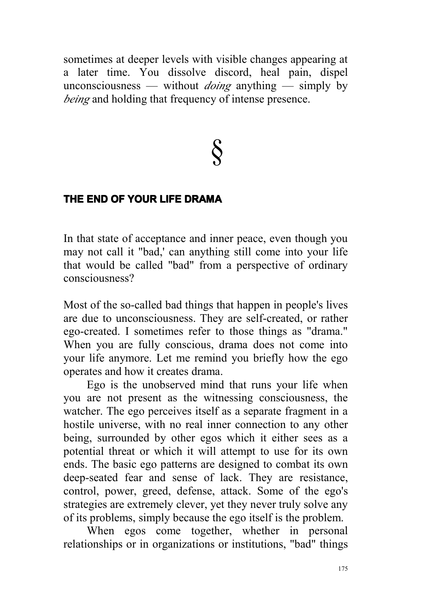sometimes at deeper levels with visible changes appearing at <sup>a</sup> later time. You dissolve discord, heal pain, dispel unconsciousness — without *doing* anything — simply by *being* and holding that frequency of intense presence.

# §

## **THE END OF YOUR LIFE DRAMA**

In that state of acceptance and inner peace, even though you may not call it "bad,' can anything still come into your life that would be called "bad" from <sup>a</sup> perspective of ordinary consciousness?

Most of the so-called bad things that happen in people's lives are due to unconsciousness. They are self-created, or rather ego-created. I sometimes refer to those things as "drama." When you are fully conscious, drama does not come into your life anymore. Let me remind you briefly how the ego operates and how it creates drama.

Ego is the unobserved mind that runs your life when you are not presen<sup>t</sup> as the witnessing consciousness, the watcher. The ego perceives itself as <sup>a</sup> separate fragment in <sup>a</sup> hostile universe, with no real inner connection to any other being, surrounded by other egos which it either sees as <sup>a</sup> potential threat or which it will attempt to use for its own ends. The basic ego patterns are designed to combat its own deep-seated fear and sense of lack. They are resistance, control, power, greed, defense, attack. Some of the ego's strategies are extremely clever, ye<sup>t</sup> they never truly solve any of its problems, simply because the ego itself is the problem.

When egos come together, whether in personal relationships or in organizations or institutions, "bad" things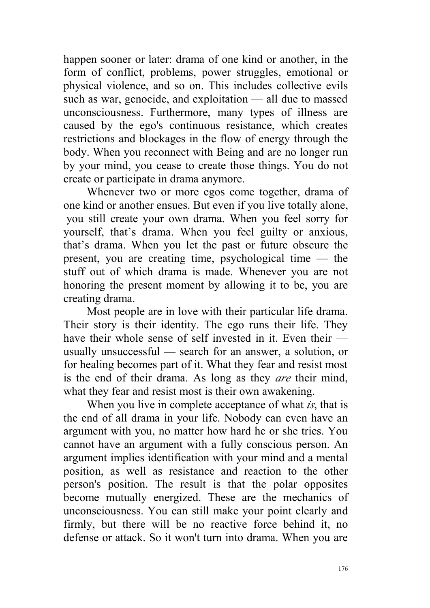happen sooner or later: drama of one kind or another, in the form of conflict, problems, power struggles, emotional or physical violence, and so on. This includes collective evils such as war, genocide, and exploitation — all due to massed unconsciousness. Furthermore, many types of illness are caused by the ego's continuous resistance, which creates restrictions and blockages in the flow of energy through the body. When you reconnect with Being and are no longer run by your mind, you cease to create those things. You do not create or participate in drama anymore.

Whenever two or more egos come together, drama of one kind or another ensues. But even if you live totally alone, you still create your own drama. When you feel sorry for yourself, that's drama. When you feel guilty or anxious, that's drama. When you let the pas<sup>t</sup> or future obscure the present, you are creating time, psychological time — the stuff out of which drama is made. Whenever you are not honoring the presen<sup>t</sup> moment by allowing it to be, you are creating drama.

Most people are in love with their particular life drama. Their story is their identity. The ego runs their life. They have their whole sense of self invested in it. Even their usually unsuccessful — search for an answer, <sup>a</sup> solution, or for healing becomes par<sup>t</sup> of it. What they fear and resist most is the end of their drama. As long as they *are* their mind, what they fear and resist most is their own awakening.

When you live in complete acceptance of what *is*, that is the end of all drama in your life. Nobody can even have an argument with you, no matter how hard he or she tries. You cannot have an argumen<sup>t</sup> with <sup>a</sup> fully conscious person. An argumen<sup>t</sup> implies identification with your mind and <sup>a</sup> mental position, as well as resistance and reaction to the other person's position. The result is that the polar opposites become mutually energized. These are the mechanics of unconsciousness. You can still make your point clearly and firmly, but there will be no reactive force behind it, no defense or attack. So it won't turn into drama. When you are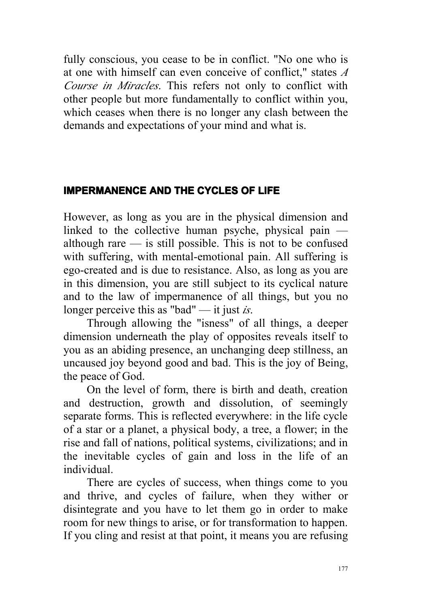fully conscious, you cease to be in conflict. "No one who is at one with himself can even conceive of conflict," states *A Course in Miracles*. This refers not only to conflict with other people but more fundamentally to conflict within you, which ceases when there is no longer any clash between the demands and expectations of your mind and what is.

# **IMPERMANENCE IMPERMANENCE IMPERMANENCEAND THE CYCLES OF LIFE**

However, as long as you are in the physical dimension and linked to the collective human psyche, physical pain although rare — is still possible. This is not to be confused with suffering, with mental-emotional pain. All suffering is ego-created and is due to resistance. Also, as long as you are in this dimension, you are still subject to its cyclical nature and to the law of impermanence of all things, but you no longer perceive this as "bad" — it just *is*.

Through allowing the "isness" of all things, <sup>a</sup> deeper dimension underneath the play of opposites reveals itself to you as an abiding presence, an unchanging deep stillness, an uncaused joy beyond good and bad. This is the joy of Being, the peace of God.

On the level of form, there is birth and death, creation and destruction, growth and dissolution, of seemingly separate forms. This is reflected everywhere: in the life cycle of <sup>a</sup> star or <sup>a</sup> planet, <sup>a</sup> physical body, <sup>a</sup> tree, <sup>a</sup> flower; in the rise and fall of nations, political systems, civilizations; and in the inevitable cycles of gain and loss in the life of an individual.

There are cycles of success, when things come to you and thrive, and cycles of failure, when they wither or disintegrate and you have to let them go in order to make room for new things to arise, or for transformation to happen. If you cling and resist at that point, it means you are refusing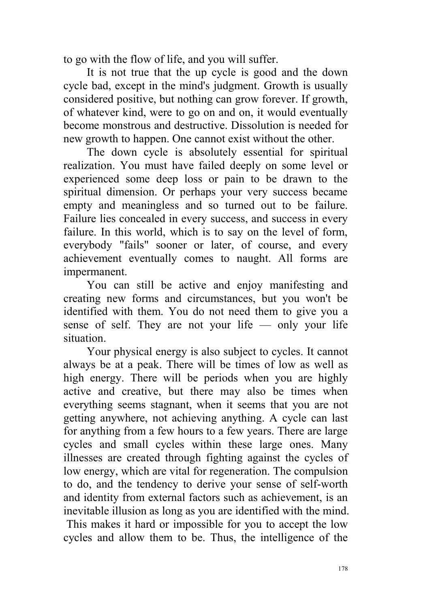to go with the flow of life, and you will suffer.

It is not true that the up cycle is good and the down cycle bad, excep<sup>t</sup> in the mind's judgment. Growth is usually considered positive, but nothing can grow forever. If growth, of whatever kind, were to go on and on, it would eventually become monstrous and destructive. Dissolution is needed for new growth to happen. One cannot exist without the other.

The down cycle is absolutely essential for spiritual realization. You must have failed deeply on some level or experienced some deep loss or pain to be drawn to the spiritual dimension. Or perhaps your very success became empty and meaningless and so turned out to be failure. Failure lies concealed in every success, and success in every failure. In this world, which is to say on the level of form, everybody "fails" sooner or later, of course, and every achievement eventually comes to naught. All forms are impermanent.

You can still be active and enjoy manifesting and creating new forms and circumstances, but you won't be identified with them. You do not need them to give you a sense of self. They are not your life — only your life situation.

Your physical energy is also subject to cycles. It cannot always be at a peak. There will be times of low as well as high energy. There will be periods when you are highly active and creative, but there may also be times when everything seems stagnant, when it seems that you are not getting anywhere, not achieving anything. A cycle can last for anything from <sup>a</sup> few hours toa few years. There are large cycles and small cycles within these large ones. Many illnesses are created through fighting against the cycles of low energy, which are vital for regeneration. The compulsion to do, and the tendency to derive your sense of self-worth and identity from external factors such as achievement, is an inevitable illusion as long as you are identified with the mind. This makes it hard or impossible for you to accept the low cycles and allow them to be. Thus, the intelligence of the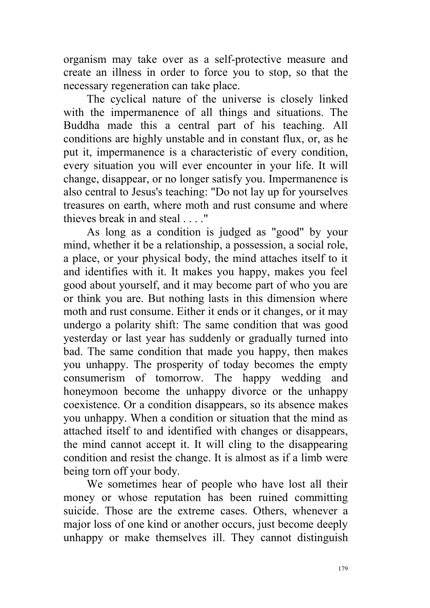organism may take over as <sup>a</sup> self-protective measure and create an illness in order to force you to stop, so that the necessary regeneration can take place.

The cyclical nature of the universe is closely linked with the impermanence of all things and situations. The Buddha made this <sup>a</sup> central par<sup>t</sup> of his teaching. All conditions are highly unstable and in constant flux, or, as he pu<sup>t</sup> it, impermanence is <sup>a</sup> characteristic of every condition, every situation you will ever encounter in your life. It will change, disappear, or nolonger satisfy you. Impermanence is also central to Jesus's teaching: "Do not lay up for yourselves treasures on earth, where moth and rust consume and where thieves break in and steal . . . ."

As long as <sup>a</sup> condition is judged as "good" by your mind, whether it be <sup>a</sup> relationship, <sup>a</sup> possession, <sup>a</sup> social role, <sup>a</sup> place, or your physical body, the mind attaches itself to it and identifies with it. It makes you happy, makes you feel good about yourself, and it may become par<sup>t</sup> of who you are or think you are. But nothing lasts in this dimension where moth and rust consume. Either it ends or it changes, or it may undergo <sup>a</sup> polarity shift: The same condition that was good yesterday or last year has suddenly or gradually turned into bad. The same condition that made you happy, then makes you unhappy. The prosperity of today becomes the empty consumerism of tomorrow. The happy wedding and honeymoon become the unhappy divorce or the unhappy coexistence. Or <sup>a</sup> condition disappears, so its absence makes you unhappy. When <sup>a</sup> condition or situation that themind as attached itself to and identified with changes or disappears, the mind cannot accep<sup>t</sup> it. It will cling to the disappearing condition and resist the change. It is almost as if <sup>a</sup> limb were being torn off your body.

We sometimes hear of people who have lost all their money or whose reputation has been ruined committing suicide. Those are the extreme cases. Others, whenever <sup>a</sup> major loss of one kind or another occurs, just become deeply unhappy or make themselves ill. They cannot distinguish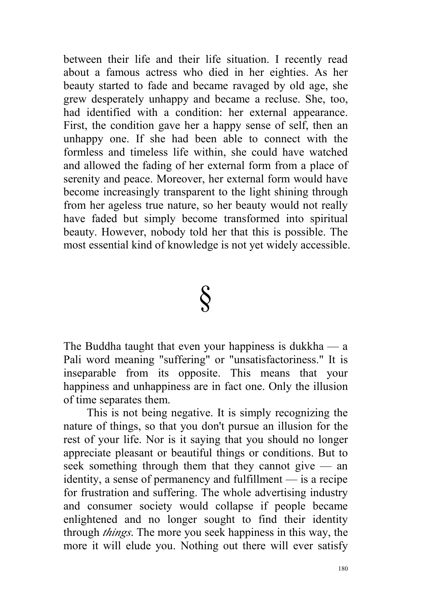between their life and their life situation. I recently read about <sup>a</sup> famous actress who died in her eighties. As her beauty started to fade and became ravaged by old age, she grew desperately unhappy and became <sup>a</sup> recluse. She, too, had identified with <sup>a</sup> condition: her external appearance. First, the condition gave her <sup>a</sup> happy sense of self, then an unhappy one. If she had been able to connect with the formless and timeless life within, she could have watched and allowed the fading of her external form from <sup>a</sup> place of serenity and peace. Moreover, her external form would have become increasingly transparent to the light shining through from her ageless true nature, so her beauty would not really have faded but simply become transformed into spiritual beauty. However, nobody told her that this is possible. The most essential kind of knowledge is not ye<sup>t</sup> widely accessible.

### §

The Buddha taught that even your happiness is dukkha — <sup>a</sup> Pali word meaning "suffering" or "unsatisfactoriness." It is inseparable from its opposite. This means that your happiness and unhappiness are in fact one. Only the illusion of time separates them.

This is not being negative. It is simply recognizing the nature of things, so that you don't pursue an illusion for the rest of your life. Nor is it saying that you should no longer appreciate pleasant or beautiful things or conditions. But to seek something through them that they cannot give — an identity, <sup>a</sup> sense of permanency and fulfillment — is <sup>a</sup> recipe for frustration and suffering. The whole advertising industry and consumer society would collapse if people became enlightened and no longer sought to find their identity through *things*. The more you seek happiness in this way, the more it will elude you. Nothing out there will ever satisfy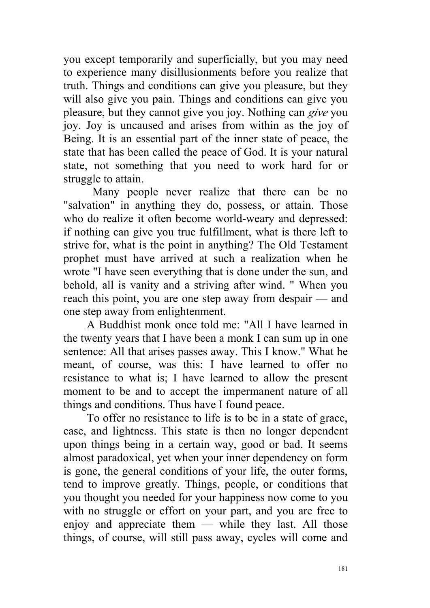you excep<sup>t</sup> temporarily and superficially, but you may need to experience many disillusionments before you realize that truth. Things and conditions can give you pleasure, but they will also give you pain. Things and conditions can give you pleasure, but they cannot give you joy. Nothing can *give* you joy. Joy is uncaused and arises from within as the joy of Being. It is an essential part of the inner state of peace, the state that has been called the peace of God. It is your natural state, not something that youneed to work hard for or struggle to attain.

Many people never realize that there can be no "salvation" in anything they do, possess, or attain. Those who do realize it often become world-weary and depressed: if nothing can give you true fulfillment, what is there left to strive for, what is the point in anything? The Old Testament prophet must have arrived at such <sup>a</sup> realization when he wrote "I have seen everything that is done under the sun, and behold, all is vanity and a striving after wind. " When you reach this point, you are one step away from despair — and one step away from enlightenment.

A Buddhist monk once told me: "All I have learned in the twenty years that I have been <sup>a</sup> monk I can sum up in one sentence: All that arises passes away. This I know." What he meant, of course, was this: I have learned to offer no resistance to what is; I have learned to allow the presen<sup>t</sup> moment to be and to accep<sup>t</sup> the impermanent nature of all things and conditions. Thus have I found peace.

To offer no resistance to life is tobe in <sup>a</sup> state of grace, ease, and lightness. This state is then no longer dependent upon things being in <sup>a</sup> certain way, good or bad. It seems almost paradoxical, ye<sup>t</sup> when your inner dependency on form is gone, the general conditions of your life, the outer forms, tend to improve greatly. Things, people, or conditions that you thought you needed for your happiness now come to you with no struggle or effort on your part, and you are free to enjoy and appreciate them — while they last. All those things, of course, will still pass away, cycles will come and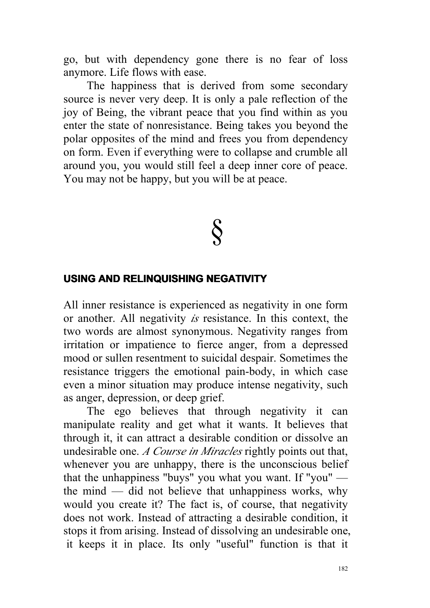go, but with dependency gone there is no fear of loss anymore. Life flows with ease.

The happiness that is derived from some secondary source is never very deep. It is only a pale reflection of the joy of Being, the vibrant peace that you find within as you enter the state of nonresistance. Being takes you beyond the polar opposites of the mind and frees you from dependency on form. Evenif everything were to collapse and crumble all around you, you would still feel <sup>a</sup> deep inner core of peace. You may not be happy, but you will be at peace.

## §

#### **USING AND RELINQUISHING RELINQUISHINGRELINQUISHINGNEGATIVITY NEGATIVITY**

All inner resistance is experienced as negativity in one form or another. All negativity *is* resistance. In this context, the two words are almost synonymous. Negativity ranges from irritation or impatience to fierce anger, from <sup>a</sup> depressed mood or sullen resentment to suicidal despair. Sometimes the resistance triggers the emotional pain-body, in which case even <sup>a</sup> minor situation may produce intense negativity, such as anger, depression, or deep grief.

The ego believes that through negativity it can manipulate reality and ge<sup>t</sup> what it wants. It believes that through it, it can attract <sup>a</sup> desirable condition or dissolve an undesirable one. *A Course in Miracles* rightly points out that, whenever you are unhappy, there is the unconscious belief that the unhappiness "buys" you what you want. If "you" the mind — did not believe that unhappiness works, why would you create it? The fact is, of course, that negativity does not work. Instead of attracting <sup>a</sup> desirable condition, it stops it from arising. Instead of dissolving an undesirable one, it keeps it in place. Its only "useful" function is that it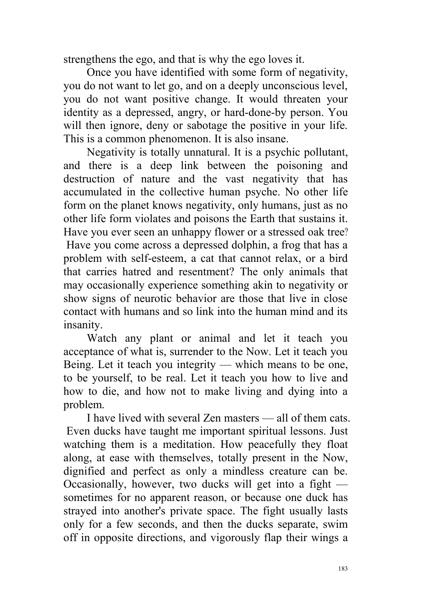strengthens the ego, and that is why the ego loves it.

Once you have identified with some form of negativity, you do not want to let go, and on <sup>a</sup> deeply unconscious level, you do not want positive change. It would threaten your identity as <sup>a</sup> depressed, angry, or hard-done-by person. You will then ignore, deny or sabotage the positive in your life. This is <sup>a</sup> common phenomenon. It is also insane.

Negativity is totally unnatural. It is a psychic pollutant, and there is <sup>a</sup> deep link between the poisoning and destruction of nature and the vast negativity that has accumulated in the collective human psyche. No other life form on the planet knows negativity, only humans, just as no other life form violates and poisons the Earth that sustains it. Have you ever seen an unhappy flower or <sup>a</sup> stressed oak tree? Have you come across <sup>a</sup> depressed dolphin, <sup>a</sup> frog that has <sup>a</sup> problem with self-esteem, <sup>a</sup> cat that cannot relax, or <sup>a</sup> bird that carries hatred and resentment? The only animals that may occasionally experience something akin to negativity or show signs of neurotic behavior are those that live in close contact with humans and so link into the human mind and its insanity.

Watch any plant or animal and let it teach you acceptance of what is, surrender to the Now. Let it teach you Being. Let it teach you integrity — which means to be one, to be yourself, to be real. Let it teach you how to live and how to die, and how not to make living and dying into <sup>a</sup> problem.

I have lived with several Zen masters — all of them cats. Even ducks have taught meimportant spiritual lessons. Just watching them is <sup>a</sup> meditation. How peacefully they float along, at ease with themselves, totally presen<sup>t</sup> in the Now, dignified and perfect as only <sup>a</sup> mindless creature can be. Occasionally, however, two ducks will ge<sup>t</sup> into <sup>a</sup> fight sometimes for no apparen<sup>t</sup> reason, or because one duck has strayed into another's private space. The fight usually lasts only for <sup>a</sup> few seconds, and then the ducks separate, swim off in opposite directions, and vigorously flap their wings <sup>a</sup>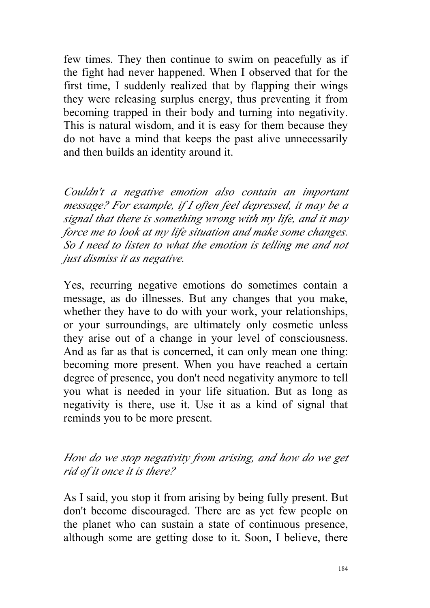few times. They then continue to swimon peacefully as if the fight had never happened. When I observed that for the first time, I suddenly realized that by flapping their wings they were releasing surplus energy, thus preventing it from becoming trapped in their body and turning into negativity. This is natural wisdom, and it is easy for them because they do not have <sup>a</sup> mind that keeps the pas<sup>t</sup> alive unnecessarily and then builds an identity around it.

*Couldn't <sup>a</sup> negative emotion also contain an important message? For example, if I often feel depressed, it may be <sup>a</sup> signal that there is something wrong with my life, and it may force me to look at my life situation and make some changes. So I* need to listen to what the emotion is telling me and not *just dismiss it as negative.*

Yes, recurring negative emotions do sometimes contain <sup>a</sup> message, as do illnesses. But any changes that you make, whether they have to do with your work, your relationships, or your surroundings, are ultimately only cosmetic unless they arise out of <sup>a</sup> change in your level of consciousness. And as far as that is concerned, it can only mean one thing: becoming more present. When you have reached <sup>a</sup> certain degree of presence, you don't need negativity anymore to tell you what is needed in your life situation. But as long as negativity is there, use it. Use it as <sup>a</sup> kind of signal that reminds you to be more present.

#### *How do we stop negativity from arising, and how do we get rid of it once it is there?*

As I said, you stop it from arising by being fully present. But don't become discouraged. There are as ye<sup>t</sup> few people on the planet who can sustain <sup>a</sup> state of continuous presence, although some are getting dose to it. Soon, I believe, there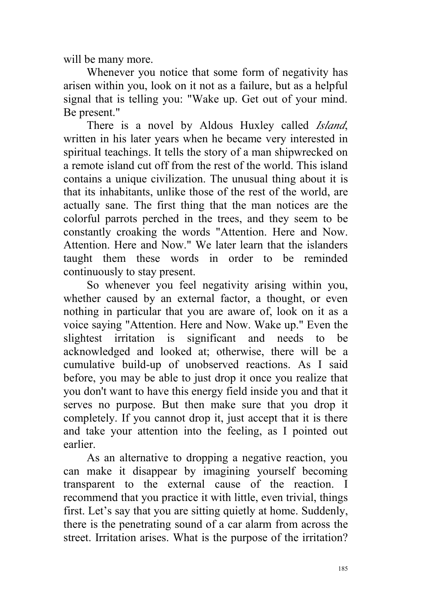will be many more.

Whenever you notice that some form of negativity has arisen within you, look on it not as <sup>a</sup> failure, but as <sup>a</sup> helpful signal that is telling you: "Wake up. Get out of your mind. Be present."

There is <sup>a</sup> novel by Aldous Huxley called *Island*, written in his later years when he became very interested in spiritual teachings. It tells the story of <sup>a</sup> man shipwrecked on <sup>a</sup> remote island cut off from the rest of the world. This island contains <sup>a</sup> unique civilization. The unusual thing about it is that its inhabitants, unlike those of the rest of the world, are actually sane. The first thing that the man notices are the colorful parrots perched in the trees, and they seem to be constantly croaking the words "Attention. Here and Now. Attention. Here and Now." We later learn that the islanders taught them these words in order to be reminded continuously to stay present.

So whenever you feel negativity arising within you, whether caused by an external factor, <sup>a</sup> thought, or even nothing in particular that you are aware of, look on it as <sup>a</sup> voice saying "Attention. Here and Now. Wake up." Even the slightest irritation is significant and needs to be acknowledged and looked at; otherwise, there will be <sup>a</sup> cumulative build-up of unobserved reactions. As I said before, you may be able to just drop it once you realize that you don't want to have this energy field inside you and that it serves no purpose. But then make sure that you drop it completely. If you cannot drop it, just accep<sup>t</sup> that it is there and take your attention into the feeling, as I pointed out earlier.

As an alternative to dropping <sup>a</sup> negative reaction, you can make it disappear by imagining yourself becoming transparent to the external cause of the reaction. I recommend that you practice it with little, even trivial, things first. Let's say that you are sitting quietly at home. Suddenly, there is the penetrating sound of <sup>a</sup> car alarm from across the street. Irritation arises. What is the purpose of the irritation?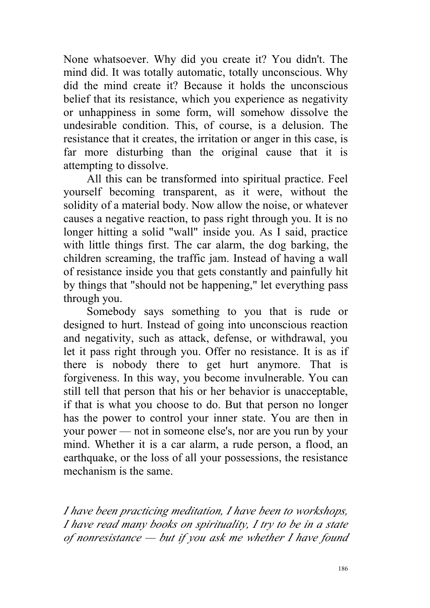None whatsoever. Why did you create it? You didn't. The mind did. It was totally automatic, totally unconscious. Why did the mind create it? Because it holds the unconscious belief that its resistance, which you experience as negativity or unhappiness in some form, will somehow dissolve the undesirable condition. This, of course, is <sup>a</sup> delusion. The resistance that it creates, the irritation or anger in this case, is far more disturbing than the original cause that it is attempting to dissolve.

All this can be transformed into spiritual practice. Feel yourself becoming transparent, as it were, without the solidity of <sup>a</sup> material body. Now allow the noise, or whatever causes <sup>a</sup> negative reaction, to pass right through you. It is no longer hitting <sup>a</sup> solid "wall" inside you. As I said, practice with little things first. The car alarm, the dog barking, the children screaming, the traffic jam. Instead of having <sup>a</sup> wall of resistance inside you that gets constantly and painfully hit by things that "should not be happening," let everything pass through you.

Somebody says something to you that is rude or designed to hurt. Instead of going into unconscious reaction and negativity, such as attack, defense, or withdrawal, you let it pass right through you. Offer no resistance. It is as if there is nobody there to ge<sup>t</sup> hurt anymore. That is forgiveness. In this way, you become invulnerable. You can still tell that person that his or her behavior is unacceptable, if that iswhat you choose to do. But that person no longer has the power to control your inner state. You are then in your power — not in someone else's, nor are you run by your mind. Whether it is a car alarm, a rude person, a flood, an earthquake, or the loss of all your possessions, the resistance mechanism is the same.

*I have been practicing meditation, I have been to workshops, I have read many books on spirituality, I try to be in <sup>a</sup> state of nonresistance — but if you ask me whether I have found*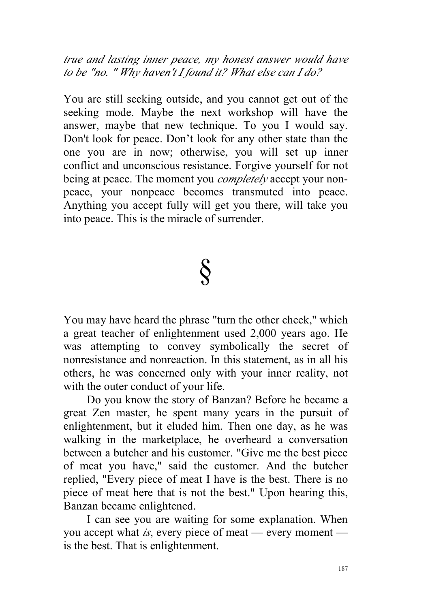*true and lasting inner peace, my honest answer would have to be "no. " Why haven't I found it? What else can I do?*

You are still seeking outside, and you cannot ge<sup>t</sup> out of the seeking mode. Maybe the next workshop will have the answer, maybe that new technique. To you I would say. Don't look for peace. Don't look for any other state than the one you are in now; otherwise, you will set up inner conflict and unconscious resistance. Forgive yourself for not being at peace. The moment you *completely* accept your nonpeace, your nonpeace becomes transmuted into peace. Anything you accep<sup>t</sup> fully will ge<sup>t</sup> you there, will take you into peace. This is the miracle of surrender.

# §

You may have heard the phrase "turn the other cheek," which <sup>a</sup> grea<sup>t</sup> teacher of enlightenment used 2,000 years ago. He was attempting to convey symbolically the secret of nonresistance and nonreaction. In this statement, as in all his others, he was concerned only with your inner reality, not with the outer conduct of your life.

Do you know the story of Banzan? Before he became <sup>a</sup> great Zen master, he spent many years in the pursuit of enlightenment, but it eluded him. Then one day, as he was walking in the marketplace, he overheard <sup>a</sup> conversation between <sup>a</sup> butcher and his customer. "Give me the best piece of meat you have," said the customer. And the butcher replied, "Every piece of meat I have is the best. There is no piece of meat here that is not the best." Upon hearing this, Banzan became enlightened.

I can see you are waiting for some explanation. When you accep<sup>t</sup> what *is*, every piece of meat — every moment is the best. That is enlightenment.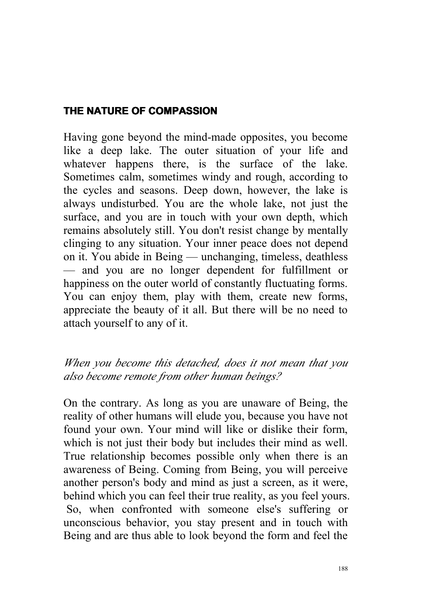#### **THE NATURE OF COMPASSION COMPASSION**

Having gone beyond the mind-made opposites, you become like <sup>a</sup> deep lake. The outer situation of your life and whatever happens there, is the surface of the lake. Sometimes calm, sometimes windy and rough, according to the cycles and seasons. Deep down, however, the lake is always undisturbed. You are the whole lake, not just the surface, and you are in touch with your own depth, which remains absolutely still. You don't resist change by mentally clinging to any situation. Your inner peace does not depend on it. You abide in Being — unchanging, timeless, deathless — and you are no longer dependent for fulfillment or happiness on the outer world of constantly fluctuating forms. You can enjoy them, play with them, create new forms, appreciate the beauty of it all. But there will be no need to attach yourself to any of it.

#### *When you become this detached, does it not mean that you also become remote from other human beings?*

On the contrary. As long as you are unaware of Being, the reality of other humans will elude you, because you have not found your own. Your mind will like or dislike their form, which is not just their body but includes their mind as well. True relationship becomes possible only when there is an awareness of Being. Coming from Being, you will perceive another person's body and mind as just <sup>a</sup> screen, as it were, behind which you can feel their true reality, as you feel yours. So, when confronted with someone else's suffering or unconscious behavior, you stay presen<sup>t</sup> and in touch with Being and are thus able to look beyond the form and feel the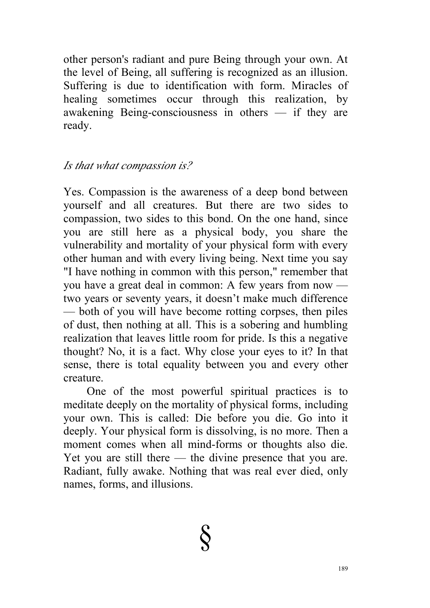other person's radiant and pure Being through your own. At the level of Being, all suffering is recognized as an illusion. Suffering is due to identification with form. Miracles of healing sometimes occur through this realization, by awakening Being-consciousness in others — if they are ready.

#### *Is that what compassion is?*

Yes. Compassion is the awareness of <sup>a</sup> deep bond between yourself and all creatures. But there are two sides to compassion, two sides to this bond. On the one hand, since you are still here as <sup>a</sup> physical body, you share the vulnerability and mortality of your physical form with every other human and with every living being. Next time you say "I have nothing in common with this person," remember that you have <sup>a</sup> grea<sup>t</sup> deal in common: A few years from now two years or seventy years, it doesn't make much difference — both of you will have become rotting corpses, then piles of dust, then nothing at all. This is <sup>a</sup> sobering and humbling realization that leaves little room for pride. Is this <sup>a</sup> negative thought? No, it is a fact. Why close your eyes to it? In that sense, there is total equality between you and every other creature.

> One of the most powerful spiritual practices is to meditate deeply on the mortality of physical forms, including your own. This is called: Die before you die. Go into it deeply. Your physical form is dissolving, is no more. Then <sup>a</sup> moment comes when all mind-forms or thoughts also die. Yet you are still there — the divine presence that you are. Radiant, fully awake. Nothing that was real ever died, only names, forms, and illusions.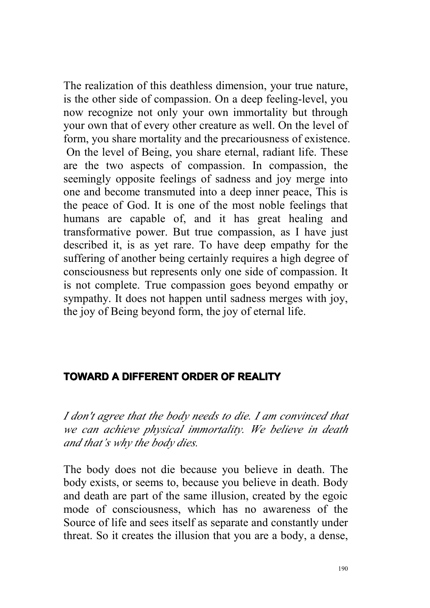The realization of this deathless dimension, your true nature, is the other side of compassion. On <sup>a</sup> deep feeling-level, you now recognize not only your own immortality but through your own that of every other creature as well. On the level of form, you share mortality and the precariousness of existence. On the level of Being, you share eternal, radiant life. These are the two aspects of compassion. In compassion, the seemingly opposite feelings of sadness and joy merge into one and become transmuted into <sup>a</sup> deep inner peace, This is the peace of God. It is one of the most noble feelings that humans are capable of, and it has grea<sup>t</sup> healing and transformative power. But true compassion, as I have just described it, is as ye<sup>t</sup> rare. To have deep empathy for the suffering of another being certainly requires <sup>a</sup> high degree of consciousness but represents only one side of compassion. It is not complete. True compassion goes beyond empathy or sympathy. It does not happen until sadness merges with joy, the joy of Being beyond form, the joy of eternal life.

#### **TOWARD A DIFFERENT DIFFERENT DIFFERENT DIFFERENTORDER OF REALITY REALITY REALITY**

*I don't agree that the body needs todie. I am convinced that we can achieve physical immortality. We believe in death and that's why the body dies.*

The body does not die because you believe in death. The body exists, or seems to, because you believe in death. Body and death are par<sup>t</sup> of the same illusion, created by the egoic mode of consciousness, which has no awareness of the Source of life and sees itself as separate and constantly under threat. So it creates the illusion that you are <sup>a</sup> body, <sup>a</sup> dense,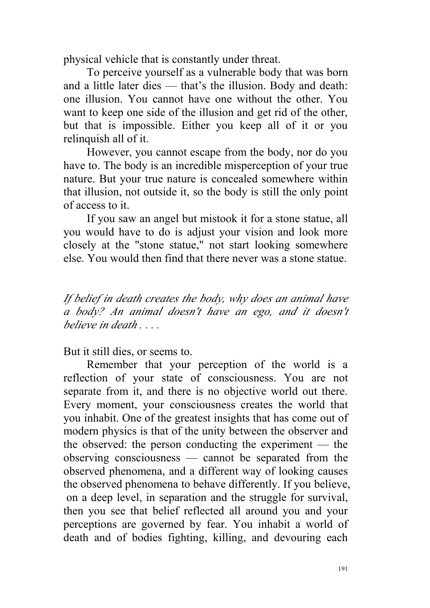physical vehicle that is constantly under threat.

To perceive yourself as <sup>a</sup> vulnerable body that was born and <sup>a</sup> little later dies — that's the illusion. Body and death: one illusion. You cannot have one without the other. You want to keep one side of the illusion and ge<sup>t</sup> rid of the other, but that is impossible. Either you keep all of it or you relinquish all of it.

However, you cannot escape from the body, nor do you have to. The body is an incredible misperception of your true nature. But your true nature is concealed somewhere within that illusion, not outside it, so the body is still the only point of access toit.

If you sawan angel but mistook it for <sup>a</sup> stone statue, all you would have to do is adjust your vision and look more closely at the "stone statue," not start looking somewhere else. You would then find that there never was <sup>a</sup> stone statue.

*If belief in death creates the body, why does an animal have <sup>a</sup> body? An animal doesn't have an ego, and it doesn't believe in death . . . .*

But it still dies, or seems to.

Remember that your perception of the world is <sup>a</sup> reflection of your state of consciousness. You are not separate from it, and there is no objective world out there. Every moment, your consciousness creates the world that you inhabit. One of the greatest insights that has come out of modern physics is that of the unity between the observer and the observed: the person conducting the experiment — the observing consciousness — cannot be separated from the observed phenomena, and <sup>a</sup> different way of looking causes the observed phenomena to behave differently. If you believe, on <sup>a</sup> deep level, in separation and the struggle for survival, then you see that belief reflected all around you and your perceptions are governed by fear. You inhabit <sup>a</sup> world of death and of bodies fighting, killing, and devouring each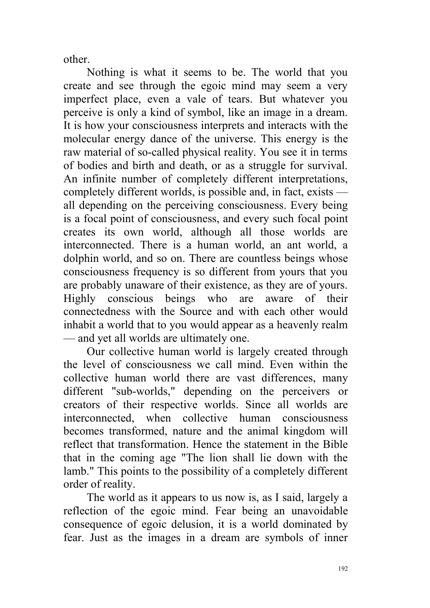other.

Nothing is what it seems to be. The world that you create and see through the egoic mind may seem <sup>a</sup> very imperfect place, even <sup>a</sup> vale of tears. But whatever you perceive is only <sup>a</sup> kind of symbol, likean image in <sup>a</sup> dream. It is how your consciousness interprets and interacts with the molecular energy dance of the universe. This energy is the raw material of so-called physical reality. You see it in terms of bodies and birth and death, or as <sup>a</sup> struggle for survival. An infinite number of completely different interpretations, completely different worlds, is possible and, in fact, exists all depending on the perceiving consciousness. Every being is <sup>a</sup> focal point of consciousness, and every such focal point creates its own world, although all those worlds are interconnected. There is <sup>a</sup> human world, an ant world, <sup>a</sup> dolphin world, and so on. There are countless beings whose consciousness frequency is so different from yours that you are probably unaware of their existence, as they are of yours. Highly conscious beings who are aware of their connectedness with the Source and with each other would inhabit <sup>a</sup> world that to you would appear as <sup>a</sup> heavenly realm — and ye<sup>t</sup> all worlds are ultimately one.

Our collective human world is largely created through the level of consciousness we call mind. Even within the collective human world there are vast differences, many different "sub-worlds," depending on the perceivers or creators of their respective worlds. Since all worlds are interconnected, when collective human consciousness becomes transformed, nature and the animal kingdom will reflect that transformation. Hence the statement in the Bible that in the coming age "The lion shall lie down with the lamb." This points to the possibility of a completely different order of reality.

The world as it appears to us now is, as I said, largely a reflection of the egoic mind. Fear being an unavoidable consequence of egoic delusion, it is <sup>a</sup> world dominated by fear. Just as the images in <sup>a</sup> dream are symbols of inner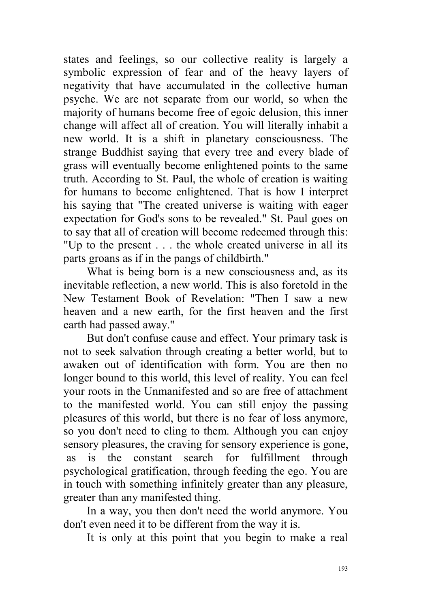states and feelings, so our collective reality is largely <sup>a</sup> symbolic expression of fear and of the heavy layers of negativity that have accumulated in the collective human psyche. Weare not separate from our world, so when the majority of humans become free of egoic delusion, this inner change will affect all of creation. You will literally inhabit <sup>a</sup> new world. It is <sup>a</sup> shift in planetary consciousness. The strange Buddhist saying that every tree and every blade of grass will eventually become enlightened points to the same truth. According to St. Paul, the whole of creation is waiting for humans to become enlightened. That is how I interpret his saying that "The created universe is waiting with eager expectation for God's sons to be revealed." St. Paul goes on to say that all of creation will become redeemed through this: "Up to the presen<sup>t</sup> . . . the whole created universe in all its parts groans as if in the pangs of childbirth."

What is being born is a new consciousness and, as its inevitable reflection, <sup>a</sup> new world. This is also foretold in the New Testament Book of Revelation: "Then I saw <sup>a</sup> new heaven and <sup>a</sup> new earth, for the first heaven and the first earth had passed away."

But don't confuse cause and effect. Your primary task is not to seek salvation through creating <sup>a</sup> better world, but to awaken out of identification with form. You are then no longer bound to this world, this level of reality. You can feel your roots in the Unmanifested and so are free of attachment to the manifested world. You can still enjoy the passing pleasures of this world, but there is no fear of loss anymore, so you don't need to cling to them. Although you can enjoy sensory pleasures, the craving for sensory experience is gone, as is the constant search for fulfillment through psychological gratification, through feeding the ego. You are in touch with something infinitely greater than any pleasure, greater than any manifested thing.

In <sup>a</sup> way, you then don't need the world anymore. You don't even need it to be different from the way it is.

It is only at this point that you begin to make <sup>a</sup> real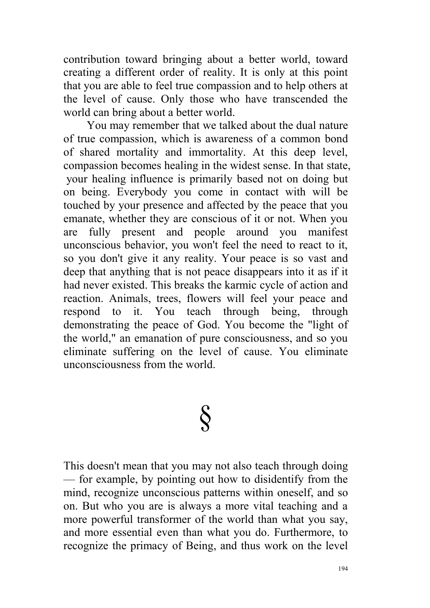contribution toward bringing about <sup>a</sup> better world, toward creating <sup>a</sup> different order of reality. It is only at this point that you are able to feel true compassion and to help others at the level of cause. Only those who have transcended the world can bring about <sup>a</sup> better world.

You may remember that we talked about the dual nature of true compassion, which is awareness of <sup>a</sup> common bond of shared mortality and immortality. At this deep level, compassion becomes healing in the widest sense. In that state, your healing influence is primarily based not on doing but on being. Everybody you come in contact with will be touched by your presence and affected by the peace that you emanate, whether they are conscious of it or not. When you are fully presen<sup>t</sup> and people around you manifest unconscious behavior, you won't feel theneed to react to it, so you don't give it any reality. Your peace is so vast and deep that anything that is not peace disappears into it as if it had never existed. This breaks the karmic cycle of action and reaction. Animals, trees, flowers will feel your peace and respond to it. You teach through being, through demonstrating the peace of God. You become the "light of the world," an emanation of pure consciousness, and so you eliminate suffering on the level of cause. You eliminate unconsciousness from the world.

§

This doesn't mean that you may not also teach through doing — for example, by pointing out how to disidentify from the mind, recognize unconscious patterns within oneself, and so on. But whoyou are is always <sup>a</sup> more vital teaching and <sup>a</sup> more powerful transformer of the world than what you say, and more essential even than what you do. Furthermore, to recognize the primacy of Being, and thus work on the level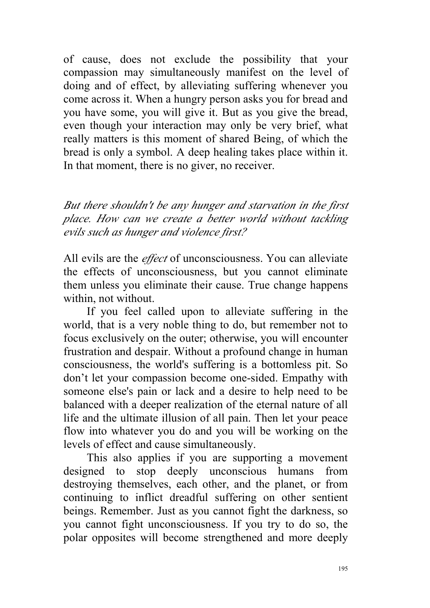of cause, does not exclude the possibility that your compassion may simultaneously manifest on the level of doing and of effect, by alleviating suffering whenever you come across it. When <sup>a</sup> hungry person asks you for bread and you have some, you will give it. But as you give the bread, even though your interaction may only be very brief, what really matters is this moment of shared Being, of which the bread is only <sup>a</sup> symbol. A deep healing takes place within it. In that moment, there is no giver, no receiver.

*But there shouldn't be any hunger and starvation in the first place. How can we create <sup>a</sup> better world without tackling evils such as hunger and violence first?*

All evils are the *effect* of unconsciousness. You can alleviate the effects of unconsciousness, but you cannot eliminate them unless you eliminate their cause. True change happens within, not without.

If you feel called upon to alleviate suffering in the world, that is a very noble thing to do, but remember not to focus exclusively on the outer; otherwise, you will encounter frustration and despair. Without <sup>a</sup> profound change in human consciousness, the world's suffering is <sup>a</sup> bottomless pit. So don't let your compassion become one-sided. Empathy with someone else's pain or lack and <sup>a</sup> desire to help need to be balanced with <sup>a</sup> deeper realization of the eternal nature of all life and the ultimate illusion of all pain. Then let your peace flow into whatever you do and you will be working on the levels of effect and cause simultaneously.

This also applies if you are supporting <sup>a</sup> movement designed to stop deeply unconscious humans from destroying themselves, each other, and the planet, or from continuing to inflict dreadful suffering on other sentient beings. Remember. Just as you cannot fight the darkness, so you cannot fight unconsciousness. If you try to do so, the polar opposites will become strengthened and more deeply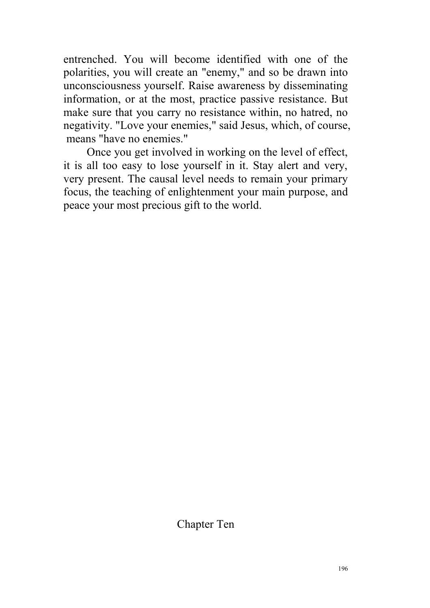entrenched. You will become identified with one of the polarities, you will create an "enemy," and so be drawn into unconsciousness yourself. Raise awareness by disseminating information, or at the most, practice passive resistance. But make sure that you carry no resistance within, no hatred, no negativity. "Love your enemies," said Jesus, which, of course, means "have no enemies."

Once you ge<sup>t</sup> involved in working on the level of effect, it is all too easy to lose yourself in it. Stay alert and very, very present. The causal level needs to remain your primary focus, the teaching of enlightenment your main purpose, and peace your most precious gift to the world.

Chapter Ten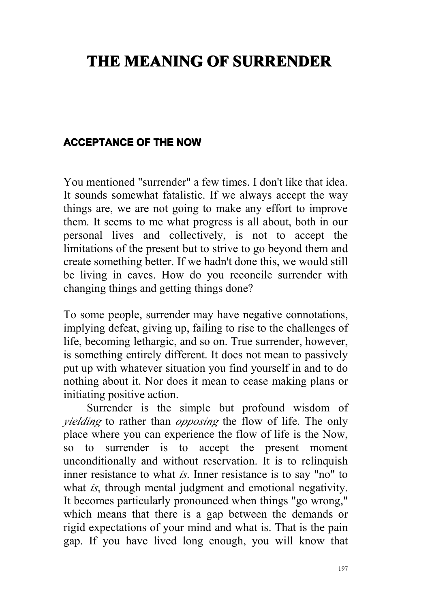### **THE MEANING MEANING OF SURRENDER SURRENDER SURRENDER SURRENDER**

#### **ACCEPTANCE ACCEPTANCE ACCEPTANCEACCEPTANCEOF THE NOW**

You mentioned "surrender" <sup>a</sup> few times. I don't like that idea. It sounds somewhat fatalistic. If we always accep<sup>t</sup> the way things are, we are not going to make any effort to improve them. It seems to me what progress is all about, both in our personal lives and collectively, is not to accep<sup>t</sup> the limitations of the presen<sup>t</sup> but to strive to go beyond them and create something better. If we hadn't done this, we would still be living in caves. How do you reconcile surrender with changing things and getting things done?

To some people, surrender may have negative connotations, implying defeat, giving up, failing to rise to the challenges of life, becoming lethargic, and so on. True surrender, however, is something entirely different. It does not mean to passively pu<sup>t</sup> up with whatever situation you find yourself in and to do nothing about it. Nor does it mean to cease making plans or initiating positive action.

Surrender is the simple but profound wisdom of *yielding* to rather than *opposing* the flow of life. The only place where you can experience the flow of life is the Now, so to surrender is to accep<sup>t</sup> the presen<sup>t</sup> moment unconditionally and without reservation. It is to relinquish inner resistance to what *is*. Inner resistance is to say "no" to what *is*, through mental judgment and emotional negativity. It becomes particularly pronounced when things "go wrong," which means that there is <sup>a</sup> gap between the demands or rigid expectations of your mind and what is. That is the pain gap. If you have lived long enough, you will know that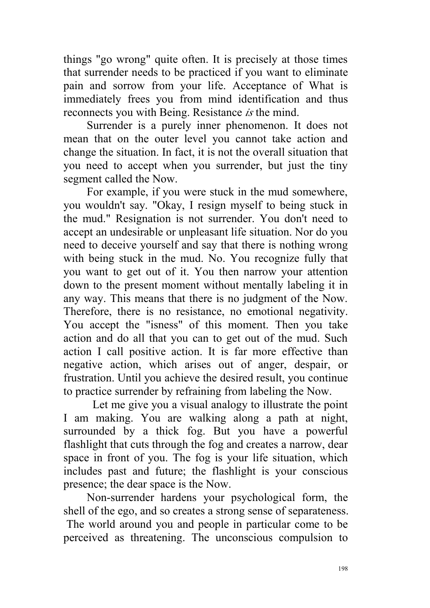things "go wrong" quite often. It is precisely at those times that surrender needs to be practiced if you want to eliminate pain and sorrow from your life. Acceptance of What is immediately frees you from mind identification and thus reconnects you with Being. Resistance *is* the mind.

Surrender is <sup>a</sup> purely inner phenomenon. It does not mean that on the outer level you cannot take action and change the situation. In fact, it is not the overall situation that you need to accep<sup>t</sup> when you surrender, but just the tiny segmen<sup>t</sup> called the Now.

For example, if you were stuck in the mud somewhere, you wouldn't say. "Okay, I resign myself to being stuck in the mud." Resignation is not surrender. You don't need to accep<sup>t</sup> an undesirable or unpleasant lifesituation. Nor do you need to deceive yourself and say that there is nothing wrong with being stuck in the mud. No. You recognize fully that you want to ge<sup>t</sup> out of it. You then narrow your attention down to the presen<sup>t</sup> moment without mentally labeling it in any way. This means that there is no judgment of the Now. Therefore, there is no resistance, no emotional negativity. You accep<sup>t</sup> the "isness" of this moment. Then you take action and do all that you can to ge<sup>t</sup> out of the mud. Such action I call positive action. It is far more effective than negative action, which arises out of anger, despair, or frustration. Until you achieve the desired result, you continue to practice surrender by refraining from labeling the Now.

Let me give you <sup>a</sup> visual analogy to illustrate the point I am making. You are walking along a path at night, surrounded by <sup>a</sup> thick fog. But you have <sup>a</sup> powerful flashlight that cuts through the fog and creates <sup>a</sup> narrow, dear space in front of you. The fog is your life situation, which includes pas<sup>t</sup> and future; the flashlight is your conscious presence; the dear space is the Now.

Non-surrender hardens your psychological form, the shell of the ego, and so creates <sup>a</sup> strong sense of separateness. The world around you and people in particular come to be perceived as threatening. The unconscious compulsion to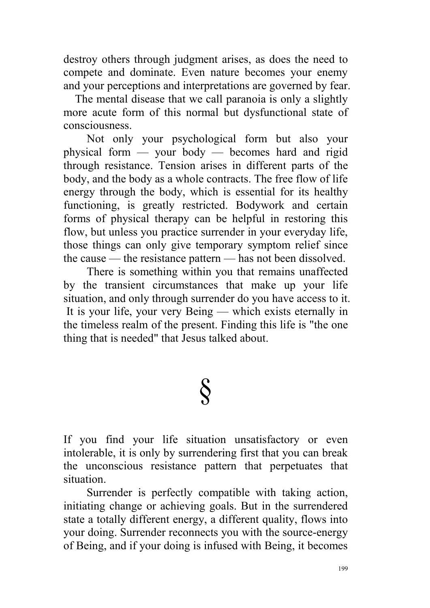destroy others through judgment arises, as does the need to compete and dominate. Even nature becomes your enemy and your perceptions and interpretations are governed by fear.

The mental disease that we call paranoia is only <sup>a</sup> slightly more acute form of this normal but dysfunctional state of consciousness.

Not only your psychological form but also your physical form — your body — becomes hard and rigid through resistance. Tension arises in different parts of the body, and the body as a whole contracts. The free flow of life energy through the body, which is essential for its healthy functioning, is greatly restricted. Bodywork and certain forms of physical therapy can be helpful in restoring this flow, but unless you practice surrender in your everyday life, those things can only give temporary symptom relief since the cause — the resistance pattern — has not been dissolved.

There is something within you that remains unaffected by the transient circumstances that make up your life situation, and only through surrender do you have access to it. It is your life, your very Being — which exists eternally in the timeless realm of the present. Finding this life is "the one thing that is needed" that Jesus talked about.

§

If you find your life situation unsatisfactory or even intolerable, it is only by surrendering first that you can break the unconscious resistance pattern that perpetuates that situation.

Surrender is perfectly compatible with taking action, initiating change or achieving goals. But in the surrendered state <sup>a</sup> totally different energy, <sup>a</sup> different quality, flows into your doing. Surrender reconnects you with the source-energy of Being, and if your doing is infused with Being, it becomes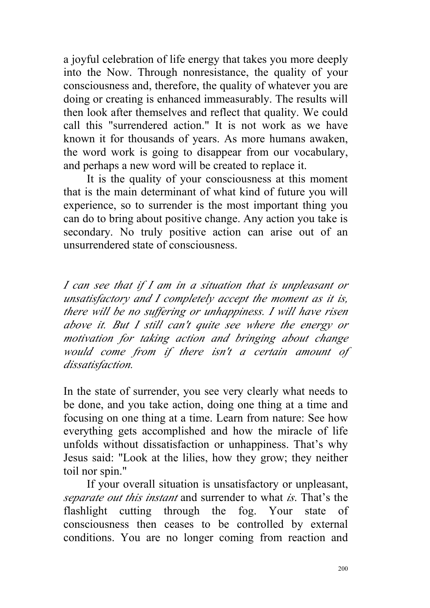<sup>a</sup> joyful celebration of life energy that takes you more deeply into the Now. Through nonresistance, the quality of your consciousness and, therefore, the quality of whatever you are doing or creating is enhanced immeasurably. The results will then look after themselves and reflect that quality. We could call this "surrendered action." It is not work as we have known it for thousands of years. As more humans awaken, the word work is going to disappear from our vocabulary, and perhaps <sup>a</sup> new word will be created to replace it.

It is the quality of your consciousness at this moment that is the main determinant of what kind of future you will experience, so to surrender is the most important thing you can do to bring about positive change. Any action you take is secondary. No truly positive action can arise out of an unsurrendered state of consciousness.

*I can see that if I am in <sup>a</sup> situation that is unpleasant or unsatisfactory and I completely accept the moment as it is, there will be no suffering or unhappiness. I will have risen above it. But I still can't quite see where the energy or motivation for taking action and bringing about change would come from if there isn't <sup>a</sup> certain amount of dissatisfaction.*

In the state of surrender, you see very clearly what needs to be done, and you take action, doing one thing at <sup>a</sup> time and focusing on one thing at <sup>a</sup> time. Learn fromnature: See how everything gets accomplished and how the miracle of life unfolds without dissatisfaction or unhappiness. That's why Jesus said: "Look at the lilies, how they grow; they neither toil nor spin."

If your overall situation is unsatisfactory or unpleasant, *separate out this instant* and surrender to what *is*. That's the flashlight cutting through the fog. Your state of consciousness then ceases to be controlled by external conditions. You are no longer coming from reaction and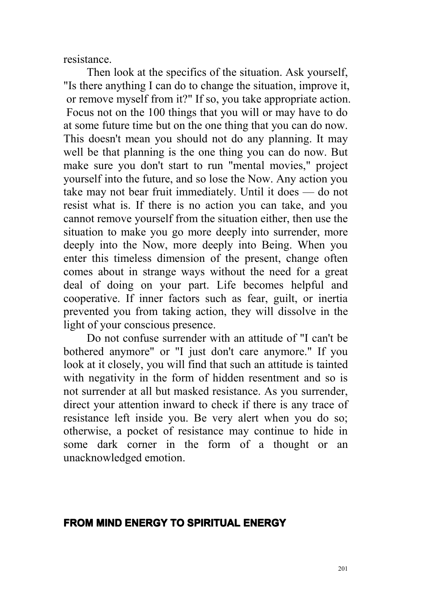resistance.

Then look at the specifics of the situation. Ask yourself, "Is there anything I can do to change the situation, improve it, or remove myself from it?" If so, you take appropriate action. Focus not on the 100 things that you will or may have to do at some future time but on the one thing that you can do now. This doesn't mean you should not do any planning. It may well be that planning is the one thing you can do now. But make sure you don't start to run "mental movies," project yourself into the future, and so lose the Now. Any action you take may not bear fruit immediately. Until it does — do not resist what is. If there is no action you can take, and you cannot remove yourself from the situation either, then use the situation to make you go more deeply into surrender, more deeply into the Now, more deeply into Being. When you enter this timeless dimension of the present, change often comes about in strange ways without the need for <sup>a</sup> grea<sup>t</sup> deal of doing on your part. Life becomes helpful and cooperative. If inner factors such as fear, guilt, or inertia prevented you from taking action, they will dissolve in the light of your conscious presence.

Do not confuse surrender with an attitude of "I can't be bothered anymore" or "I just don't care anymore." If you look at it closely, you will find that such an attitude is tainted with negativity in the form of hidden resentment and so is not surrender at all but masked resistance. As you surrender, direct your attention inward to check if there is any trace of resistance left inside you. Be very alert when you do so; otherwise, <sup>a</sup> pocket of resistance may continue to hide in some dark corner in the form of <sup>a</sup> thought or an unacknowledged emotion.

#### **FROM MIND ENERGY TO SPIRITUAL ENERGY**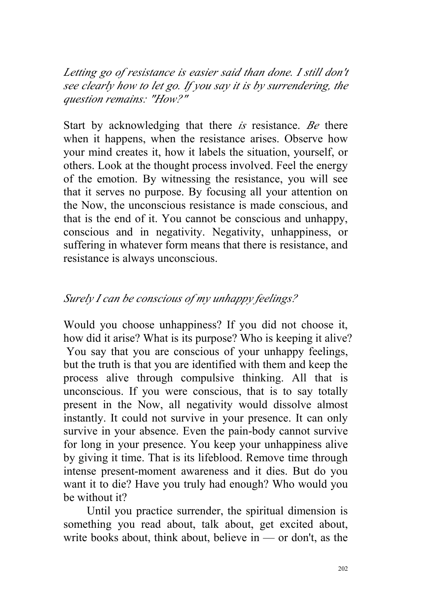*Letting go of resistance is easier said than done. I still don't see clearly how to let go. If you say it is by surrendering, the question remains: "How?"*

Start by acknowledging that there *is* resistance. *Be* there when it happens, when the resistance arises. Observe how your mind creates it, how it labels the situation, yourself, or others. Look at the thought process involved. Feel the energy of the emotion. By witnessing the resistance, you will see that it serves no purpose. By focusing all your attention on the Now, the unconscious resistance is made conscious, and that is the end of it. You cannot be conscious and unhappy, conscious and in negativity. Negativity, unhappiness, or suffering in whatever form means that there is resistance, and resistance is always unconscious.

#### *Surely I can be conscious of my unhappy feelings?*

Would you choose unhappiness? If you did not choose it, how did it arise? What is its purpose? Who is keeping it alive? You say that you are conscious of your unhappy feelings, but the truth is that you are identified with them and keep the process alive through compulsive thinking. All that is unconscious. If you were conscious, that is to say totally presen<sup>t</sup> in the Now, all negativity would dissolve almost instantly. It could not survive in your presence. It can only survive in your absence. Even the pain-body cannot survive for long in your presence. You keep your unhappiness alive by giving it time. That is its lifeblood. Remove time through intense present-moment awareness and it dies. But do you want it to die? Have you truly had enough? Who would you be without it?

Until you practice surrender, the spiritual dimension is something you read about, talk about, ge<sup>t</sup> excited about, write books about, think about, believe in — or don't, as the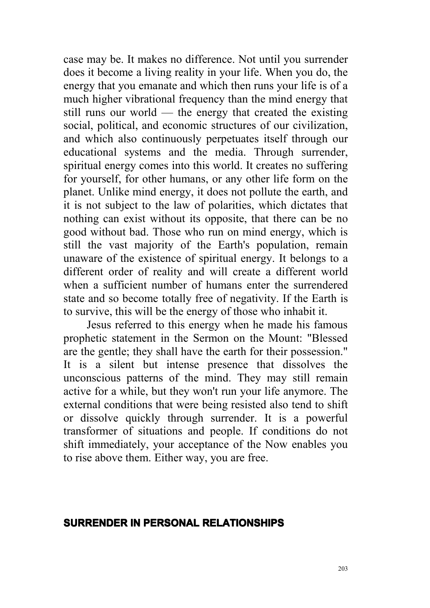case may be. It makes no difference. Not until you surrender does it become <sup>a</sup> living reality in your life. When you do, the energy that you emanate and which then runs your life is of <sup>a</sup> much higher vibrational frequency than the mind energy that still runs our world — the energy that created the existing social, political, and economic structures of our civilization, and which also continuously perpetuates itself through our educational systems and the media. Through surrender, spiritual energy comes into this world. It creates no suffering for yourself, for other humans, or any other life form on the planet. Unlike mind energy, it does not pollute the earth, and it is not subject to the law of polarities, which dictates that nothing can exist without its opposite, that there can be no good without bad. Those who run on mind energy, which is still the vast majority of the Earth's population, remain unaware of the existence of spiritual energy. It belongs to <sup>a</sup> different order of reality and will create <sup>a</sup> different world when <sup>a</sup> sufficient number of humans enter the surrendered state and so become totally free of negativity. If the Earth is to survive, this will be the energy of those who inhabit it.

Jesus referred to this energy when he made his famous prophetic statement in the Sermon on the Mount: "Blessed are the gentle; they shall have the earth for their possession." It is <sup>a</sup> silent but intense presence that dissolves the unconscious patterns of the mind. They may still remain active for <sup>a</sup> while, but they won't run your life anymore. The external conditions that were being resisted also tend to shift or dissolve quickly through surrender. It is <sup>a</sup> powerful transformer of situations and people. If conditions do not shift immediately, your acceptance of the Now enables you to rise above them. Either way, you are free.

#### **SURRENDER IN PERSONAL RELATIONSHIPS**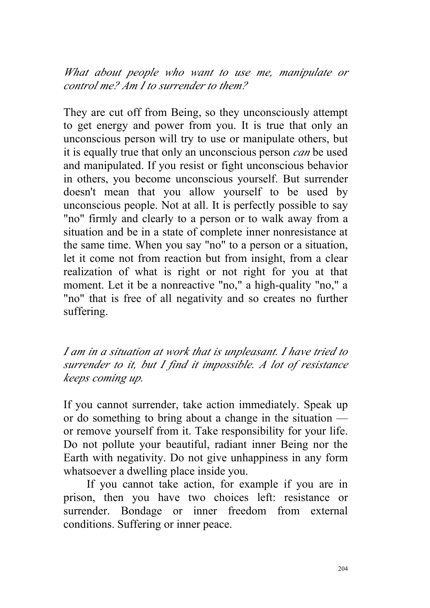*What about people who want to use me, manipulate or control me? Am I to surrender to them?* 

They are cut off from Being, so they unconsciously attempt to ge<sup>t</sup> energy and power from you. It is true that only an unconscious person will try to use or manipulate others, but it is equally true that only an unconscious person *can* be used and manipulated. If you resist or fight unconscious behavior in others, you become unconscious yourself. But surrender doesn't mean that you allow yourself to be used by unconscious people. Not at all. It is perfectly possible to say "no" firmly and clearly to <sup>a</sup> person or to walk away from <sup>a</sup> situation and be in <sup>a</sup> state of complete inner nonresistance at the same time. When you say "no" to <sup>a</sup> person or <sup>a</sup> situation, let it come not from reaction but from insight, from <sup>a</sup> clear realization of what is right or not right for you at that moment. Let it be <sup>a</sup> nonreactive "no," <sup>a</sup> high-quality "no," <sup>a</sup> "no" that is free of all negativity and so creates no further suffering.

*I am in <sup>a</sup> situation at work that is unpleasant. I have tried to surrender to it, but I find it impossible. A lot of resistance keeps coming up.*

If you cannot surrender, take action immediately. Speak up or do something to bring about <sup>a</sup> change in the situation or remove yourself from it. Take responsibility for your life. Do not pollute your beautiful, radiant inner Being nor the Earth with negativity. Do not give unhappiness in any form whatsoever <sup>a</sup> dwelling place inside you.

If you cannot take action, for example if you are in prison, then you have two choices left: resistance or surrender. Bondage or inner freedom from external conditions. Suffering or inner peace.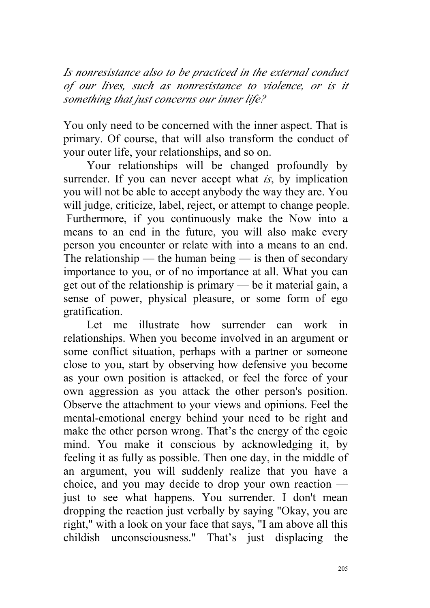*Is nonresistance also to be practiced in the external conduct of our lives, such as nonresistance to violence, or is it something that just concerns our inner life?*

You only need to be concerned with the inner aspect. That is primary. Of course, that will also transform the conduct of your outer life, your relationships, and so on.

Your relationships will be changed profoundly by surrender. If you can never accep<sup>t</sup> what *is*, by implication you will not be able to accep<sup>t</sup> anybody the way they are. You will judge, criticize, label, reject, or attempt to change people. Furthermore, if you continuously make the Now into <sup>a</sup> means to an end in the future, you will also make every person you encounter or relate with into <sup>a</sup> means to an end. The relationship — the human being — is then of secondary importance to you, or of no importance at all. What you can ge<sup>t</sup> out of the relationship is primary — be it material gain, <sup>a</sup> sense of power, physical pleasure, or some form of ego gratification.

Let me illustrate how surrender can work in relationships. When you become involved in an argumen<sup>t</sup> or some conflict situation, perhaps with <sup>a</sup> partner or someone close to you, start by observing how defensive you become as your own position is attacked, or feel the force of your own aggression as you attack the other person's position. Observe the attachment to your views and opinions. Feel the mental-emotional energy behind your need to be right and make the other person wrong. That's the energy of the egoic mind. You make it conscious by acknowledging it, by feeling it as fully as possible. Then one day, in the middle of an argument, you will suddenly realize that you have <sup>a</sup> choice, and you may decide to drop your own reaction just to see what happens. You surrender. I don't mean dropping the reaction just verbally by saying "Okay, you are right," with <sup>a</sup> look on your face that says, "I amabove all this childish unconsciousness." That's just displacing the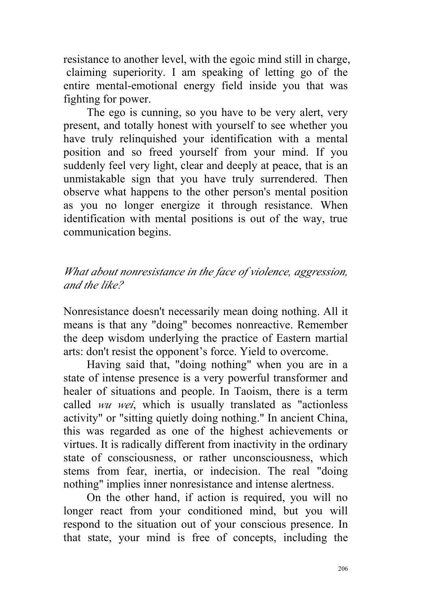resistance to another level, with the egoic mind still in charge, claiming superiority. I am speaking of letting go of the entire mental-emotional energy field inside you that was fighting for power.

The ego is cunning, so you have to be very alert, very present, and totally honest with yourself to see whether you have truly relinquished your identification with <sup>a</sup> mental position and so freed yourself from your mind. If you suddenly feel very light, clear and deeply at peace, that is an unmistakable sign that you have truly surrendered. Then observe what happens to the other person's mental position as you no longer energize it through resistance. When identification with mental positions is out of the way, true communication begins.

#### *What about nonresistance in the face of violence, aggression, and the like?*

Nonresistance doesn't necessarily mean doing nothing. All it means is that any "doing" becomes nonreactive. Remember the deep wisdom underlying the practice of Eastern martial arts: don't resist the opponent's force. Yield to overcome.

Having said that, "doing nothing" when you are in <sup>a</sup> state of intense presence is <sup>a</sup> very powerful transformer and healer of situations and people. In Taoism, there is <sup>a</sup> term called *wu wei*, which is usually translated as "actionless activity" or "sitting quietly doing nothing." In ancient China, this was regarded as one of the highest achievements or virtues. It is radically different from inactivity in the ordinary state of consciousness, or rather unconsciousness, which stems from fear, inertia, or indecision. The real "doing nothing" implies inner nonresistance and intense alertness.

On the other hand, if action is required, you will no longer react from your conditioned mind, but you will respond to the situation out of your conscious presence. In that state, your mind is free of concepts, including the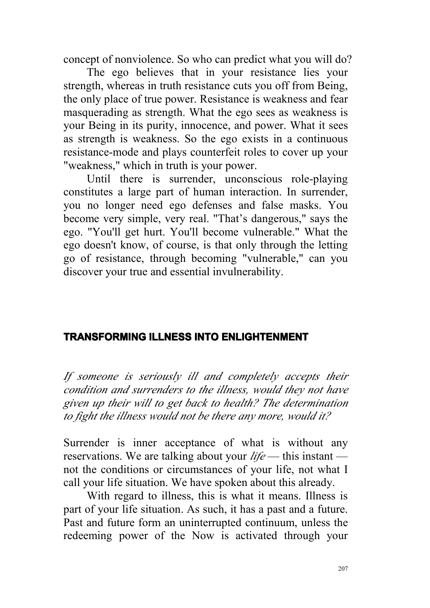concep<sup>t</sup> of nonviolence. So who can predict what you will do?

The ego believes that in your resistance lies your strength, whereas in truth resistance cuts you off from Being, the only place of true power. Resistance is weakness and fear masquerading as strength. What the ego sees as weakness is your Being in its purity, innocence, and power. What it sees as strength is weakness. So the ego exists in <sup>a</sup> continuous resistance-mode and plays counterfeit roles to cover up your "weakness," which in truth is your power.

Until there is surrender, unconscious role-playing constitutes <sup>a</sup> large par<sup>t</sup> of human interaction. In surrender, you no longer need ego defenses and false masks. You become very simple, very real. "That's dangerous," says the ego. "You'll ge<sup>t</sup> hurt. You'll become vulnerable." What the ego doesn't know, of course, is that only through the letting go of resistance, through becoming "vulnerable," can you discover your true and essential invulnerability.

#### **TRANSFORMING TRANSFORMING TRANSFORMING ILLNESS ILLNESS ILLNESSINTO ENLIGHTENMENT ENLIGHTENMENT**

*If someone is seriously ill and completely accepts their condition and surrenders to the illness, would they not have given up their will to get back to health? The determination to fight the illness would not be there any more, would it?*

Surrender is inner acceptance of what is without any reservations. We are talking about your *life* — this instant not the conditions or circumstances of your life, not what I call your life situation. We have spoken about this already.

With regard to illness, this is what it means. Illness is par<sup>t</sup> of your life situation. As such, it has <sup>a</sup> pas<sup>t</sup> and <sup>a</sup> future. Past and future form an uninterrupted continuum, unless the redeeming power of the Now is activated through your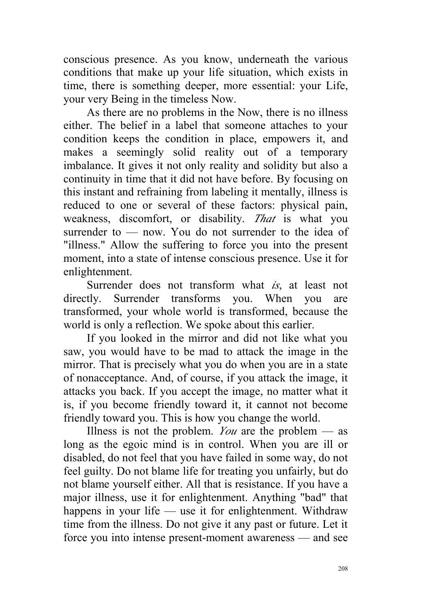conscious presence. As you know, underneath the various conditions that make up your life situation, which exists in time, there is something deeper, more essential: your Life, your very Being in the timeless Now.

As there are no problems in the Now, there is no illness either. The belief in <sup>a</sup> label that someone attaches to your condition keeps the condition in place, empowers it, and makes <sup>a</sup> seemingly solid reality out of <sup>a</sup> temporary imbalance. It gives it not only reality and solidity but also <sup>a</sup> continuity in time that it did not have before. By focusing on this instant and refraining from labeling it mentally, illness is reduced to one or several of these factors: physical pain, weakness, discomfort, or disability. *That* is what you surrender to — now. You do not surrender to the idea of "illness." Allow the suffering to force you into the present moment, into a state of intense conscious presence. Use it for enlightenment.

Surrender does not transform what *is*, at least not directly. Surrender transforms you. When you are transformed, your whole world is transformed, because the world is only <sup>a</sup> reflection. We spoke about this earlier.

If you looked in the mirror and did not like what you saw, you would have to be mad to attack the image in the mirror. That is precisely what you do when you are in a state of nonacceptance. And, of course, if you attack the image, it attacks you back. If you accept the image, no matter what it is, if you become friendly toward it, it cannot not become friendly toward you. This is how you change the world.

Illness is not the problem. *You* are the problem — as long as the egoic mind is in control. When you are ill or disabled, do not feel that you have failed in some way, do not feel guilty. Do not blame life for treating you unfairly, but do not blame yourself either. All that is resistance. If you have <sup>a</sup> major illness, use it for enlightenment. Anything "bad" that happens in your life — use it for enlightenment. Withdraw time from the illness. Do not give it any pas<sup>t</sup> or future. Let it force you into intense present-moment awareness — and see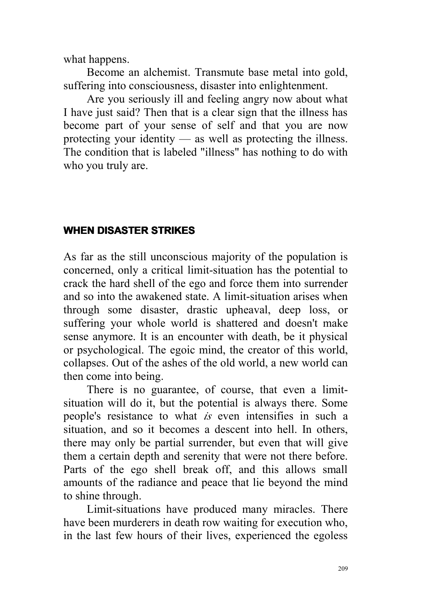what happens.

Become an alchemist. Transmute base metal into gold, suffering into consciousness, disaster into enlightenment.

Are you seriously ill and feeling angry nowabout what I have just said? Then that is a clear sign that the illness has become par<sup>t</sup> of your sense of self and that you are now protecting your identity — as well as protecting the illness. The condition that is labeled "illness" has nothing to do with who you truly are.

#### **WHEN DISASTER STRIKES**

As far as the still unconscious majority of the population is concerned, only <sup>a</sup> critical limit-situation has the potential to crack the hard shell of the ego and force them into surrender and so into the awakened state. A limit-situation arises when through some disaster, drastic upheaval, deep loss, or suffering your whole world is shattered and doesn't make sense anymore. It is an encounter with death, be it physical or psychological. The egoic mind, the creator of this world, collapses. Out of the ashes of the old world, <sup>a</sup> new world can then come into being.

There is no guarantee, of course, that even <sup>a</sup> limitsituation will do it, but the potential is always there. Some people's resistance to what *is* even intensifies in such <sup>a</sup> situation, and so it becomes <sup>a</sup> descent into hell. In others, there may only be partial surrender, but even that will give them <sup>a</sup> certain depth and serenity that were not there before. Parts of the ego shell break off, and this allows small amounts of the radiance and peace that lie beyond the mind to shine through.

Limit-situations have produced many miracles. There have been murderers in death row waiting for execution who, in the last few hours of their lives, experienced the egoless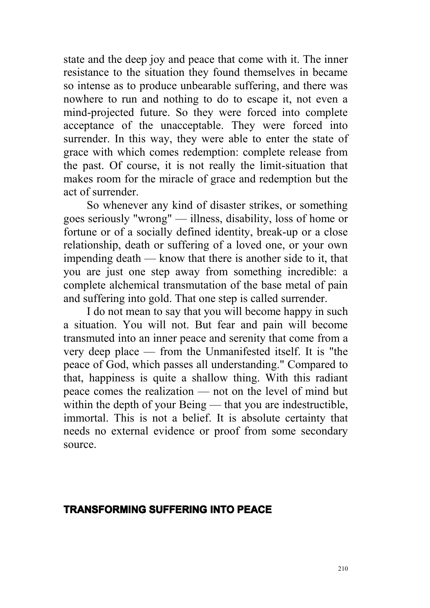state and the deep joy and peace that come with it. The inner resistance to the situation they found themselves in became so intense as to produce unbearable suffering, and there was nowhere to run and nothing to do to escape it, not even <sup>a</sup> mind-projected future. So they were forced into complete acceptance of the unacceptable. They were forced into surrender. In this way, they were able to enter the state of grace with which comes redemption: complete release from the past. Of course, it is not really the limit-situation that makes room for the miracle of grace and redemption but the act of surrender.

So whenever any kind of disaster strikes, or something goes seriously "wrong" — illness, disability, loss of home or fortune or of <sup>a</sup> socially defined identity, break-up or <sup>a</sup> close relationship, death or suffering of <sup>a</sup> loved one, or your own impending death — know that there is another side to it, that you are just one step away from something incredible: <sup>a</sup> complete alchemical transmutation of the base metal of pain and suffering into gold. That one step is called surrender.

I do not mean to say that you will become happy in such <sup>a</sup> situation. You will not. But fear and pain will become transmuted into an inner peace and serenity that come froma very deep place — from the Unmanifested itself. It is"the peace of God, which passes all understanding." Compared to that, happiness is quite <sup>a</sup> shallow thing. With this radiant peace comes the realization — not on the level of mind but within the depth of your Being — that you are indestructible, immortal. This is not <sup>a</sup> belief. It is absolute certainty that needs no external evidence or proof from some secondary source.

#### **TRANSFORMING TRANSFORMING SUFFERING INTO PEACE**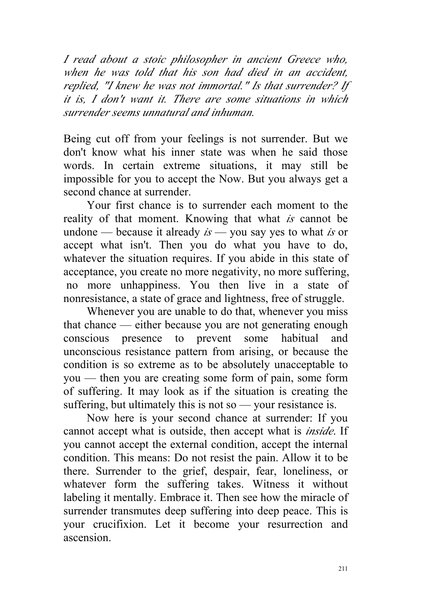*I read about <sup>a</sup> stoic philosopher in ancient Greece who, when he was told that his son had died in an accident, replied, "I knew he was not immortal." Is that surrender? If it is, I don't want it. There are some situations in which surrender seems unnatural and inhuman.*

Being cut off from your feelings is not surrender. But we don't know what his inner state was when he said those words. In certain extreme situations, it may still be impossible for you to accept the Now. But you always get a second chance at surrender.

Your first chance is to surrender each moment to the reality of that moment. Knowing that what *is* cannot be undone — because it already *is* — you say yes to what *is* or accep<sup>t</sup> what isn't. Then you do what you have to do, whatever the situation requires. If you abide in this state of acceptance, you create no more negativity, no more suffering, no more unhappiness. You then live in <sup>a</sup> state of nonresistance, a state of grace and lightness, free of struggle.

Whenever you are unable to do that, whenever you miss that chance — either because you are not generating enough conscious presence to preven<sup>t</sup> some habitual and unconscious resistance pattern from arising, or because the condition is so extreme as to be absolutely unacceptable to you — then you are creating some form of pain, some form of suffering. It may look as if the situation is creating the suffering, but ultimately this is not so — your resistance is.

Now here is your second chance at surrender: If you cannot accept what is outside, then accept what is *inside*. If you cannot accept the external condition, accept the internal condition. This means: Do not resist the pain. Allow it to be there. Surrender to the grief, despair, fear, loneliness, or whatever form the suffering takes. Witness it without labeling it mentally. Embrace it. Then see how the miracle of surrender transmutes deep suffering into deep peace. This is your crucifixion. Let it become your resurrection and ascension.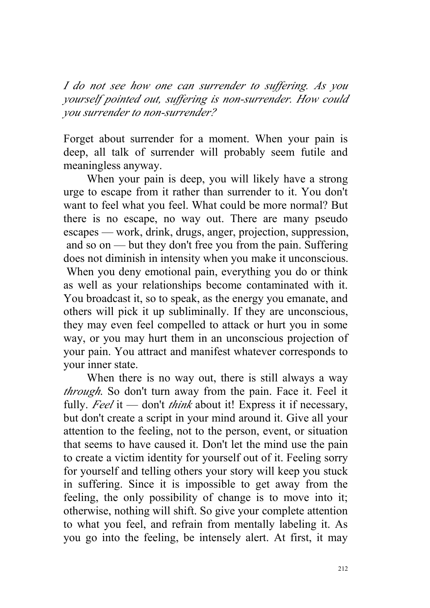*I do not see how one can surrender to suffering. As you yourself pointed out, suffering is non-surrender. How could you surrender to non-surrender?* 

Forget about surrender for <sup>a</sup> moment. When your pain is deep, all talk of surrender will probably seem futile and meaningless anyway.

When your pain is deep, you will likely have <sup>a</sup> strong urge to escape from it rather than surrender to it. You don't want to feel what you feel. What could be more normal? But there is no escape, no way out. There are many pseudo escapes — work, drink, drugs, anger, projection, suppression, and so on — but they don't free you from the pain. Suffering does not diminish in intensity when you make it unconscious. When you deny emotional pain, everything you do or think as well as your relationships become contaminated with it. You broadcast it, so to speak, as the energy you emanate, and others will pick it up subliminally. If they are unconscious, they may even feel compelled to attack or hurt you in some way, or you may hurt them in an unconscious projection of your pain. You attract and manifest whatever corresponds to your inner state.

When there is no way out, there is still always a way *through*. So don't turn away from the pain. Face it. Feel it fully. *Feel* it — don't *think* about it! Express it if necessary, but don't create <sup>a</sup> script in your mind around it. Give all your attention to the feeling, not to the person, event, or situation that seems to have caused it. Don't let the mind use the pain to create <sup>a</sup> victim identity for yourself out of it. Feeling sorry for yourself and telling others your story will keep you stuck in suffering. Since it is impossible to ge<sup>t</sup> away from the feeling, the only possibility of change is to move into it; otherwise, nothing will shift. So give your complete attention to what you feel, and refrain from mentally labeling it. As you go into the feeling, be intensely alert. At first, it may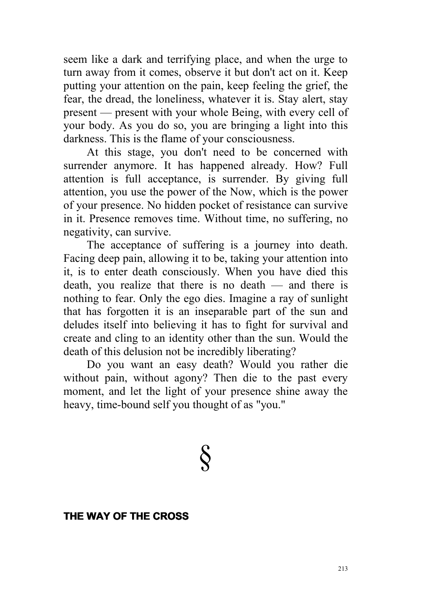seem like <sup>a</sup> dark and terrifying place, and when the urge to turn away from it comes, observe it but don't act on it. Keep putting your attention on the pain, keep feeling the grief, the fear, the dread, the loneliness, whatever it is. Stay alert, stay present — present with your whole Being, with every cell of your body. As you do so, you are bringing <sup>a</sup> light into this darkness. This is the flame of your consciousness.

At this stage, you don't need to be concerned with surrender anymore. It has happened already. How? Full attention is full acceptance, is surrender. By giving full attention, you use the power of the Now, which is the power of your presence. No hidden pocket of resistance can survive in it. Presence removes time. Without time, no suffering, no negativity, can survive.

The acceptance of suffering is <sup>a</sup> journey into death. Facing deep pain, allowing it to be, taking your attention into it, is to enter death consciously. When you have died this death, you realize that there is no death  $-$  and there is nothing to fear. Only the ego dies. Imagine <sup>a</sup> ray of sunlight that has forgotten it is an inseparable par<sup>t</sup> of the sun and deludes itself into believing it has to fight for survival and create and cling to an identity other than the sun. Would the death of this delusion not be incredibly liberating?

Do you want an easy death? Would you rather die without pain, without agony? Then die to the pas<sup>t</sup> every moment, and let the light of your presence shine away the heavy, time-bound self you thought of as "you."

#### **THE WAY OF THE CROSS**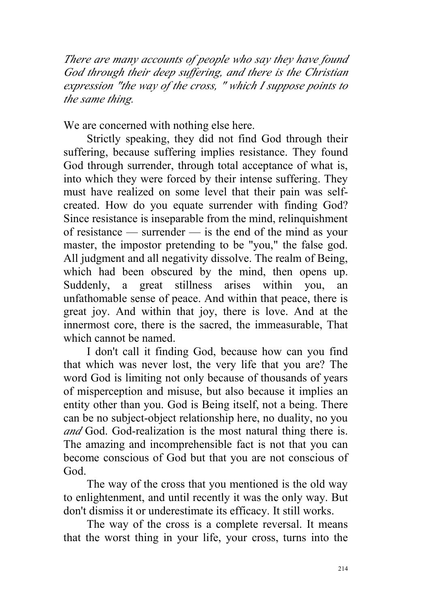*There are many accounts of people who say they have found God through their deep suffering, and there is the Christian expression "the way of the cross, " which I suppose points to the same thing.*

We are concerned with nothing else here.

Strictly speaking, they did not find God through their suffering, because suffering implies resistance. They found God through surrender, through total acceptance of what is, into which they were forced by their intense suffering. They must have realized on some level that their pain was selfcreated. How do you equate surrender with finding God? Since resistance is inseparable from the mind, relinquishment of resistance — surrender — is the end of the mind as your master, the impostor pretending to be "you," the false god. All judgment and all negativity dissolve. The realm of Being, which had been obscured by the mind, then opens up. Suddenly, <sup>a</sup> grea<sup>t</sup> stillness arises within you, an unfathomable sense of peace. And within that peace, there is grea<sup>t</sup> joy. And within that joy, there is love. And at the innermost core, there is the sacred, the immeasurable, That which cannot be named.

I don't call it finding God, because how can you find that which was never lost, the very life that you are? The word God is limiting not onlybecause of thousands of years of misperception and misuse, but also because it implies an entity other than you. God is Being itself, not <sup>a</sup> being. There can be no subject-object relationship here, no duality, no you *and* God. God-realization is the most natural thing there is. The amazing and incomprehensible fact is not that you can become conscious of God but that you are not conscious of God.

The way of the cross that you mentioned is the old way to enlightenment, and until recently it was the only way. But don't dismiss it or underestimate its efficacy. It still works.

The way of the cross is <sup>a</sup> complete reversal. It means that the worst thing in your life, your cross, turns into the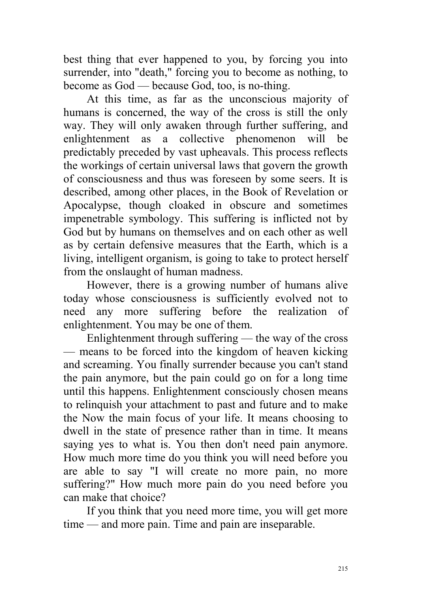best thing that ever happened to you, by forcing you into surrender, into "death," forcing you to become as nothing, to become as God — because God, too, is no-thing.

At this time, as far as the unconscious majority of humans is concerned, the way of the cross is still the only way. They will only awaken through further suffering, and enlightenment as <sup>a</sup> collective phenomenon will be predictably preceded by vast upheavals. This process reflects the workings of certain universal laws that govern the growth of consciousness and thus was foreseen by some seers. It is described, among other places, in the Book of Revelation or Apocalypse, though cloaked in obscure and sometimes impenetrable symbology. This suffering is inflicted not by God but by humans on themselves and on each other as well as by certain defensive measures that the Earth, which is <sup>a</sup> living, intelligent organism, is going to take to protect herself from the onslaught of human madness.

However, there is <sup>a</sup> growing number of humans alive today whose consciousness is sufficiently evolved not to need any more suffering before the realization of enlightenment. You may be one of them.

Enlightenment through suffering — the way of the cross — means to be forced into the kingdom of heaven kicking and screaming. You finally surrender because you can't stand the pain anymore, but the pain could go on for <sup>a</sup> long time until this happens. Enlightenment consciously chosen means to relinquish your attachment to pas<sup>t</sup> and future and to make the Now the main focus of your life. It means choosing to dwell in the state of presence rather than in time. It means saying yes to what is. You then don't need pain anymore. How much more time do you think you will need before you are able to say "I will create no more pain, no more suffering?" How much more pain do you need before you can make that choice?

> If you think that you need more time, you will ge<sup>t</sup> more time — and more pain. Time and pain are inseparable.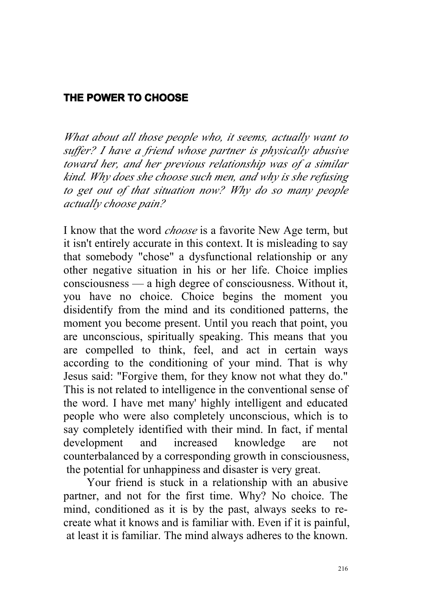## **THE POWER TO CHOOSE**

*What about all those people who, it seems, actually want to suffer? I have <sup>a</sup> friend whose partner is physically abusive toward her, and her previous relationship was of <sup>a</sup> similar kind. Why does she choose such men, and why is she refusing to get out of that situation now? Why do so many people actually choose pain?*

I know that the word *choose* is a favorite New Age term, but it isn't entirely accurate in this context. It is misleading to say that somebody "chose" <sup>a</sup> dysfunctional relationship or any other negative situation in his or her life. Choice implies consciousness — <sup>a</sup> high degree of consciousness. Without it, you have no choice. Choice begins the moment you disidentify from the mind and its conditioned patterns, the moment you become present. Until you reach that point, you are unconscious, spiritually speaking. This means that you are compelled to think, feel, and act in certain ways according to the conditioning of your mind. That is why Jesus said: "Forgive them, for they know not what they do." This is not related to intelligence in the conventional sense of the word. I have met many' highly intelligent and educated people who were also completely unconscious, which is to say completely identified with their mind. In fact, if mental development and increased knowledge are not counterbalanced by <sup>a</sup> corresponding growth in consciousness, the potential for unhappiness and disaster is very great.

Your friend is stuck in <sup>a</sup> relationship with an abusive partner, and not for the first time. Why? No choice. The mind, conditioned as it is by the past, always seeks to recreate what it knows and is familiar with. Even if it is painful, at least it is familiar. The mind always adheres to the known.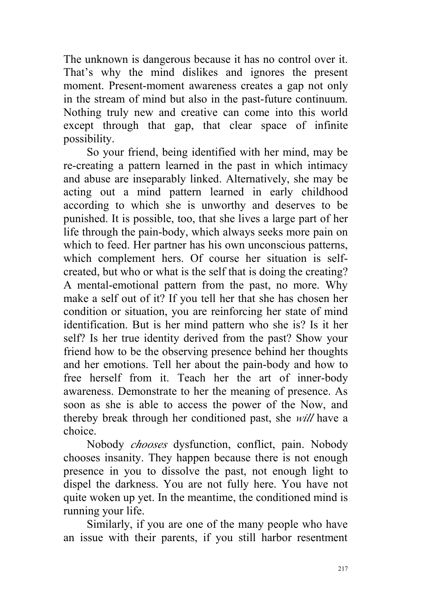The unknown is dangerous because it has no control over it. That's why the mind dislikes and ignores the presen<sup>t</sup> moment. Present-moment awareness creates <sup>a</sup> gap not only in the stream of mind but also in the past-future continuum. Nothing truly new and creative can come into this world excep<sup>t</sup> through that gap, that clear space of infinite possibility.

So your friend, being identified with her mind, may be re-creating <sup>a</sup> pattern learned in the pas<sup>t</sup> in which intimacy and abuse are inseparably linked. Alternatively, she may be acting out <sup>a</sup> mind pattern learned in early childhood according to which she is unworthy and deserves to be punished. It is possible, too, that she lives <sup>a</sup> large par<sup>t</sup> of her life through the pain-body, which always seeks more pain on which to feed. Her partner has his own unconscious patterns, which complement hers. Of course her situation is selfcreated, but who or what is the self that is doing the creating? A mental-emotional pattern from the past, no more. Why make <sup>a</sup> self out of it? If you tell her that she has chosen her condition or situation, you are reinforcing her state of mind identification. But is her mind pattern who she is? Is it her self? Is her true identity derived from the past? Show your friend how to be the observing presence behind her thoughts and her emotions. Tell her about the pain-body and how to free herself from it. Teach her the art of inner-body awareness. Demonstrate to her the meaning of presence. As soon as she is able to access the power of the Now, and thereby break through her conditioned past, she *will* have <sup>a</sup> choice.

Nobody *chooses* dysfunction, conflict, pain. Nobody chooses insanity. They happen because there is not enough presence in you to dissolve the past, not enough light to dispel the darkness. You are not fully here. You have not quite woken up yet. In the meantime, the conditioned mind is running your life.

Similarly, if you are one of the many people who have an issue with their parents, if you still harbor resentment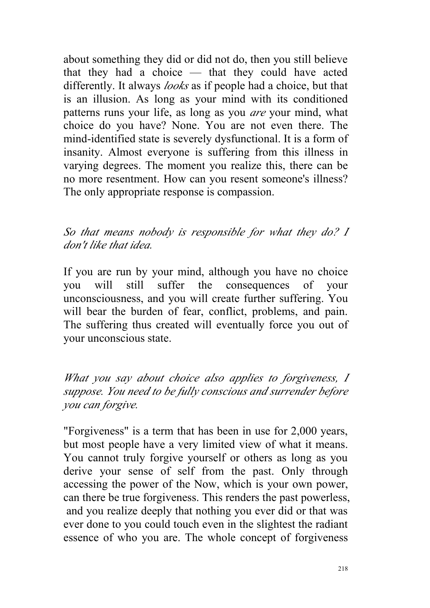about something they did or didnot do, then you still believe that they had <sup>a</sup> choice — that they could have acted differently. It always *looks* as if people had <sup>a</sup> choice, but that is an illusion. As long as your mind with its conditioned patterns runs your life, as long as you *are* your mind, what choice do you have? None. You are not even there. The mind-identified state is severely dysfunctional. It is <sup>a</sup> form of insanity. Almost everyone is suffering from this illness in varying degrees. The moment you realize this, there can be no more resentment. How can you resent someone's illness? The only appropriate response is compassion.

*So that means nobody is responsible for what they do? I don't like that idea.*

If you are run by your mind, although you have no choice you will still suffer the consequences of your unconsciousness, and you will create further suffering. You will bear the burden of fear, conflict, problems, and pain. The suffering thus created will eventually force you out of your unconscious state.

*What you say about choice also applies to forgiveness, I suppose. You need to be fully conscious and surrender before you can forgive.*

"Forgiveness" is <sup>a</sup> term that has been in use for 2,000 years, but most people have <sup>a</sup> very limited view of what it means. You cannot truly forgive yourself or others as long as you derive your sense of self from the past. Only through accessing the power of the Now, which is your own power, can there be true forgiveness. This renders the pas<sup>t</sup> powerless, and you realize deeply that nothing you ever didor that was ever done to you could touch even in the slightest the radiant essence of who you are. The whole concep<sup>t</sup> of forgiveness